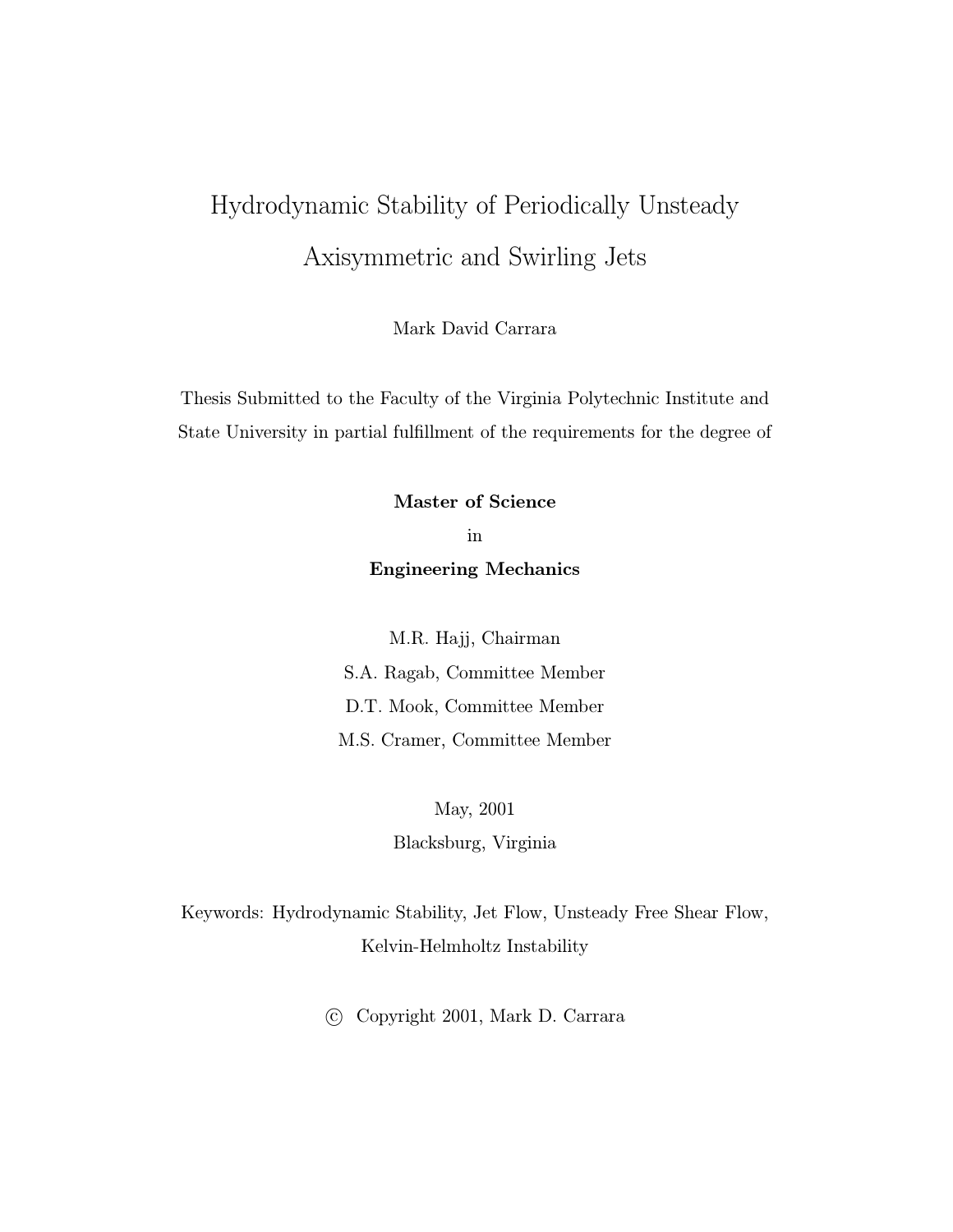# Hydrodynamic Stability of Periodically Unsteady Axisymmetric and Swirling Jets

Mark David Carrara

Thesis Submitted to the Faculty of the Virginia Polytechnic Institute and State University in partial fulfillment of the requirements for the degree of

Master of Science

in Engineering Mechanics

M.R. Hajj, Chairman S.A. Ragab, Committee Member D.T. Mook, Committee Member M.S. Cramer, Committee Member

> May, 2001 Blacksburg, Virginia

Keywords: Hydrodynamic Stability, Jet Flow, Unsteady Free Shear Flow, Kelvin-Helmholtz Instability

c Copyright 2001, Mark D. Carrara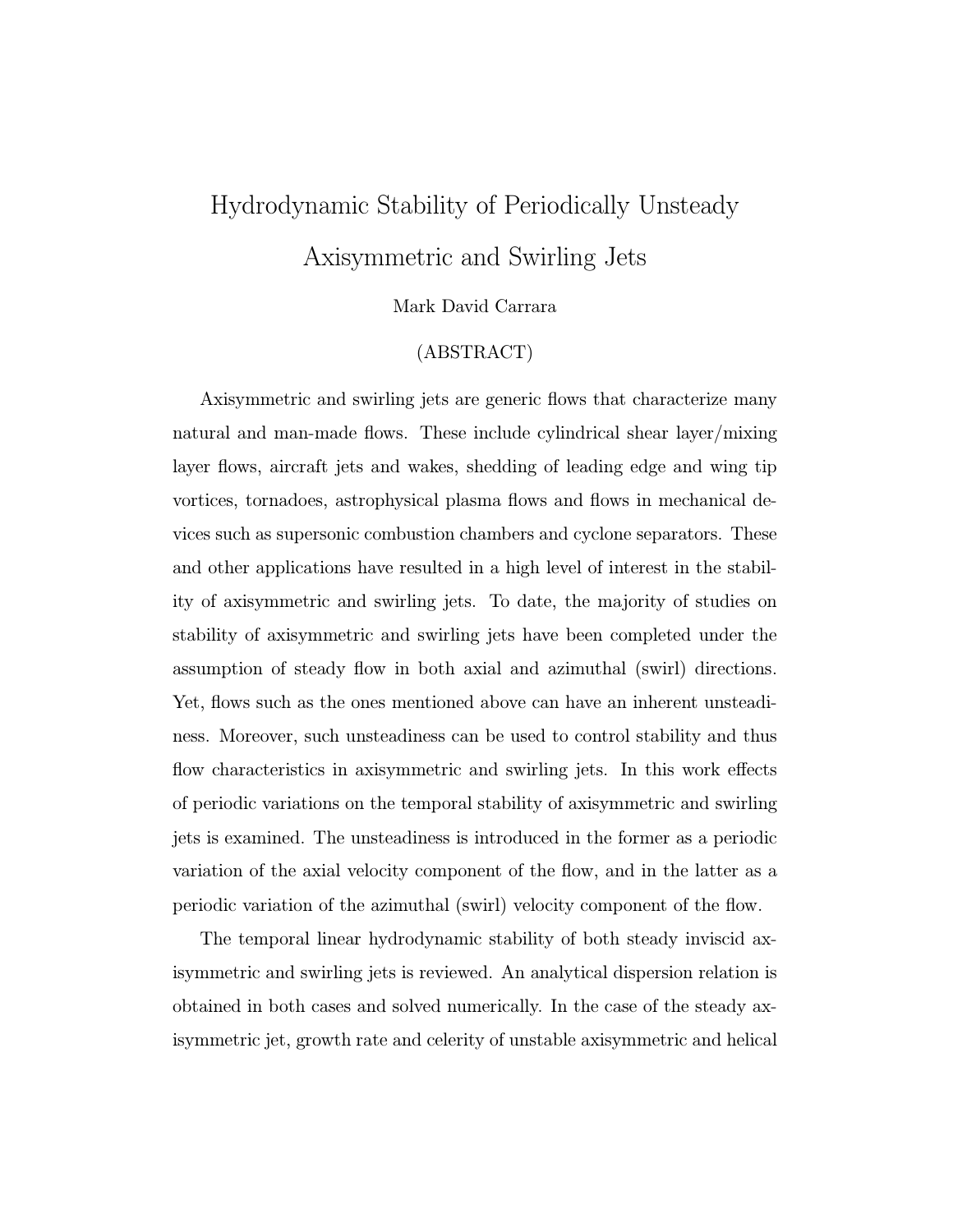# Hydrodynamic Stability of Periodically Unsteady Axisymmetric and Swirling Jets

#### Mark David Carrara

#### (ABSTRACT)

Axisymmetric and swirling jets are generic flows that characterize many natural and man-made flows. These include cylindrical shear layer/mixing layer flows, aircraft jets and wakes, shedding of leading edge and wing tip vortices, tornadoes, astrophysical plasma flows and flows in mechanical devices such as supersonic combustion chambers and cyclone separators. These and other applications have resulted in a high level of interest in the stability of axisymmetric and swirling jets. To date, the majority of studies on stability of axisymmetric and swirling jets have been completed under the assumption of steady flow in both axial and azimuthal (swirl) directions. Yet, flows such as the ones mentioned above can have an inherent unsteadiness. Moreover, such unsteadiness can be used to control stability and thus flow characteristics in axisymmetric and swirling jets. In this work effects of periodic variations on the temporal stability of axisymmetric and swirling jets is examined. The unsteadiness is introduced in the former as a periodic variation of the axial velocity component of the flow, and in the latter as a periodic variation of the azimuthal (swirl) velocity component of the flow.

The temporal linear hydrodynamic stability of both steady inviscid axisymmetric and swirling jets is reviewed. An analytical dispersion relation is obtained in both cases and solved numerically. In the case of the steady axisymmetric jet, growth rate and celerity of unstable axisymmetric and helical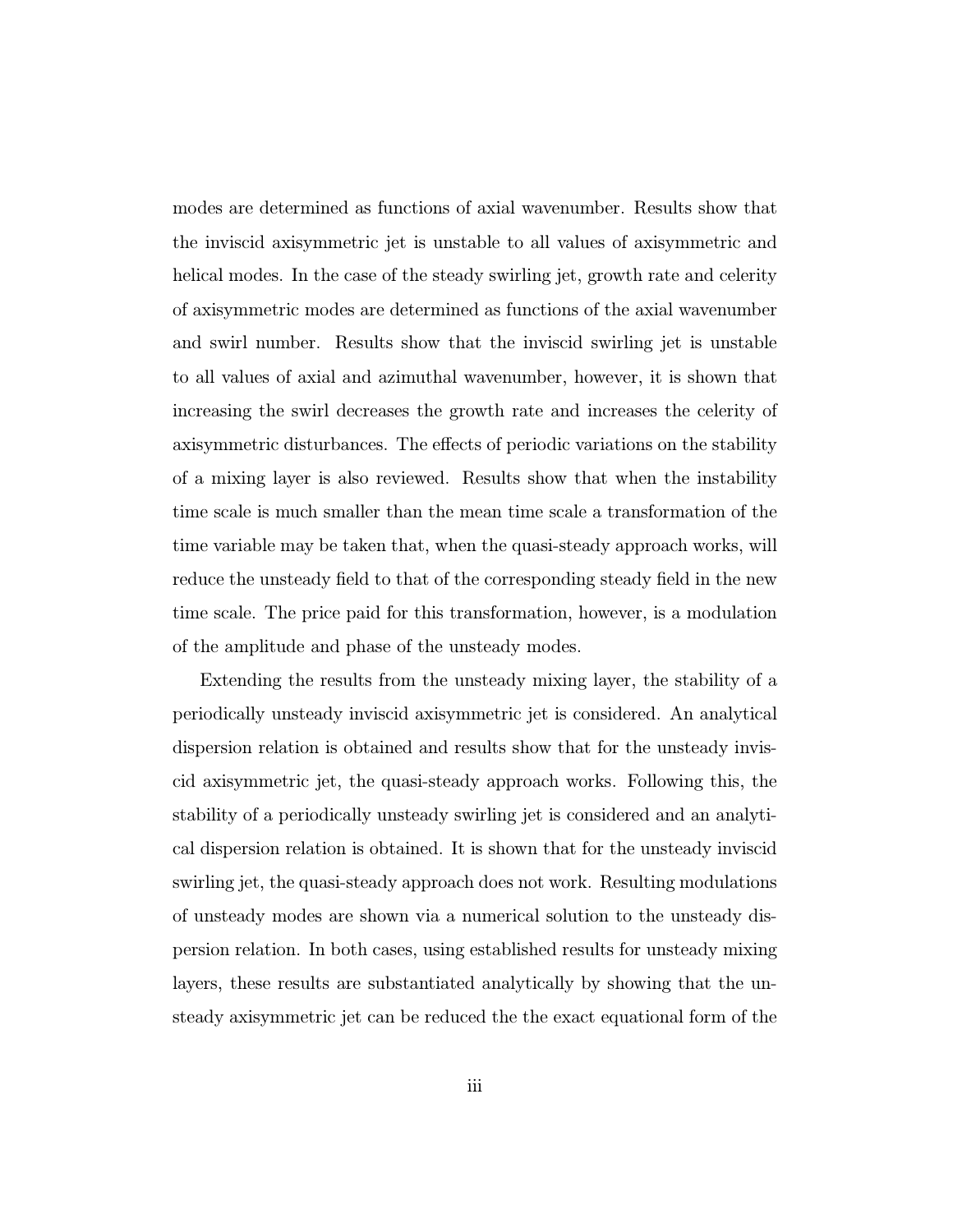modes are determined as functions of axial wavenumber. Results show that the inviscid axisymmetric jet is unstable to all values of axisymmetric and helical modes. In the case of the steady swirling jet, growth rate and celerity of axisymmetric modes are determined as functions of the axial wavenumber and swirl number. Results show that the inviscid swirling jet is unstable to all values of axial and azimuthal wavenumber, however, it is shown that increasing the swirl decreases the growth rate and increases the celerity of axisymmetric disturbances. The effects of periodic variations on the stability of a mixing layer is also reviewed. Results show that when the instability time scale is much smaller than the mean time scale a transformation of the time variable may be taken that, when the quasi-steady approach works, will reduce the unsteady field to that of the corresponding steady field in the new time scale. The price paid for this transformation, however, is a modulation of the amplitude and phase of the unsteady modes.

Extending the results from the unsteady mixing layer, the stability of a periodically unsteady inviscid axisymmetric jet is considered. An analytical dispersion relation is obtained and results show that for the unsteady inviscid axisymmetric jet, the quasi-steady approach works. Following this, the stability of a periodically unsteady swirling jet is considered and an analytical dispersion relation is obtained. It is shown that for the unsteady inviscid swirling jet, the quasi-steady approach does not work. Resulting modulations of unsteady modes are shown via a numerical solution to the unsteady dispersion relation. In both cases, using established results for unsteady mixing layers, these results are substantiated analytically by showing that the unsteady axisymmetric jet can be reduced the the exact equational form of the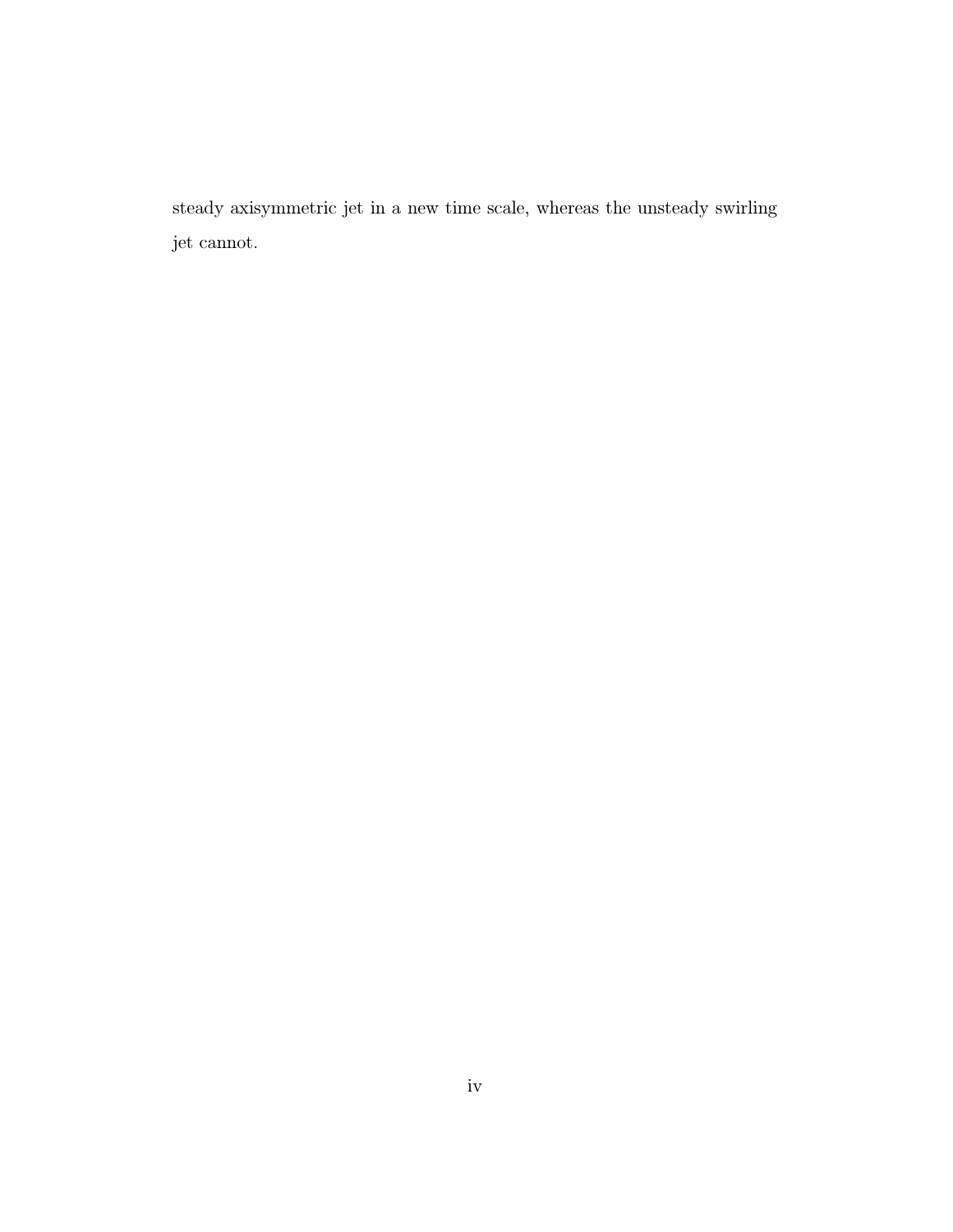steady axisymmetric jet in a new time scale, whereas the unsteady swirling jet cannot.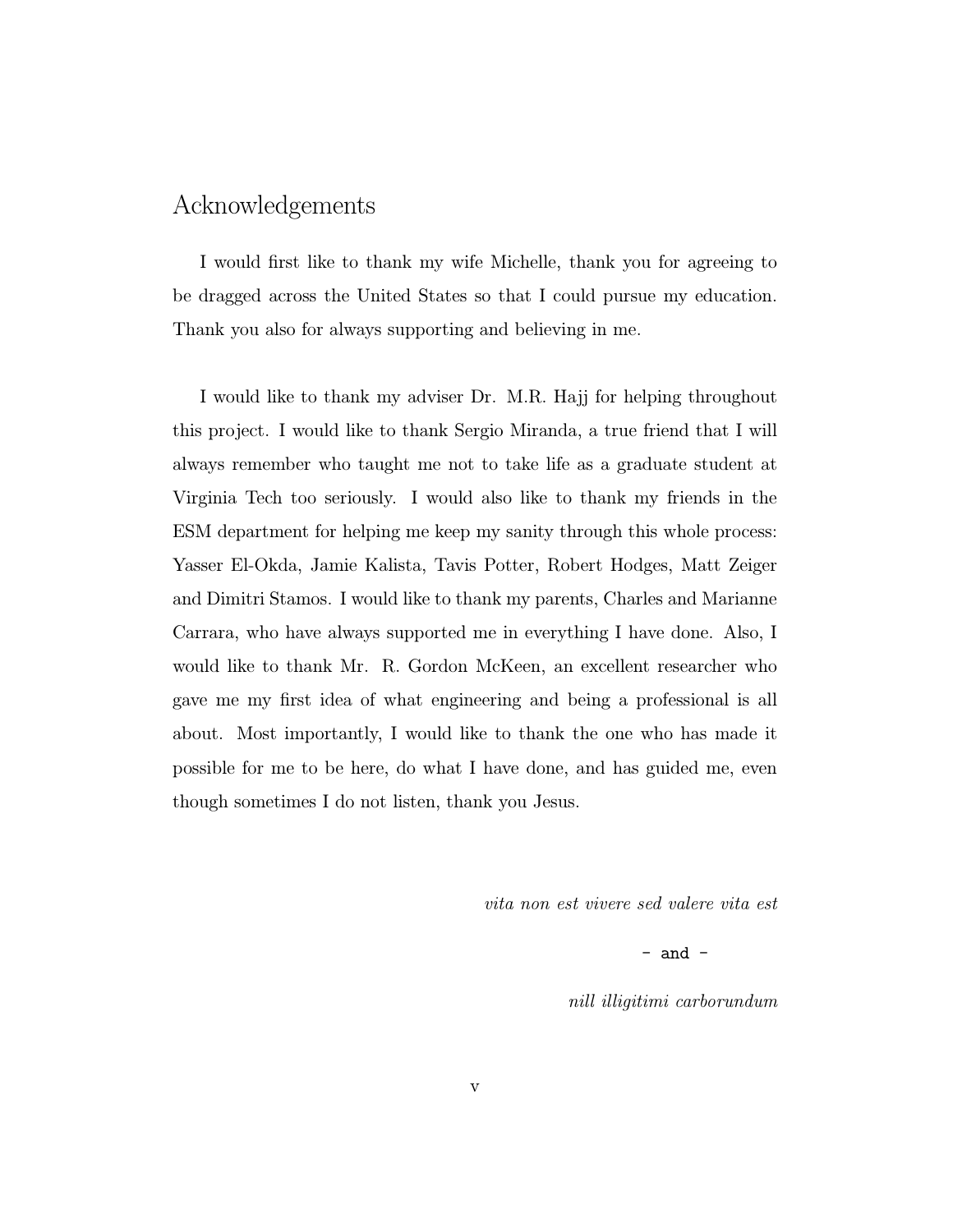#### Acknowledgements

I would first like to thank my wife Michelle, thank you for agreeing to be dragged across the United States so that I could pursue my education. Thank you also for always supporting and believing in me.

I would like to thank my adviser Dr. M.R. Hajj for helping throughout this project. I would like to thank Sergio Miranda, a true friend that I will always remember who taught me not to take life as a graduate student at Virginia Tech too seriously. I would also like to thank my friends in the ESM department for helping me keep my sanity through this whole process: Yasser El-Okda, Jamie Kalista, Tavis Potter, Robert Hodges, Matt Zeiger and Dimitri Stamos. I would like to thank my parents, Charles and Marianne Carrara, who have always supported me in everything I have done. Also, I would like to thank Mr. R. Gordon McKeen, an excellent researcher who gave me my first idea of what engineering and being a professional is all about. Most importantly, I would like to thank the one who has made it possible for me to be here, do what I have done, and has guided me, even though sometimes I do not listen, thank you Jesus.

vita non est vivere sed valere vita est

 $-$  and  $-$ 

nill illigitimi carborundum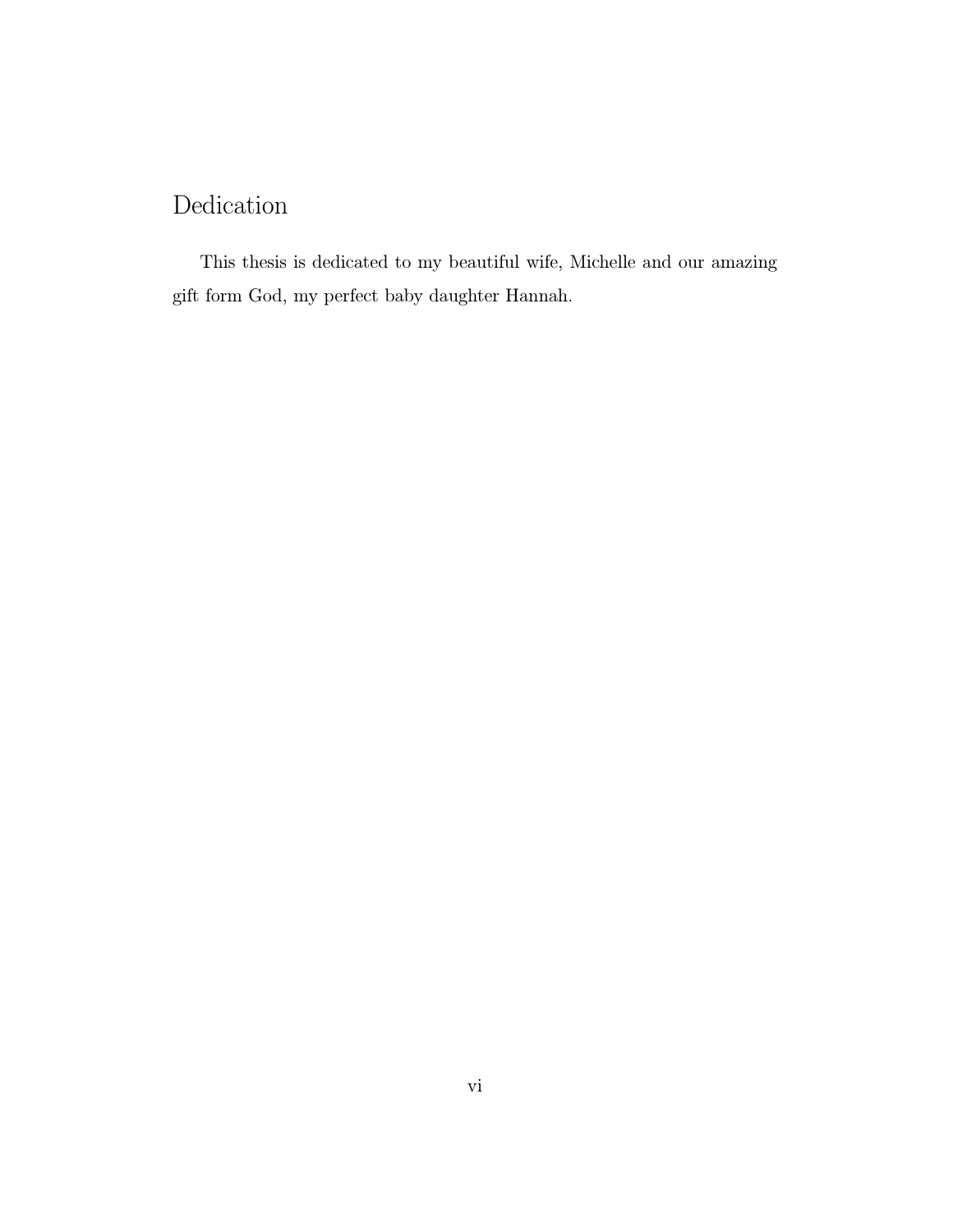### Dedication

This thesis is dedicated to my beautiful wife, Michelle and our amazing gift form God, my perfect baby daughter Hannah.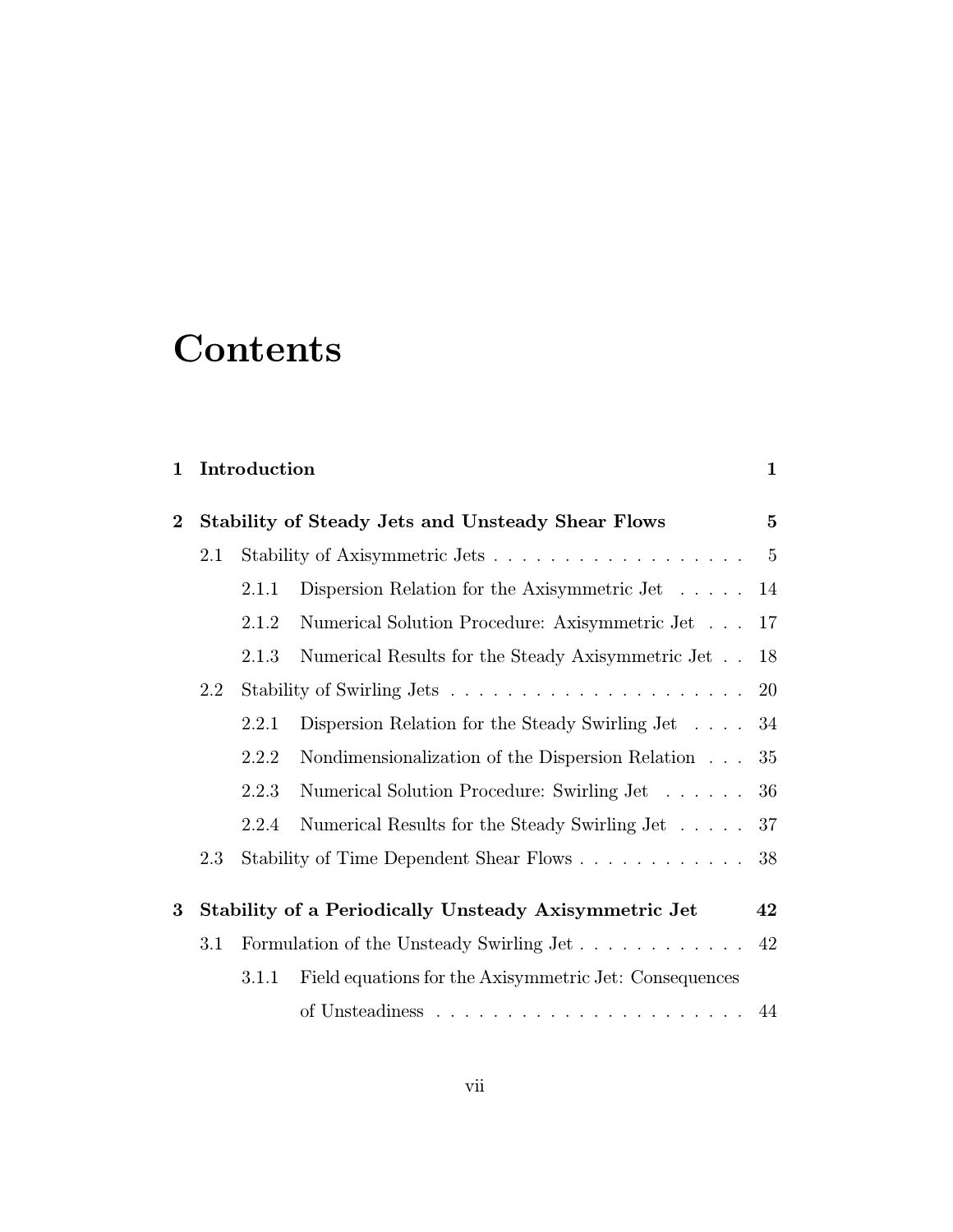# **Contents**

| 1 Introduction |  |
|----------------|--|
|                |  |

| $\bf{2}$ | <b>Stability of Steady Jets and Unsteady Shear Flows</b> |       |                                                              | $\mathbf{5}$ |
|----------|----------------------------------------------------------|-------|--------------------------------------------------------------|--------------|
| $2.1\,$  |                                                          |       |                                                              | $-5$         |
|          |                                                          | 2.1.1 | Dispersion Relation for the Axisymmetric Jet $\dots$         | 14           |
|          |                                                          | 2.1.2 | Numerical Solution Procedure: Axisymmetric Jet               | 17           |
|          |                                                          | 2.1.3 | Numerical Results for the Steady Axisymmetric Jet            | 18           |
|          | 2.2                                                      |       |                                                              |              |
|          |                                                          | 2.2.1 | Dispersion Relation for the Steady Swirling Jet $\ldots$ 34  |              |
|          |                                                          | 2.2.2 | Nondimensionalization of the Dispersion Relation $\ldots$ 35 |              |
|          |                                                          | 2.2.3 | Numerical Solution Procedure: Swirling Jet 36                |              |
|          |                                                          | 2.2.4 | Numerical Results for the Steady Swirling Jet 37             |              |
|          | 2.3                                                      |       | Stability of Time Dependent Shear Flows                      | 38           |
|          |                                                          |       |                                                              |              |
| $\bf{3}$ |                                                          |       | Stability of a Periodically Unsteady Axisymmetric Jet        | 42           |
|          | 3.1                                                      |       |                                                              |              |
|          |                                                          | 3.1.1 | Field equations for the Axisymmetric Jet: Consequences       |              |
|          |                                                          |       |                                                              |              |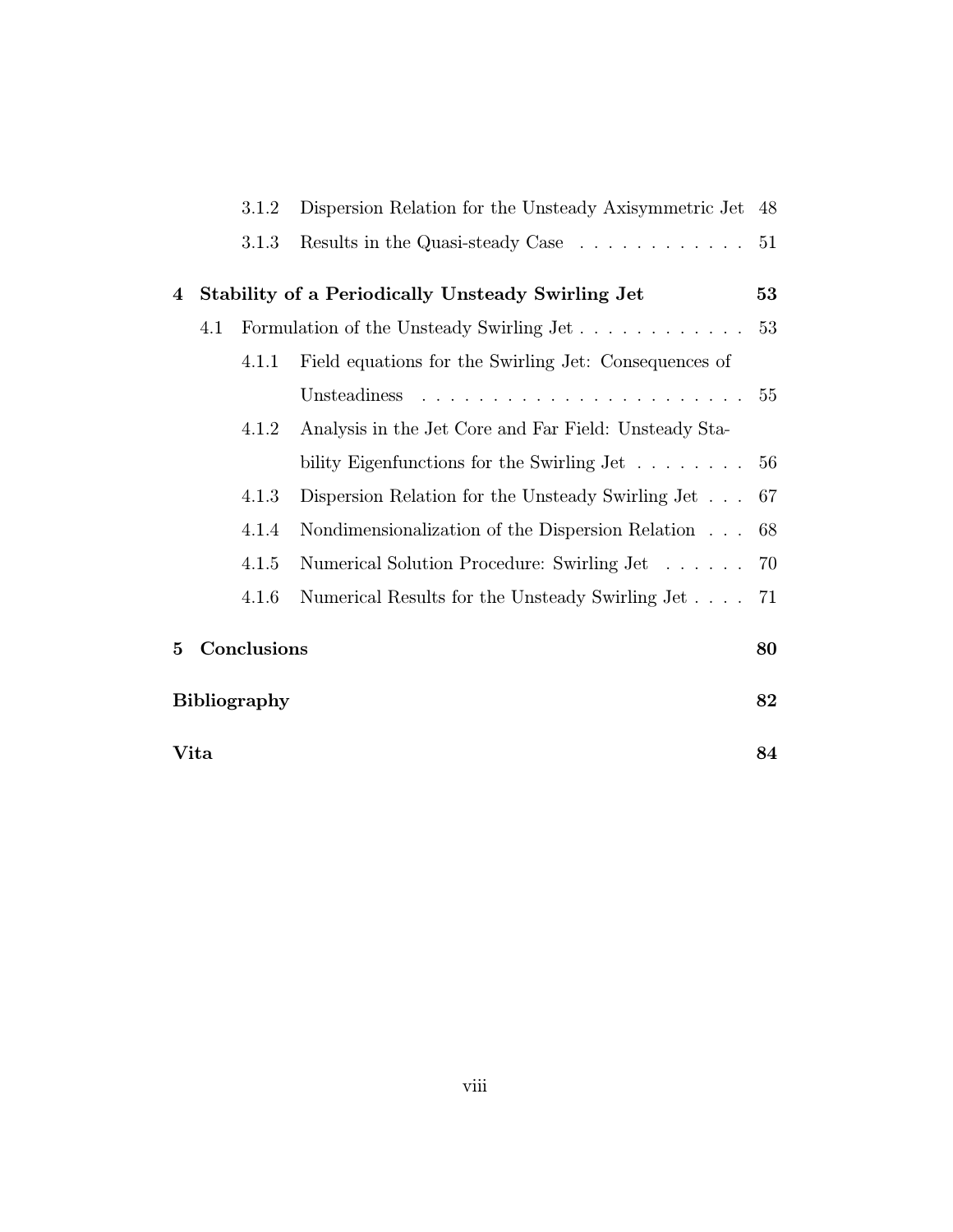|      |              | 3.1.2       | Dispersion Relation for the Unsteady Axisymmetric Jet 48                                                                                                                                                                                      |    |
|------|--------------|-------------|-----------------------------------------------------------------------------------------------------------------------------------------------------------------------------------------------------------------------------------------------|----|
|      |              | 3.1.3       | Results in the Quasi-steady Case $\ldots \ldots \ldots \ldots 51$                                                                                                                                                                             |    |
| 4    |              |             | Stability of a Periodically Unsteady Swirling Jet                                                                                                                                                                                             | 53 |
|      | 4.1          |             | Formulation of the Unsteady Swirling Jet                                                                                                                                                                                                      | 53 |
|      |              | 4.1.1       | Field equations for the Swirling Jet: Consequences of                                                                                                                                                                                         |    |
|      |              |             | and a construction of the construction of the construction of the construction of the construction of the construction of the construction of the construction of the construction of the construction of the construction of<br>Unsteadiness | 55 |
|      |              | 4.1.2       | Analysis in the Jet Core and Far Field: Unsteady Sta-                                                                                                                                                                                         |    |
|      |              |             | bility Eigenfunctions for the Swirling Jet $\dots \dots \dots$ 56                                                                                                                                                                             |    |
|      |              | 4.1.3       | Dispersion Relation for the Unsteady Swirling Jet                                                                                                                                                                                             | 67 |
|      |              | 4.1.4       | Nondimensionalization of the Dispersion Relation                                                                                                                                                                                              | 68 |
|      |              | 4.1.5       | Numerical Solution Procedure: Swirling Jet 70                                                                                                                                                                                                 |    |
|      |              | 4.1.6       | Numerical Results for the Unsteady Swirling Jet 71                                                                                                                                                                                            |    |
| 5    |              | Conclusions |                                                                                                                                                                                                                                               | 80 |
|      | Bibliography |             |                                                                                                                                                                                                                                               | 82 |
| Vita |              |             | 84                                                                                                                                                                                                                                            |    |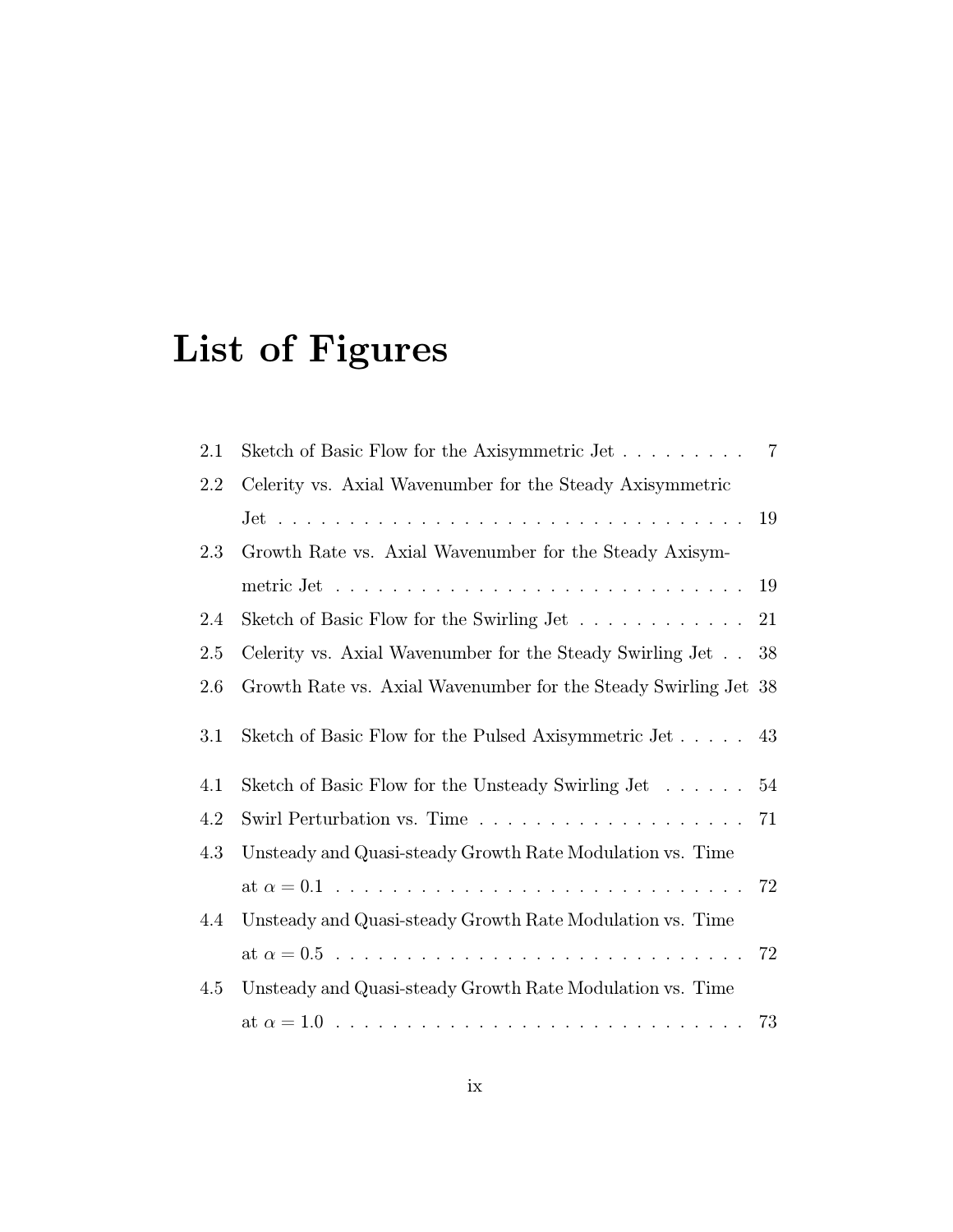# List of Figures

| $2.1\,$ | Sketch of Basic Flow for the Axisymmetric Jet 7                         |    |
|---------|-------------------------------------------------------------------------|----|
| 2.2     | Celerity vs. Axial Wavenumber for the Steady Axisymmetric               |    |
|         |                                                                         |    |
| 2.3     | Growth Rate vs. Axial Wavenumber for the Steady Axisym-                 |    |
|         |                                                                         | 19 |
| 2.4     | Sketch of Basic Flow for the Swirling Jet                               | 21 |
| 2.5     | Celerity vs. Axial Wavenumber for the Steady Swirling Jet 38            |    |
| 2.6     | Growth Rate vs. Axial Wavenumber for the Steady Swirling Jet 38         |    |
| 3.1     | Sketch of Basic Flow for the Pulsed Axisymmetric Jet 43                 |    |
| 4.1     | Sketch of Basic Flow for the Unsteady Swirling Jet                      | 54 |
| 4.2     | Swirl Perturbation vs. Time $\ldots \ldots \ldots \ldots \ldots \ldots$ | 71 |
| 4.3     | Unsteady and Quasi-steady Growth Rate Modulation vs. Time               |    |
|         |                                                                         |    |
| 4.4     | Unsteady and Quasi-steady Growth Rate Modulation vs. Time               |    |
|         |                                                                         |    |
| 4.5     | Unsteady and Quasi-steady Growth Rate Modulation vs. Time               |    |
|         |                                                                         |    |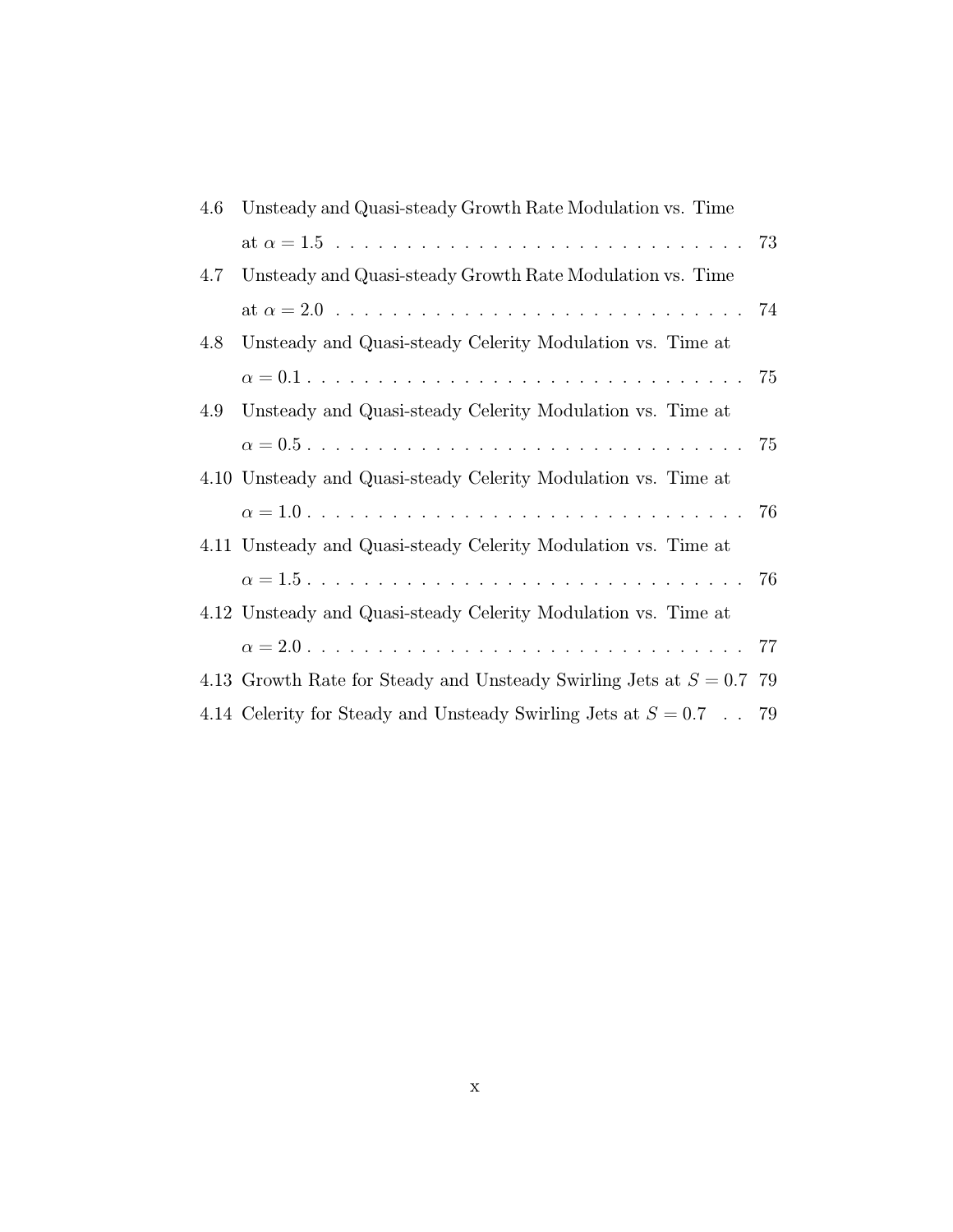| 4.6 | Unsteady and Quasi-steady Growth Rate Modulation vs. Time              |    |
|-----|------------------------------------------------------------------------|----|
|     |                                                                        |    |
| 4.7 | Unsteady and Quasi-steady Growth Rate Modulation vs. Time              |    |
|     |                                                                        |    |
| 4.8 | Unsteady and Quasi-steady Celerity Modulation vs. Time at              |    |
|     |                                                                        |    |
| 4.9 | Unsteady and Quasi-steady Celerity Modulation vs. Time at              |    |
|     |                                                                        |    |
|     | 4.10 Unsteady and Quasi-steady Celerity Modulation vs. Time at         |    |
|     |                                                                        | 76 |
|     | 4.11 Unsteady and Quasi-steady Celerity Modulation vs. Time at         |    |
|     |                                                                        |    |
|     | 4.12 Unsteady and Quasi-steady Celerity Modulation vs. Time at         |    |
|     |                                                                        |    |
|     | 4.13 Growth Rate for Steady and Unsteady Swirling Jets at $S = 0.7$ 79 |    |
|     | 4.14 Celerity for Steady and Unsteady Swirling Jets at $S = 0.7$ . 79  |    |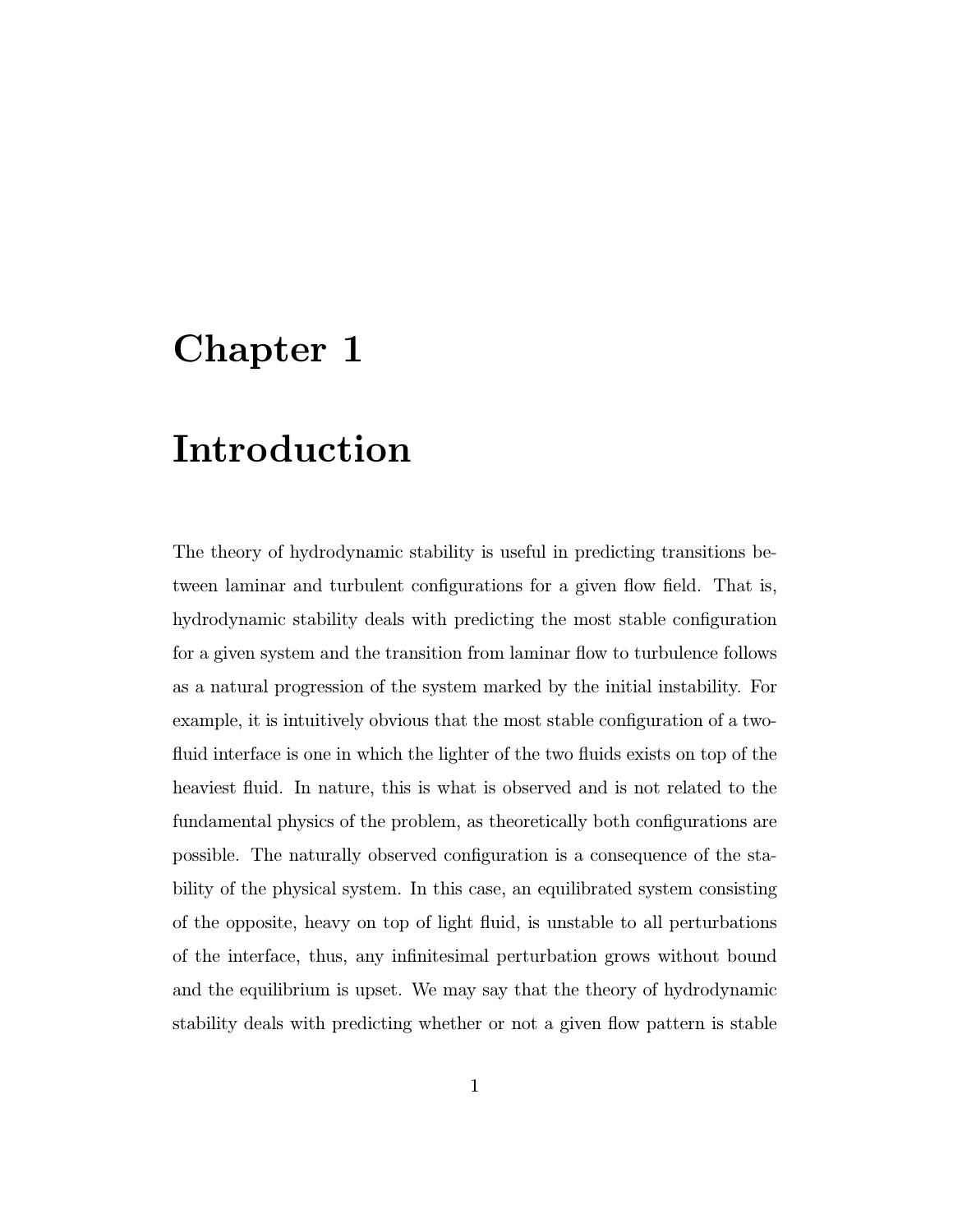## Chapter 1

## Introduction

The theory of hydrodynamic stability is useful in predicting transitions between laminar and turbulent configurations for a given flow field. That is, hydrodynamic stability deals with predicting the most stable configuration for a given system and the transition from laminar flow to turbulence follows as a natural progression of the system marked by the initial instability. For example, it is intuitively obvious that the most stable configuration of a twofluid interface is one in which the lighter of the two fluids exists on top of the heaviest fluid. In nature, this is what is observed and is not related to the fundamental physics of the problem, as theoretically both configurations are possible. The naturally observed configuration is a consequence of the stability of the physical system. In this case, an equilibrated system consisting of the opposite, heavy on top of light fluid, is unstable to all perturbations of the interface, thus, any infinitesimal perturbation grows without bound and the equilibrium is upset. We may say that the theory of hydrodynamic stability deals with predicting whether or not a given flow pattern is stable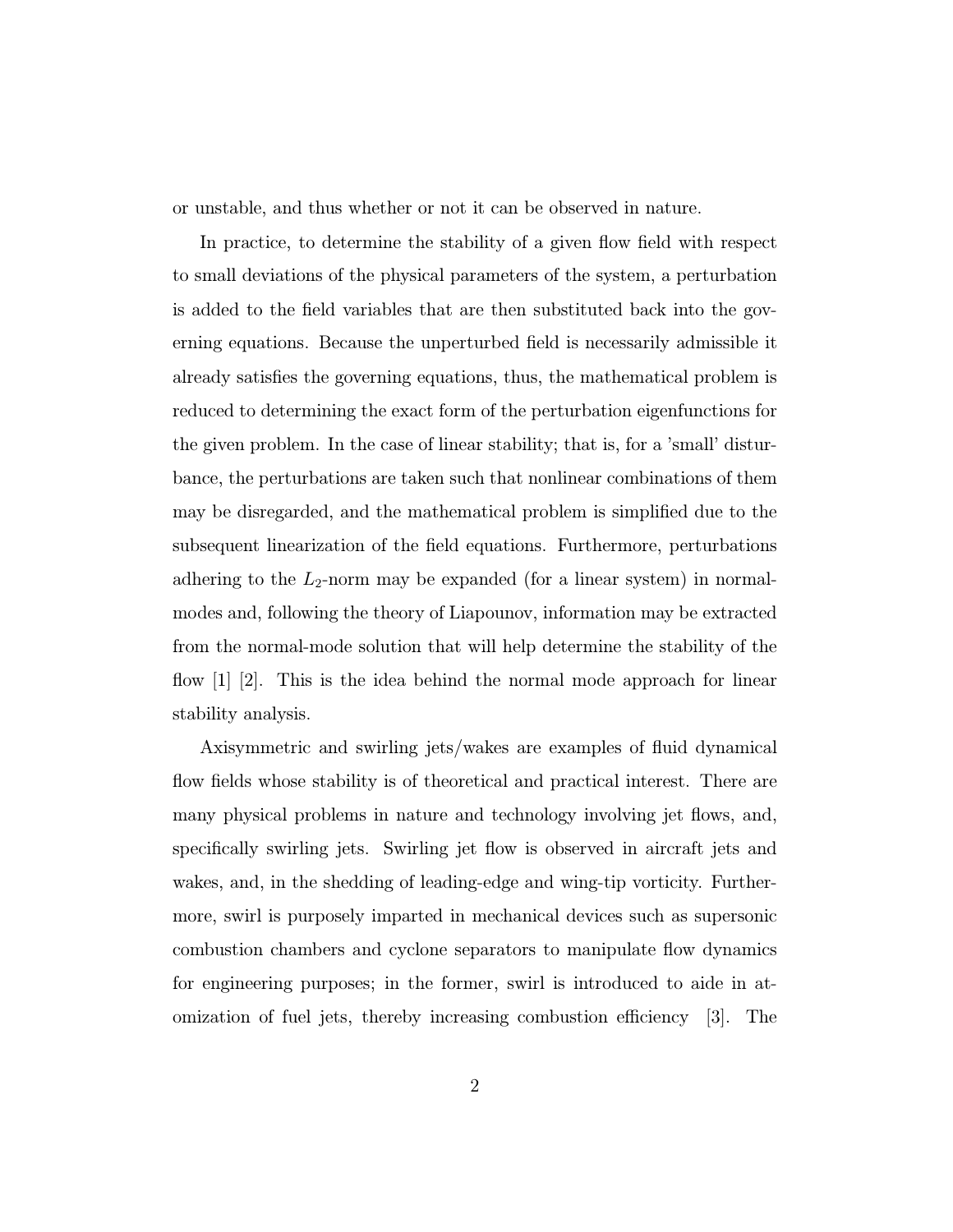or unstable, and thus whether or not it can be observed in nature.

In practice, to determine the stability of a given flow field with respect to small deviations of the physical parameters of the system, a perturbation is added to the field variables that are then substituted back into the governing equations. Because the unperturbed field is necessarily admissible it already satisfies the governing equations, thus, the mathematical problem is reduced to determining the exact form of the perturbation eigenfunctions for the given problem. In the case of linear stability; that is, for a 'small' disturbance, the perturbations are taken such that nonlinear combinations of them may be disregarded, and the mathematical problem is simplified due to the subsequent linearization of the field equations. Furthermore, perturbations adhering to the  $L_2$ -norm may be expanded (for a linear system) in normalmodes and, following the theory of Liapounov, information may be extracted from the normal-mode solution that will help determine the stability of the flow [1] [2]. This is the idea behind the normal mode approach for linear stability analysis.

Axisymmetric and swirling jets/wakes are examples of fluid dynamical flow fields whose stability is of theoretical and practical interest. There are many physical problems in nature and technology involving jet flows, and, specifically swirling jets. Swirling jet flow is observed in aircraft jets and wakes, and, in the shedding of leading-edge and wing-tip vorticity. Furthermore, swirl is purposely imparted in mechanical devices such as supersonic combustion chambers and cyclone separators to manipulate flow dynamics for engineering purposes; in the former, swirl is introduced to aide in atomization of fuel jets, thereby increasing combustion efficiency [3]. The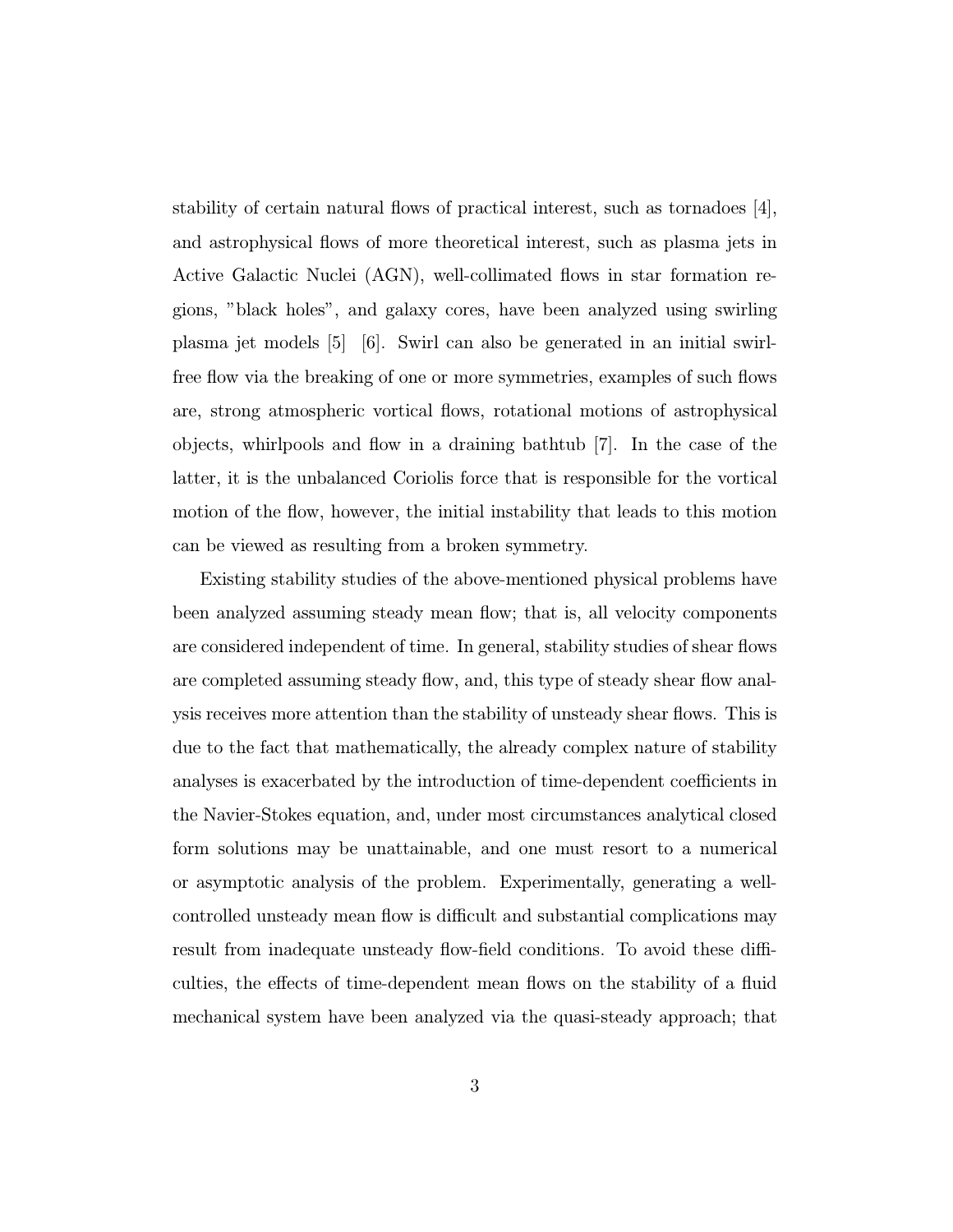stability of certain natural flows of practical interest, such as tornadoes  $|4|$ , and astrophysical flows of more theoretical interest, such as plasma jets in Active Galactic Nuclei (AGN), well-collimated flows in star formation regions, "black holes", and galaxy cores, have been analyzed using swirling plasma jet models [5] [6]. Swirl can also be generated in an initial swirlfree flow via the breaking of one or more symmetries, examples of such flows are, strong atmospheric vortical flows, rotational motions of astrophysical objects, whirlpools and flow in a draining bathtub [7]. In the case of the latter, it is the unbalanced Coriolis force that is responsible for the vortical motion of the flow, however, the initial instability that leads to this motion can be viewed as resulting from a broken symmetry.

Existing stability studies of the above-mentioned physical problems have been analyzed assuming steady mean flow; that is, all velocity components are considered independent of time. In general, stability studies of shear flows are completed assuming steady flow, and, this type of steady shear flow analysis receives more attention than the stability of unsteady shear flows. This is due to the fact that mathematically, the already complex nature of stability analyses is exacerbated by the introduction of time-dependent coefficients in the Navier-Stokes equation, and, under most circumstances analytical closed form solutions may be unattainable, and one must resort to a numerical or asymptotic analysis of the problem. Experimentally, generating a wellcontrolled unsteady mean flow is difficult and substantial complications may result from inadequate unsteady flow-field conditions. To avoid these difficulties, the effects of time-dependent mean flows on the stability of a fluid mechanical system have been analyzed via the quasi-steady approach; that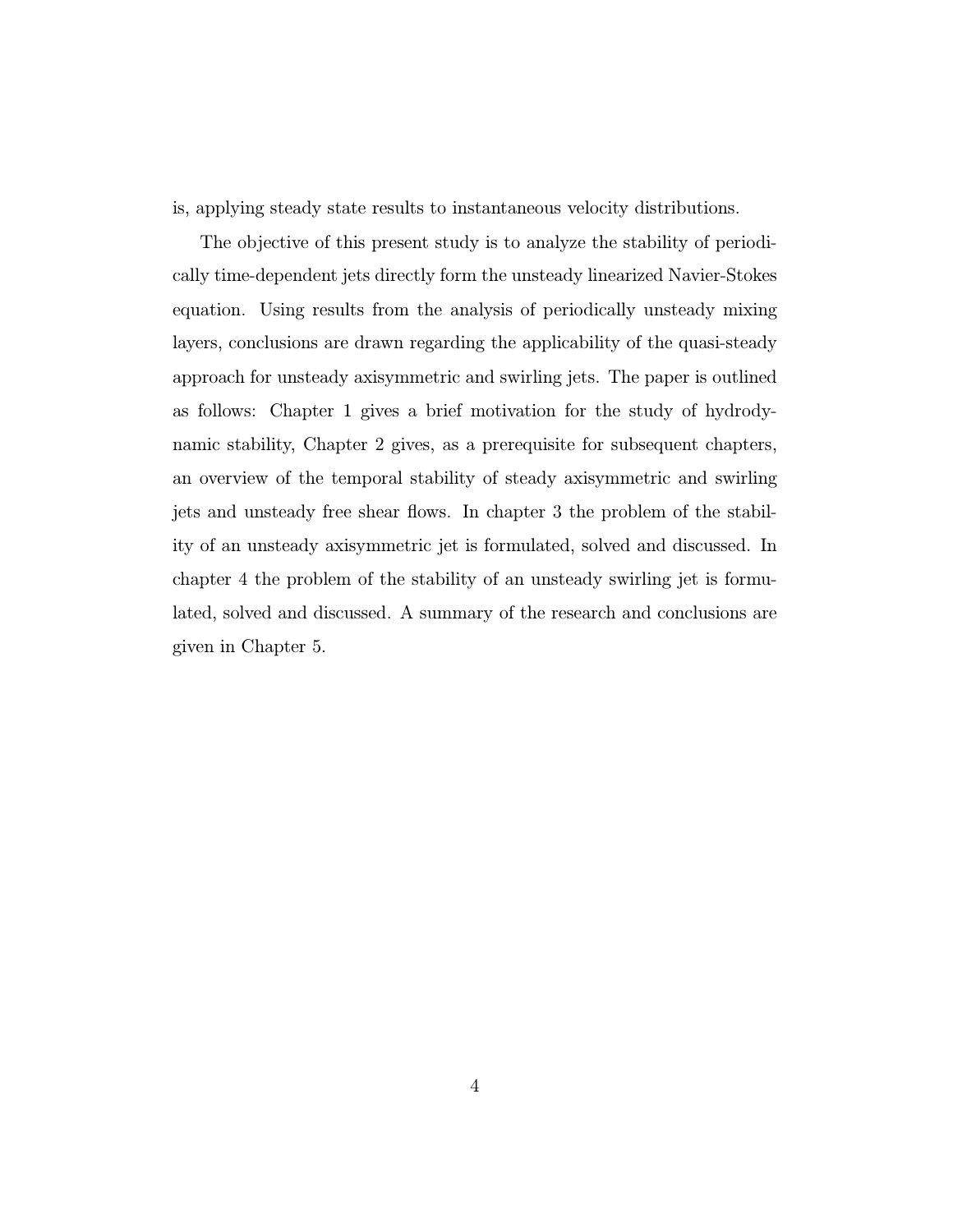is, applying steady state results to instantaneous velocity distributions.

The objective of this present study is to analyze the stability of periodically time-dependent jets directly form the unsteady linearized Navier-Stokes equation. Using results from the analysis of periodically unsteady mixing layers, conclusions are drawn regarding the applicability of the quasi-steady approach for unsteady axisymmetric and swirling jets. The paper is outlined as follows: Chapter 1 gives a brief motivation for the study of hydrodynamic stability, Chapter 2 gives, as a prerequisite for subsequent chapters, an overview of the temporal stability of steady axisymmetric and swirling jets and unsteady free shear flows. In chapter 3 the problem of the stability of an unsteady axisymmetric jet is formulated, solved and discussed. In chapter 4 the problem of the stability of an unsteady swirling jet is formulated, solved and discussed. A summary of the research and conclusions are given in Chapter 5.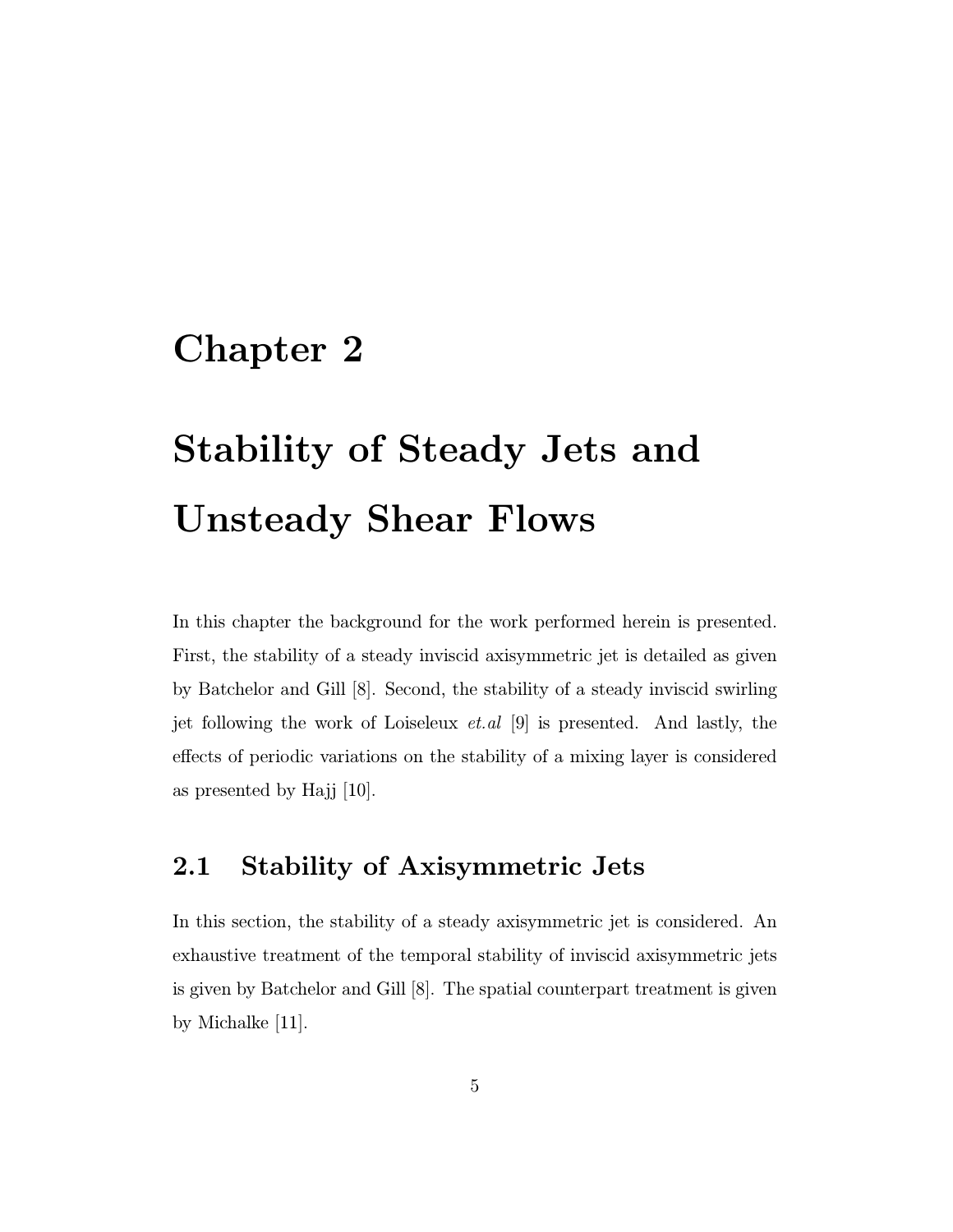## Chapter 2

# Stability of Steady Jets and Unsteady Shear Flows

In this chapter the background for the work performed herein is presented. First, the stability of a steady inviscid axisymmetric jet is detailed as given by Batchelor and Gill [8]. Second, the stability of a steady inviscid swirling jet following the work of Loiseleux  $et. al \vert 9 \vert$  is presented. And lastly, the effects of periodic variations on the stability of a mixing layer is considered as presented by Hajj [10].

### 2.1 Stability of Axisymmetric Jets

In this section, the stability of a steady axisymmetric jet is considered. An exhaustive treatment of the temporal stability of inviscid axisymmetric jets is given by Batchelor and Gill [8]. The spatial counterpart treatment is given by Michalke [11].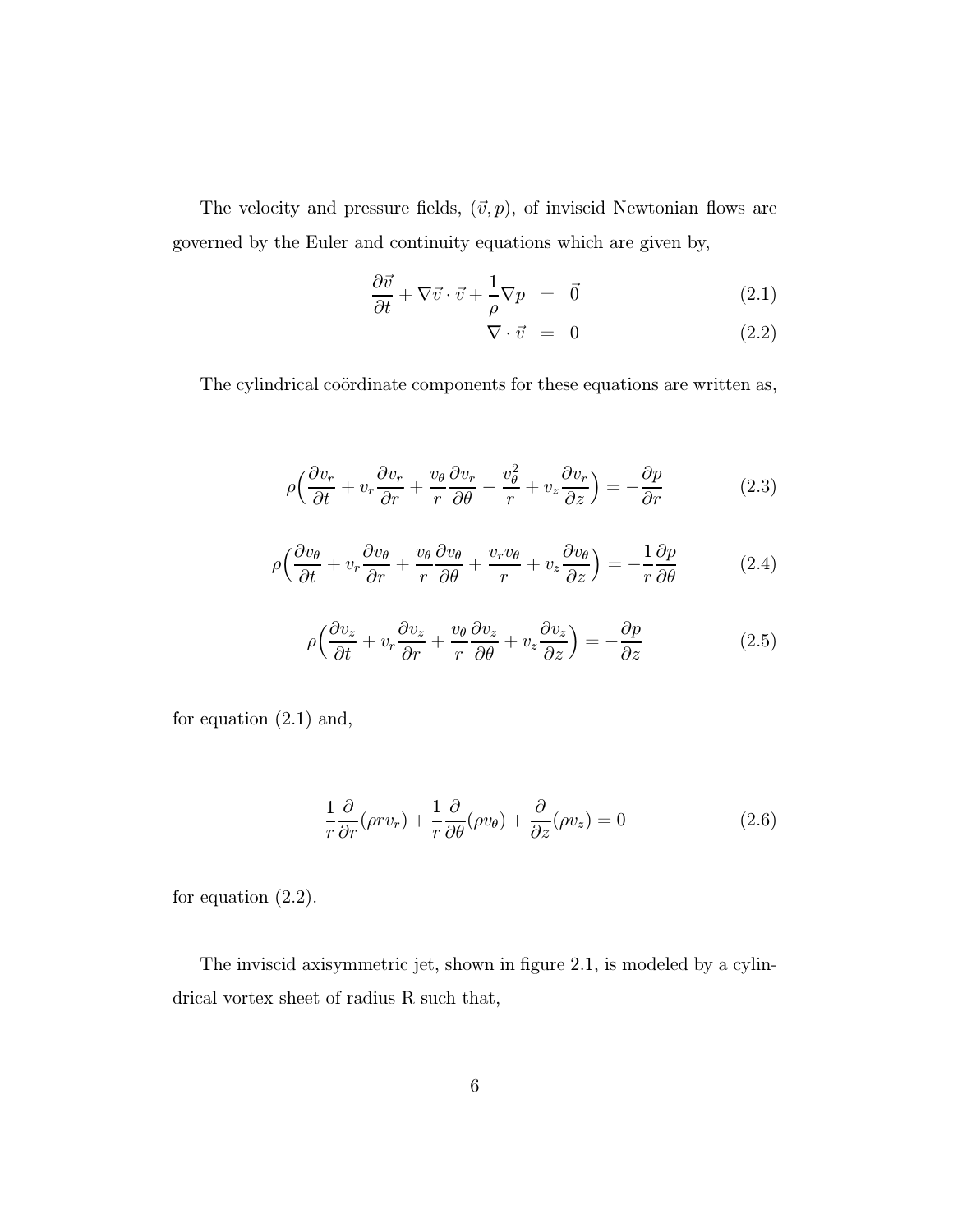The velocity and pressure fields,  $(\vec{v}, p)$ , of inviscid Newtonian flows are governed by the Euler and continuity equations which are given by,

$$
\frac{\partial \vec{v}}{\partial t} + \nabla \vec{v} \cdot \vec{v} + \frac{1}{\rho} \nabla p = \vec{0}
$$
 (2.1)

$$
\nabla \cdot \vec{v} = 0 \tag{2.2}
$$

The cylindrical coördinate components for these equations are written as,

$$
\rho \left( \frac{\partial v_r}{\partial t} + v_r \frac{\partial v_r}{\partial r} + \frac{v_\theta}{r} \frac{\partial v_r}{\partial \theta} - \frac{v_\theta^2}{r} + v_z \frac{\partial v_r}{\partial z} \right) = -\frac{\partial p}{\partial r}
$$
(2.3)

$$
\rho \left( \frac{\partial v_{\theta}}{\partial t} + v_{r} \frac{\partial v_{\theta}}{\partial r} + \frac{v_{\theta}}{r} \frac{\partial v_{\theta}}{\partial \theta} + \frac{v_{r} v_{\theta}}{r} + v_{z} \frac{\partial v_{\theta}}{\partial z} \right) = -\frac{1}{r} \frac{\partial p}{\partial \theta}
$$
(2.4)

$$
\rho \left( \frac{\partial v_z}{\partial t} + v_r \frac{\partial v_z}{\partial r} + \frac{v_\theta}{r} \frac{\partial v_z}{\partial \theta} + v_z \frac{\partial v_z}{\partial z} \right) = -\frac{\partial p}{\partial z}
$$
(2.5)

for equation (2.1) and,

$$
\frac{1}{r}\frac{\partial}{\partial r}(\rho r v_r) + \frac{1}{r}\frac{\partial}{\partial \theta}(\rho v_{\theta}) + \frac{\partial}{\partial z}(\rho v_z) = 0
$$
\n(2.6)

for equation (2.2).

The inviscid axisymmetric jet, shown in figure 2.1, is modeled by a cylindrical vortex sheet of radius R such that,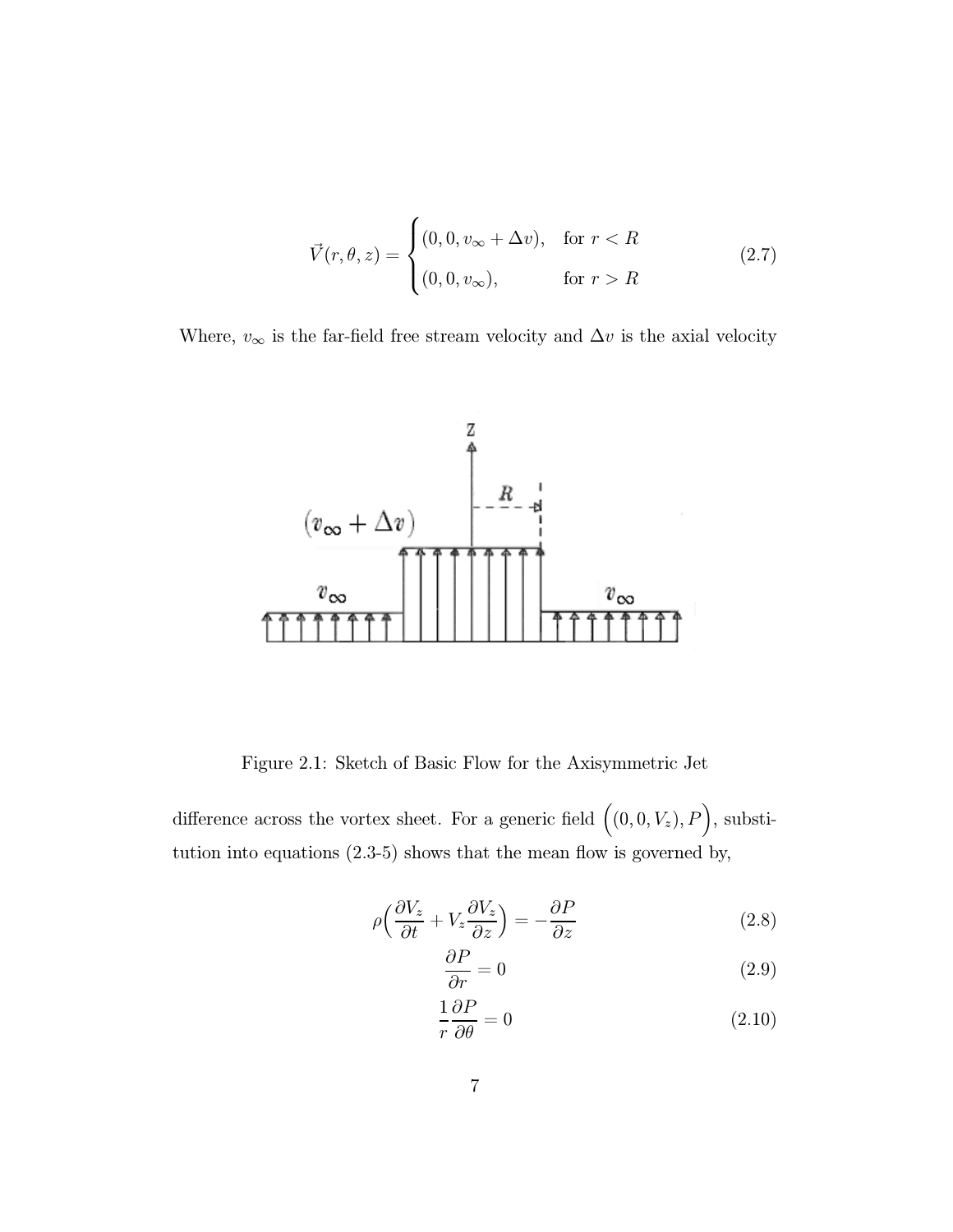$$
\vec{V}(r,\theta,z) = \begin{cases}\n(0,0,v_{\infty} + \Delta v), & \text{for } r < R \\
(0,0,v_{\infty}), & \text{for } r > R\n\end{cases}
$$
\n(2.7)

Where,  $v_{\infty}$  is the far-field free stream velocity and  $\Delta v$  is the axial velocity



Figure 2.1: Sketch of Basic Flow for the Axisymmetric Jet

difference across the vortex sheet. For a generic field  $((0,0,V_z), P)$ , substitution into equations (2.3-5) shows that the mean flow is governed by,

$$
\rho \left( \frac{\partial V_z}{\partial t} + V_z \frac{\partial V_z}{\partial z} \right) = -\frac{\partial P}{\partial z} \tag{2.8}
$$

$$
\frac{\partial P}{\partial r} = 0\tag{2.9}
$$

$$
\frac{1}{r}\frac{\partial P}{\partial \theta} = 0\tag{2.10}
$$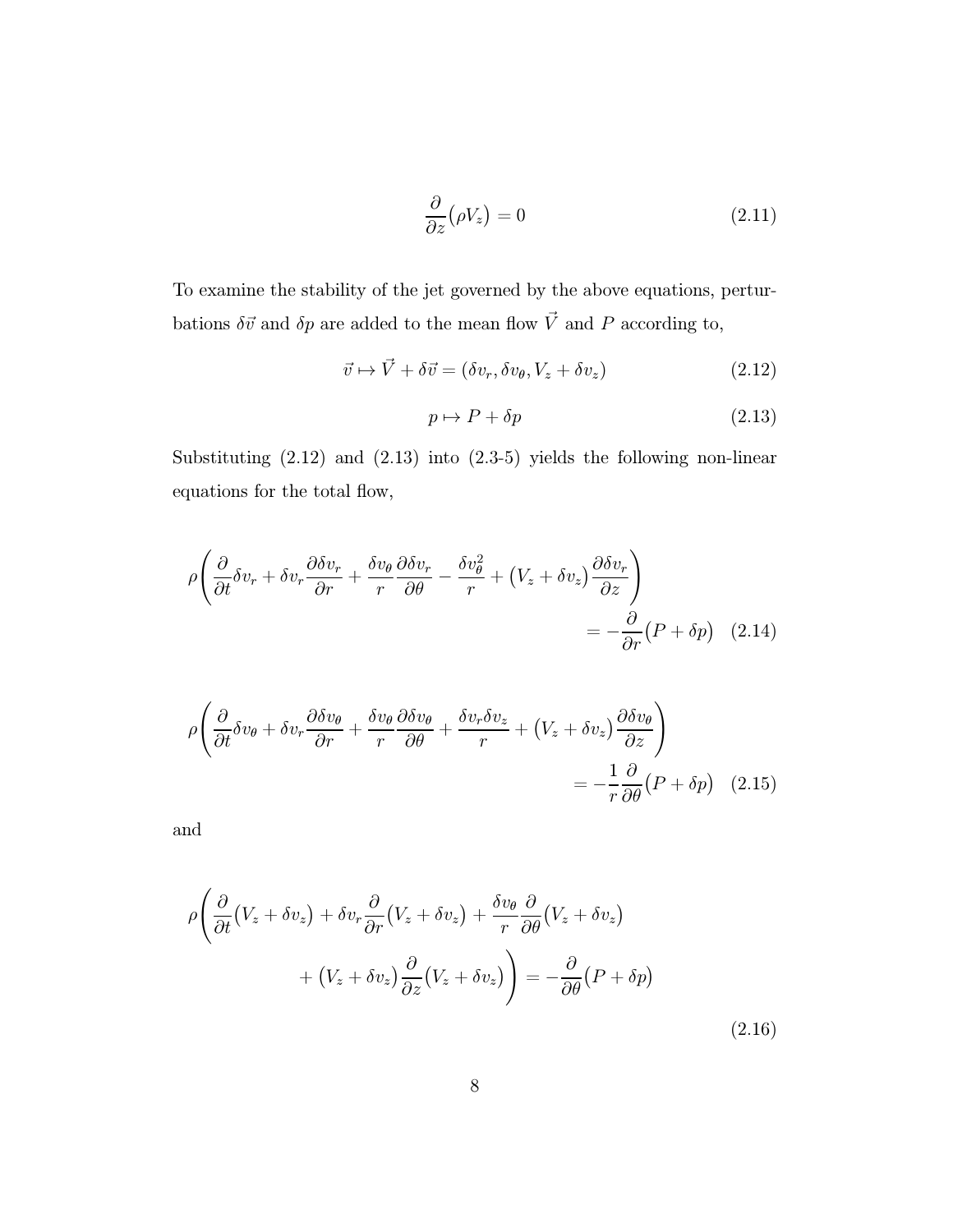$$
\frac{\partial}{\partial z}(\rho V_z) = 0\tag{2.11}
$$

To examine the stability of the jet governed by the above equations, perturbations  $\delta \vec{v}$  and  $\delta p$  are added to the mean flow  $\vec{V}$  and  $P$  according to,

$$
\vec{v} \mapsto \vec{V} + \delta \vec{v} = (\delta v_r, \delta v_\theta, V_z + \delta v_z)
$$
\n(2.12)

$$
p \mapsto P + \delta p \tag{2.13}
$$

Substituting (2.12) and (2.13) into (2.3-5) yields the following non-linear equations for the total flow,

$$
\rho \left( \frac{\partial}{\partial t} \delta v_r + \delta v_r \frac{\partial \delta v_r}{\partial r} + \frac{\delta v_\theta}{r} \frac{\partial \delta v_r}{\partial \theta} - \frac{\delta v_\theta^2}{r} + \left( V_z + \delta v_z \right) \frac{\partial \delta v_r}{\partial z} \right) = -\frac{\partial}{\partial r} (P + \delta p) \quad (2.14)
$$

$$
\rho \left( \frac{\partial}{\partial t} \delta v_{\theta} + \delta v_{r} \frac{\partial \delta v_{\theta}}{\partial r} + \frac{\delta v_{\theta}}{r} \frac{\partial \delta v_{\theta}}{\partial \theta} + \frac{\delta v_{r} \delta v_{z}}{r} + \left( V_{z} + \delta v_{z} \right) \frac{\partial \delta v_{\theta}}{\partial z} \right) = -\frac{1}{r} \frac{\partial}{\partial \theta} \left( P + \delta p \right) \tag{2.15}
$$

and

$$
\rho \left( \frac{\partial}{\partial t} (V_z + \delta v_z) + \delta v_r \frac{\partial}{\partial r} (V_z + \delta v_z) + \frac{\delta v_\theta}{r} \frac{\partial}{\partial \theta} (V_z + \delta v_z) + (V_z + \delta v_z) \frac{\partial}{\partial z} (V_z + \delta v_z) \right) = -\frac{\partial}{\partial \theta} (P + \delta p)
$$
\n(2.16)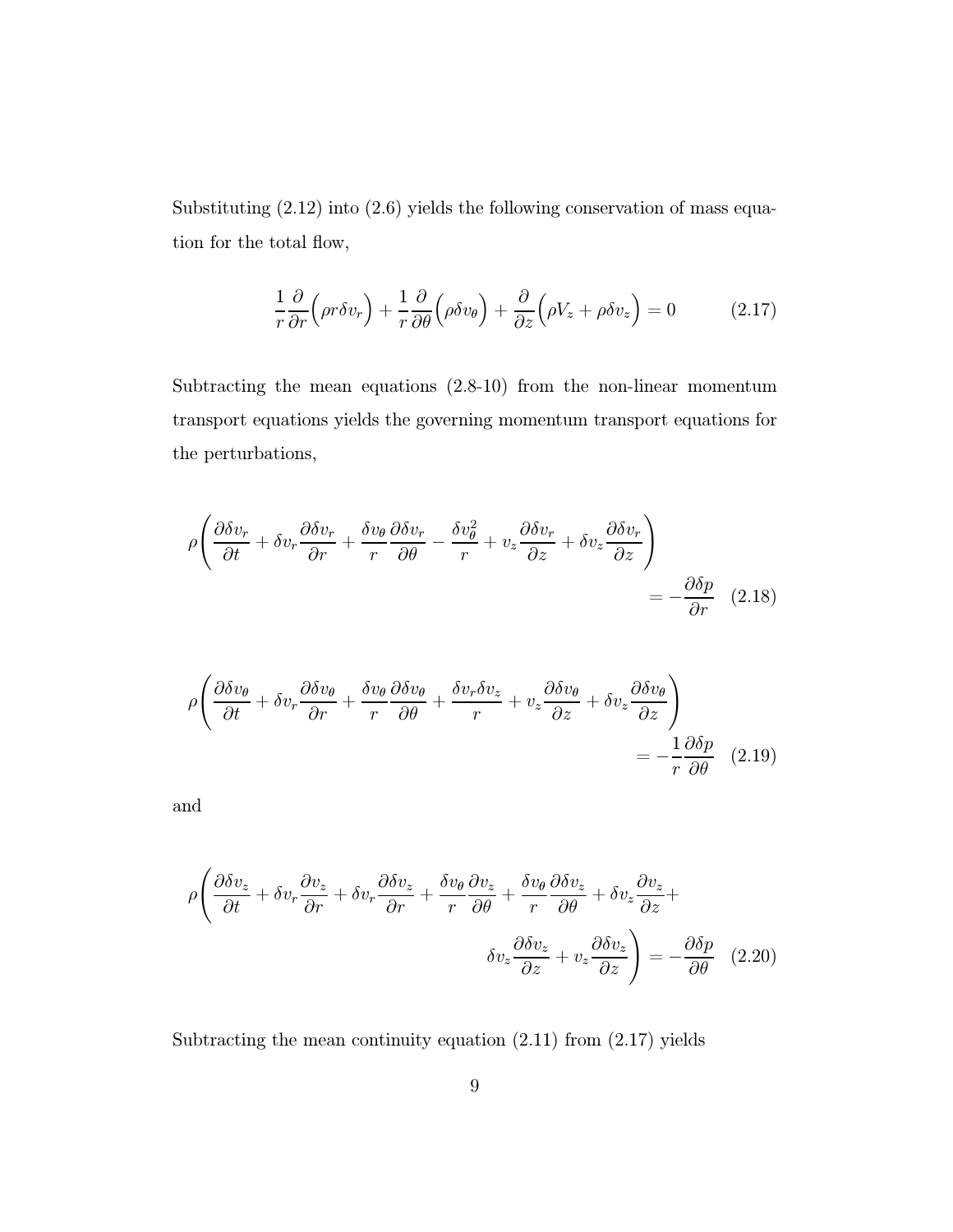Substituting  $(2.12)$  into  $(2.6)$  yields the following conservation of mass equation for the total flow,

$$
\frac{1}{r}\frac{\partial}{\partial r}\Big(\rho r \delta v_r\Big) + \frac{1}{r}\frac{\partial}{\partial \theta}\Big(\rho \delta v_{\theta}\Big) + \frac{\partial}{\partial z}\Big(\rho V_z + \rho \delta v_z\Big) = 0 \tag{2.17}
$$

Subtracting the mean equations (2.8-10) from the non-linear momentum transport equations yields the governing momentum transport equations for the perturbations,

$$
\rho \left( \frac{\partial \delta v_r}{\partial t} + \delta v_r \frac{\partial \delta v_r}{\partial r} + \frac{\delta v_\theta}{r} \frac{\partial \delta v_r}{\partial \theta} - \frac{\delta v_\theta^2}{r} + v_z \frac{\partial \delta v_r}{\partial z} + \delta v_z \frac{\partial \delta v_r}{\partial z} \right) = -\frac{\partial \delta p}{\partial r} \quad (2.18)
$$

$$
\rho \left( \frac{\partial \delta v_{\theta}}{\partial t} + \delta v_{r} \frac{\partial \delta v_{\theta}}{\partial r} + \frac{\delta v_{\theta}}{r} \frac{\partial \delta v_{\theta}}{\partial \theta} + \frac{\delta v_{r} \delta v_{z}}{r} + v_{z} \frac{\partial \delta v_{\theta}}{\partial z} + \delta v_{z} \frac{\partial \delta v_{\theta}}{\partial z} \right) = -\frac{1}{r} \frac{\partial \delta p}{\partial \theta} \quad (2.19)
$$

and

$$
\rho \left( \frac{\partial \delta v_z}{\partial t} + \delta v_r \frac{\partial v_z}{\partial r} + \delta v_r \frac{\partial \delta v_z}{\partial r} + \frac{\delta v_\theta}{r} \frac{\partial v_z}{\partial \theta} + \frac{\delta v_\theta}{r} \frac{\partial \delta v_z}{\partial \theta} + \delta v_z \frac{\partial v_z}{\partial z} + \delta v_z \frac{\partial \delta v_z}{\partial z} \right) = -\frac{\partial \delta p}{\partial \theta} \quad (2.20)
$$

Subtracting the mean continuity equation (2.11) from (2.17) yields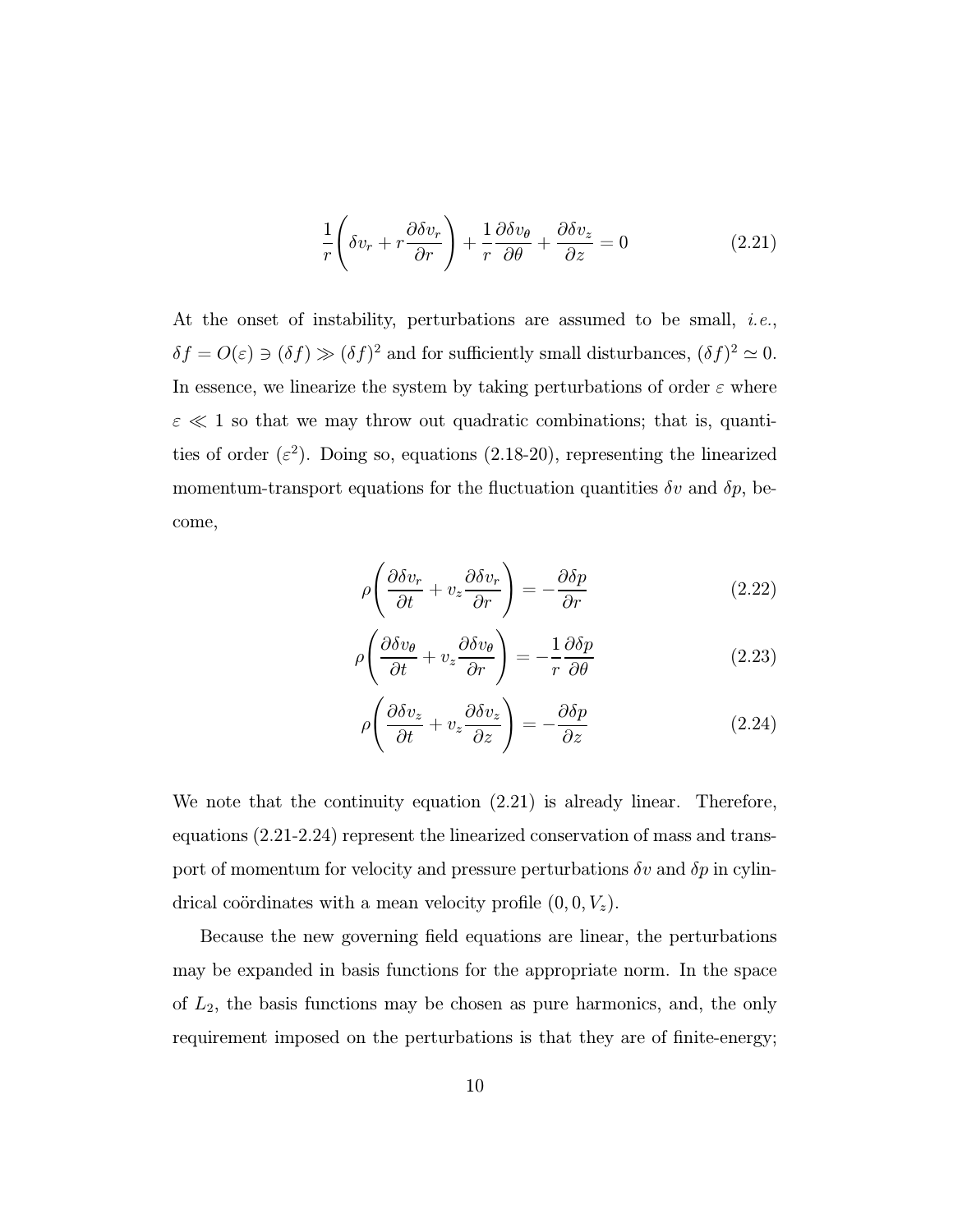$$
\frac{1}{r}\left(\delta v_r + r\frac{\partial \delta v_r}{\partial r}\right) + \frac{1}{r}\frac{\partial \delta v_\theta}{\partial \theta} + \frac{\partial \delta v_z}{\partial z} = 0
$$
\n(2.21)

At the onset of instability, perturbations are assumed to be small, i.e.,  $\delta f = O(\varepsilon) \ni (\delta f) \gg (\delta f)^2$  and for sufficiently small disturbances,  $(\delta f)^2 \simeq 0$ . In essence, we linearize the system by taking perturbations of order  $\varepsilon$  where  $\varepsilon \ll 1$  so that we may throw out quadratic combinations; that is, quantities of order  $(\varepsilon^2)$ . Doing so, equations (2.18-20), representing the linearized momentum-transport equations for the fluctuation quantities  $\delta v$  and  $\delta p$ , become,

$$
\rho \left( \frac{\partial \delta v_r}{\partial t} + v_z \frac{\partial \delta v_r}{\partial r} \right) = -\frac{\partial \delta p}{\partial r} \tag{2.22}
$$

$$
\rho \left( \frac{\partial \delta v_{\theta}}{\partial t} + v_z \frac{\partial \delta v_{\theta}}{\partial r} \right) = -\frac{1}{r} \frac{\partial \delta p}{\partial \theta} \tag{2.23}
$$

$$
\rho \left( \frac{\partial \delta v_z}{\partial t} + v_z \frac{\partial \delta v_z}{\partial z} \right) = -\frac{\partial \delta p}{\partial z} \tag{2.24}
$$

We note that the continuity equation (2.21) is already linear. Therefore, equations (2.21-2.24) represent the linearized conservation of mass and transport of momentum for velocity and pressure perturbations  $\delta v$  and  $\delta p$  in cylindrical coördinates with a mean velocity profile  $(0, 0, V_z)$ .

Because the new governing field equations are linear, the perturbations may be expanded in basis functions for the appropriate norm. In the space of  $L_2$ , the basis functions may be chosen as pure harmonics, and, the only requirement imposed on the perturbations is that they are of finite-energy;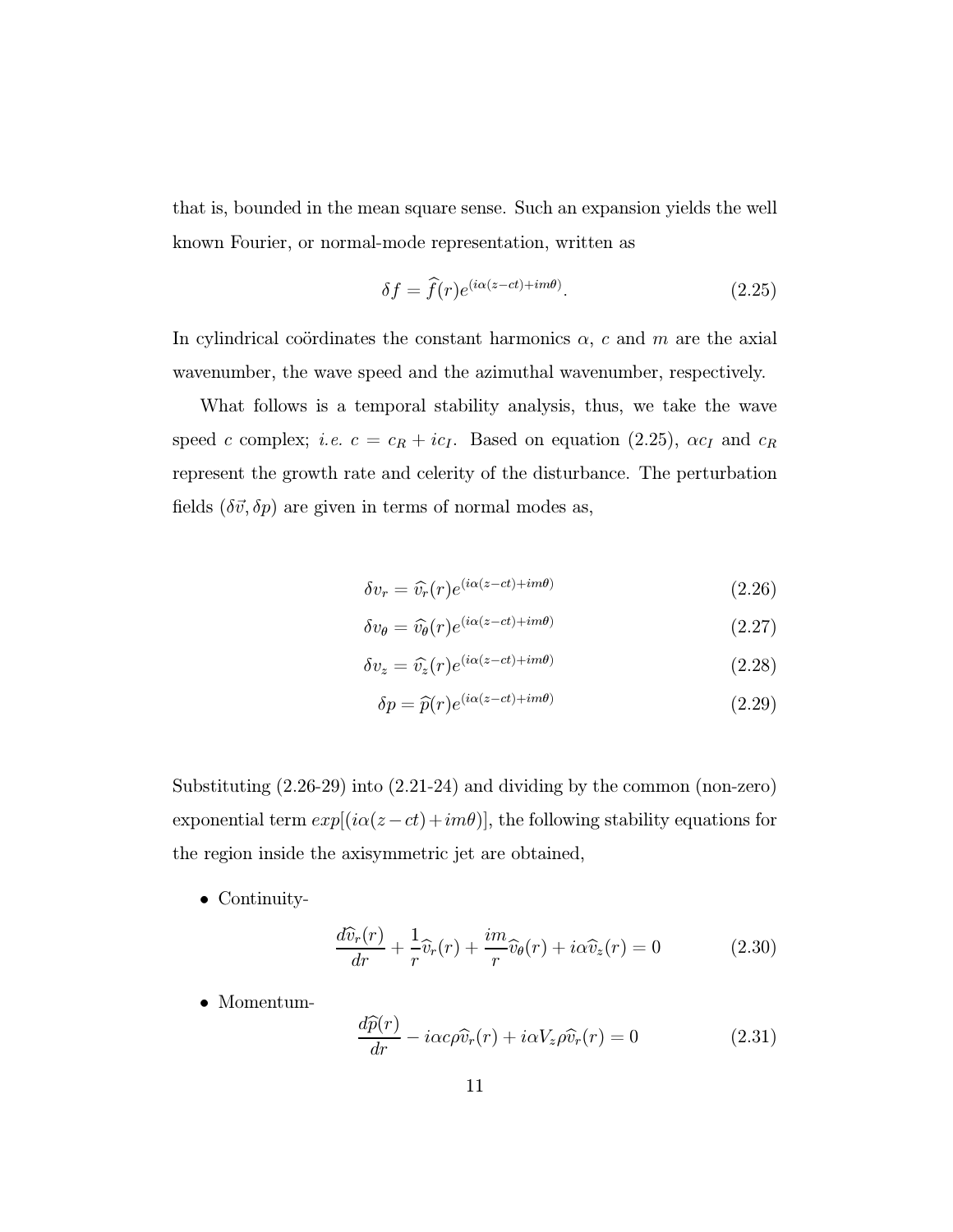that is, bounded in the mean square sense. Such an expansion yields the well known Fourier, or normal-mode representation, written as

$$
\delta f = \hat{f}(r)e^{(i\alpha(z-ct)+im\theta)}.
$$
\n(2.25)

In cylindrical coördinates the constant harmonics  $\alpha$ , c and m are the axial wavenumber, the wave speed and the azimuthal wavenumber, respectively.

What follows is a temporal stability analysis, thus, we take the wave speed c complex; i.e.  $c = c_R + ic_I$ . Based on equation (2.25),  $\alpha c_I$  and  $c_R$ represent the growth rate and celerity of the disturbance. The perturbation fields  $(\delta \vec{v}, \delta p)$  are given in terms of normal modes as,

$$
\delta v_r = \hat{v_r}(r)e^{(i\alpha(z-ct)+im\theta)} \tag{2.26}
$$

$$
\delta v_{\theta} = \widehat{v_{\theta}}(r)e^{(i\alpha(z-ct)+im\theta)} \tag{2.27}
$$

$$
\delta v_z = \widehat{v}_z(r)e^{(i\alpha(z-ct)+im\theta)}\tag{2.28}
$$

$$
\delta p = \widehat{p}(r)e^{(i\alpha(z-ct)+im\theta)}\tag{2.29}
$$

Substituting (2.26-29) into (2.21-24) and dividing by the common (non-zero) exponential term  $exp[(i\alpha(z-ct)+im\theta)]$ , the following stability equations for the region inside the axisymmetric jet are obtained,

• Continuity-

$$
\frac{d\widehat{v}_r(r)}{dr} + \frac{1}{r}\widehat{v}_r(r) + \frac{im}{r}\widehat{v}_\theta(r) + i\alpha \widehat{v}_z(r) = 0 \qquad (2.30)
$$

• Momentum-

$$
\frac{d\widehat{p}(r)}{dr} - i\alpha c\rho \widehat{v}_r(r) + i\alpha V_z \rho \widehat{v}_r(r) = 0
$$
\n(2.31)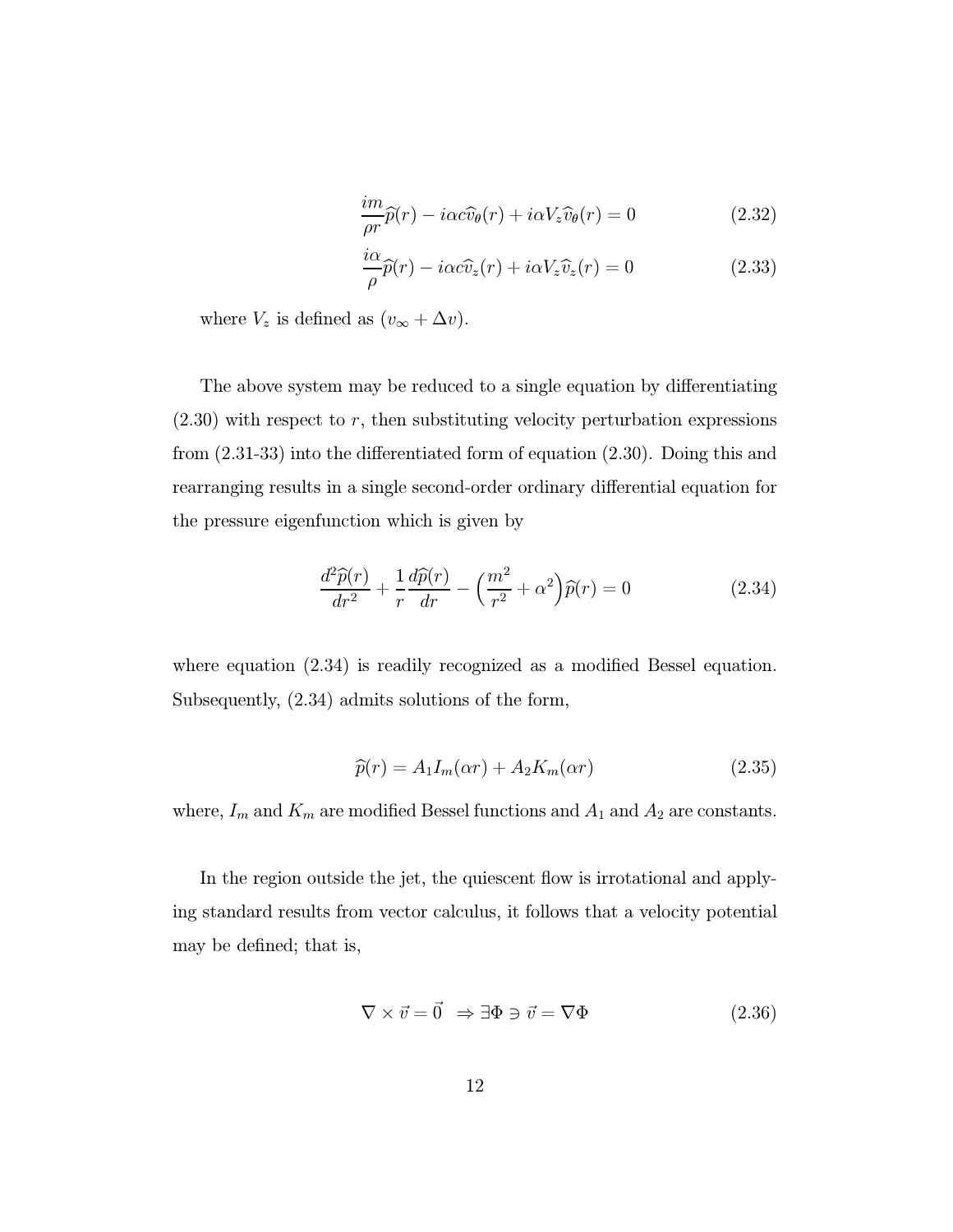$$
\frac{im}{\rho r}\widehat{p}(r) - i\alpha c \widehat{v}_{\theta}(r) + i\alpha V_{z}\widehat{v}_{\theta}(r) = 0
$$
\n(2.32)

$$
\frac{i\alpha}{\rho}\widehat{p}(r) - i\alpha c \widehat{v}_z(r) + i\alpha V_z \widehat{v}_z(r) = 0
$$
\n(2.33)

where  $V_z$  is defined as  $(v_{\infty} + \Delta v)$ .

The above system may be reduced to a single equation by differentiating  $(2.30)$  with respect to r, then substituting velocity perturbation expressions from (2.31-33) into the differentiated form of equation (2.30). Doing this and rearranging results in a single second-order ordinary differential equation for the pressure eigenfunction which is given by

$$
\frac{d^2\widehat{p}(r)}{dr^2} + \frac{1}{r}\frac{d\widehat{p}(r)}{dr} - \left(\frac{m^2}{r^2} + \alpha^2\right)\widehat{p}(r) = 0\tag{2.34}
$$

where equation  $(2.34)$  is readily recognized as a modified Bessel equation. Subsequently, (2.34) admits solutions of the form,

$$
\widehat{p}(r) = A_1 I_m(\alpha r) + A_2 K_m(\alpha r) \tag{2.35}
$$

where,  $I_m$  and  $K_m$  are modified Bessel functions and  $A_1$  and  $A_2$  are constants.

In the region outside the jet, the quiescent flow is irrotational and applying standard results from vector calculus, it follows that a velocity potential may be defined; that is,

$$
\nabla \times \vec{v} = \vec{0} \Rightarrow \exists \Phi \ni \vec{v} = \nabla \Phi \tag{2.36}
$$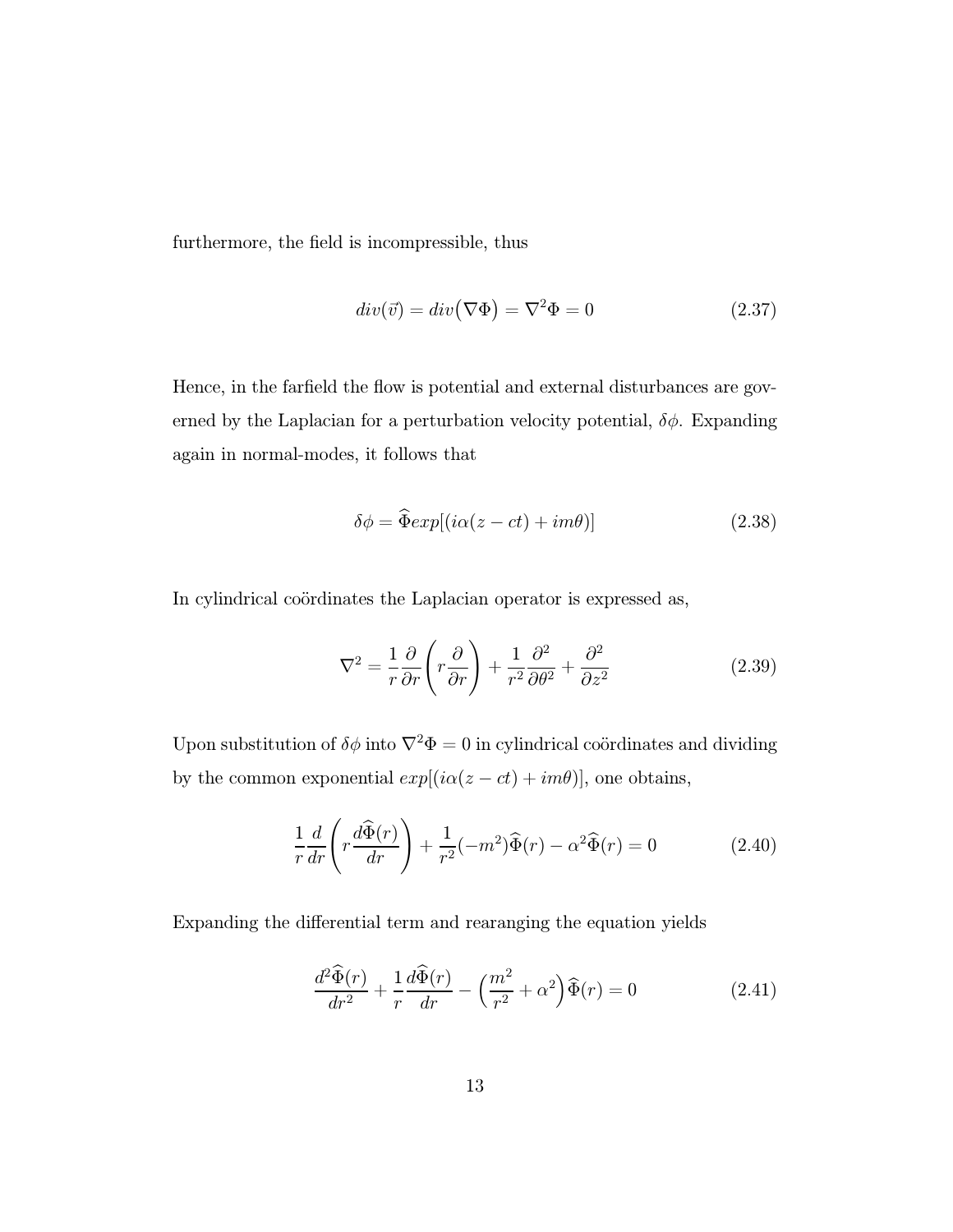furthermore, the field is incompressible, thus

$$
div(\vec{v}) = div(\nabla \Phi) = \nabla^2 \Phi = 0 \qquad (2.37)
$$

Hence, in the farfield the flow is potential and external disturbances are governed by the Laplacian for a perturbation velocity potential,  $\delta\phi$ . Expanding again in normal-modes, it follows that

$$
\delta\phi = \widehat{\Phi}exp[(i\alpha(z-ct) + im\theta)]\tag{2.38}
$$

In cylindrical coördinates the Laplacian operator is expressed as,

$$
\nabla^2 = \frac{1}{r} \frac{\partial}{\partial r} \left( r \frac{\partial}{\partial r} \right) + \frac{1}{r^2} \frac{\partial^2}{\partial \theta^2} + \frac{\partial^2}{\partial z^2}
$$
 (2.39)

Upon substitution of  $\delta\phi$  into  $\nabla^2\Phi = 0$  in cylindrical coördinates and dividing by the common exponential  $exp[(i\alpha(z-ct)+im\theta)],$  one obtains,

$$
\frac{1}{r}\frac{d}{dr}\left(r\frac{d\widehat{\Phi}(r)}{dr}\right) + \frac{1}{r^2}(-m^2)\widehat{\Phi}(r) - \alpha^2\widehat{\Phi}(r) = 0
$$
\n(2.40)

Expanding the differential term and rearanging the equation yields

$$
\frac{d^2\widehat{\Phi}(r)}{dr^2} + \frac{1}{r}\frac{d\widehat{\Phi}(r)}{dr} - \left(\frac{m^2}{r^2} + \alpha^2\right)\widehat{\Phi}(r) = 0\tag{2.41}
$$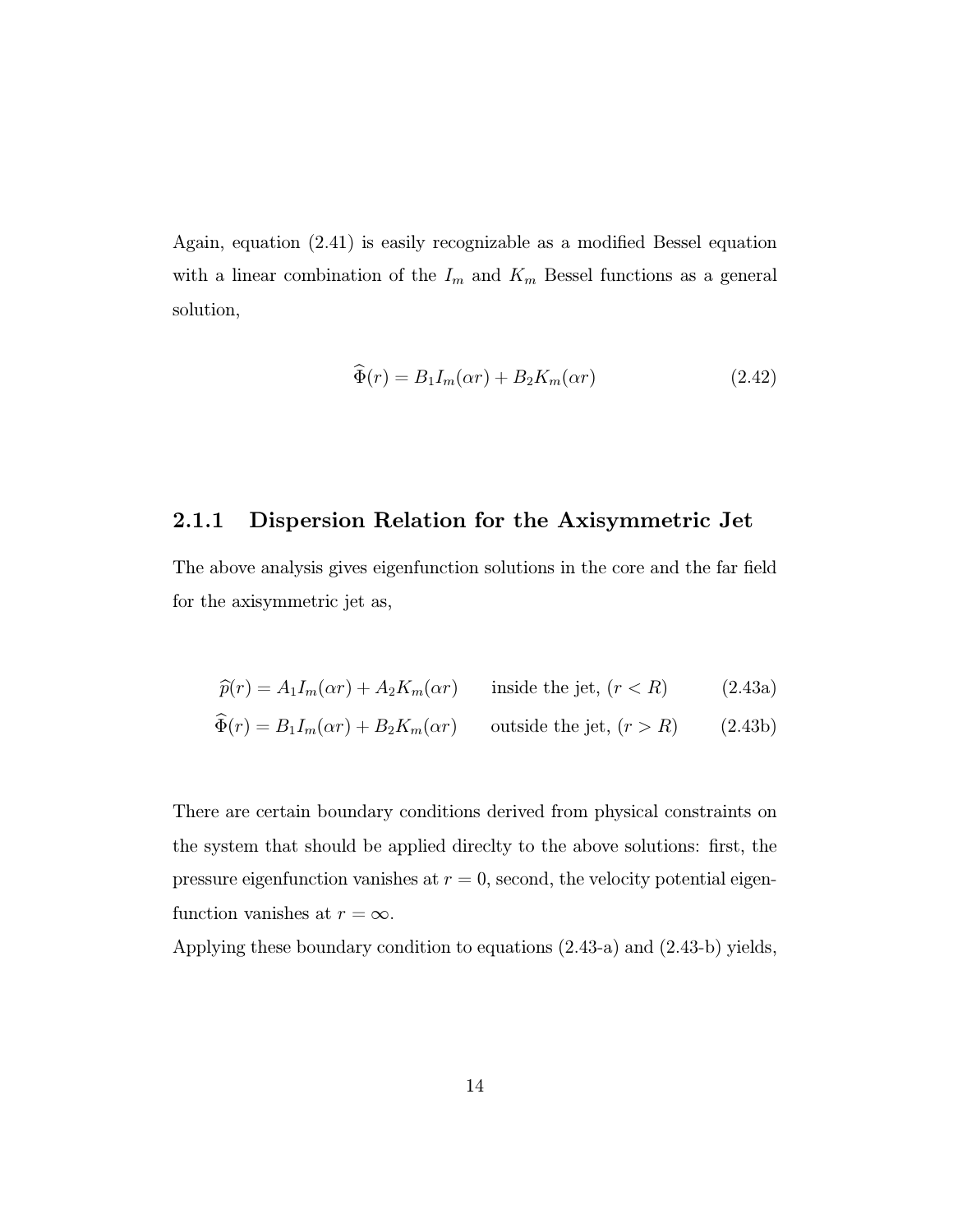Again, equation (2.41) is easily recognizable as a modified Bessel equation with a linear combination of the  $I_m$  and  $K_m$  Bessel functions as a general solution,

$$
\widehat{\Phi}(r) = B_1 I_m(\alpha r) + B_2 K_m(\alpha r) \tag{2.42}
$$

#### 2.1.1 Dispersion Relation for the Axisymmetric Jet

The above analysis gives eigenfunction solutions in the core and the far field for the axisymmetric jet as,

$$
\widehat{p}(r) = A_1 I_m(\alpha r) + A_2 K_m(\alpha r) \qquad \text{inside the jet, } (r < R) \tag{2.43a}
$$
\n
$$
\widehat{\Phi}(r) = B_1 I_m(\alpha r) + B_2 K_m(\alpha r) \qquad \text{outside the jet, } (r > R) \tag{2.43b}
$$

There are certain boundary conditions derived from physical constraints on the system that should be applied direclty to the above solutions: first, the pressure eigenfunction vanishes at  $r = 0$ , second, the velocity potential eigenfunction vanishes at  $r = \infty$ .

Applying these boundary condition to equations (2.43-a) and (2.43-b) yields,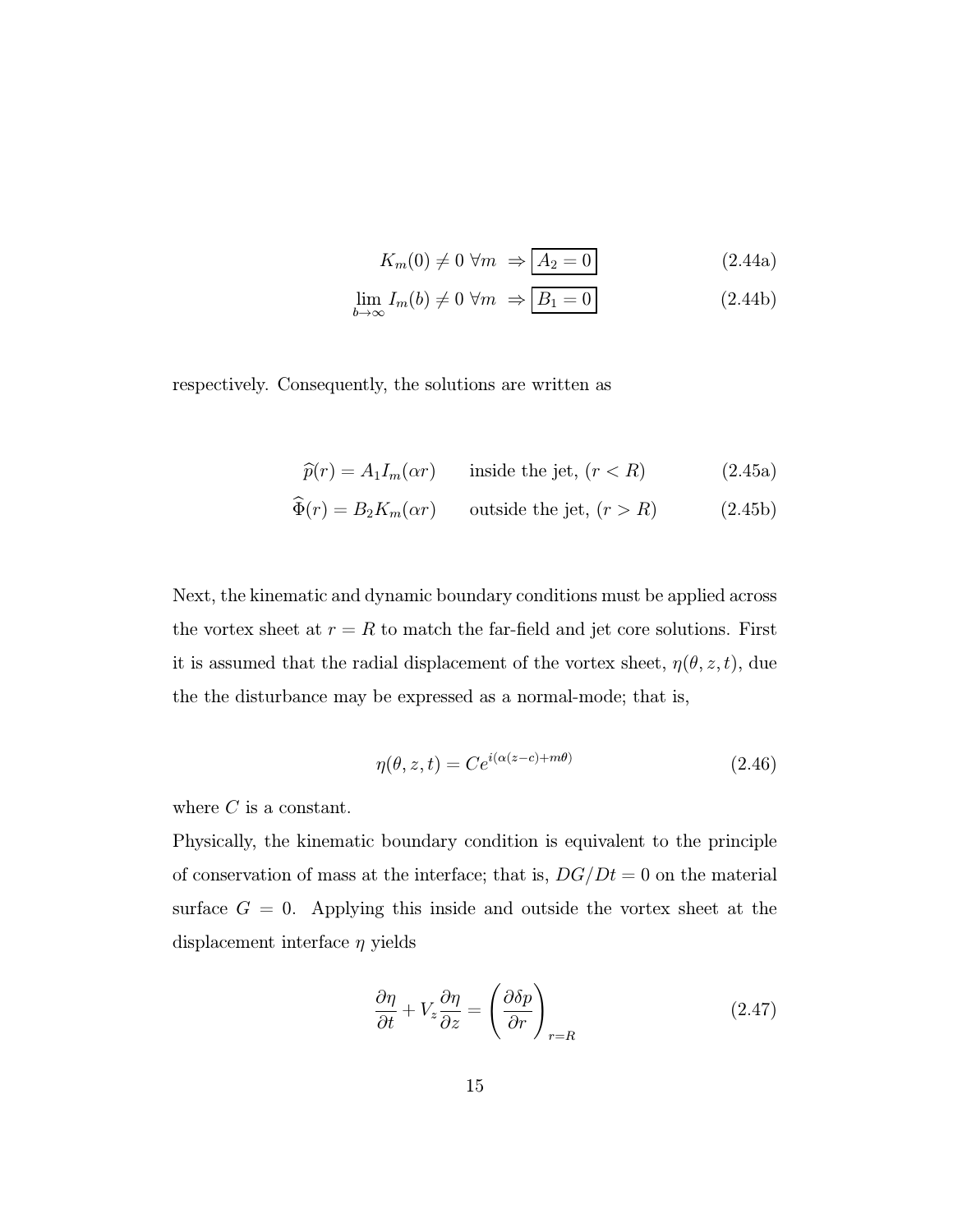$$
K_m(0) \neq 0 \,\forall m \Rightarrow \boxed{A_2 = 0} \tag{2.44a}
$$

$$
\lim_{b \to \infty} I_m(b) \neq 0 \,\forall m \Rightarrow \boxed{B_1 = 0} \tag{2.44b}
$$

respectively. Consequently, the solutions are written as

$$
\widehat{p}(r) = A_1 I_m(\alpha r) \qquad \text{inside the jet, } (r < R) \tag{2.45a}
$$

$$
\Phi(r) = B_2 K_m(\alpha r) \qquad \text{outside the jet, } (r > R) \tag{2.45b}
$$

Next, the kinematic and dynamic boundary conditions must be applied across the vortex sheet at  $r = R$  to match the far-field and jet core solutions. First it is assumed that the radial displacement of the vortex sheet,  $\eta(\theta, z, t)$ , due the the disturbance may be expressed as a normal-mode; that is,

$$
\eta(\theta, z, t) = Ce^{i(\alpha(z-c) + m\theta)} \tag{2.46}
$$

where  $C$  is a constant.

Physically, the kinematic boundary condition is equivalent to the principle of conservation of mass at the interface; that is,  $DG/Dt = 0$  on the material surface  $G = 0$ . Applying this inside and outside the vortex sheet at the displacement interface  $\eta$  yields

$$
\frac{\partial \eta}{\partial t} + V_z \frac{\partial \eta}{\partial z} = \left(\frac{\partial \delta p}{\partial r}\right)_{r=R}
$$
\n(2.47)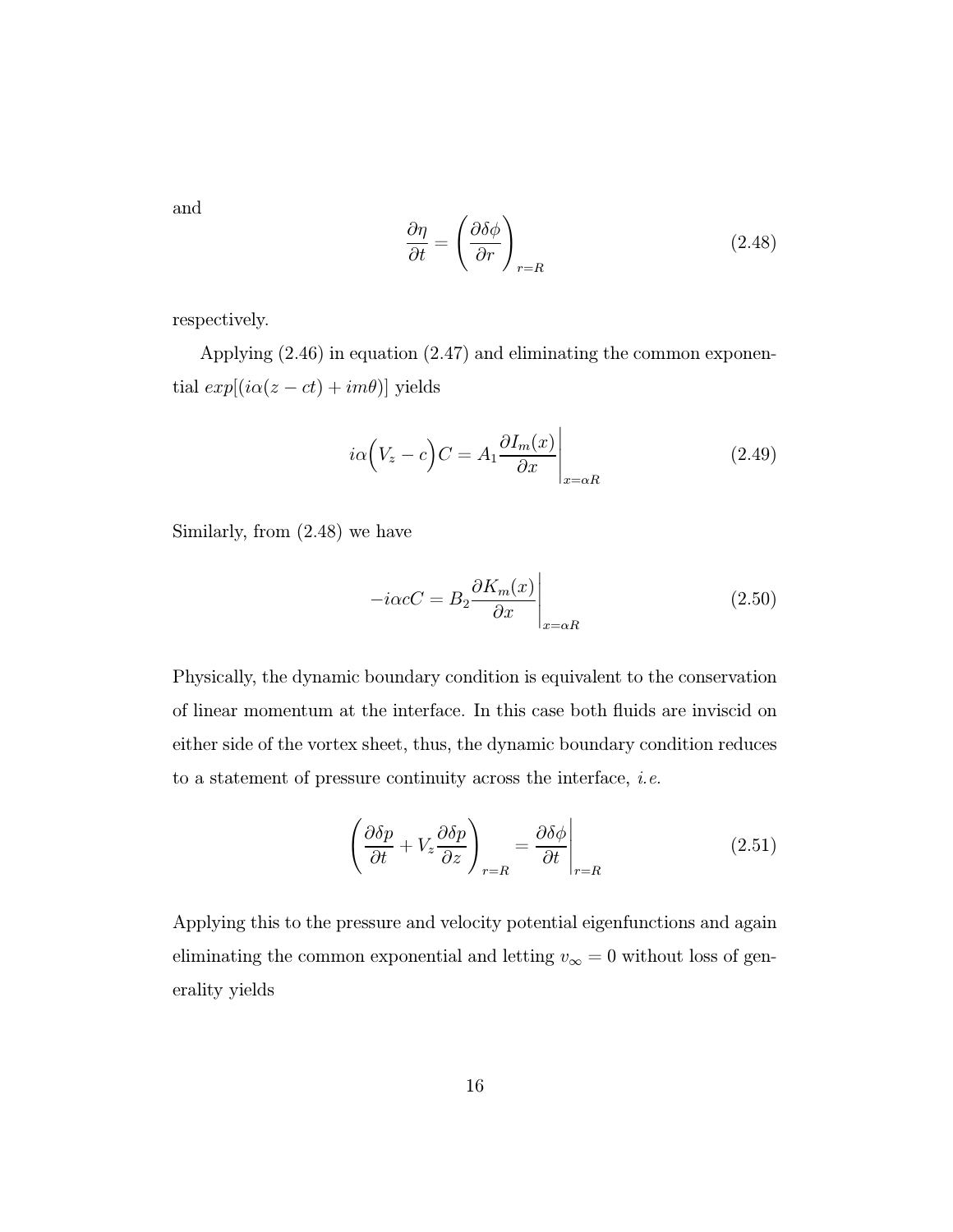and

$$
\frac{\partial \eta}{\partial t} = \left(\frac{\partial \delta \phi}{\partial r}\right)_{r=R} \tag{2.48}
$$

respectively.

Applying (2.46) in equation (2.47) and eliminating the common exponential  $exp[(i\alpha(z-ct)+im\theta)]$  yields

$$
i\alpha \left(V_z - c\right)C = A_1 \frac{\partial I_m(x)}{\partial x}\Big|_{x=\alpha R} \tag{2.49}
$$

Similarly, from (2.48) we have

$$
-i\alpha cC = B_2 \frac{\partial K_m(x)}{\partial x}\Big|_{x=\alpha R}
$$
\n(2.50)

Physically, the dynamic boundary condition is equivalent to the conservation of linear momentum at the interface. In this case both fluids are inviscid on either side of the vortex sheet, thus, the dynamic boundary condition reduces to a statement of pressure continuity across the interface, i.e.

$$
\left(\frac{\partial \delta p}{\partial t} + V_z \frac{\partial \delta p}{\partial z}\right)_{r=R} = \frac{\partial \delta \phi}{\partial t}\Big|_{r=R} \tag{2.51}
$$

Applying this to the pressure and velocity potential eigenfunctions and again eliminating the common exponential and letting  $v_{\infty} = 0$  without loss of generality yields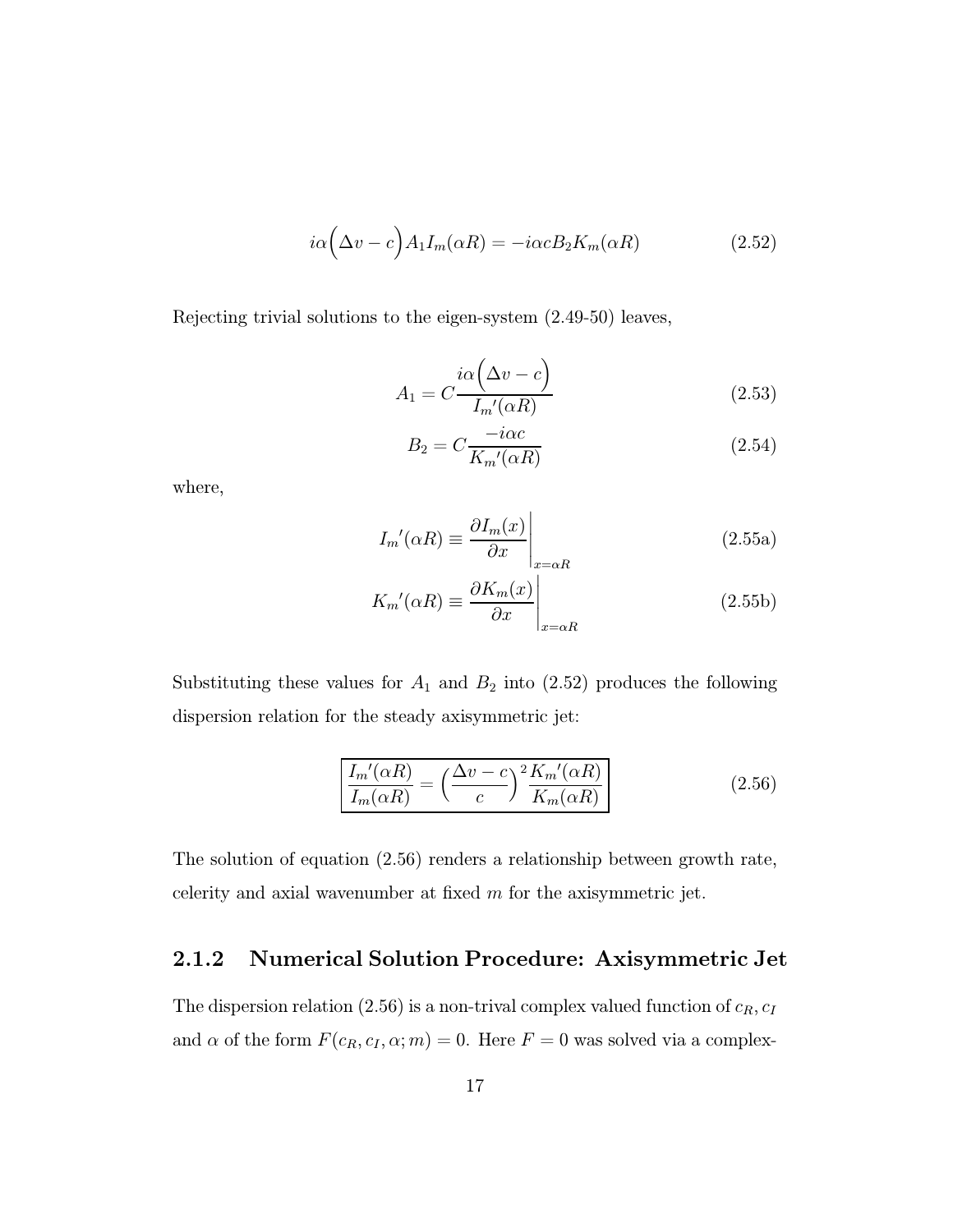$$
i\alpha \left(\Delta v - c\right) A_1 I_m(\alpha R) = -i\alpha c B_2 K_m(\alpha R) \tag{2.52}
$$

Rejecting trivial solutions to the eigen-system (2.49-50) leaves,

$$
A_1 = C \frac{i\alpha \left(\Delta v - c\right)}{I_m'(\alpha R)}
$$
\n(2.53)

$$
B_2 = C \frac{-i\alpha c}{K_m'(\alpha R)}\tag{2.54}
$$

where,

$$
I_m'(\alpha R) \equiv \frac{\partial I_m(x)}{\partial x}\Big|_{x=\alpha R}
$$
 (2.55a)

$$
K_m'(\alpha R) \equiv \frac{\partial K_m(x)}{\partial x} \Big|_{x=\alpha R} \tag{2.55b}
$$

Substituting these values for  $A_1$  and  $B_2$  into (2.52) produces the following dispersion relation for the steady axisymmetric jet:

$$
\frac{I_m'(\alpha R)}{I_m(\alpha R)} = \left(\frac{\Delta v - c}{c}\right)^2 \frac{K_m'(\alpha R)}{K_m(\alpha R)}\tag{2.56}
$$

The solution of equation (2.56) renders a relationship between growth rate, celerity and axial wavenumber at fixed  $m$  for the axisymmetric jet.

#### 2.1.2 Numerical Solution Procedure: Axisymmetric Jet

The dispersion relation (2.56) is a non-trival complex valued function of  $c_R$ ,  $c_I$ and  $\alpha$  of the form  $F(c_R, c_I, \alpha; m) = 0$ . Here  $F = 0$  was solved via a complex-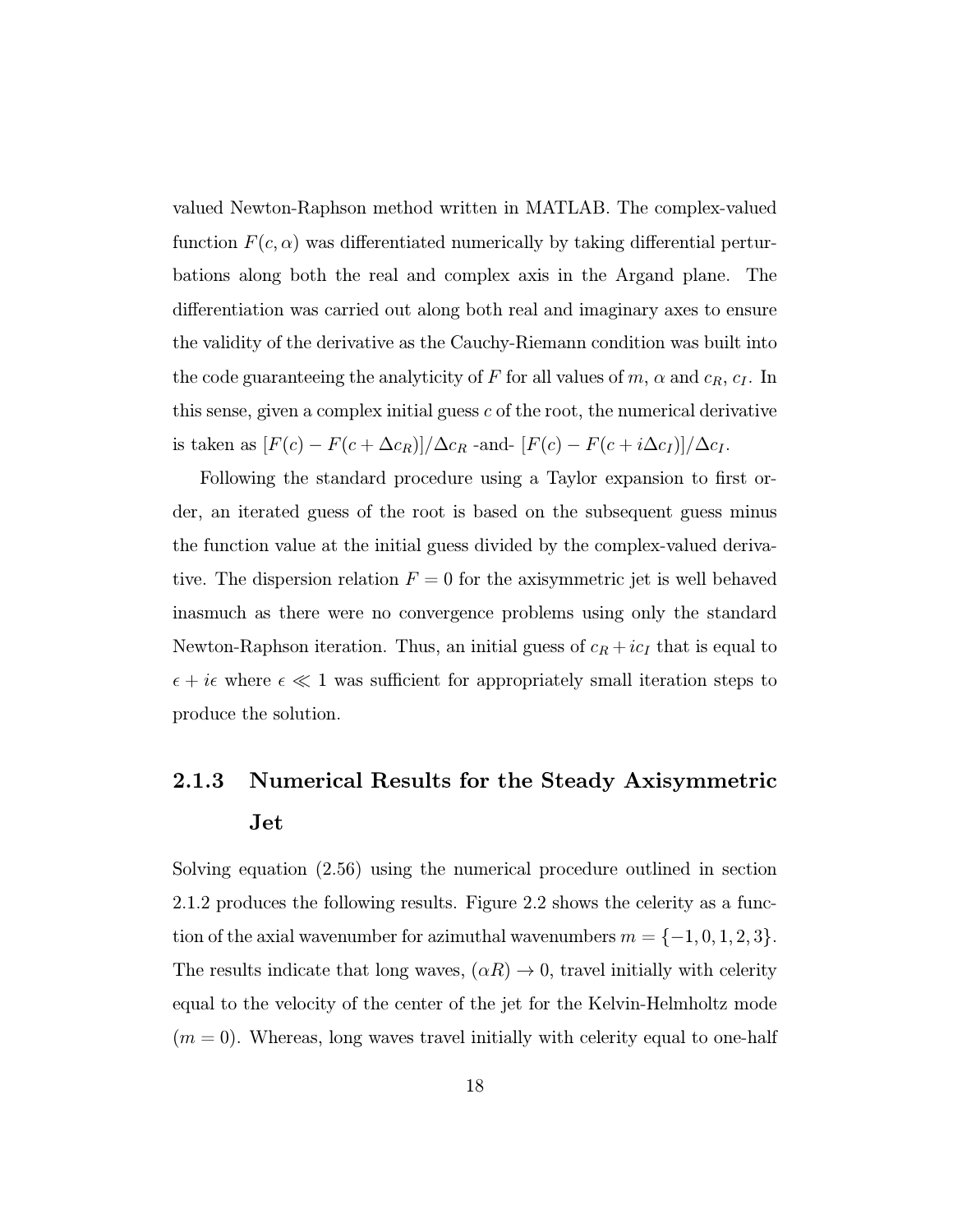valued Newton-Raphson method written in MATLAB. The complex-valued function  $F(c, \alpha)$  was differentiated numerically by taking differential perturbations along both the real and complex axis in the Argand plane. The differentiation was carried out along both real and imaginary axes to ensure the validity of the derivative as the Cauchy-Riemann condition was built into the code guaranteeing the analyticity of F for all values of  $m$ ,  $\alpha$  and  $c_R$ ,  $c_I$ . In this sense, given a complex initial guess  $c$  of the root, the numerical derivative is taken as  $[F(c) - F(c + \Delta c_R)]/\Delta c_R$  -and-  $[F(c) - F(c + i\Delta c_I)]/\Delta c_I$ .

Following the standard procedure using a Taylor expansion to first order, an iterated guess of the root is based on the subsequent guess minus the function value at the initial guess divided by the complex-valued derivative. The dispersion relation  $F = 0$  for the axisymmetric jet is well behaved inasmuch as there were no convergence problems using only the standard Newton-Raphson iteration. Thus, an initial guess of  $c_R + ic_I$  that is equal to  $\epsilon + i\epsilon$  where  $\epsilon \ll 1$  was sufficient for appropriately small iteration steps to produce the solution.

### 2.1.3 Numerical Results for the Steady Axisymmetric Jet

Solving equation (2.56) using the numerical procedure outlined in section 2.1.2 produces the following results. Figure 2.2 shows the celerity as a function of the axial wavenumber for azimuthal wavenumbers  $m = \{-1, 0, 1, 2, 3\}.$ The results indicate that long waves,  $(\alpha R) \to 0$ , travel initially with celerity equal to the velocity of the center of the jet for the Kelvin-Helmholtz mode  $(m = 0)$ . Whereas, long waves travel initially with celerity equal to one-half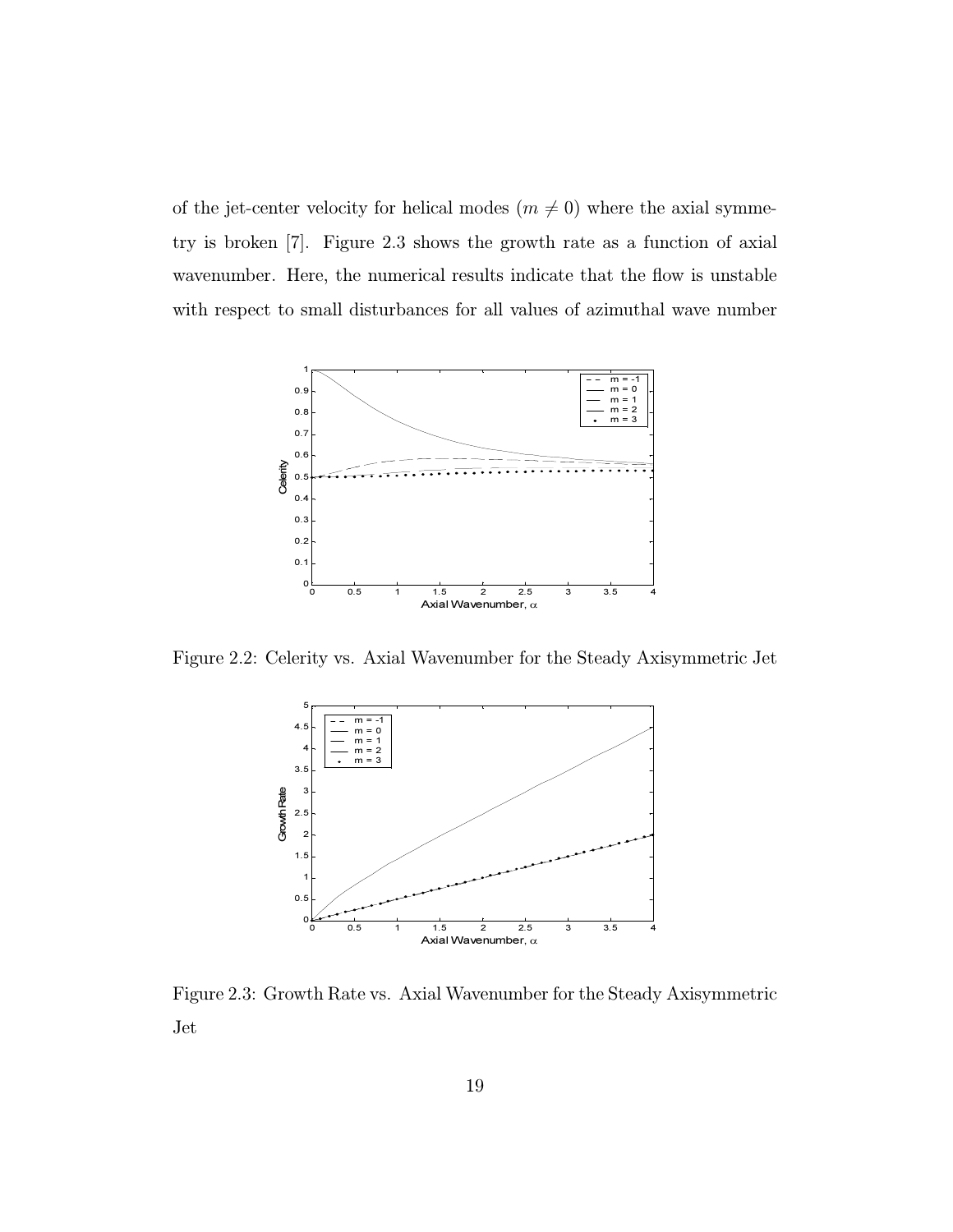of the jet-center velocity for helical modes  $(m \neq 0)$  where the axial symmetry is broken [7]. Figure 2.3 shows the growth rate as a function of axial wavenumber. Here, the numerical results indicate that the flow is unstable with respect to small disturbances for all values of azimuthal wave number



Figure 2.2: Celerity vs. Axial Wavenumber for the Steady Axisymmetric Jet



Figure 2.3: Growth Rate vs. Axial Wavenumber for the Steady Axisymmetric Jet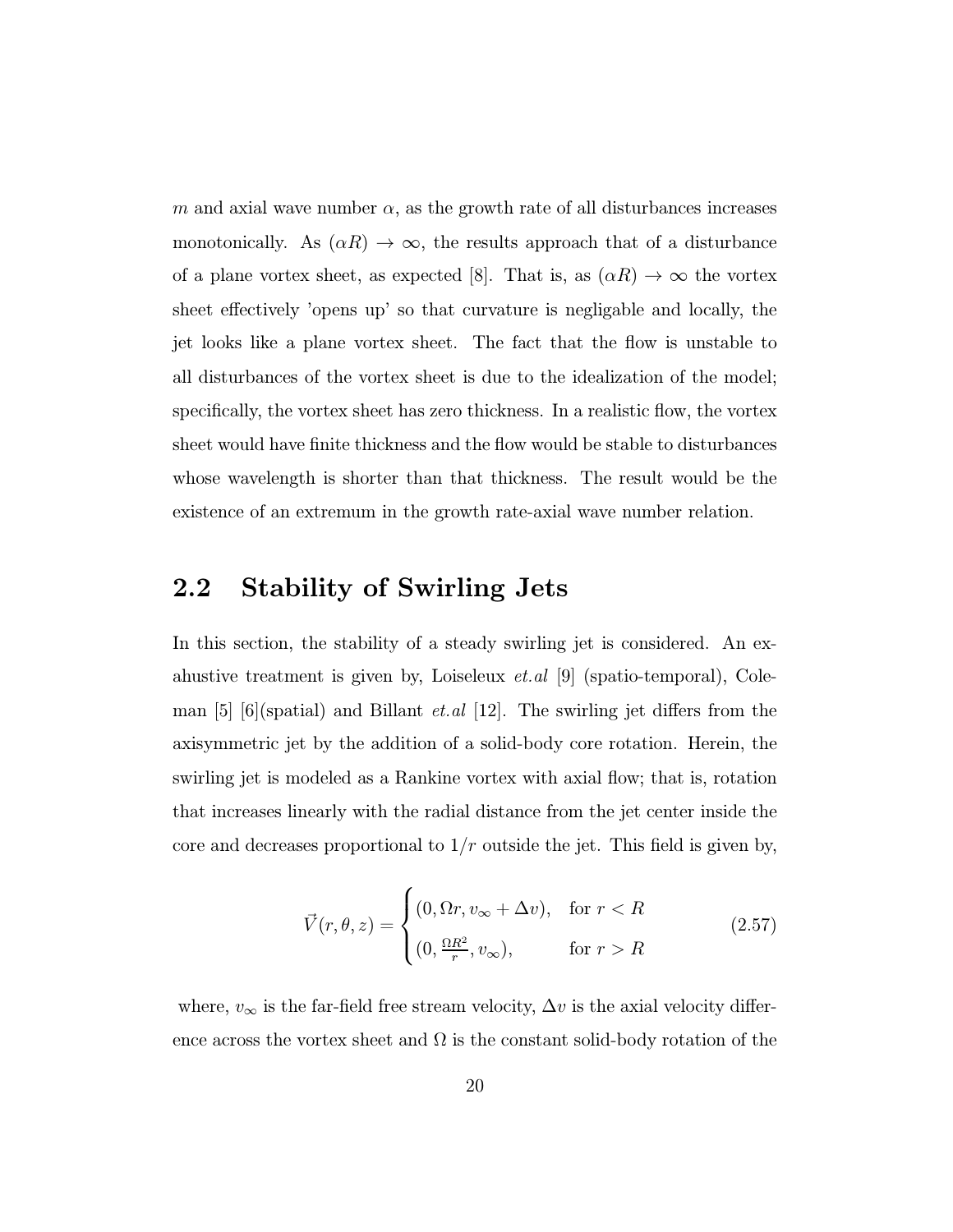m and axial wave number  $\alpha$ , as the growth rate of all disturbances increases monotonically. As  $(\alpha R) \to \infty$ , the results approach that of a disturbance of a plane vortex sheet, as expected [8]. That is, as  $(\alpha R) \to \infty$  the vortex sheet effectively 'opens up' so that curvature is negligable and locally, the jet looks like a plane vortex sheet. The fact that the flow is unstable to all disturbances of the vortex sheet is due to the idealization of the model; specifically, the vortex sheet has zero thickness. In a realistic flow, the vortex sheet would have finite thickness and the flow would be stable to disturbances whose wavelength is shorter than that thickness. The result would be the existence of an extremum in the growth rate-axial wave number relation.

#### 2.2 Stability of Swirling Jets

In this section, the stability of a steady swirling jet is considered. An exahustive treatment is given by, Loiseleux et.al [9] (spatio-temporal), Coleman [5] [6](spatial) and Billant *et.al* [12]. The swirling jet differs from the axisymmetric jet by the addition of a solid-body core rotation. Herein, the swirling jet is modeled as a Rankine vortex with axial flow; that is, rotation that increases linearly with the radial distance from the jet center inside the core and decreases proportional to  $1/r$  outside the jet. This field is given by,

$$
\vec{V}(r,\theta,z) = \begin{cases}\n(0,\Omega r, v_{\infty} + \Delta v), & \text{for } r < R \\
(0,\frac{\Omega R^2}{r}, v_{\infty}), & \text{for } r > R\n\end{cases}
$$
\n(2.57)

where,  $v_{\infty}$  is the far-field free stream velocity,  $\Delta v$  is the axial velocity difference across the vortex sheet and  $\Omega$  is the constant solid-body rotation of the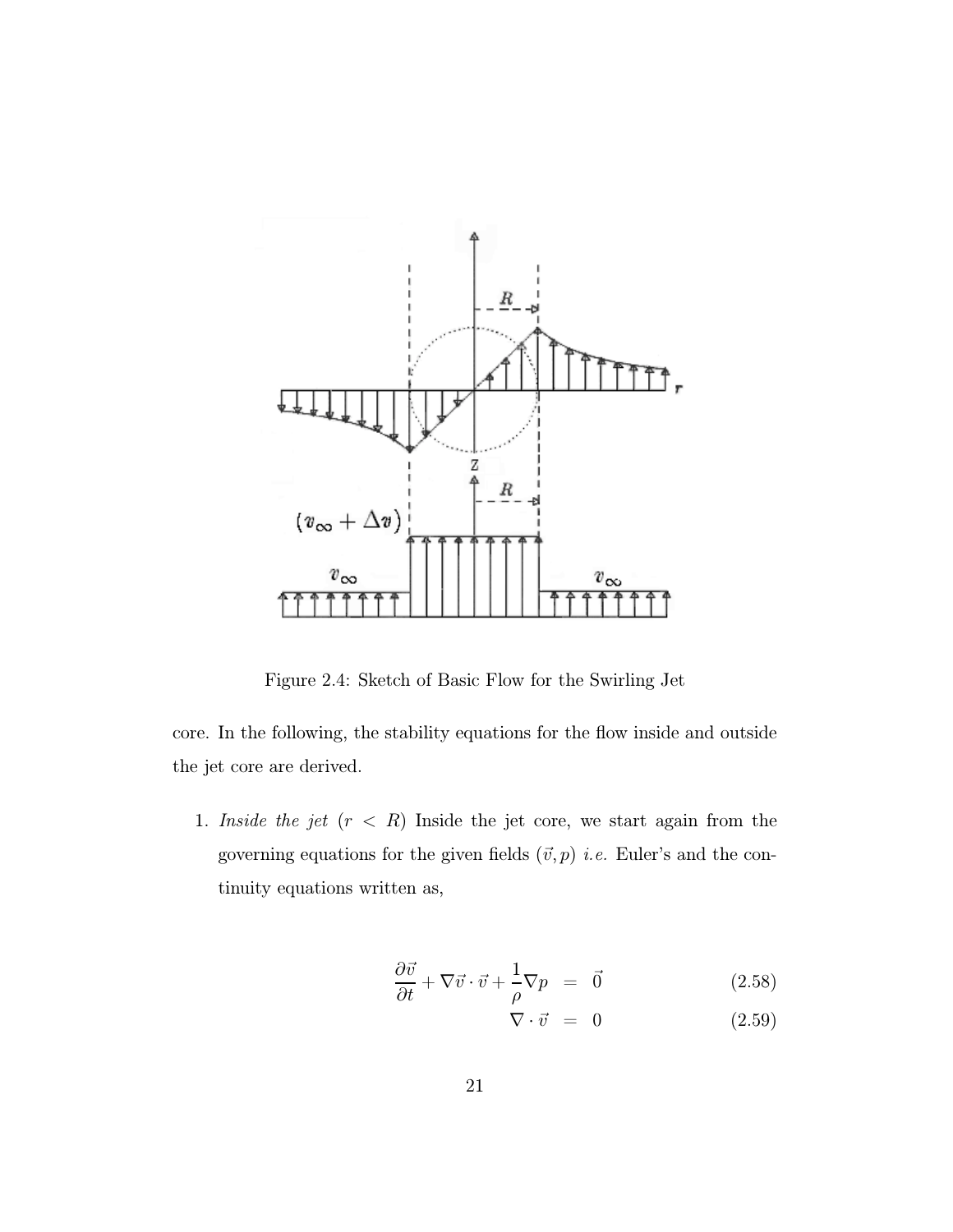

Figure 2.4: Sketch of Basic Flow for the Swirling Jet

core. In the following, the stability equations for the flow inside and outside the jet core are derived.

1. Inside the jet  $(r < R)$  Inside the jet core, we start again from the governing equations for the given fields  $(\vec{v},p)$  *i.e.* Euler's and the continuity equations written as,

$$
\frac{\partial \vec{v}}{\partial t} + \nabla \vec{v} \cdot \vec{v} + \frac{1}{\rho} \nabla p = \vec{0}
$$
 (2.58)

$$
\nabla \cdot \vec{v} = 0 \tag{2.59}
$$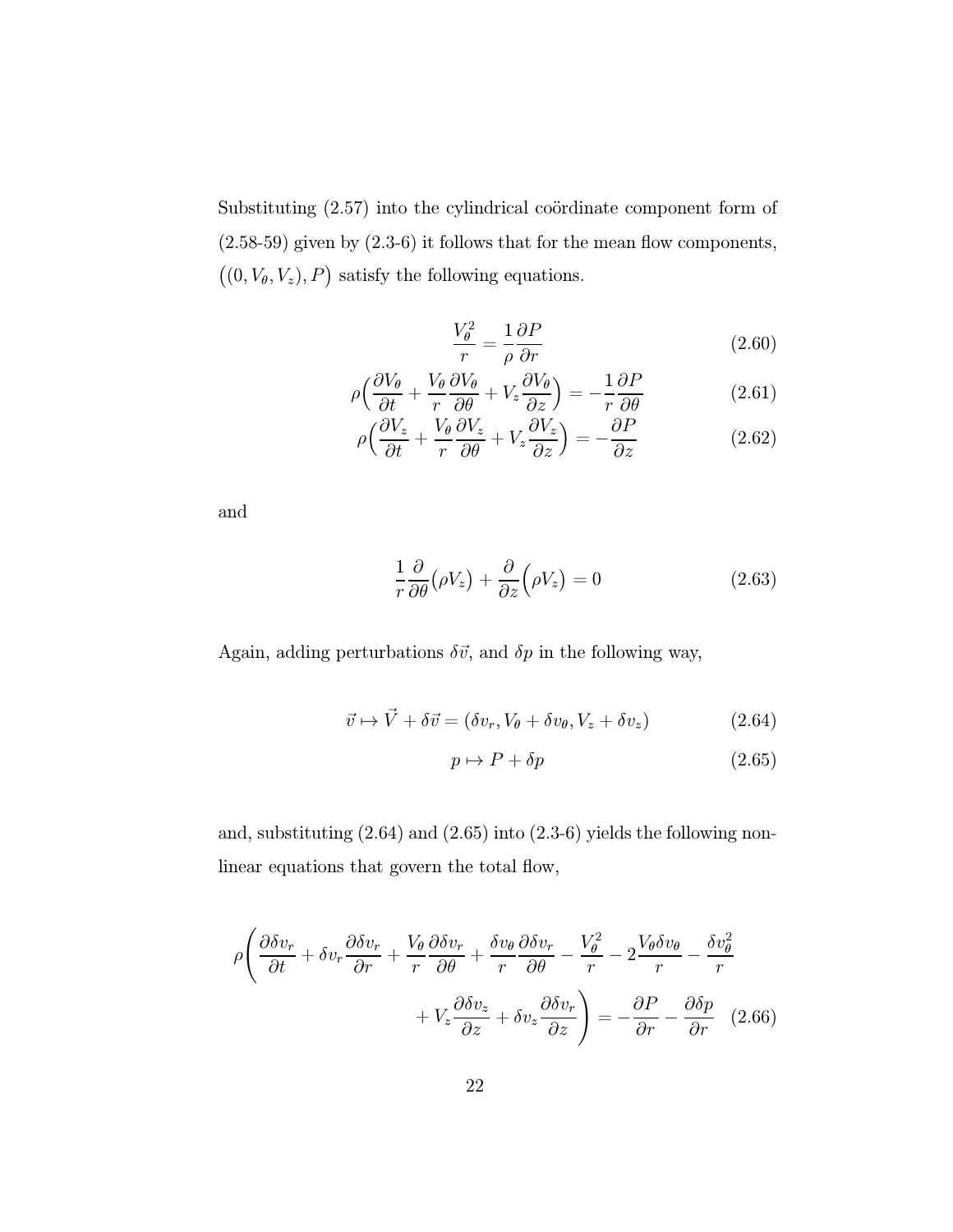Substituting  $(2.57)$  into the cylindrical coördinate component form of (2.58-59) given by (2.3-6) it follows that for the mean flow components,  $((0, V_{\theta}, V_z), P)$  satisfy the following equations.

$$
\frac{V_{\theta}^{2}}{r} = \frac{1}{\rho} \frac{\partial P}{\partial r}
$$
\n(2.60)

$$
\rho \left( \frac{\partial V_{\theta}}{\partial t} + \frac{V_{\theta}}{r} \frac{\partial V_{\theta}}{\partial \theta} + V_z \frac{\partial V_{\theta}}{\partial z} \right) = -\frac{1}{r} \frac{\partial P}{\partial \theta} \tag{2.61}
$$

$$
\rho \left( \frac{\partial V_z}{\partial t} + \frac{V_\theta}{r} \frac{\partial V_z}{\partial \theta} + V_z \frac{\partial V_z}{\partial z} \right) = -\frac{\partial P}{\partial z} \tag{2.62}
$$

and

$$
\frac{1}{r}\frac{\partial}{\partial \theta}(\rho V_z) + \frac{\partial}{\partial z}(\rho V_z) = 0
$$
\n(2.63)

Again, adding perturbations  $\delta \vec{v}$ , and  $\delta p$  in the following way,

$$
\vec{v} \mapsto \vec{V} + \delta \vec{v} = (\delta v_r, V_\theta + \delta v_\theta, V_z + \delta v_z)
$$
 (2.64)

$$
p \mapsto P + \delta p \tag{2.65}
$$

and, substituting (2.64) and (2.65) into (2.3-6) yields the following nonlinear equations that govern the total flow,

$$
\rho \left( \frac{\partial \delta v_r}{\partial t} + \delta v_r \frac{\partial \delta v_r}{\partial r} + \frac{V_\theta}{r} \frac{\partial \delta v_r}{\partial \theta} + \frac{\delta v_\theta}{r} \frac{\partial \delta v_r}{\partial \theta} - \frac{V_\theta^2}{r} - 2 \frac{V_\theta \delta v_\theta}{r} - \frac{\delta v_\theta^2}{r} + V_z \frac{\partial \delta v_z}{\partial z} + \delta v_z \frac{\partial \delta v_r}{\partial z} \right) = -\frac{\partial P}{\partial r} - \frac{\partial \delta p}{\partial r} \quad (2.66)
$$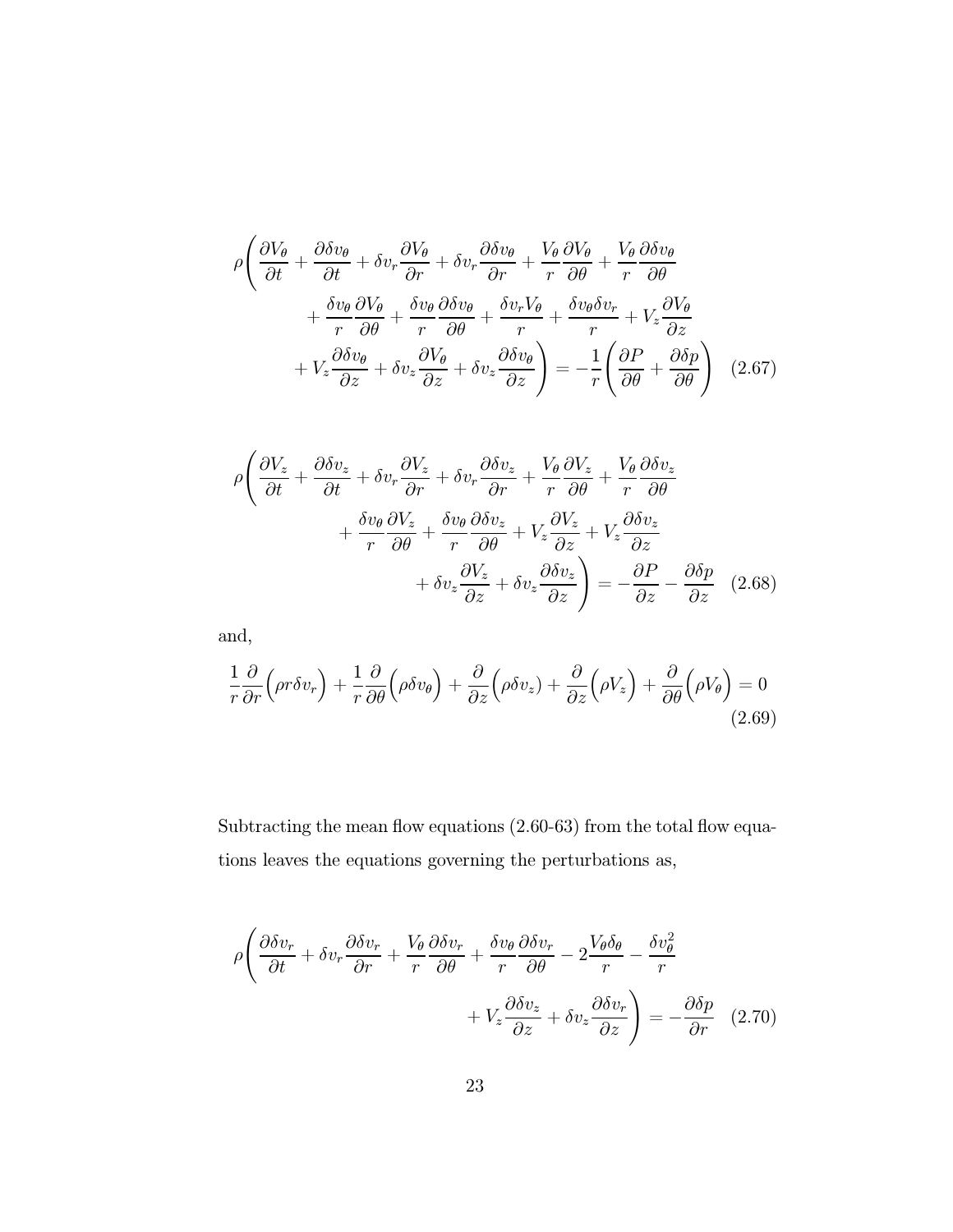$$
\rho \left( \frac{\partial V_{\theta}}{\partial t} + \frac{\partial \delta v_{\theta}}{\partial t} + \delta v_{r} \frac{\partial V_{\theta}}{\partial r} + \delta v_{r} \frac{\partial \delta v_{\theta}}{\partial r} + \frac{V_{\theta}}{r} \frac{\partial V_{\theta}}{\partial \theta} + \frac{V_{\theta}}{r} \frac{\partial \delta v_{\theta}}{\partial \theta} + \frac{V_{\theta}}{r} \frac{\partial \delta v_{\theta}}{\partial \theta} + \frac{\delta v_{\theta}}{r} \frac{\partial V_{\theta}}{\partial \theta} + \frac{\delta v_{\theta}}{r} \frac{\partial \delta v_{\theta}}{\partial \theta} + \frac{\delta v_{r} V_{\theta}}{r} + \frac{\delta v_{\theta} \delta v_{r}}{r} + V_{z} \frac{\partial V_{\theta}}{\partial z} + V_{z} \frac{\partial \delta v_{\theta}}{\partial z} + \delta v_{z} \frac{\partial V_{\theta}}{\partial z} + \delta v_{z} \frac{\partial \delta v_{\theta}}{\partial z} \right) = -\frac{1}{r} \left( \frac{\partial P}{\partial \theta} + \frac{\partial \delta p}{\partial \theta} \right) (2.67)
$$

$$
\rho \left( \frac{\partial V_z}{\partial t} + \frac{\partial \delta v_z}{\partial t} + \delta v_r \frac{\partial V_z}{\partial r} + \delta v_r \frac{\partial \delta v_z}{\partial r} + \frac{V_\theta}{r} \frac{\partial V_z}{\partial \theta} + \frac{V_\theta}{r} \frac{\partial \delta v_z}{\partial \theta} + \frac{\delta v_\theta}{r} \frac{\partial V_z}{\partial \theta} + \frac{\delta v_\theta}{r} \frac{\partial \delta v_z}{\partial \theta} + V_z \frac{\partial V_z}{\partial z} + V_z \frac{\partial \delta v_z}{\partial z} + \delta v_z \frac{\partial \delta v_z}{\partial z} \right) = -\frac{\partial P}{\partial z} - \frac{\partial \delta p}{\partial z} \quad (2.68)
$$

and,

$$
\frac{1}{r}\frac{\partial}{\partial r}\Big(\rho r \delta v_r\Big) + \frac{1}{r}\frac{\partial}{\partial \theta}\Big(\rho \delta v_{\theta}\Big) + \frac{\partial}{\partial z}\Big(\rho \delta v_z\Big) + \frac{\partial}{\partial z}\Big(\rho V_z\Big) + \frac{\partial}{\partial \theta}\Big(\rho V_{\theta}\Big) = 0
$$
\n(2.69)

Subtracting the mean flow equations  $(2.60-63)$  from the total flow equations leaves the equations governing the perturbations as,

$$
\rho \left( \frac{\partial \delta v_r}{\partial t} + \delta v_r \frac{\partial \delta v_r}{\partial r} + \frac{V_\theta}{r} \frac{\partial \delta v_r}{\partial \theta} + \frac{\delta v_\theta}{r} \frac{\partial \delta v_r}{\partial \theta} - 2 \frac{V_\theta \delta_\theta}{r} - \frac{\delta v_\theta^2}{r} + V_z \frac{\partial \delta v_z}{\partial z} + \delta v_z \frac{\partial \delta v_r}{\partial z} \right) = -\frac{\partial \delta p}{\partial r} \quad (2.70)
$$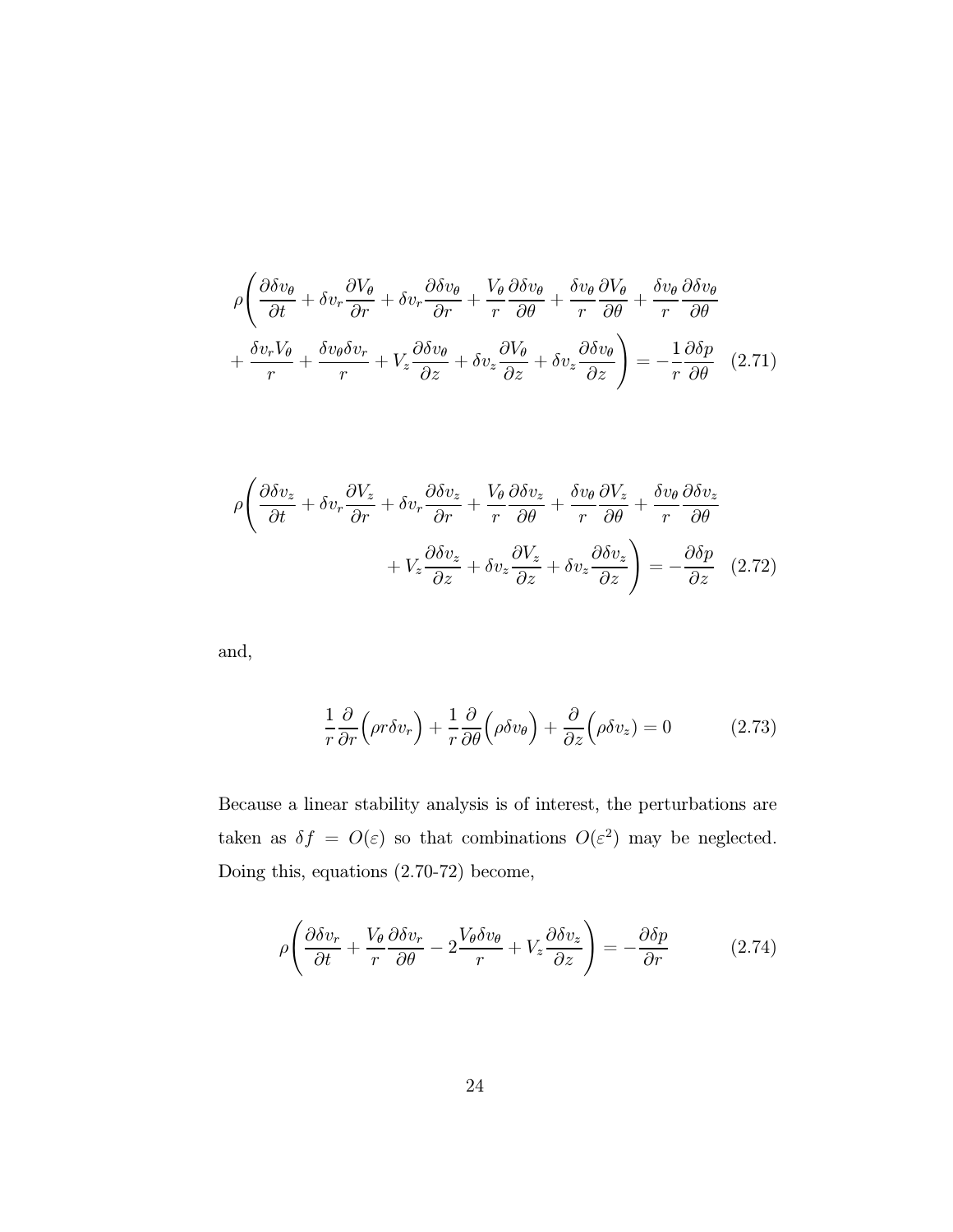$$
\rho \left( \frac{\partial \delta v_{\theta}}{\partial t} + \delta v_{r} \frac{\partial V_{\theta}}{\partial r} + \delta v_{r} \frac{\partial \delta v_{\theta}}{\partial r} + \frac{V_{\theta}}{r} \frac{\partial \delta v_{\theta}}{\partial \theta} + \frac{\delta v_{\theta}}{r} \frac{\partial V_{\theta}}{\partial \theta} + \frac{\delta v_{\theta}}{r} \frac{\partial \delta v_{\theta}}{\partial \theta} + \frac{\delta v_{\theta}}{r} \frac{\partial \delta v_{\theta}}{\partial \theta} + \frac{\delta v_{r} V_{\theta}}{r} + \frac{\delta v_{\theta} \delta v_{r}}{r} + V_{z} \frac{\partial \delta v_{\theta}}{\partial z} + \delta v_{z} \frac{\partial V_{\theta}}{\partial z} + \delta v_{z} \frac{\partial \delta v_{\theta}}{\partial z} \right) = -\frac{1}{r} \frac{\partial \delta p}{\partial \theta} \quad (2.71)
$$

$$
\rho \left( \frac{\partial \delta v_z}{\partial t} + \delta v_r \frac{\partial V_z}{\partial r} + \delta v_r \frac{\partial \delta v_z}{\partial r} + \frac{V_\theta}{r} \frac{\partial \delta v_z}{\partial \theta} + \frac{\delta v_\theta}{r} \frac{\partial V_z}{\partial \theta} + \frac{\delta v_\theta}{r} \frac{\partial \delta v_z}{\partial \theta} + V_z \frac{\partial \delta v_z}{\partial z} + \delta v_z \frac{\partial V_z}{\partial z} + \delta v_z \frac{\partial \delta v_z}{\partial z} \right) = -\frac{\partial \delta p}{\partial z} \quad (2.72)
$$

and,

$$
\frac{1}{r}\frac{\partial}{\partial r}\Big(\rho r \delta v_r\Big) + \frac{1}{r}\frac{\partial}{\partial \theta}\Big(\rho \delta v_{\theta}\Big) + \frac{\partial}{\partial z}\Big(\rho \delta v_z\Big) = 0 \tag{2.73}
$$

Because a linear stability analysis is of interest, the perturbations are taken as  $\delta f = O(\varepsilon)$  so that combinations  $O(\varepsilon^2)$  may be neglected. Doing this, equations (2.70-72) become,

$$
\rho \left( \frac{\partial \delta v_r}{\partial t} + \frac{V_\theta}{r} \frac{\partial \delta v_r}{\partial \theta} - 2 \frac{V_\theta \delta v_\theta}{r} + V_z \frac{\partial \delta v_z}{\partial z} \right) = -\frac{\partial \delta p}{\partial r} \tag{2.74}
$$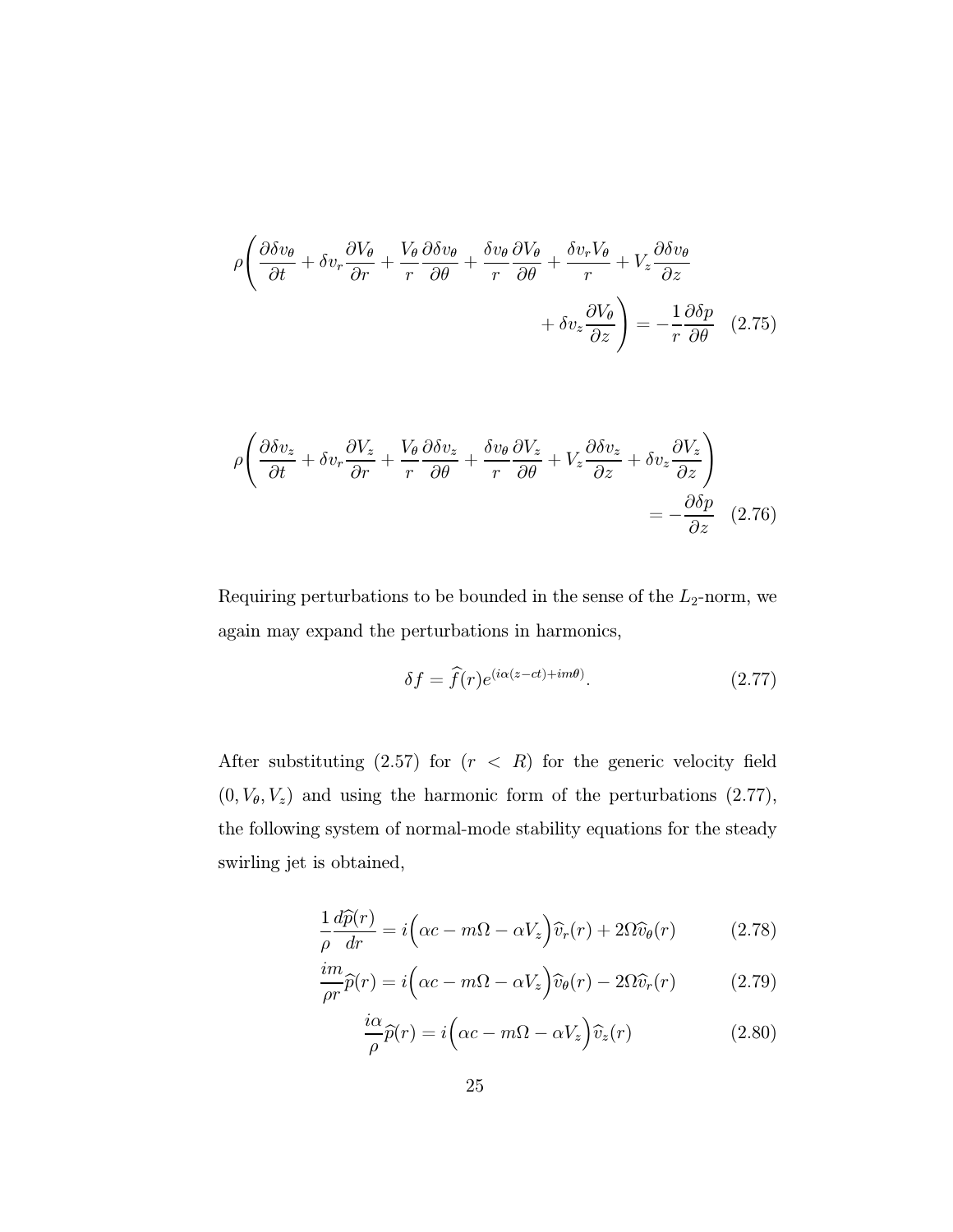$$
\rho \left( \frac{\partial \delta v_{\theta}}{\partial t} + \delta v_{r} \frac{\partial V_{\theta}}{\partial r} + \frac{V_{\theta}}{r} \frac{\partial \delta v_{\theta}}{\partial \theta} + \frac{\delta v_{\theta}}{r} \frac{\partial V_{\theta}}{\partial \theta} + \frac{\delta v_{r} V_{\theta}}{r} + V_{z} \frac{\partial \delta v_{\theta}}{\partial z} + \delta v_{z} \frac{\partial V_{\theta}}{\partial z} \right) = -\frac{1}{r} \frac{\partial \delta p}{\partial \theta} \quad (2.75)
$$

$$
\rho \left( \frac{\partial \delta v_z}{\partial t} + \delta v_r \frac{\partial V_z}{\partial r} + \frac{V_\theta}{r} \frac{\partial \delta v_z}{\partial \theta} + \frac{\delta v_\theta}{r} \frac{\partial V_z}{\partial \theta} + V_z \frac{\partial \delta v_z}{\partial z} + \delta v_z \frac{\partial V_z}{\partial z} \right) = -\frac{\partial \delta p}{\partial z} \quad (2.76)
$$

Requiring perturbations to be bounded in the sense of the  $L_2$ -norm, we again may expand the perturbations in harmonics,

$$
\delta f = \hat{f}(r)e^{(i\alpha(z-ct)+im\theta)}.
$$
 (2.77)

After substituting  $(2.57)$  for  $(r < R)$  for the generic velocity field  $(0, V_{\theta}, V_z)$  and using the harmonic form of the perturbations  $(2.77)$ , the following system of normal-mode stability equations for the steady swirling jet is obtained,

$$
\frac{1}{\rho} \frac{d\widehat{p}(r)}{dr} = i \Big( \alpha c - m\Omega - \alpha V_z \Big) \widehat{v}_r(r) + 2\Omega \widehat{v}_\theta(r) \tag{2.78}
$$

$$
\frac{im}{\rho r}\widehat{p}(r) = i\Big(\alpha c - m\Omega - \alpha V_z\Big)\widehat{v}_{\theta}(r) - 2\Omega\widehat{v}_r(r) \tag{2.79}
$$

$$
\frac{i\alpha}{\rho}\widehat{p}(r) = i\left(\alpha c - m\Omega - \alpha V_z\right)\widehat{v}_z(r)
$$
\n(2.80)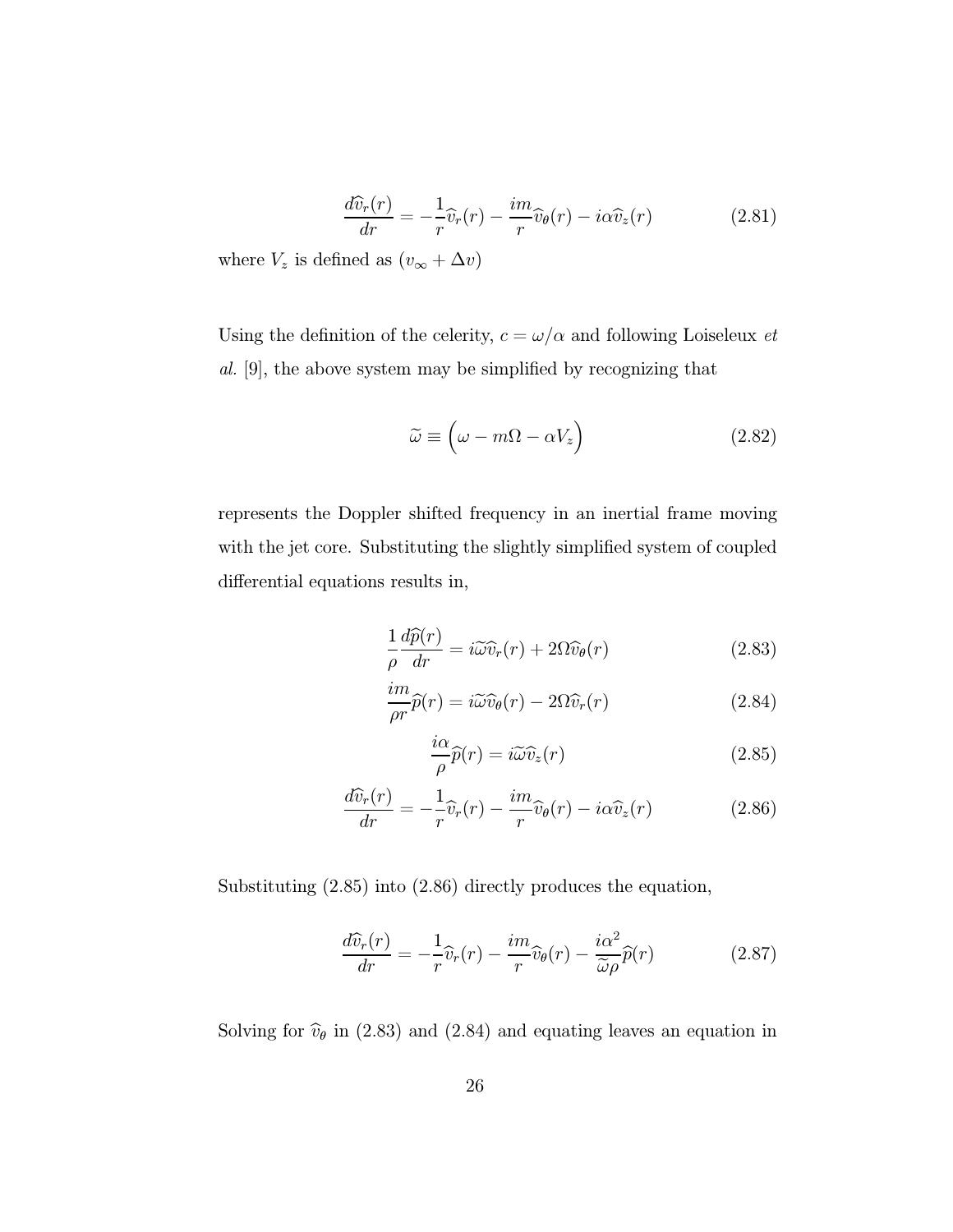$$
\frac{d\widehat{v}_r(r)}{dr} = -\frac{1}{r}\widehat{v}_r(r) - \frac{im}{r}\widehat{v}_\theta(r) - i\alpha \widehat{v}_z(r) \tag{2.81}
$$

where  $V_z$  is defined as  $(v_\infty + \Delta v)$ 

Using the definition of the celerity,  $c=\omega/\alpha$  and following Loiseleux  $et$ al. [9], the above system may be simplified by recognizing that

$$
\widetilde{\omega} \equiv \left(\omega - m\Omega - \alpha V_z\right) \tag{2.82}
$$

represents the Doppler shifted frequency in an inertial frame moving with the jet core. Substituting the slightly simplified system of coupled differential equations results in,

$$
\frac{1}{\rho} \frac{d\widehat{p}(r)}{dr} = i\widetilde{\omega}\widehat{v}_r(r) + 2\Omega \widehat{v}_\theta(r) \tag{2.83}
$$

$$
\frac{im}{\rho r}\widehat{p}(r) = i\widetilde{\omega}\widehat{v}_{\theta}(r) - 2\Omega\widehat{v}_{r}(r)
$$
\n(2.84)

$$
\frac{i\alpha}{\rho}\widehat{p}(r) = i\widetilde{\omega}\widehat{v}_z(r) \tag{2.85}
$$

$$
\frac{d\widehat{v}_r(r)}{dr} = -\frac{1}{r}\widehat{v}_r(r) - \frac{im}{r}\widehat{v}_\theta(r) - i\alpha \widehat{v}_z(r) \tag{2.86}
$$

Substituting (2.85) into (2.86) directly produces the equation,

$$
\frac{d\widehat{v}_r(r)}{dr} = -\frac{1}{r}\widehat{v}_r(r) - \frac{im}{r}\widehat{v}_\theta(r) - \frac{i\alpha^2}{\widetilde{\omega}\rho}\widehat{p}(r) \tag{2.87}
$$

Solving for  $\hat{v}_{\theta}$  in (2.83) and (2.84) and equating leaves an equation in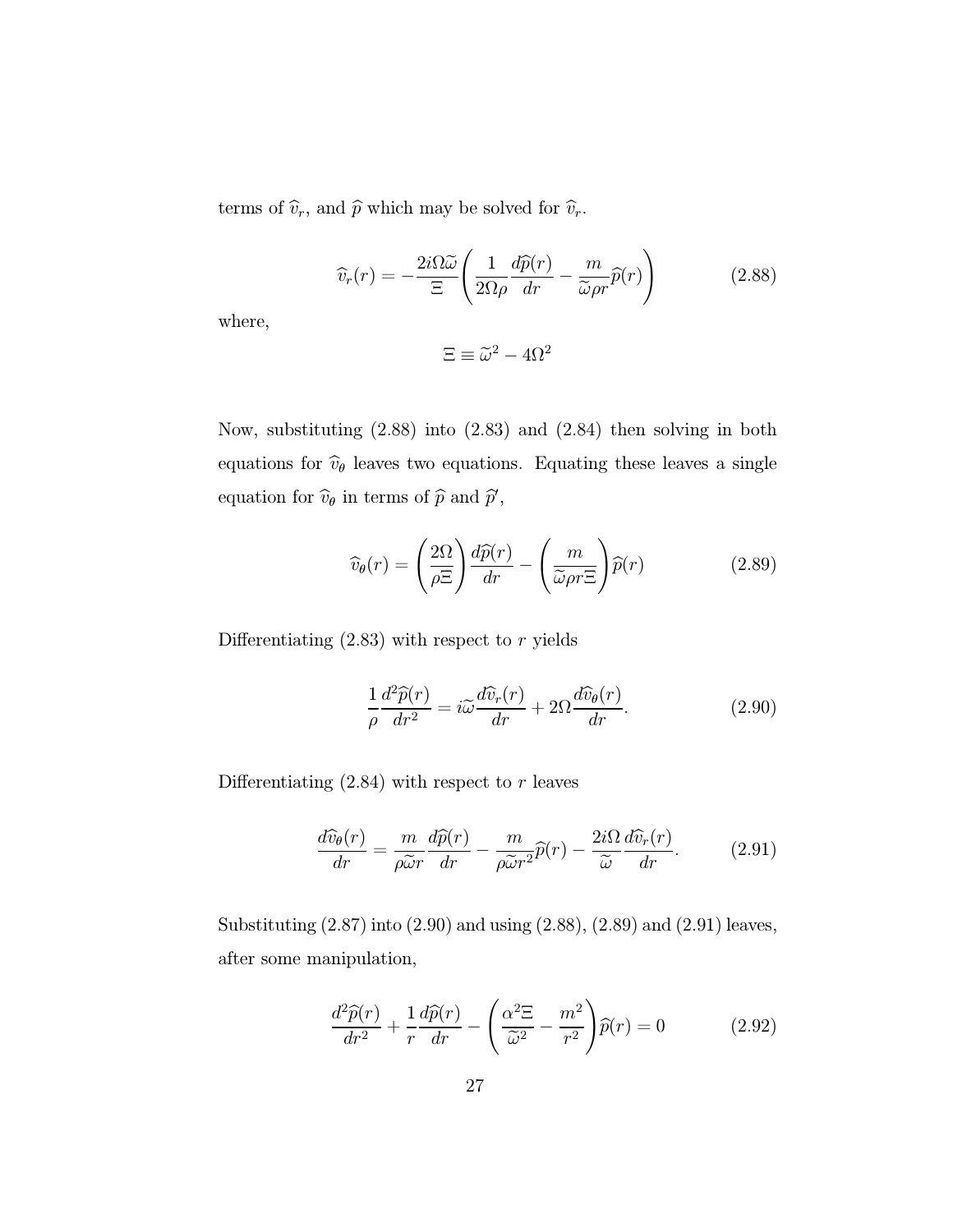terms of  $\widehat{v}_r$ , and  $\widehat{p}$  which may be solved for  $\widehat{v}_r$ .

$$
\widehat{v}_r(r) = -\frac{2i\Omega\widetilde{\omega}}{\Xi} \left( \frac{1}{2\Omega\rho} \frac{d\widehat{p}(r)}{dr} - \frac{m}{\widetilde{\omega}\rho r} \widehat{p}(r) \right) \tag{2.88}
$$

where,

$$
\Xi \equiv \widetilde{\omega}^2 - 4\Omega^2
$$

Now, substituting (2.88) into (2.83) and (2.84) then solving in both equations for  $\hat{v}_{\theta}$  leaves two equations. Equating these leaves a single equation for  $\widehat{v}_{\theta}$  in terms of  $\widehat{p}$  and  $\widehat{p}'$ ,

$$
\widehat{v}_{\theta}(r) = \left(\frac{2\Omega}{\rho \Xi}\right) \frac{d\widehat{p}(r)}{dr} - \left(\frac{m}{\widetilde{\omega}\rho r \Xi}\right) \widehat{p}(r) \tag{2.89}
$$

Differentiating  $(2.83)$  with respect to  $r$  yields

$$
\frac{1}{\rho} \frac{d^2 \widehat{p}(r)}{dr^2} = i \widetilde{\omega} \frac{d \widehat{v}_r(r)}{dr} + 2\Omega \frac{d \widehat{v}_\theta(r)}{dr}.
$$
\n(2.90)

Differentiating  $(2.84)$  with respect to r leaves

$$
\frac{d\widehat{v}_{\theta}(r)}{dr} = \frac{m}{\rho \widetilde{\omega}r} \frac{d\widehat{p}(r)}{dr} - \frac{m}{\rho \widetilde{\omega}r^2} \widehat{p}(r) - \frac{2i\Omega}{\widetilde{\omega}} \frac{d\widehat{v}_r(r)}{dr}.
$$
 (2.91)

Substituting (2.87) into (2.90) and using (2.88), (2.89) and (2.91) leaves, after some manipulation,

$$
\frac{d^2\widehat{p}(r)}{dr^2} + \frac{1}{r}\frac{d\widehat{p}(r)}{dr} - \left(\frac{\alpha^2 \Xi}{\widetilde{\omega}^2} - \frac{m^2}{r^2}\right)\widehat{p}(r) = 0 \tag{2.92}
$$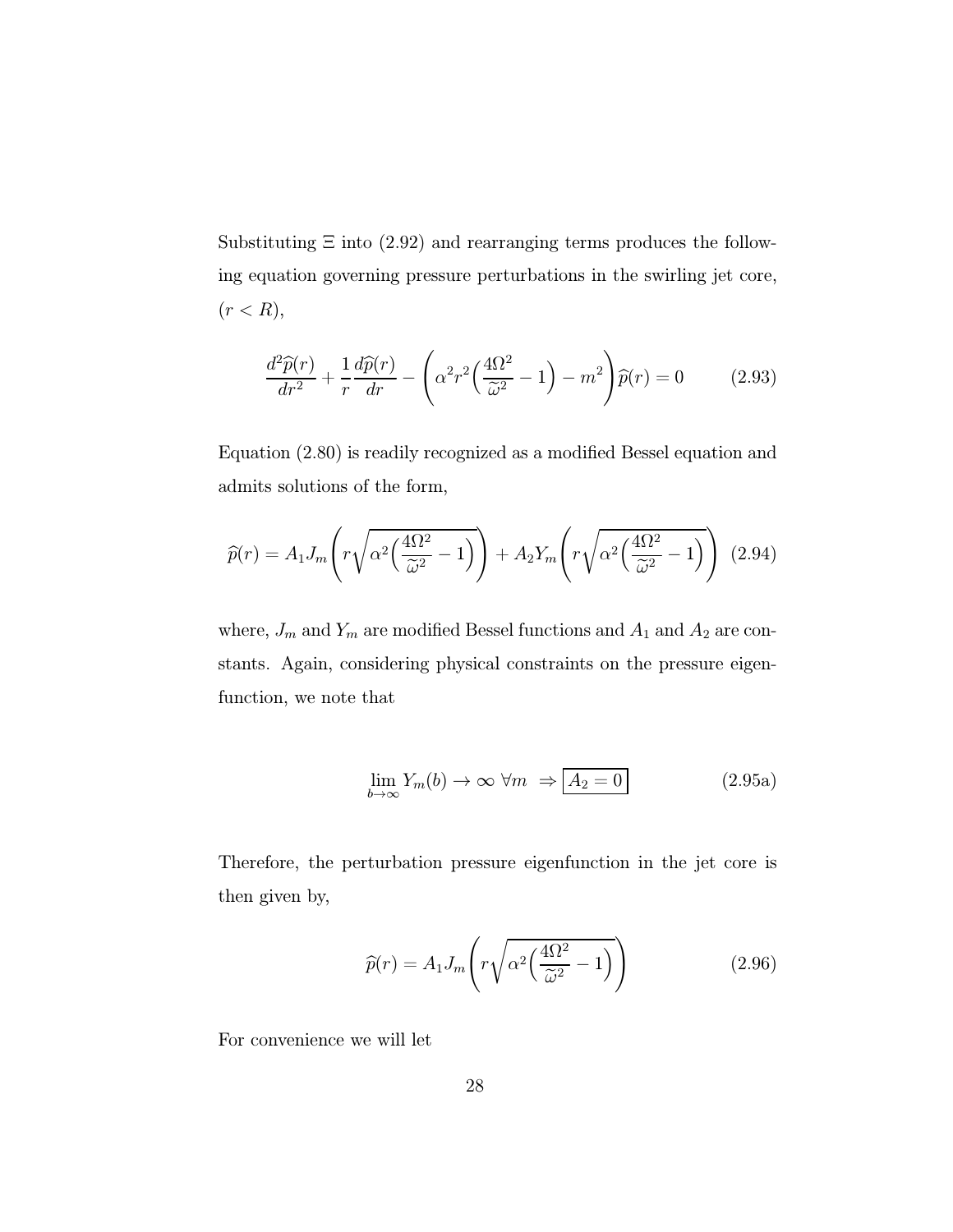Substituting  $\Xi$  into (2.92) and rearranging terms produces the following equation governing pressure perturbations in the swirling jet core,  $(r < R),$ 

$$
\frac{d^2\widehat{p}(r)}{dr^2} + \frac{1}{r}\frac{d\widehat{p}(r)}{dr} - \left(\alpha^2 r^2 \left(\frac{4\Omega^2}{\widetilde{\omega}^2} - 1\right) - m^2\right)\widehat{p}(r) = 0 \tag{2.93}
$$

Equation (2.80) is readily recognized as a modified Bessel equation and admits solutions of the form,

$$
\widehat{p}(r) = A_1 J_m \left( r \sqrt{\alpha^2 \left( \frac{4\Omega^2}{\widetilde{\omega}^2} - 1 \right)} \right) + A_2 Y_m \left( r \sqrt{\alpha^2 \left( \frac{4\Omega^2}{\widetilde{\omega}^2} - 1 \right)} \right) (2.94)
$$

where,  $J_m$  and  $Y_m$  are modified Bessel functions and  $A_1$  and  $A_2$  are constants. Again, considering physical constraints on the pressure eigenfunction, we note that

$$
\lim_{b \to \infty} Y_m(b) \to \infty \ \forall m \ \Rightarrow \boxed{A_2 = 0} \tag{2.95a}
$$

Therefore, the perturbation pressure eigenfunction in the jet core is then given by,

$$
\widehat{p}(r) = A_1 J_m \left( r \sqrt{\alpha^2 \left( \frac{4\Omega^2}{\widetilde{\omega}^2} - 1 \right)} \right) \tag{2.96}
$$

For convenience we will let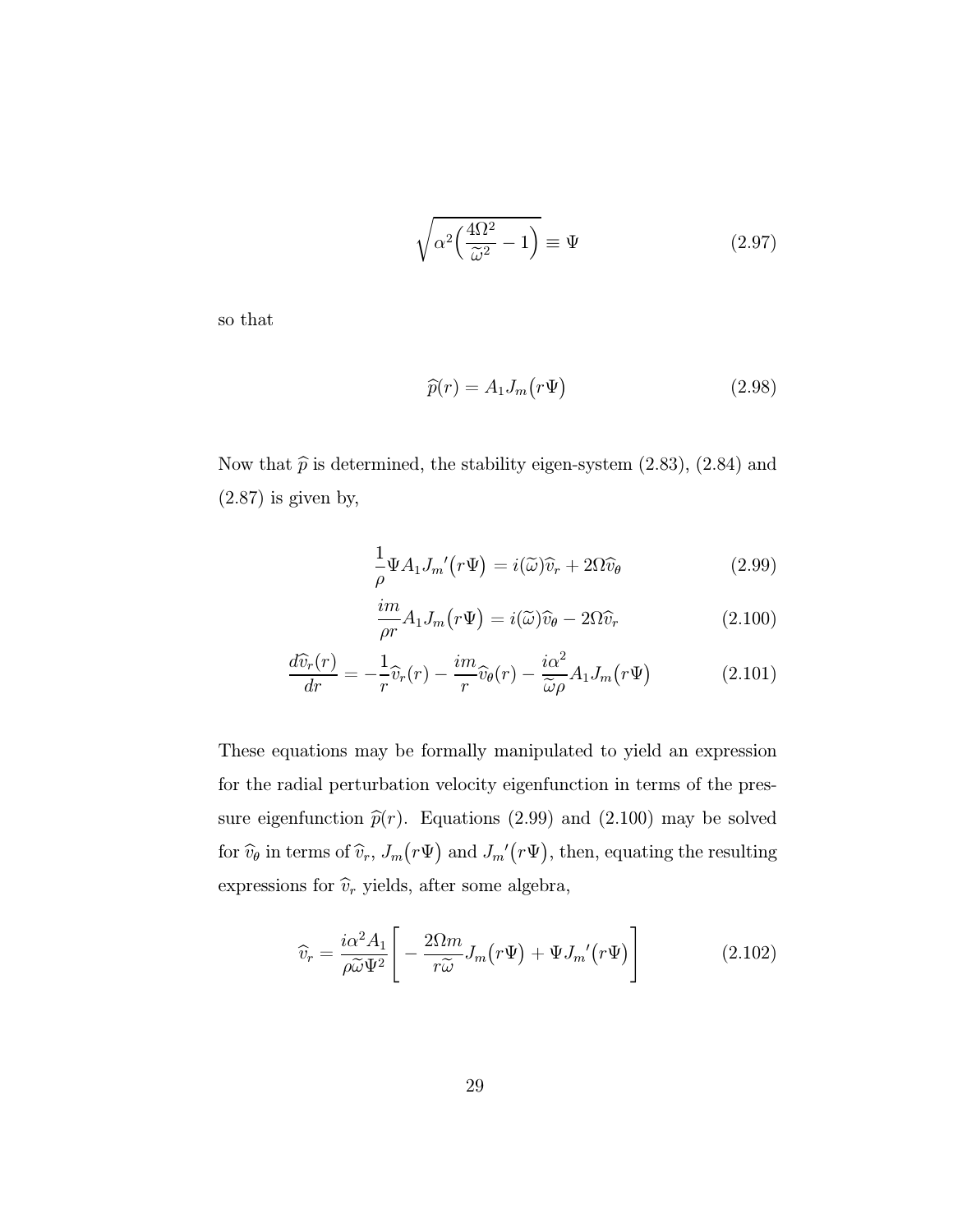$$
\sqrt{\alpha^2 \left(\frac{4\Omega^2}{\tilde{\omega}^2} - 1\right)} \equiv \Psi \tag{2.97}
$$

so that

$$
\widehat{p}(r) = A_1 J_m(r\Psi) \tag{2.98}
$$

Now that  $\hat{p}$  is determined, the stability eigen-system (2.83), (2.84) and  $(2.87)$  is given by,

$$
\frac{1}{\rho} \Psi A_1 J_m'(r \Psi) = i(\tilde{\omega}) \hat{v}_r + 2\Omega \hat{v}_\theta \tag{2.99}
$$

$$
\frac{im}{\rho r}A_1 J_m(r\Psi) = i(\widetilde{\omega})\widehat{v}_{\theta} - 2\Omega \widehat{v}_r
$$
\n(2.100)

$$
\frac{d\widehat{v}_r(r)}{dr} = -\frac{1}{r}\widehat{v}_r(r) - \frac{im}{r}\widehat{v}_\theta(r) - \frac{i\alpha^2}{\widetilde{\omega}\rho}A_1J_m(r\Psi)
$$
(2.101)

These equations may be formally manipulated to yield an expression for the radial perturbation velocity eigenfunction in terms of the pressure eigenfunction  $\hat{p}(r)$ . Equations (2.99) and (2.100) may be solved for  $\widehat{v}_{\theta}$  in terms of  $\widehat{v}_r$ ,  $J_m(r\Psi)$  and  $J_m'(r\Psi)$ , then, equating the resulting expressions for  $\widehat{v}_r$  yields, after some algebra,

$$
\widehat{v}_r = \frac{i\alpha^2 A_1}{\rho \widetilde{\omega} \Psi^2} \Bigg[ -\frac{2\Omega m}{r \widetilde{\omega}} J_m(r\Psi) + \Psi J_m'(r\Psi) \Bigg]
$$
(2.102)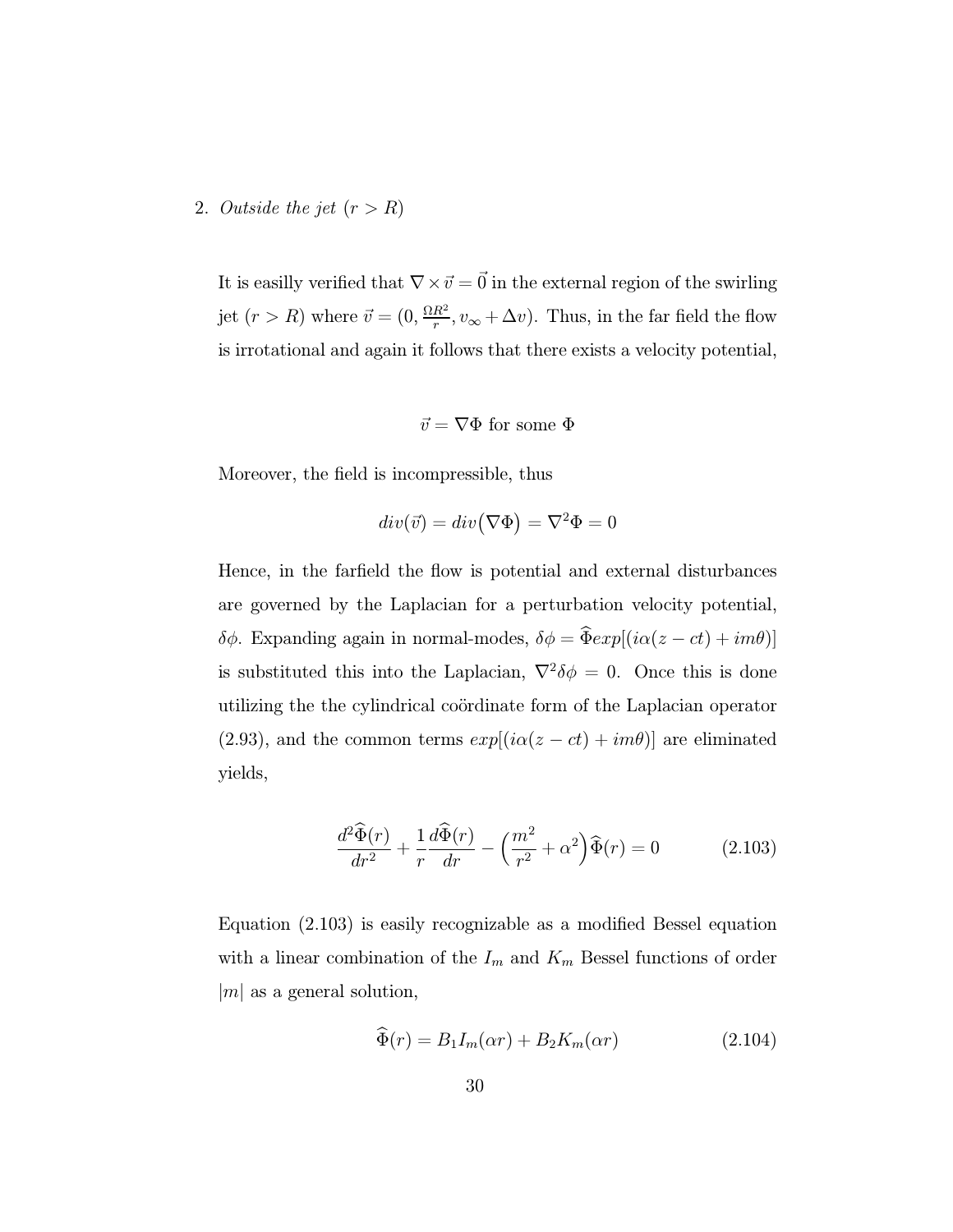#### 2. Outside the jet  $(r>R)$

It is easilly verified that  $\nabla \times \vec{v} = \vec{0}$  in the external region of the swirling jet  $(r > R)$  where  $\vec{v} = (0, \frac{\Omega R^2}{r}, v_{\infty} + \Delta v)$ . Thus, in the far field the flow is irrotational and again it follows that there exists a velocity potential,

$$
\vec{v} = \nabla \Phi \text{ for some } \Phi
$$

Moreover, the field is incompressible, thus

$$
div(\vec{v})=div\big(\nabla\Phi\big)=\nabla^2\Phi=0
$$

Hence, in the farfield the flow is potential and external disturbances are governed by the Laplacian for a perturbation velocity potential, δφ. Expanding again in normal-modes,  $δφ = \hat{Φ} exp[(iα(z - ct) + imθ)]$ is substituted this into the Laplacian,  $\nabla^2 \delta \phi = 0$ . Once this is done utilizing the the cylindrical coördinate form of the Laplacian operator (2.93), and the common terms  $exp[(i\alpha(z - ct) + im\theta)]$  are eliminated yields,

$$
\frac{d^2\widehat{\Phi}(r)}{dr^2} + \frac{1}{r}\frac{d\widehat{\Phi}(r)}{dr} - \left(\frac{m^2}{r^2} + \alpha^2\right)\widehat{\Phi}(r) = 0 \tag{2.103}
$$

Equation (2.103) is easily recognizable as a modified Bessel equation with a linear combination of the  $I_m$  and  $K_m$  Bessel functions of order  $|m|$  as a general solution,

$$
\widehat{\Phi}(r) = B_1 I_m(\alpha r) + B_2 K_m(\alpha r) \tag{2.104}
$$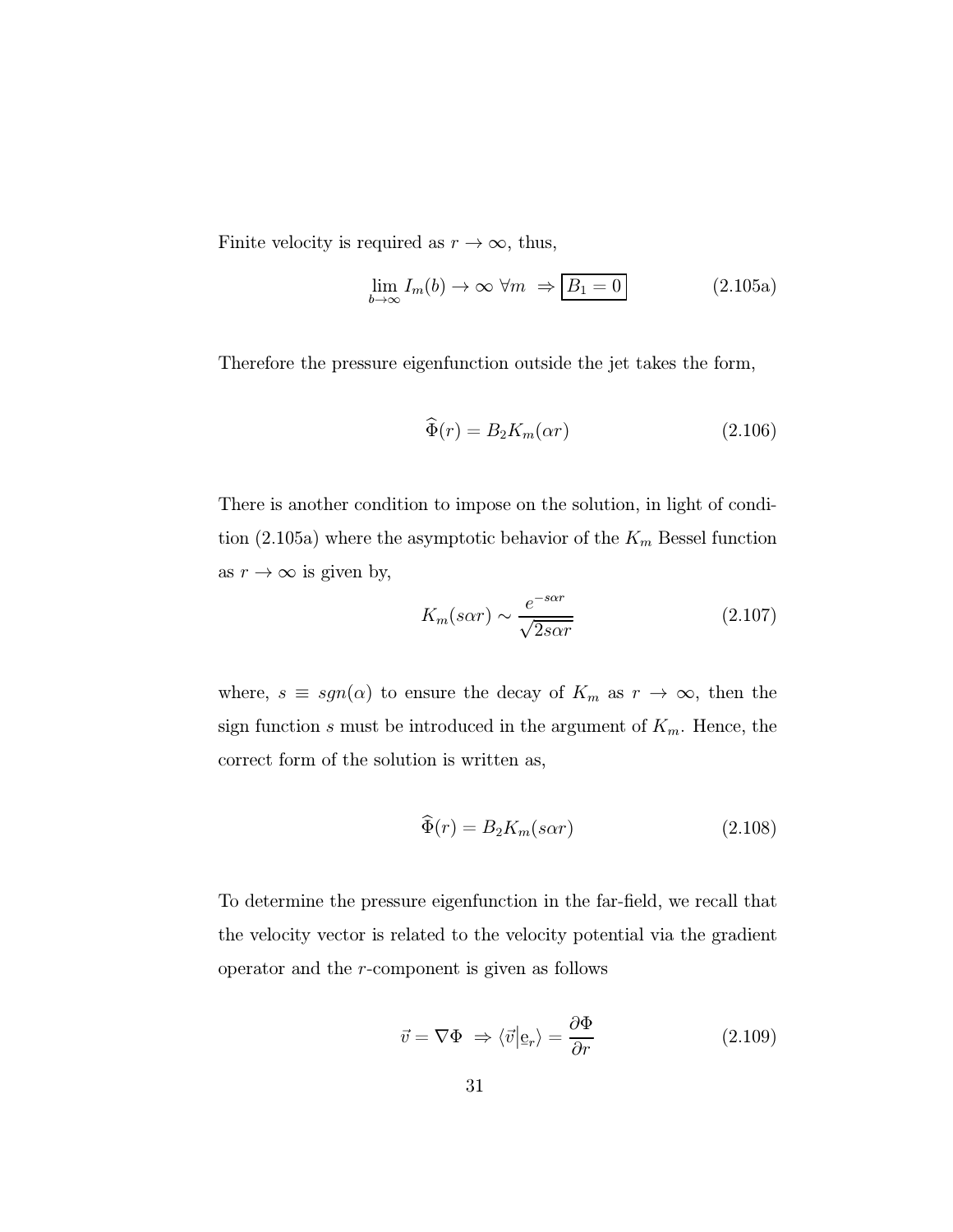Finite velocity is required as  $r \to \infty$ , thus,

$$
\lim_{b \to \infty} I_m(b) \to \infty \ \forall m \ \Rightarrow \boxed{B_1 = 0} \tag{2.105a}
$$

Therefore the pressure eigenfunction outside the jet takes the form,

$$
\widehat{\Phi}(r) = B_2 K_m(\alpha r) \tag{2.106}
$$

There is another condition to impose on the solution, in light of condition (2.105a) where the asymptotic behavior of the  $K_m$  Bessel function as  $r \to \infty$  is given by,

$$
K_m(s\alpha r) \sim \frac{e^{-s\alpha r}}{\sqrt{2s\alpha r}}\tag{2.107}
$$

where,  $s \equiv sgn(\alpha)$  to ensure the decay of  $K_m$  as  $r \to \infty$ , then the sign function s must be introduced in the argument of  $K_m$ . Hence, the correct form of the solution is written as,

$$
\widehat{\Phi}(r) = B_2 K_m(s \alpha r) \tag{2.108}
$$

To determine the pressure eigenfunction in the far-field, we recall that the velocity vector is related to the velocity potential via the gradient operator and the r-component is given as follows

$$
\vec{v} = \nabla \Phi \Rightarrow \langle \vec{v} | \mathbf{e}_r \rangle = \frac{\partial \Phi}{\partial r} \tag{2.109}
$$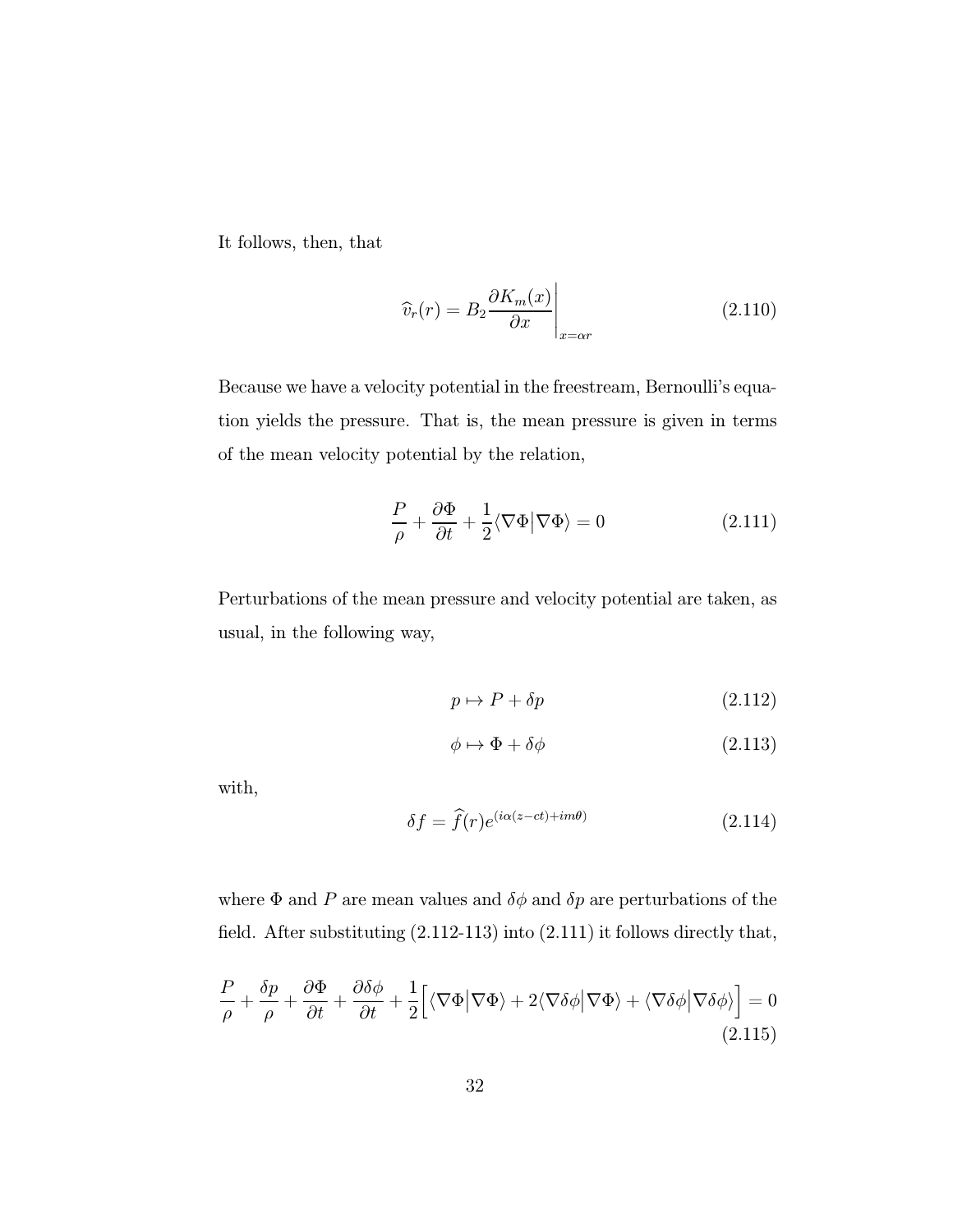It follows, then, that

$$
\widehat{v}_r(r) = B_2 \frac{\partial K_m(x)}{\partial x} \bigg|_{x = \alpha r} \tag{2.110}
$$

Because we have a velocity potential in the freestream, Bernoulli's equation yields the pressure. That is, the mean pressure is given in terms of the mean velocity potential by the relation,

$$
\frac{P}{\rho} + \frac{\partial \Phi}{\partial t} + \frac{1}{2} \langle \nabla \Phi | \nabla \Phi \rangle = 0 \tag{2.111}
$$

Perturbations of the mean pressure and velocity potential are taken, as usual, in the following way,

$$
p \mapsto P + \delta p \tag{2.112}
$$

$$
\phi \mapsto \Phi + \delta \phi \tag{2.113}
$$

with,

$$
\delta f = \hat{f}(r)e^{(i\alpha(z-ct)+im\theta)} \tag{2.114}
$$

where  $\Phi$  and P are mean values and  $\delta\phi$  and  $\delta p$  are perturbations of the field. After substituting (2.112-113) into (2.111) it follows directly that,

$$
\frac{P}{\rho} + \frac{\delta p}{\rho} + \frac{\partial \Phi}{\partial t} + \frac{\partial \delta \phi}{\partial t} + \frac{1}{2} \Big[ \langle \nabla \Phi | \nabla \Phi \rangle + 2 \langle \nabla \delta \phi | \nabla \Phi \rangle + \langle \nabla \delta \phi | \nabla \delta \phi \rangle \Big] = 0
$$
\n(2.115)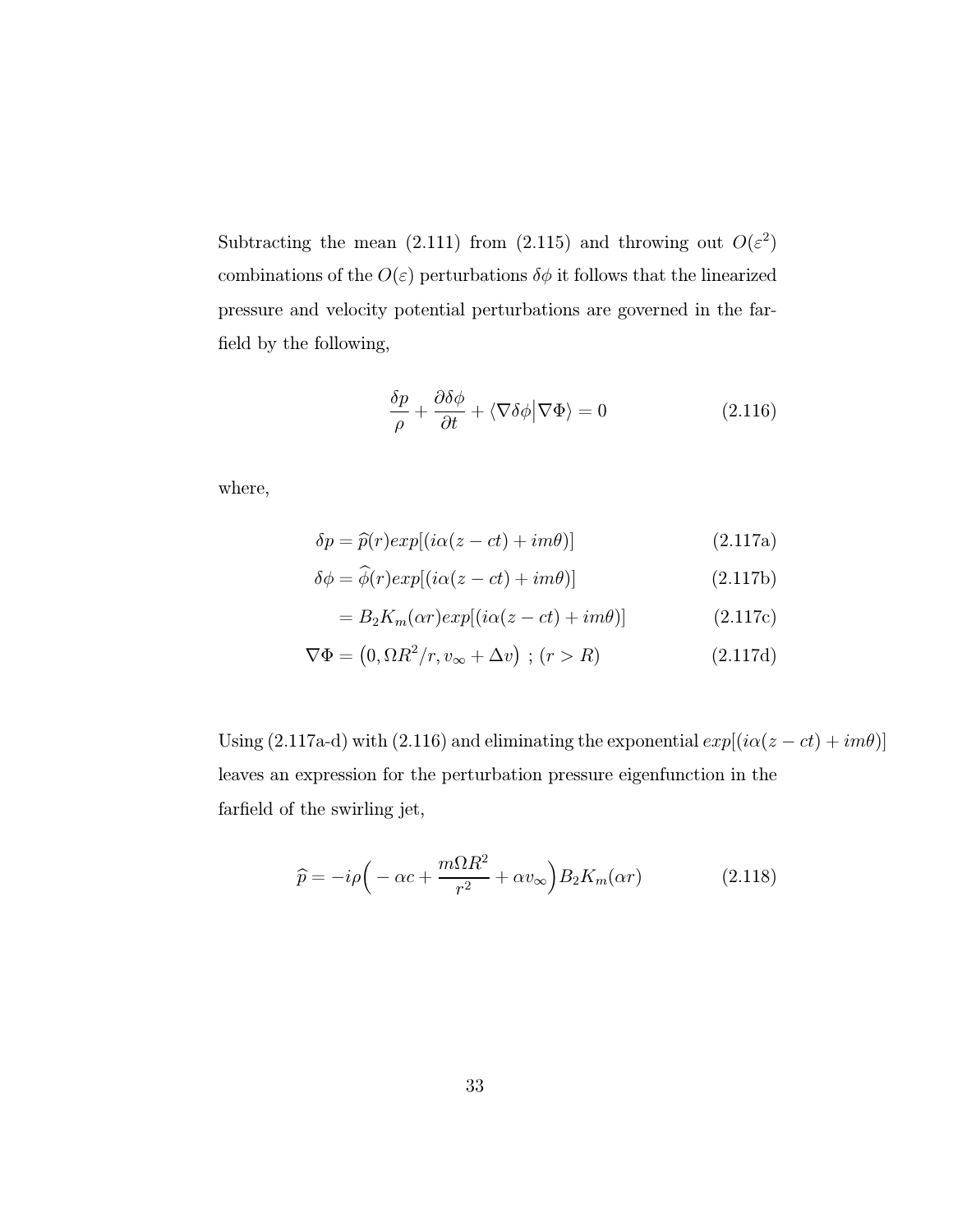Subtracting the mean (2.111) from (2.115) and throwing out  $O(\varepsilon^2)$ combinations of the  $O(\varepsilon)$  perturbations  $\delta\phi$  it follows that the linearized pressure and velocity potential perturbations are governed in the farfield by the following,

$$
\frac{\delta p}{\rho} + \frac{\partial \delta \phi}{\partial t} + \langle \nabla \delta \phi | \nabla \Phi \rangle = 0 \tag{2.116}
$$

where,

$$
\delta p = \hat{p}(r)exp[(i\alpha(z-ct) + im\theta)]
$$
\n(2.117a)

$$
\delta\phi = \phi(r)exp[(i\alpha(z - ct) + im\theta)]
$$
 (2.117b)

$$
= B_2 K_m(\alpha r) exp[(i\alpha(z - ct) + im\theta)] \qquad (2.117c)
$$

$$
\nabla \Phi = (0, \Omega R^2 / r, v_{\infty} + \Delta v) ; (r > R)
$$
 (2.117d)

Using (2.117a-d) with (2.116) and eliminating the exponential  $exp[(i\alpha(z - ct) + im\theta)]$ leaves an expression for the perturbation pressure eigenfunction in the farfield of the swirling jet,

$$
\widehat{p} = -i\rho \Big( -\alpha c + \frac{m\Omega R^2}{r^2} + \alpha v_{\infty} \Big) B_2 K_m(\alpha r) \tag{2.118}
$$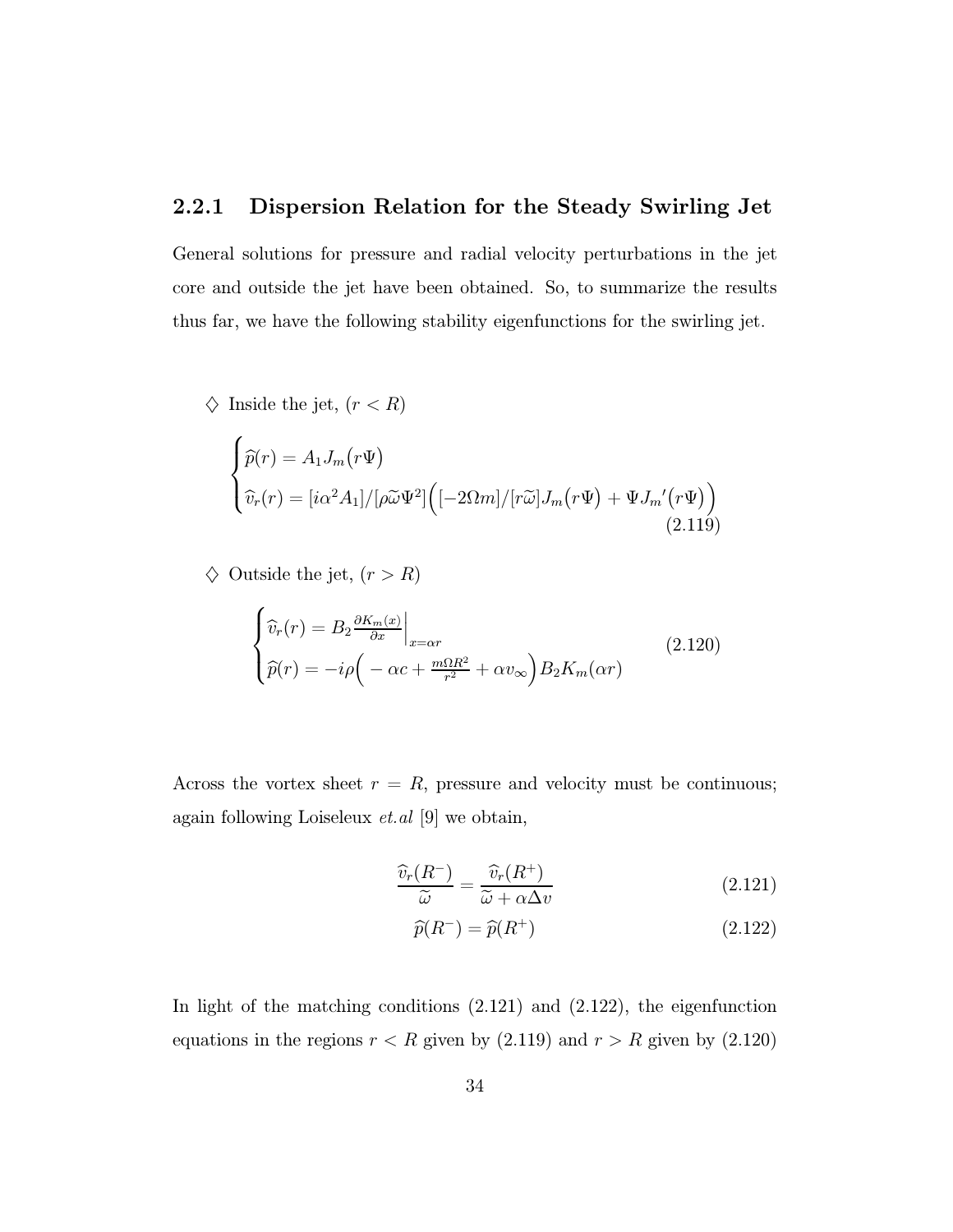#### 2.2.1 Dispersion Relation for the Steady Swirling Jet

General solutions for pressure and radial velocity perturbations in the jet core and outside the jet have been obtained. So, to summarize the results thus far, we have the following stability eigenfunctions for the swirling jet.

 $\diamondsuit$  Inside the jet,  $(r < R)$ 

$$
\begin{cases}\n\widehat{p}(r) = A_1 J_m(r\Psi) \\
\widehat{v}_r(r) = [i\alpha^2 A_1]/[\rho \widetilde{\omega} \Psi^2] \Big( [-2\Omega m]/[r\widetilde{\omega}] J_m(r\Psi) + \Psi J_m'(r\Psi) \Big) \\
(2.119)\n\end{cases}
$$

 $\diamondsuit$  Outside the jet,  $(r>R)$ 

$$
\begin{cases}\n\widehat{v}_r(r) = B_2 \frac{\partial K_m(x)}{\partial x}\Big|_{x=\alpha r} \\
\widehat{p}(r) = -i\rho \Big( -\alpha c + \frac{m\Omega R^2}{r^2} + \alpha v_\infty \Big) B_2 K_m(\alpha r)\n\end{cases} (2.120)
$$

Across the vortex sheet  $r = R$ , pressure and velocity must be continuous; again following Loiseleux  $et.al$  [9] we obtain,

$$
\frac{\widehat{v}_r(R^-)}{\widetilde{\omega}} = \frac{\widehat{v}_r(R^+)}{\widetilde{\omega} + \alpha \Delta v} \tag{2.121}
$$

$$
\widehat{p}(R^{-}) = \widehat{p}(R^{+})\tag{2.122}
$$

In light of the matching conditions (2.121) and (2.122), the eigenfunction equations in the regions  $r < R$  given by (2.119) and  $r > R$  given by (2.120)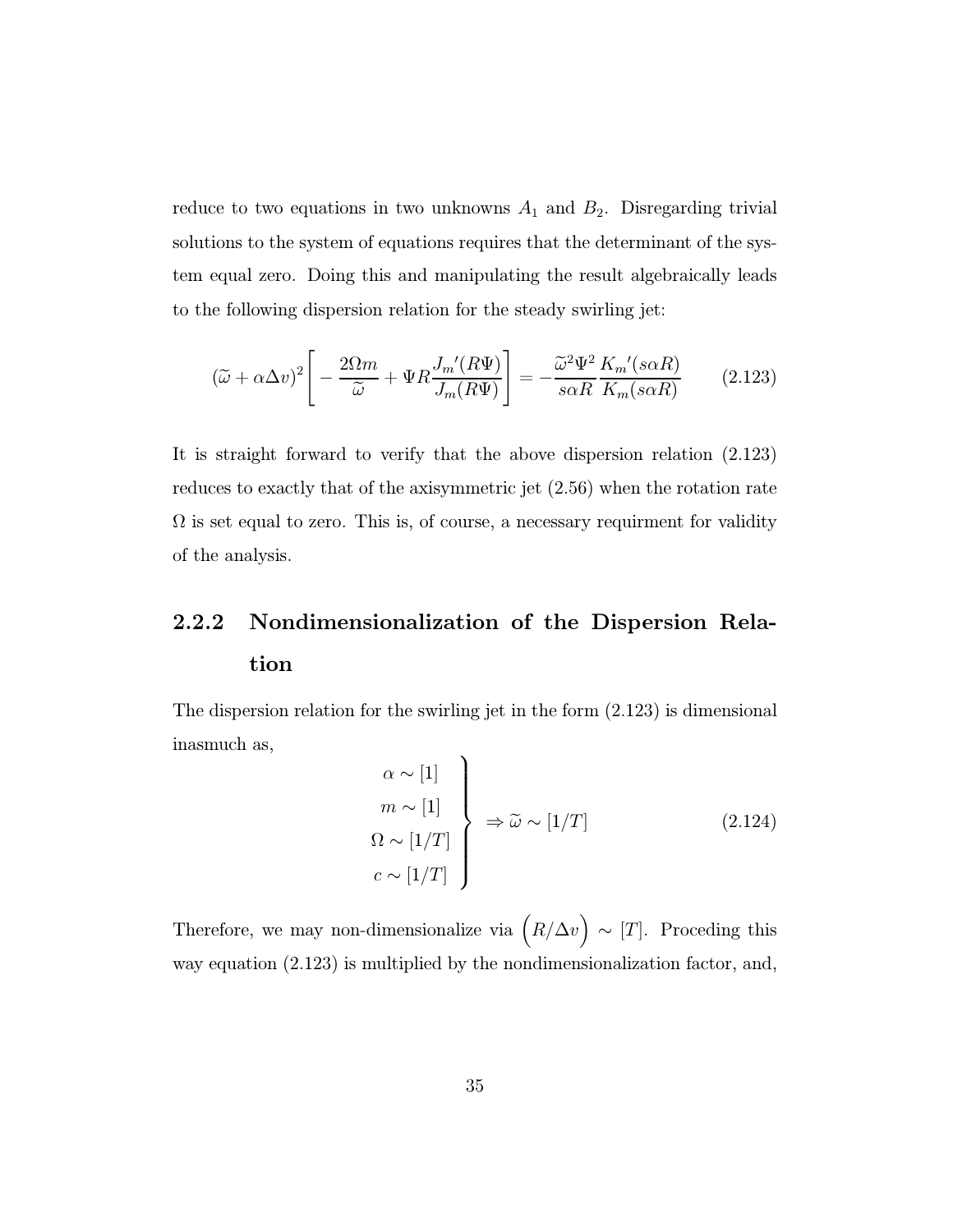reduce to two equations in two unknowns  $A_1$  and  $B_2$ . Disregarding trivial solutions to the system of equations requires that the determinant of the system equal zero. Doing this and manipulating the result algebraically leads to the following dispersion relation for the steady swirling jet:

$$
(\widetilde{\omega} + \alpha \Delta v)^2 \left[ -\frac{2\Omega m}{\widetilde{\omega}} + \Psi R \frac{J_m'(R\Psi)}{J_m(R\Psi)} \right] = -\frac{\widetilde{\omega}^2 \Psi^2}{s \alpha R} \frac{K_m'(s \alpha R)}{K_m(s \alpha R)} \tag{2.123}
$$

It is straight forward to verify that the above dispersion relation (2.123) reduces to exactly that of the axisymmetric jet (2.56) when the rotation rate  $\Omega$  is set equal to zero. This is, of course, a necessary requirment for validity of the analysis.

## 2.2.2 Nondimensionalization of the Dispersion Relation

The dispersion relation for the swirling jet in the form (2.123) is dimensional inasmuch as,  $\overline{\phantom{0}}$ 

$$
\begin{aligned}\n\alpha &\sim [1] \\
m &\sim [1] \\
\Omega &\sim [1/T] \\
c &\sim [1/T]\n\end{aligned}\n\Rightarrow \tilde{\omega} \sim [1/T]
$$
\n(2.124)

Therefore, we may non-dimensionalize via  $(R/\Delta v) \sim [T]$ . Proceding this way equation (2.123) is multiplied by the nondimensionalization factor, and,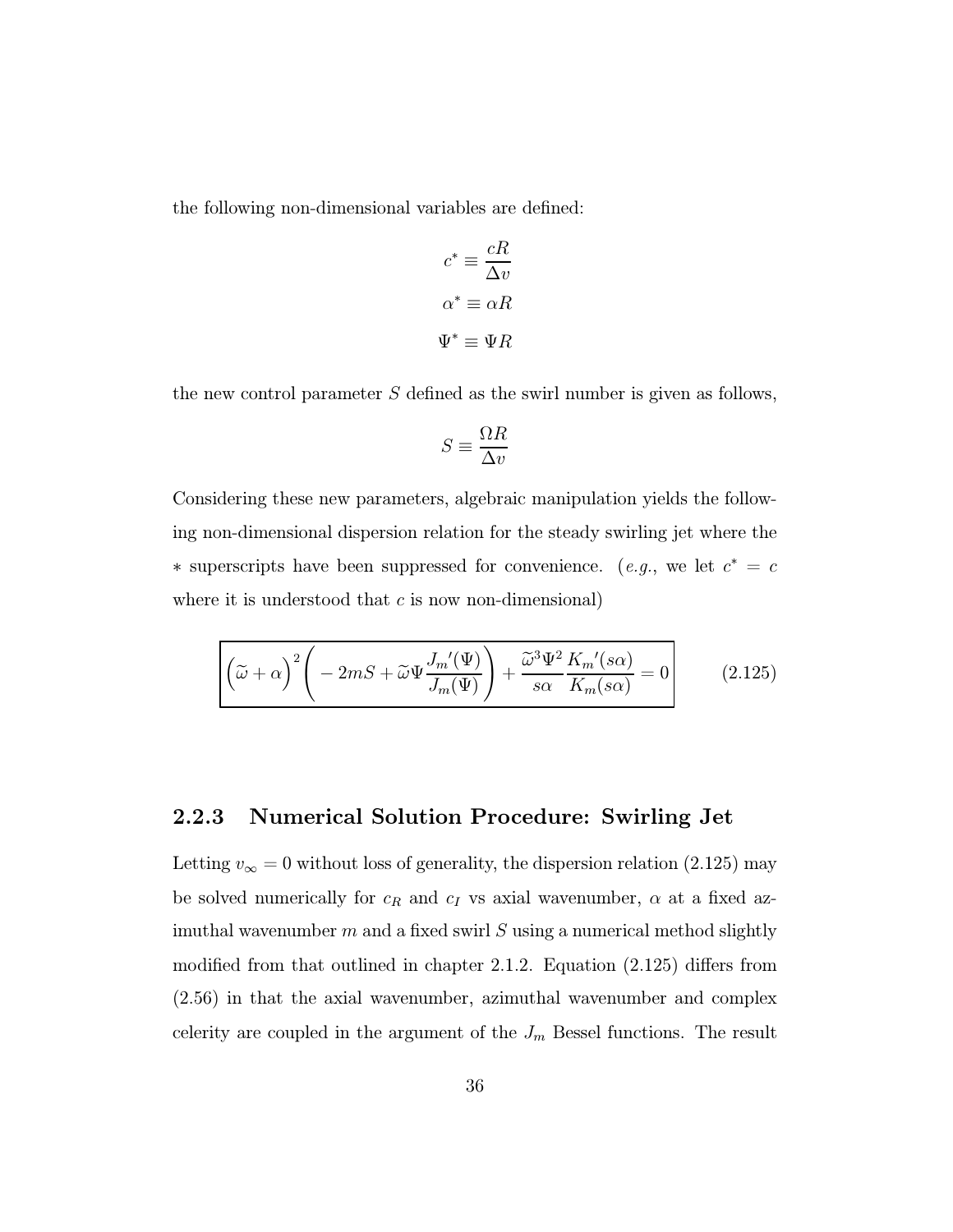the following non-dimensional variables are defined:

$$
c^* \equiv \frac{cR}{\Delta v}
$$

$$
\alpha^* \equiv \alpha R
$$

$$
\Psi^* \equiv \Psi R
$$

the new control parameter S defined as the swirl number is given as follows,

$$
S\equiv\frac{\Omega R}{\Delta v}
$$

Considering these new parameters, algebraic manipulation yields the following non-dimensional dispersion relation for the steady swirling jet where the ∗ superscripts have been suppressed for convenience. (*e.g.*, we let  $c^* = c$ where it is understood that  $c$  is now non-dimensional)

$$
\left[ \left( \tilde{\omega} + \alpha \right)^2 \left( -2mS + \tilde{\omega}\Psi \frac{J_m'(\Psi)}{J_m(\Psi)} \right) + \frac{\tilde{\omega}^3 \Psi^2}{s\alpha} \frac{K_m'(s\alpha)}{K_m(s\alpha)} = 0 \right]
$$
 (2.125)

#### 2.2.3 Numerical Solution Procedure: Swirling Jet

Letting  $v_{\infty} = 0$  without loss of generality, the dispersion relation (2.125) may be solved numerically for  $c_R$  and  $c_I$  vs axial wavenumber,  $\alpha$  at a fixed azimuthal wavenumber  $m$  and a fixed swirl  $S$  using a numerical method slightly modified from that outlined in chapter 2.1.2. Equation (2.125) differs from (2.56) in that the axial wavenumber, azimuthal wavenumber and complex celerity are coupled in the argument of the  $J_m$  Bessel functions. The result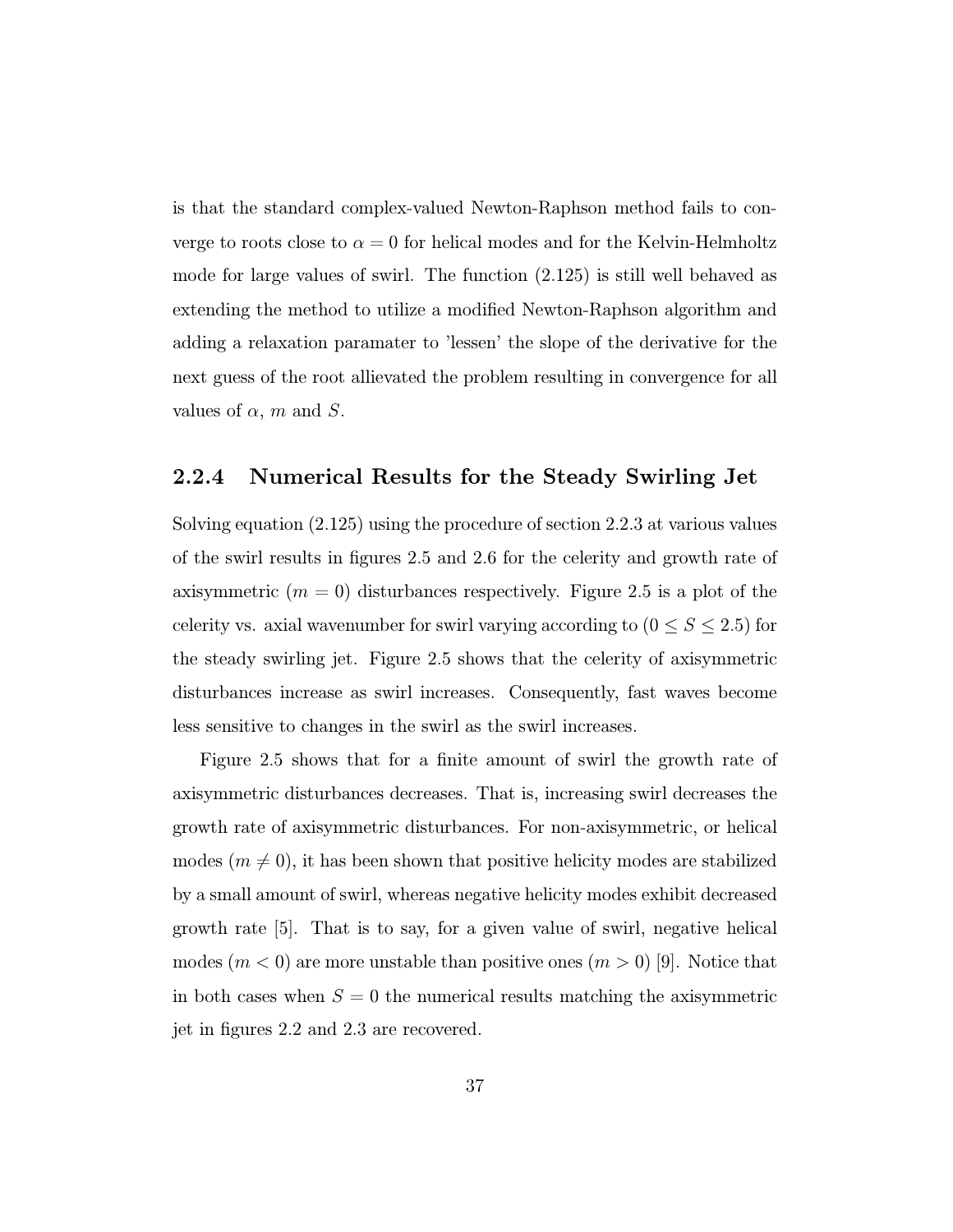is that the standard complex-valued Newton-Raphson method fails to converge to roots close to  $\alpha = 0$  for helical modes and for the Kelvin-Helmholtz mode for large values of swirl. The function (2.125) is still well behaved as extending the method to utilize a modified Newton-Raphson algorithm and adding a relaxation paramater to 'lessen' the slope of the derivative for the next guess of the root allievated the problem resulting in convergence for all values of  $\alpha$ , m and S.

#### 2.2.4 Numerical Results for the Steady Swirling Jet

Solving equation (2.125) using the procedure of section 2.2.3 at various values of the swirl results in figures 2.5 and 2.6 for the celerity and growth rate of axisymmetric  $(m = 0)$  disturbances respectively. Figure 2.5 is a plot of the celerity vs. axial wavenumber for swirl varying according to  $(0 \le S \le 2.5)$  for the steady swirling jet. Figure 2.5 shows that the celerity of axisymmetric disturbances increase as swirl increases. Consequently, fast waves become less sensitive to changes in the swirl as the swirl increases.

Figure 2.5 shows that for a finite amount of swirl the growth rate of axisymmetric disturbances decreases. That is, increasing swirl decreases the growth rate of axisymmetric disturbances. For non-axisymmetric, or helical modes  $(m \neq 0)$ , it has been shown that positive helicity modes are stabilized by a small amount of swirl, whereas negative helicity modes exhibit decreased growth rate [5]. That is to say, for a given value of swirl, negative helical modes  $(m < 0)$  are more unstable than positive ones  $(m > 0)$  [9]. Notice that in both cases when  $S = 0$  the numerical results matching the axisymmetric jet in figures 2.2 and 2.3 are recovered.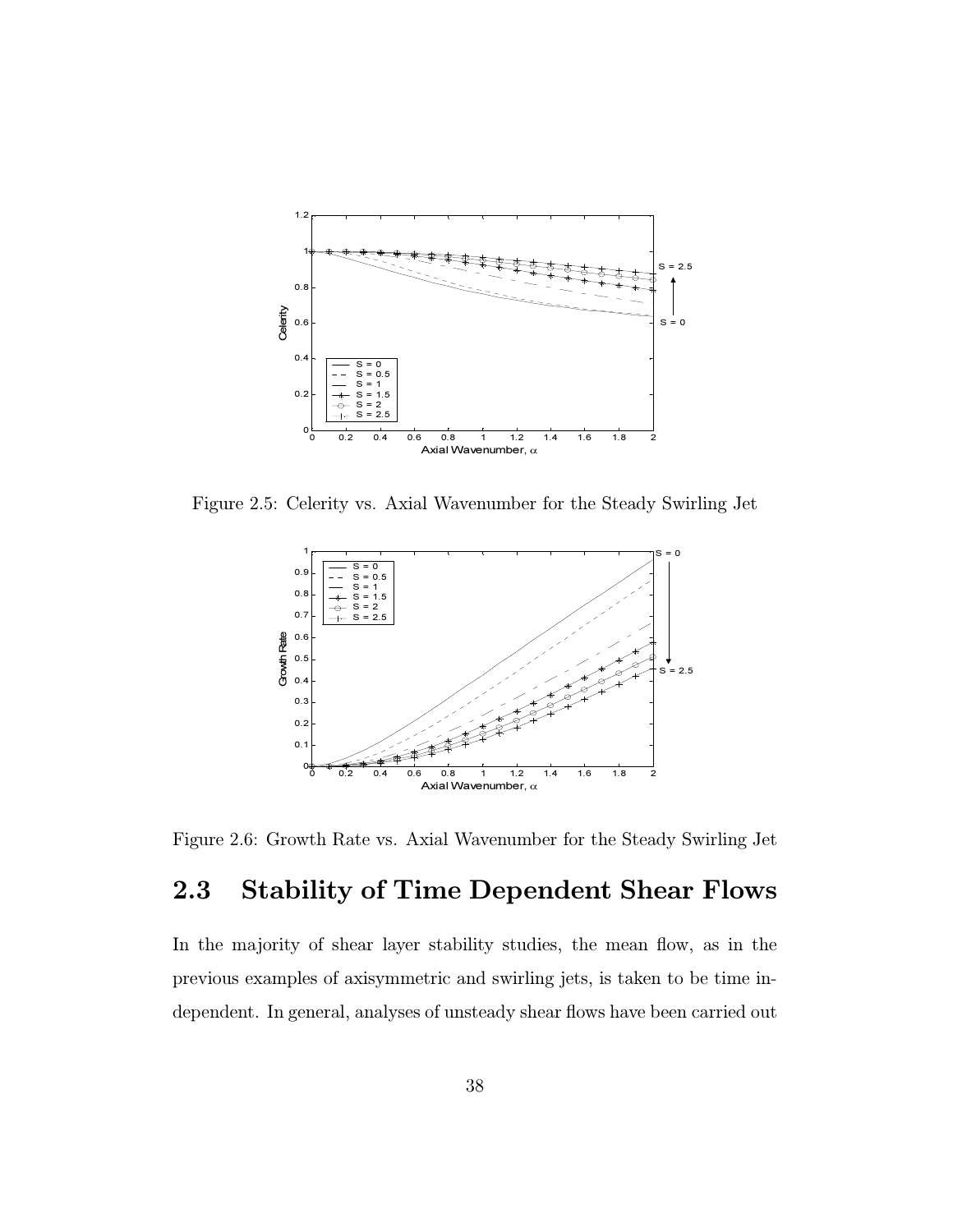

Figure 2.5: Celerity vs. Axial Wavenumber for the Steady Swirling Jet



Figure 2.6: Growth Rate vs. Axial Wavenumber for the Steady Swirling Jet

#### 2.3 Stability of Time Dependent Shear Flows

In the majority of shear layer stability studies, the mean flow, as in the previous examples of axisymmetric and swirling jets, is taken to be time independent. In general, analyses of unsteady shear flows have been carried out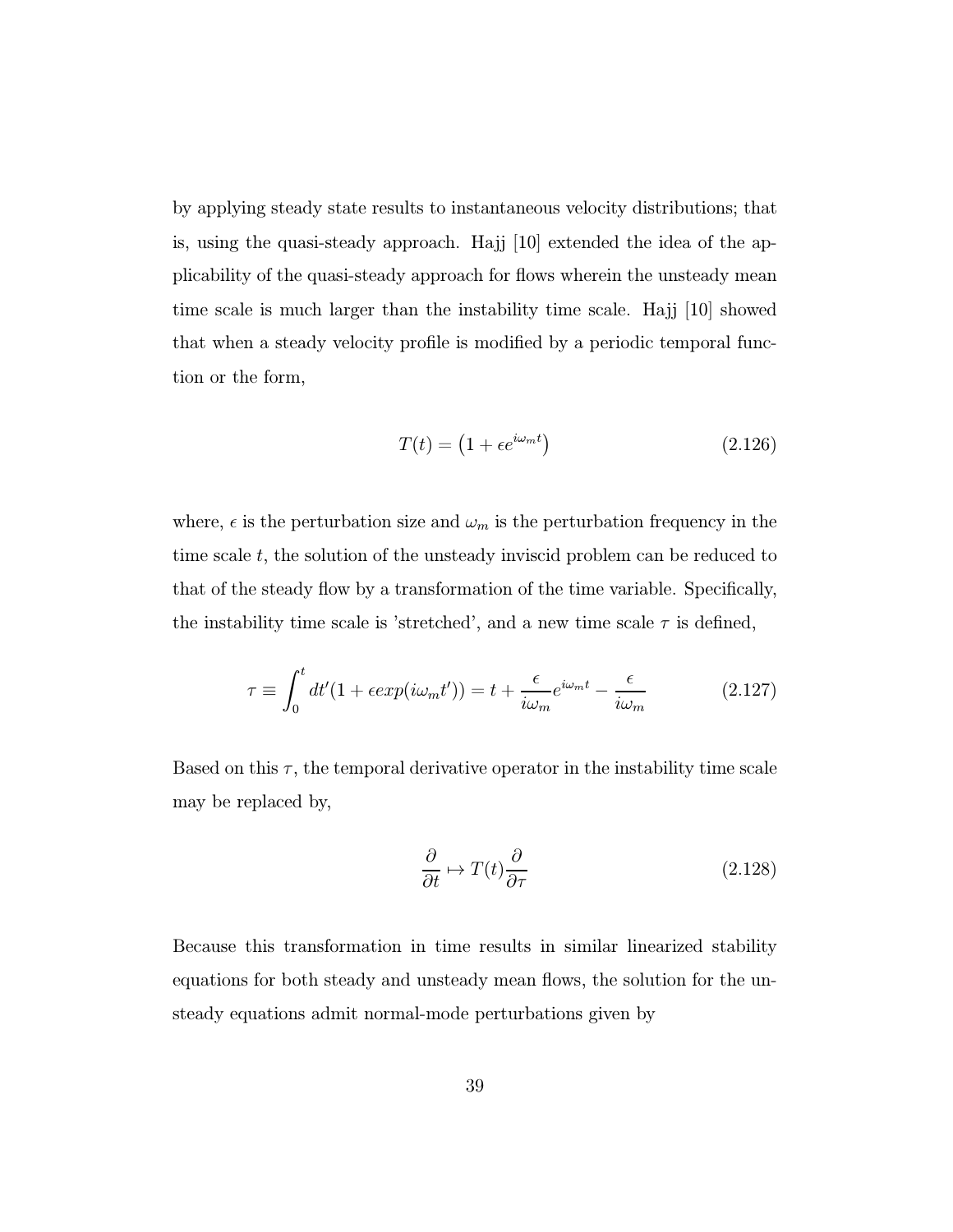by applying steady state results to instantaneous velocity distributions; that is, using the quasi-steady approach. Hajj  $|10|$  extended the idea of the applicability of the quasi-steady approach for flows wherein the unsteady mean time scale is much larger than the instability time scale. Hajj [10] showed that when a steady velocity profile is modified by a periodic temporal function or the form,

$$
T(t) = \left(1 + \epsilon e^{i\omega_m t}\right) \tag{2.126}
$$

where,  $\epsilon$  is the perturbation size and  $\omega_m$  is the perturbation frequency in the time scale  $t$ , the solution of the unsteady inviscid problem can be reduced to that of the steady flow by a transformation of the time variable. Specifically, the instability time scale is 'stretched', and a new time scale  $\tau$  is defined,

$$
\tau \equiv \int_0^t dt' (1 + \epsilon \exp(i\omega_m t')) = t + \frac{\epsilon}{i\omega_m} e^{i\omega_m t} - \frac{\epsilon}{i\omega_m} \tag{2.127}
$$

Based on this  $\tau$ , the temporal derivative operator in the instability time scale may be replaced by,

$$
\frac{\partial}{\partial t} \mapsto T(t) \frac{\partial}{\partial \tau} \tag{2.128}
$$

Because this transformation in time results in similar linearized stability equations for both steady and unsteady mean flows, the solution for the unsteady equations admit normal-mode perturbations given by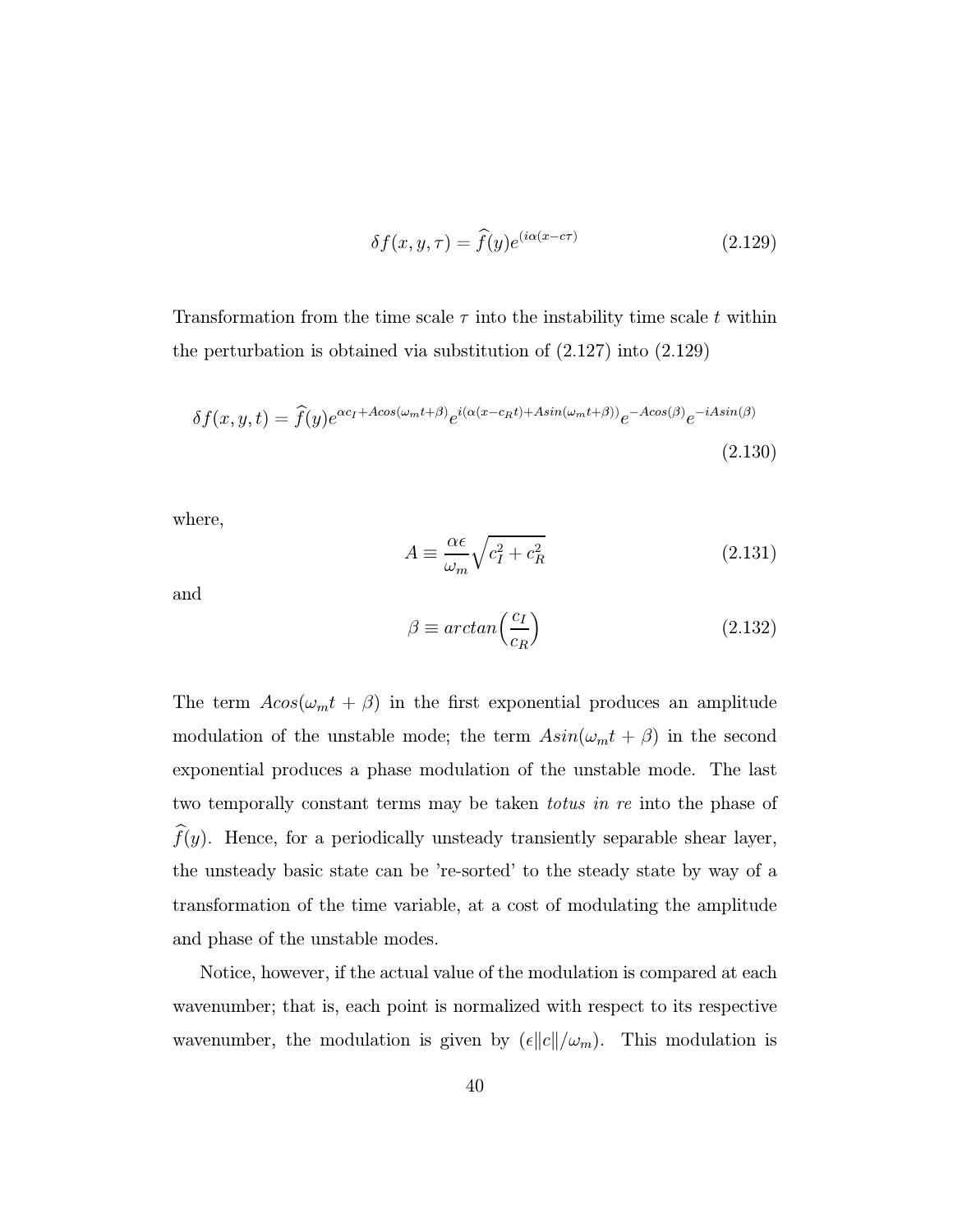$$
\delta f(x, y, \tau) = \hat{f}(y)e^{(i\alpha(x - c\tau))}
$$
\n(2.129)

Transformation from the time scale  $\tau$  into the instability time scale t within the perturbation is obtained via substitution of (2.127) into (2.129)

$$
\delta f(x, y, t) = \hat{f}(y)e^{\alpha c_I + A\cos(\omega_m t + \beta)}e^{i(\alpha(x - c_R t) + A\sin(\omega_m t + \beta))}e^{-A\cos(\beta)}e^{-iA\sin(\beta)}
$$
\n(2.130)

where,

$$
A \equiv \frac{\alpha \epsilon}{\omega_m} \sqrt{c_I^2 + c_R^2} \tag{2.131}
$$

and

$$
\beta \equiv \arctan\left(\frac{c_I}{c_R}\right) \tag{2.132}
$$

The term  $A\cos(\omega_m t + \beta)$  in the first exponential produces an amplitude modulation of the unstable mode; the term  $Asin(\omega_m t + \beta)$  in the second exponential produces a phase modulation of the unstable mode. The last two temporally constant terms may be taken totus in re into the phase of  $f(y)$ . Hence, for a periodically unsteady transiently separable shear layer, the unsteady basic state can be 're-sorted' to the steady state by way of a transformation of the time variable, at a cost of modulating the amplitude and phase of the unstable modes.

Notice, however, if the actual value of the modulation is compared at each wavenumber; that is, each point is normalized with respect to its respective wavenumber, the modulation is given by  $(\epsilon ||c||/\omega_m)$ . This modulation is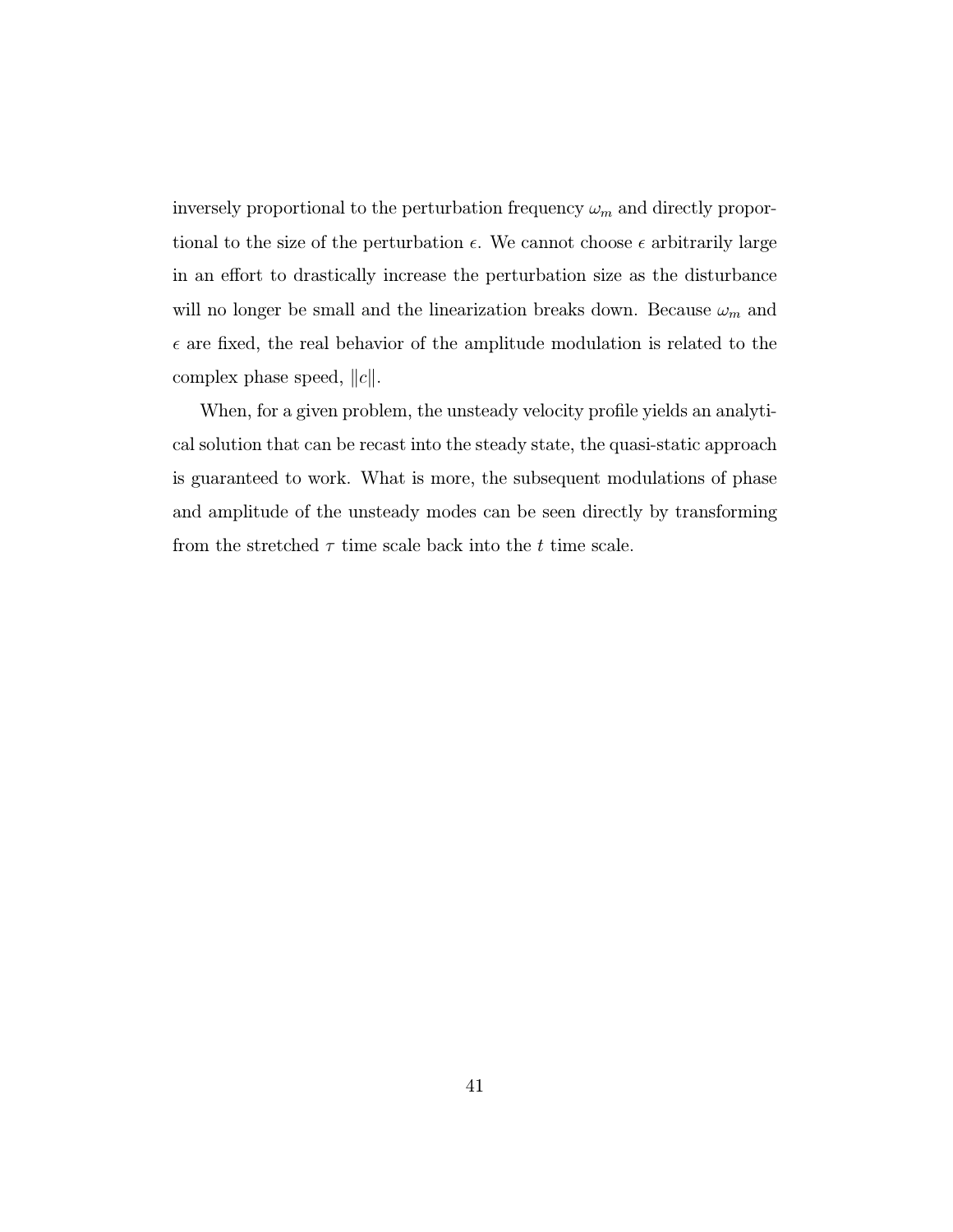inversely proportional to the perturbation frequency  $\omega_m$  and directly proportional to the size of the perturbation  $\epsilon$ . We cannot choose  $\epsilon$  arbitrarily large in an effort to drastically increase the perturbation size as the disturbance will no longer be small and the linearization breaks down. Because  $\omega_m$  and  $\epsilon$  are fixed, the real behavior of the amplitude modulation is related to the complex phase speed,  $||c||$ .

When, for a given problem, the unsteady velocity profile yields an analytical solution that can be recast into the steady state, the quasi-static approach is guaranteed to work. What is more, the subsequent modulations of phase and amplitude of the unsteady modes can be seen directly by transforming from the stretched  $\tau$  time scale back into the t time scale.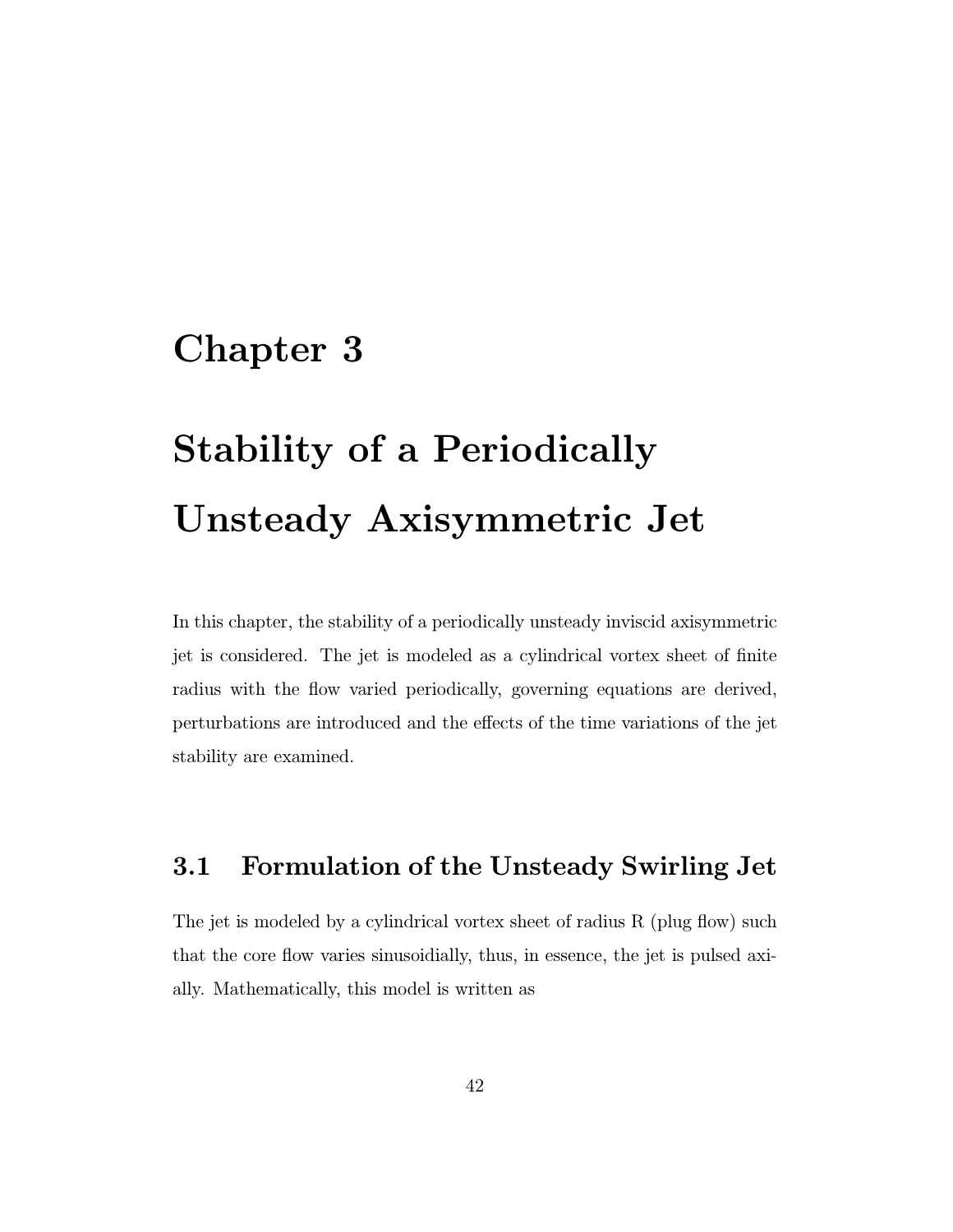# Chapter 3

# Stability of a Periodically Unsteady Axisymmetric Jet

In this chapter, the stability of a periodically unsteady inviscid axisymmetric jet is considered. The jet is modeled as a cylindrical vortex sheet of finite radius with the flow varied periodically, governing equations are derived, perturbations are introduced and the effects of the time variations of the jet stability are examined.

### 3.1 Formulation of the Unsteady Swirling Jet

The jet is modeled by a cylindrical vortex sheet of radius R (plug flow) such that the core flow varies sinusoidially, thus, in essence, the jet is pulsed axially. Mathematically, this model is written as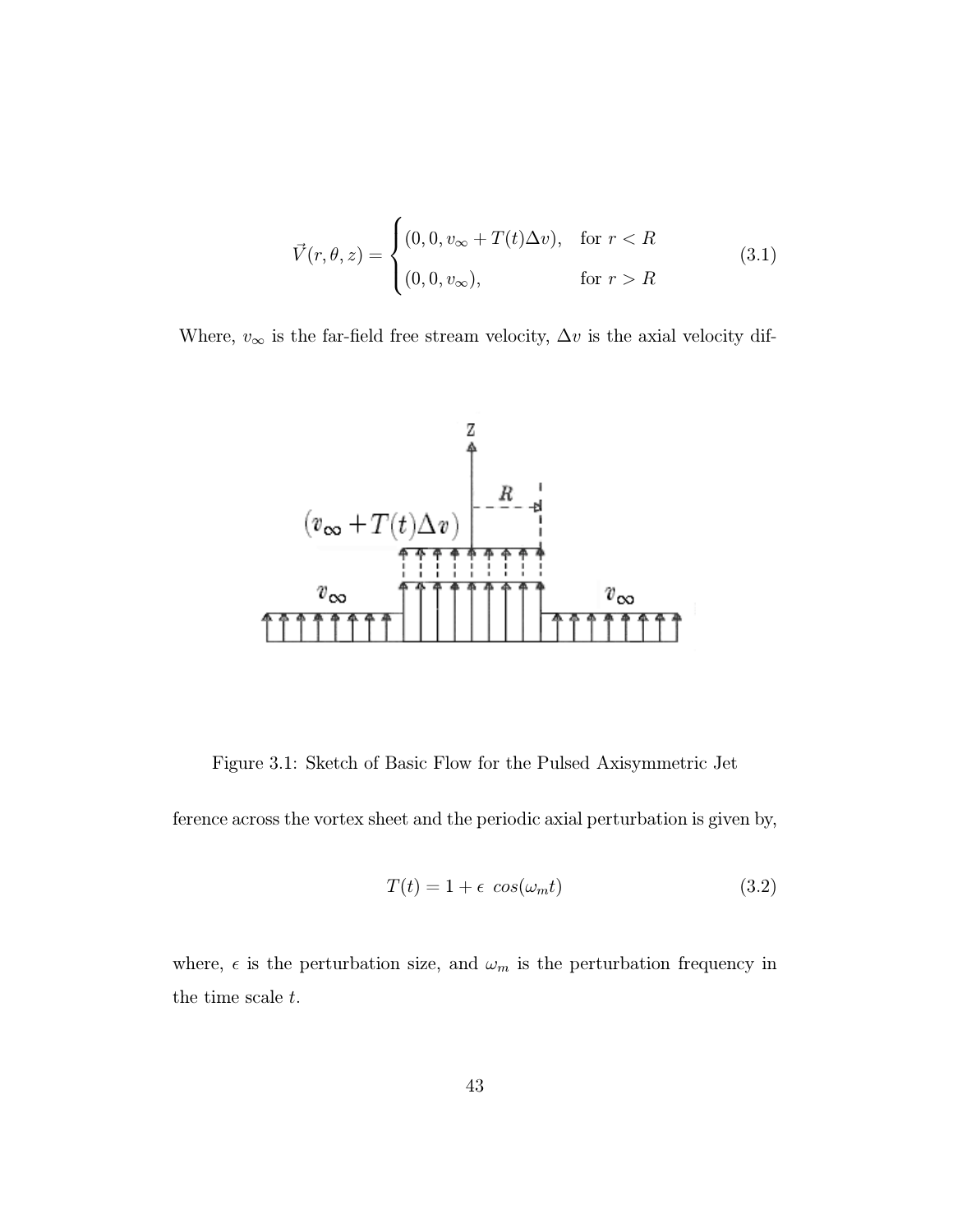$$
\vec{V}(r,\theta,z) = \begin{cases}\n(0,0,v_{\infty} + T(t)\Delta v), & \text{for } r < R \\
(0,0,v_{\infty}), & \text{for } r > R\n\end{cases}
$$
\n(3.1)

Where,  $v_{\infty}$  is the far-field free stream velocity,  $\Delta v$  is the axial velocity dif-



Figure 3.1: Sketch of Basic Flow for the Pulsed Axisymmetric Jet

ference across the vortex sheet and the periodic axial perturbation is given by,

$$
T(t) = 1 + \epsilon \cos(\omega_m t) \tag{3.2}
$$

where,  $\epsilon$  is the perturbation size, and  $\omega_m$  is the perturbation frequency in the time scale t.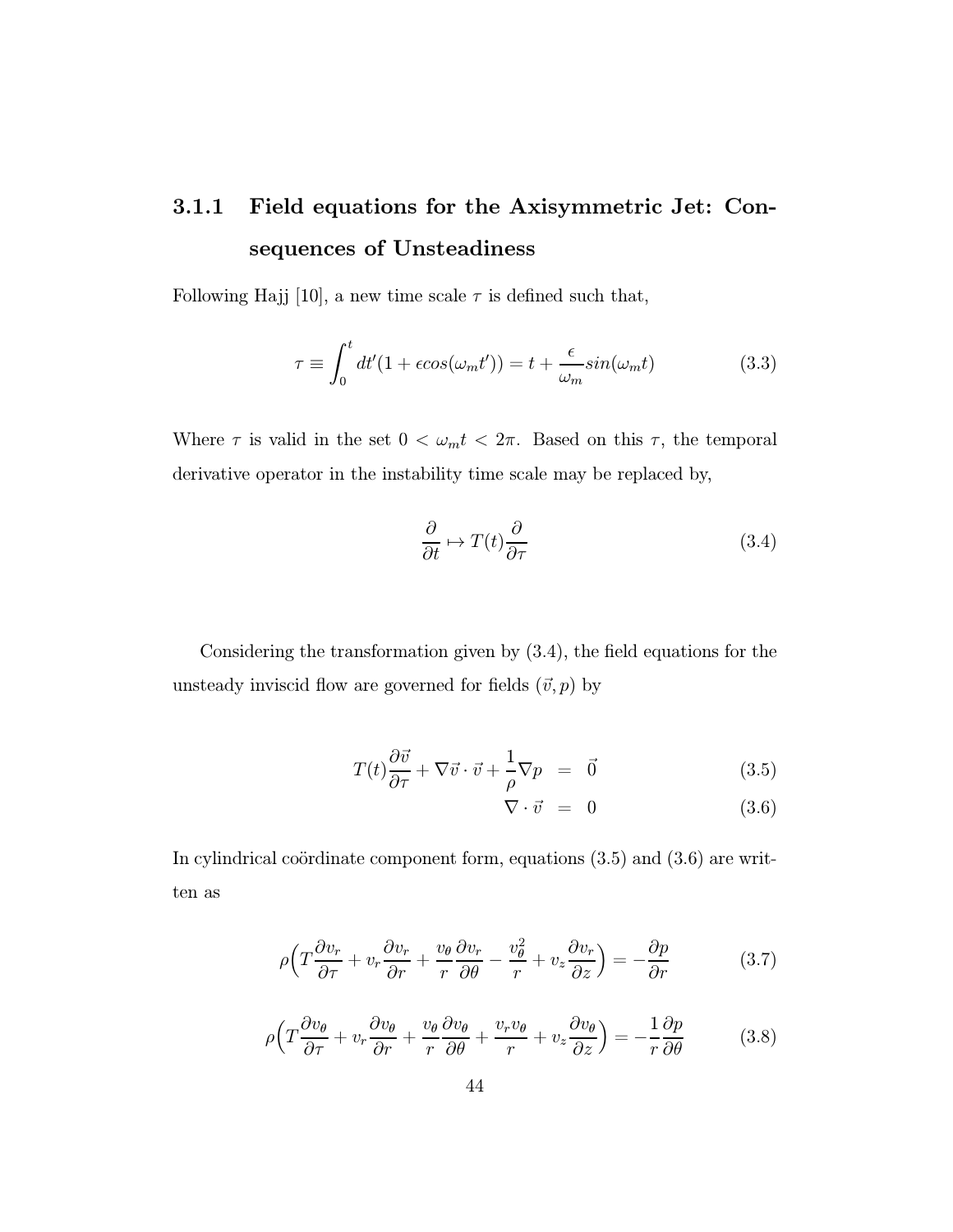## 3.1.1 Field equations for the Axisymmetric Jet: Consequences of Unsteadiness

Following Hajj [10], a new time scale  $\tau$  is defined such that,

$$
\tau \equiv \int_0^t dt'(1 + \epsilon \cos(\omega_m t')) = t + \frac{\epsilon}{\omega_m} \sin(\omega_m t) \tag{3.3}
$$

Where  $\tau$  is valid in the set  $0 < \omega_m t < 2\pi$ . Based on this  $\tau$ , the temporal derivative operator in the instability time scale may be replaced by,

$$
\frac{\partial}{\partial t} \mapsto T(t) \frac{\partial}{\partial \tau} \tag{3.4}
$$

Considering the transformation given by (3.4), the field equations for the unsteady inviscid flow are governed for fields  $(\vec{v}, p)$  by

$$
T(t)\frac{\partial \vec{v}}{\partial \tau} + \nabla \vec{v} \cdot \vec{v} + \frac{1}{\rho} \nabla p = \vec{0}
$$
 (3.5)

$$
\nabla \cdot \vec{v} = 0 \tag{3.6}
$$

In cylindrical coördinate component form, equations  $(3.5)$  and  $(3.6)$  are written as

$$
\rho \left( T \frac{\partial v_r}{\partial \tau} + v_r \frac{\partial v_r}{\partial r} + \frac{v_\theta}{r} \frac{\partial v_r}{\partial \theta} - \frac{v_\theta^2}{r} + v_z \frac{\partial v_r}{\partial z} \right) = -\frac{\partial p}{\partial r}
$$
(3.7)

$$
\rho \left( T \frac{\partial v_{\theta}}{\partial \tau} + v_r \frac{\partial v_{\theta}}{\partial r} + \frac{v_{\theta}}{r} \frac{\partial v_{\theta}}{\partial \theta} + \frac{v_r v_{\theta}}{r} + v_z \frac{\partial v_{\theta}}{\partial z} \right) = -\frac{1}{r} \frac{\partial p}{\partial \theta} \tag{3.8}
$$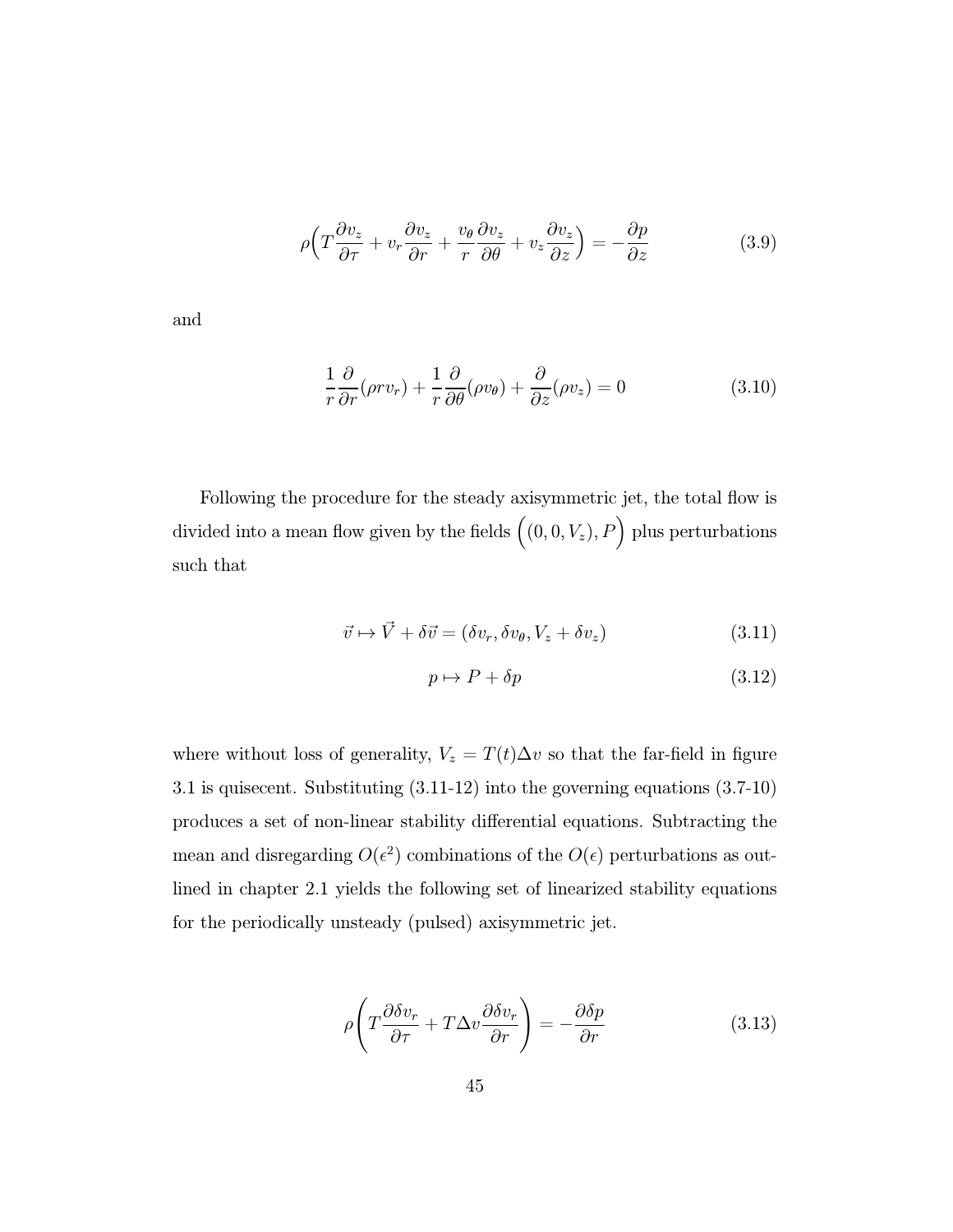$$
\rho \left( T \frac{\partial v_z}{\partial \tau} + v_r \frac{\partial v_z}{\partial r} + \frac{v_\theta}{r} \frac{\partial v_z}{\partial \theta} + v_z \frac{\partial v_z}{\partial z} \right) = -\frac{\partial p}{\partial z} \tag{3.9}
$$

and

$$
\frac{1}{r}\frac{\partial}{\partial r}(\rho r v_r) + \frac{1}{r}\frac{\partial}{\partial \theta}(\rho v_{\theta}) + \frac{\partial}{\partial z}(\rho v_z) = 0
$$
\n(3.10)

Following the procedure for the steady axisymmetric jet, the total flow is divided into a mean flow given by the fields  $((0,0,V_z), P)$  plus perturbations such that

$$
\vec{v} \mapsto \vec{V} + \delta \vec{v} = (\delta v_r, \delta v_\theta, V_z + \delta v_z)
$$
\n(3.11)

$$
p \mapsto P + \delta p \tag{3.12}
$$

where without loss of generality,  $V_z = T(t)\Delta v$  so that the far-field in figure 3.1 is quisecent. Substituting (3.11-12) into the governing equations (3.7-10) produces a set of non-linear stability differential equations. Subtracting the mean and disregarding  $O(\epsilon^2)$  combinations of the  $O(\epsilon)$  perturbations as outlined in chapter 2.1 yields the following set of linearized stability equations for the periodically unsteady (pulsed) axisymmetric jet.

$$
\rho \left( T \frac{\partial \delta v_r}{\partial \tau} + T \Delta v \frac{\partial \delta v_r}{\partial r} \right) = - \frac{\partial \delta p}{\partial r}
$$
\n(3.13)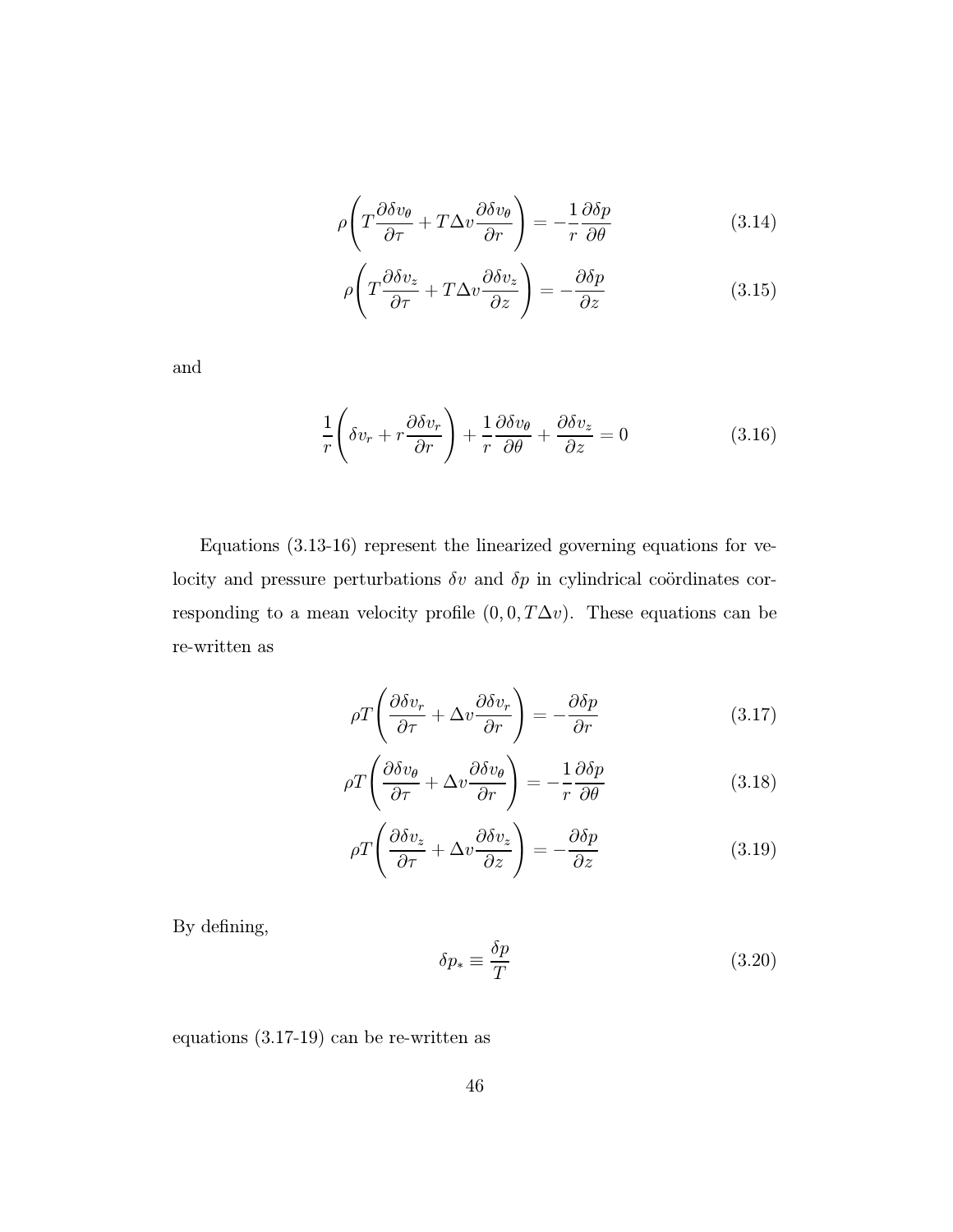$$
\rho \left( T \frac{\partial \delta v_{\theta}}{\partial \tau} + T \Delta v \frac{\partial \delta v_{\theta}}{\partial r} \right) = -\frac{1}{r} \frac{\partial \delta p}{\partial \theta} \tag{3.14}
$$

$$
\rho \left( T \frac{\partial \delta v_z}{\partial \tau} + T \Delta v \frac{\partial \delta v_z}{\partial z} \right) = - \frac{\partial \delta p}{\partial z} \tag{3.15}
$$

and

$$
\frac{1}{r}\left(\delta v_r + r\frac{\partial \delta v_r}{\partial r}\right) + \frac{1}{r}\frac{\partial \delta v_\theta}{\partial \theta} + \frac{\partial \delta v_z}{\partial z} = 0
$$
\n(3.16)

Equations (3.13-16) represent the linearized governing equations for velocity and pressure perturbations  $\delta v$  and  $\delta p$  in cylindrical coördinates corresponding to a mean velocity profile  $(0, 0, T\Delta v)$ . These equations can be re-written as

$$
\rho T \left( \frac{\partial \delta v_r}{\partial \tau} + \Delta v \frac{\partial \delta v_r}{\partial r} \right) = -\frac{\partial \delta p}{\partial r} \tag{3.17}
$$

$$
\rho T \left( \frac{\partial \delta v_{\theta}}{\partial \tau} + \Delta v \frac{\partial \delta v_{\theta}}{\partial r} \right) = -\frac{1}{r} \frac{\partial \delta p}{\partial \theta} \tag{3.18}
$$

$$
\rho T \left( \frac{\partial \delta v_z}{\partial \tau} + \Delta v \frac{\partial \delta v_z}{\partial z} \right) = -\frac{\partial \delta p}{\partial z} \tag{3.19}
$$

By defining,

$$
\delta p_* \equiv \frac{\delta p}{T} \tag{3.20}
$$

equations (3.17-19) can be re-written as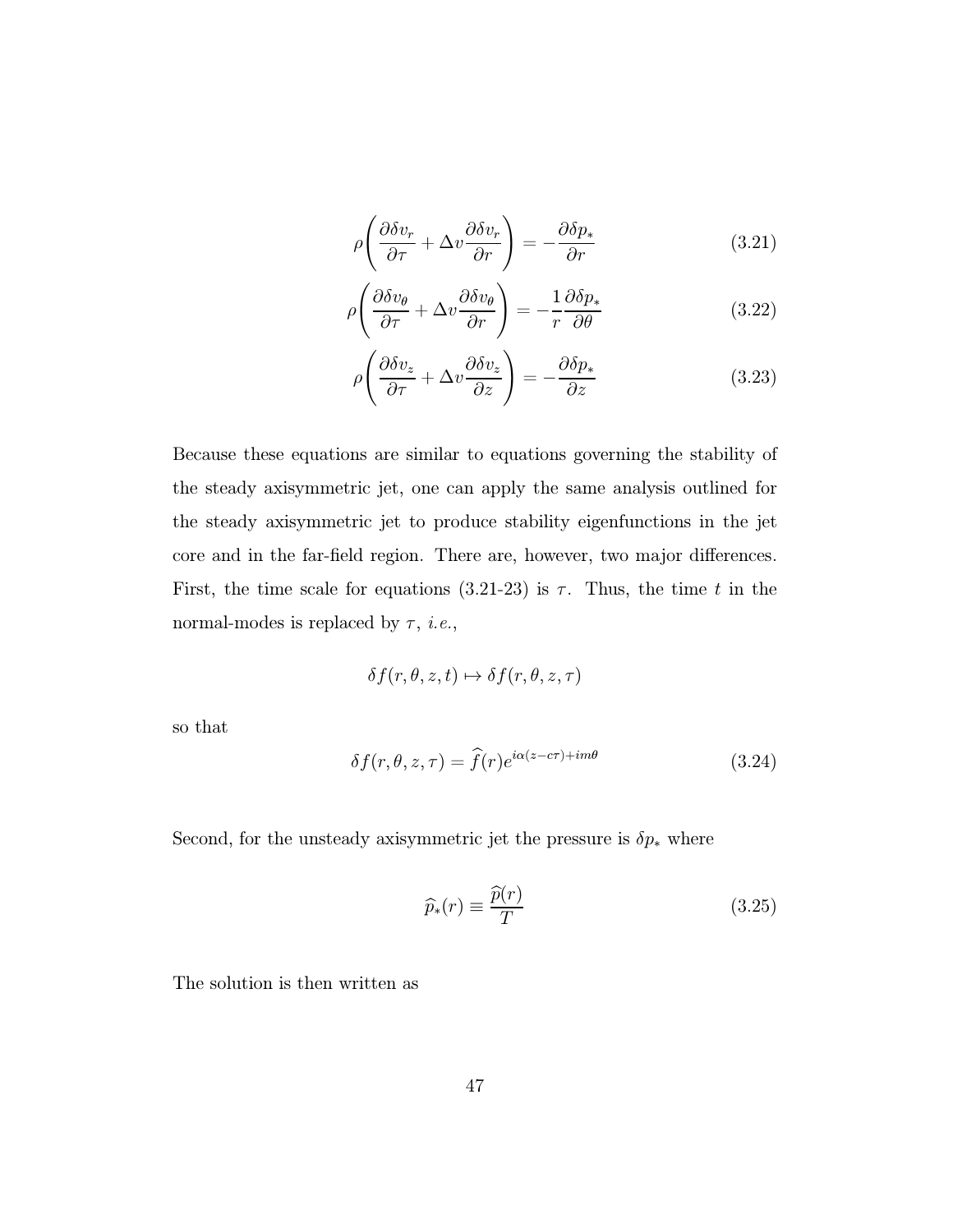$$
\rho \left( \frac{\partial \delta v_r}{\partial \tau} + \Delta v \frac{\partial \delta v_r}{\partial r} \right) = -\frac{\partial \delta p_*}{\partial r} \tag{3.21}
$$

$$
\rho \left( \frac{\partial \delta v_{\theta}}{\partial \tau} + \Delta v \frac{\partial \delta v_{\theta}}{\partial r} \right) = -\frac{1}{r} \frac{\partial \delta p_{*}}{\partial \theta} \tag{3.22}
$$

$$
\rho \left( \frac{\partial \delta v_z}{\partial \tau} + \Delta v \frac{\partial \delta v_z}{\partial z} \right) = -\frac{\partial \delta p_z}{\partial z} \tag{3.23}
$$

Because these equations are similar to equations governing the stability of the steady axisymmetric jet, one can apply the same analysis outlined for the steady axisymmetric jet to produce stability eigenfunctions in the jet core and in the far-field region. There are, however, two major differences. First, the time scale for equations (3.21-23) is  $\tau$ . Thus, the time t in the normal-modes is replaced by  $\tau$ , *i.e.*,

$$
\delta f(r, \theta, z, t) \mapsto \delta f(r, \theta, z, \tau)
$$

so that

$$
\delta f(r,\theta,z,\tau) = \hat{f}(r)e^{i\alpha(z-c\tau) + im\theta} \tag{3.24}
$$

Second, for the unsteady axisymmetric jet the pressure is  $\delta p_*$  where

$$
\widehat{p}_*(r) \equiv \frac{\widehat{p}(r)}{T} \tag{3.25}
$$

The solution is then written as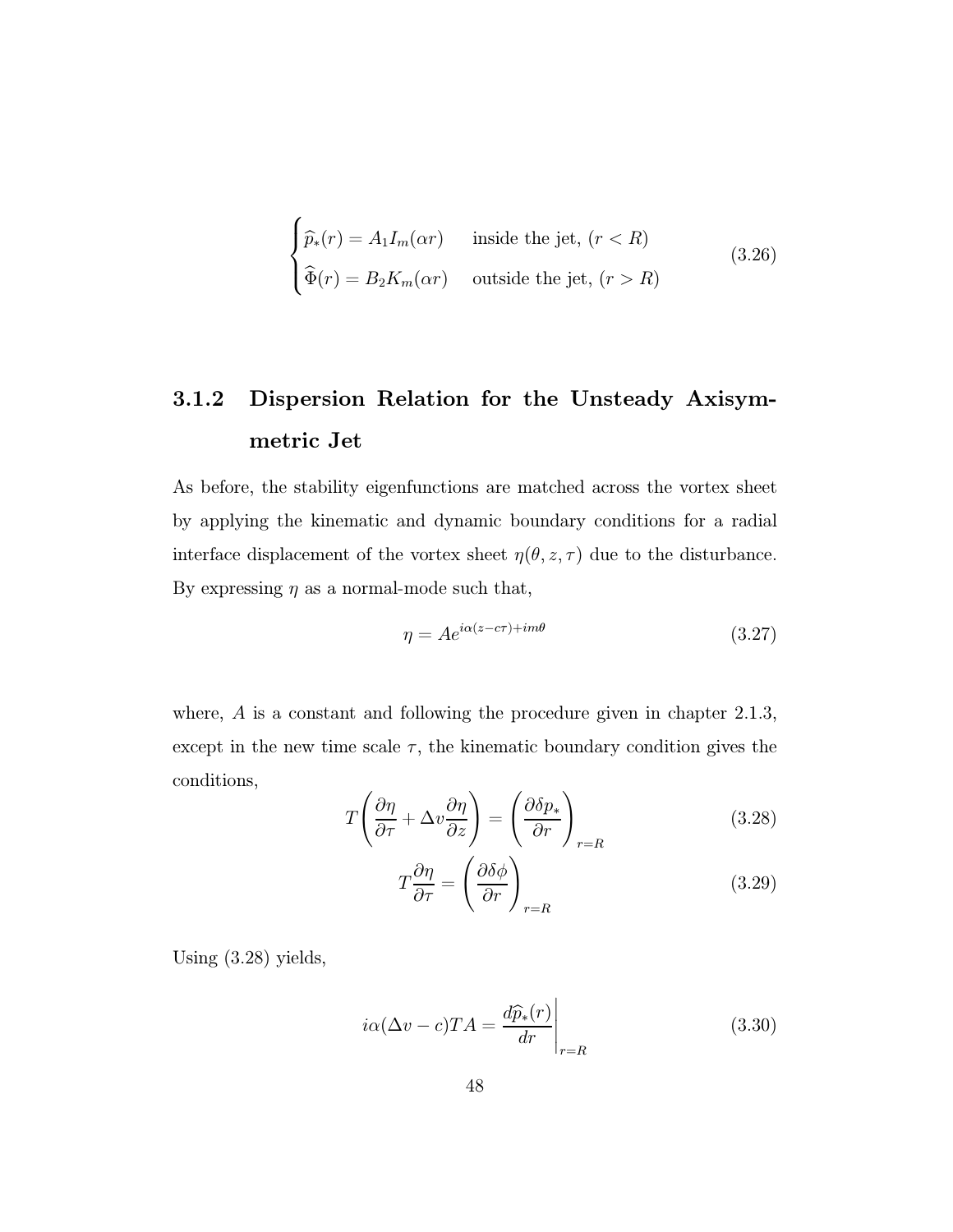$$
\begin{cases}\n\widehat{p}_*(r) = A_1 I_m(\alpha r) & \text{inside the jet, } (r < R) \\
\widehat{\Phi}(r) = B_2 K_m(\alpha r) & \text{outside the jet, } (r > R)\n\end{cases}
$$
\n(3.26)

## 3.1.2 Dispersion Relation for the Unsteady Axisymmetric Jet

As before, the stability eigenfunctions are matched across the vortex sheet by applying the kinematic and dynamic boundary conditions for a radial interface displacement of the vortex sheet  $\eta(\theta,z,\tau)$  due to the disturbance. By expressing  $\eta$  as a normal-mode such that,

$$
\eta = Ae^{i\alpha(z-c\tau) + im\theta} \tag{3.27}
$$

where, A is a constant and following the procedure given in chapter 2.1.3, except in the new time scale  $\tau$ , the kinematic boundary condition gives the conditions,  $\overline{ }$  $\sim$ 

$$
T\left(\frac{\partial\eta}{\partial\tau} + \Delta v \frac{\partial\eta}{\partial z}\right) = \left(\frac{\partial\delta p_*}{\partial r}\right)_{r=R}
$$
\n(3.28)

$$
T \frac{\partial \eta}{\partial \tau} = \left(\frac{\partial \delta \phi}{\partial r}\right)_{r=R} \tag{3.29}
$$

Using (3.28) yields,

$$
i\alpha(\Delta v - c)TA = \frac{d\widehat{p}_*(r)}{dr}\Big|_{r=R}
$$
\n(3.30)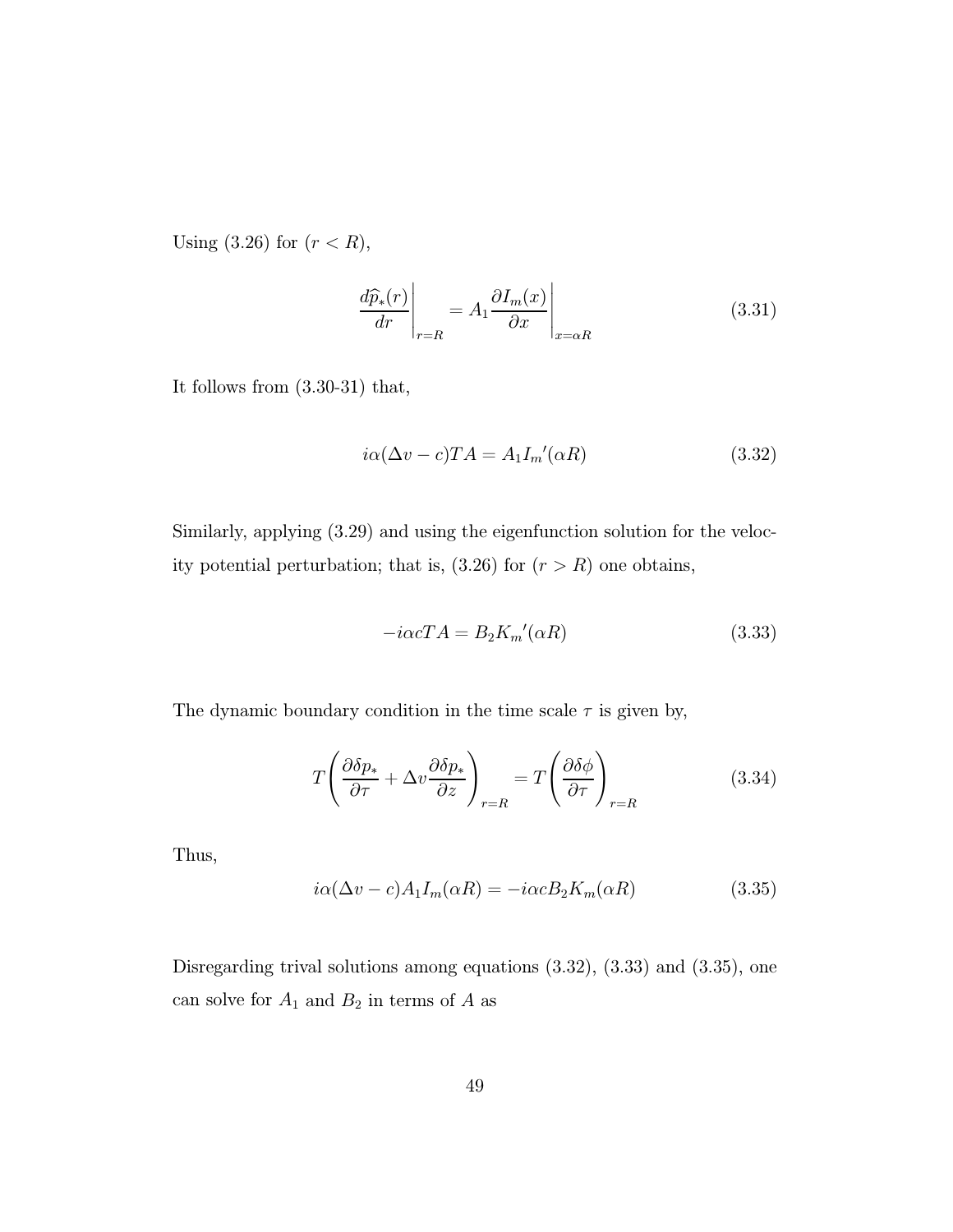Using  $(3.26)$  for  $(r < R)$ ,

$$
\frac{d\widehat{p}_*(r)}{dr}\Big|_{r=R} = A_1 \frac{\partial I_m(x)}{\partial x}\Big|_{x=\alpha R}
$$
\n(3.31)

It follows from (3.30-31) that,

$$
i\alpha(\Delta v - c)TA = A_1 I_m'(\alpha R)
$$
\n(3.32)

Similarly, applying (3.29) and using the eigenfunction solution for the velocity potential perturbation; that is,  $(3.26)$  for  $(r>R)$  one obtains,

$$
-i\alpha c T A = B_2 K_m'(\alpha R) \tag{3.33}
$$

The dynamic boundary condition in the time scale  $\tau$  is given by,

$$
T\left(\frac{\partial \delta p_*}{\partial \tau} + \Delta v \frac{\partial \delta p_*}{\partial z}\right)_{r=R} = T\left(\frac{\partial \delta \phi}{\partial \tau}\right)_{r=R}
$$
(3.34)

Thus,

$$
i\alpha(\Delta v - c)A_1 I_m(\alpha R) = -i\alpha c B_2 K_m(\alpha R)
$$
\n(3.35)

Disregarding trival solutions among equations (3.32), (3.33) and (3.35), one can solve for  ${\cal A}_1$  and  ${\cal B}_2$  in terms of  ${\cal A}$  as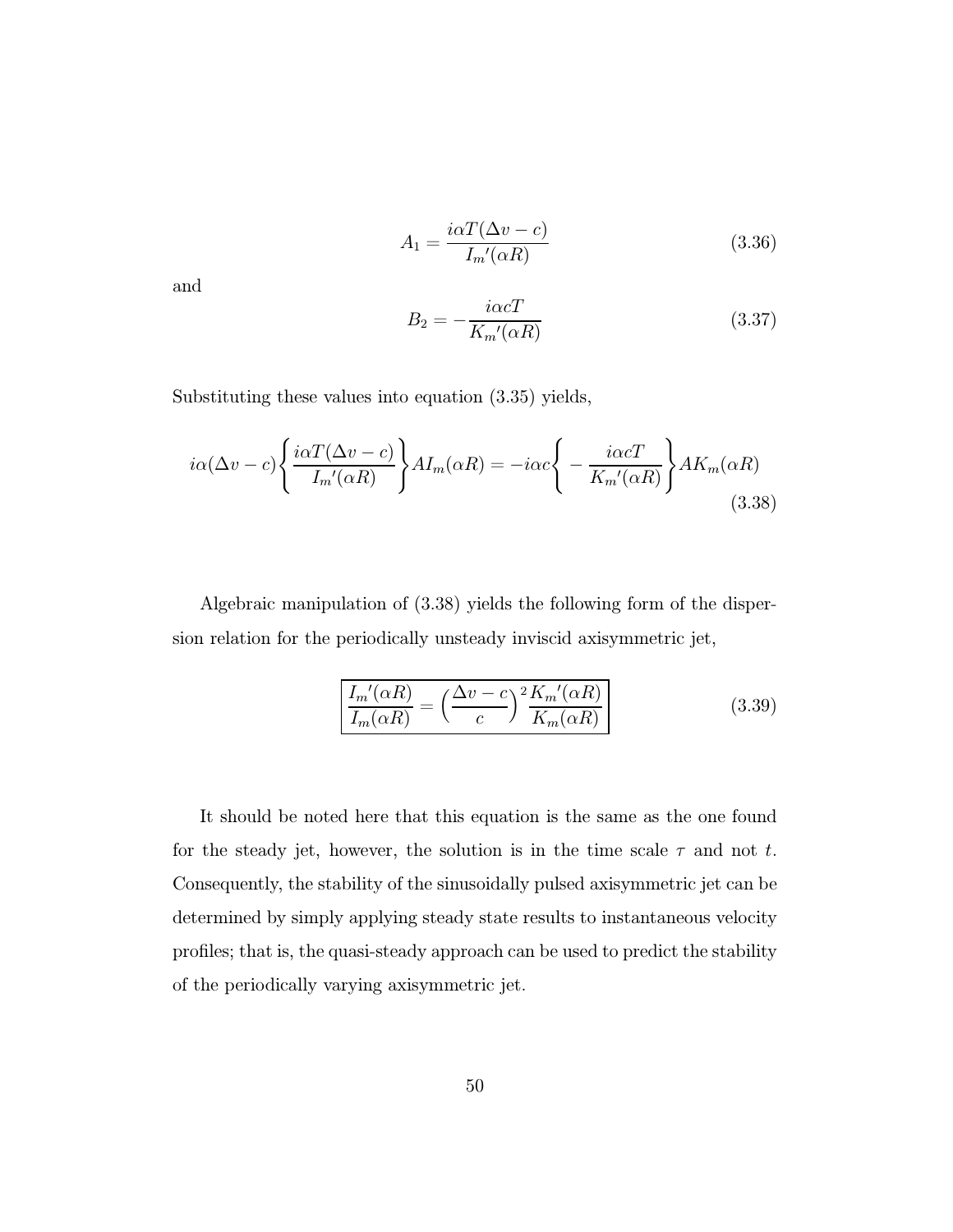$$
A_1 = \frac{i\alpha T(\Delta v - c)}{I_m'(\alpha R)}
$$
(3.36)

and

$$
B_2 = -\frac{i\alpha cT}{K_m'(\alpha R)}\tag{3.37}
$$

Substituting these values into equation (3.35) yields,

$$
i\alpha(\Delta v - c) \left\{ \frac{i\alpha T(\Delta v - c)}{I_m'(\alpha R)} \right\} A I_m(\alpha R) = -i\alpha c \left\{ -\frac{i\alpha c T}{K_m'(\alpha R)} \right\} A K_m(\alpha R)
$$
\n(3.38)

Algebraic manipulation of (3.38) yields the following form of the dispersion relation for the periodically unsteady inviscid axisymmetric jet,

$$
\frac{I_m'(\alpha R)}{I_m(\alpha R)} = \left(\frac{\Delta v - c}{c}\right)^2 \frac{K_m'(\alpha R)}{K_m(\alpha R)}
$$
(3.39)

It should be noted here that this equation is the same as the one found for the steady jet, however, the solution is in the time scale  $\tau$  and not t. Consequently, the stability of the sinusoidally pulsed axisymmetric jet can be determined by simply applying steady state results to instantaneous velocity profiles; that is, the quasi-steady approach can be used to predict the stability of the periodically varying axisymmetric jet.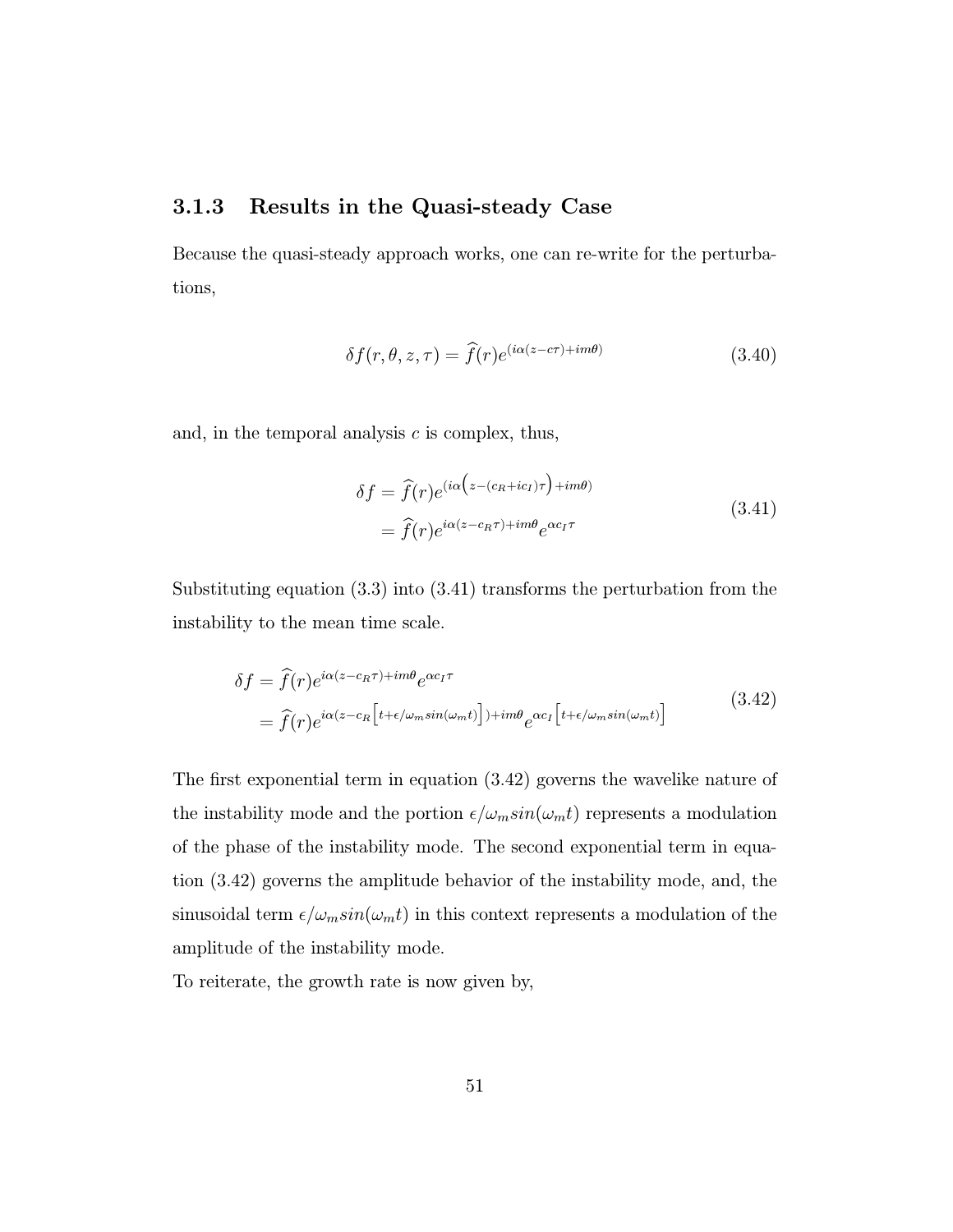#### 3.1.3 Results in the Quasi-steady Case

Because the quasi-steady approach works, one can re-write for the perturbations,

$$
\delta f(r,\theta,z,\tau) = \hat{f}(r)e^{(i\alpha(z-c\tau) + im\theta)} \tag{3.40}
$$

and, in the temporal analysis  $c$  is complex, thus,

$$
\delta f = \hat{f}(r)e^{(i\alpha\left(z - (c_R + ic_I)\tau\right) + im\theta)} \n= \hat{f}(r)e^{i\alpha(z - c_R\tau) + im\theta}e^{\alpha c_I\tau}
$$
\n(3.41)

Substituting equation (3.3) into (3.41) transforms the perturbation from the instability to the mean time scale.

$$
\delta f = \hat{f}(r)e^{i\alpha(z-c_R\tau) + im\theta}e^{\alpha c_I\tau}
$$
  
=  $\hat{f}(r)e^{i\alpha(z-c_R\left[t+\epsilon/\omega_m\sin(\omega_m t)\right] + im\theta}e^{\alpha c_I\left[t+\epsilon/\omega_m\sin(\omega_m t)\right]}$  (3.42)

The first exponential term in equation (3.42) governs the wavelike nature of the instability mode and the portion  $\epsilon/\omega_m sin(\omega_m t)$  represents a modulation of the phase of the instability mode. The second exponential term in equation (3.42) governs the amplitude behavior of the instability mode, and, the sinusoidal term  $\epsilon/\omega_m sin(\omega_m t)$  in this context represents a modulation of the amplitude of the instability mode.

To reiterate, the growth rate is now given by,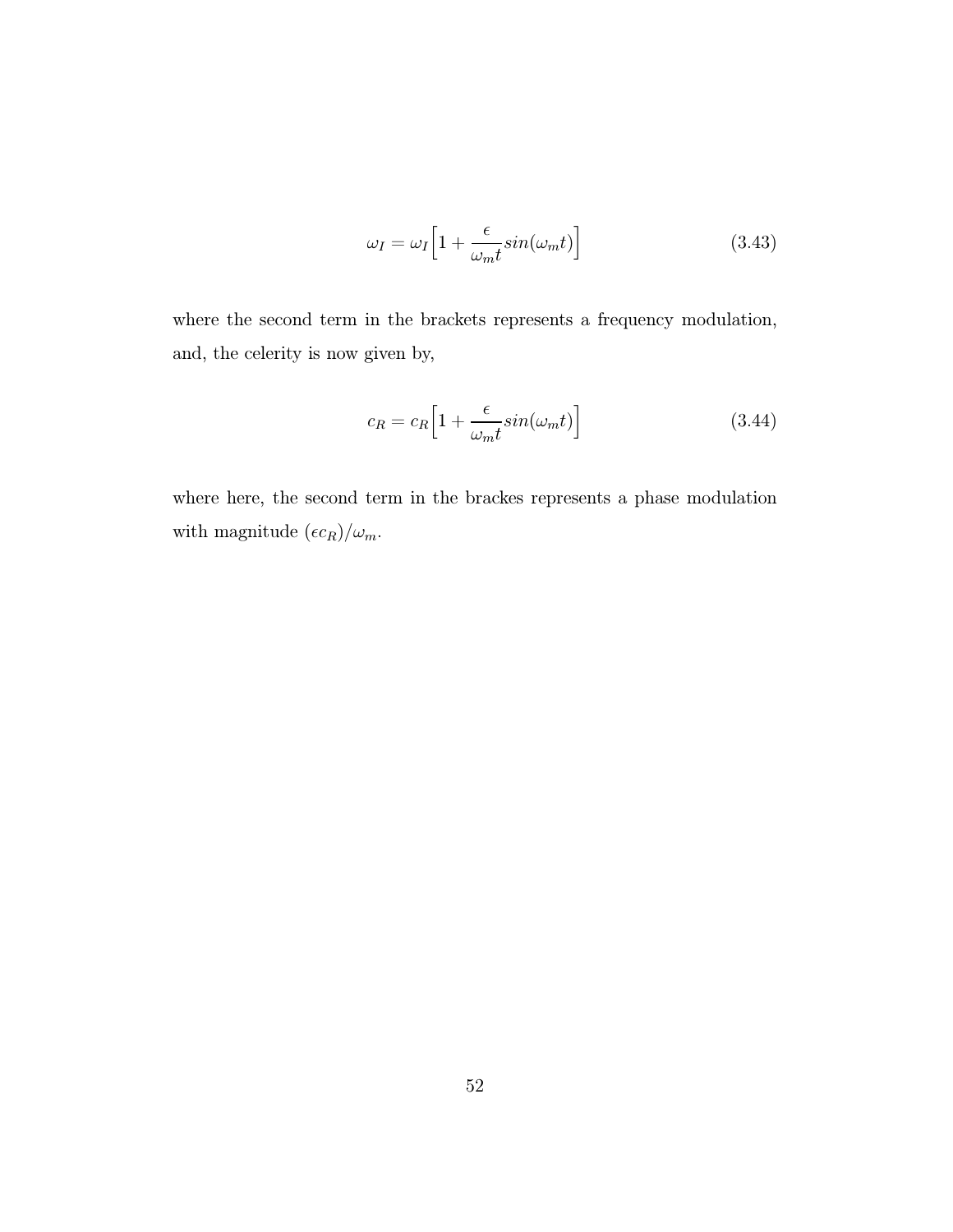$$
\omega_I = \omega_I \Big[ 1 + \frac{\epsilon}{\omega_m t} \sin(\omega_m t) \Big] \tag{3.43}
$$

where the second term in the brackets represents a frequency modulation, and, the celerity is now given by,

$$
c_R = c_R \Big[ 1 + \frac{\epsilon}{\omega_m t} \sin(\omega_m t) \Big] \tag{3.44}
$$

where here, the second term in the brackes represents a phase modulation with magnitude  $(\epsilon c_R)/\omega_m.$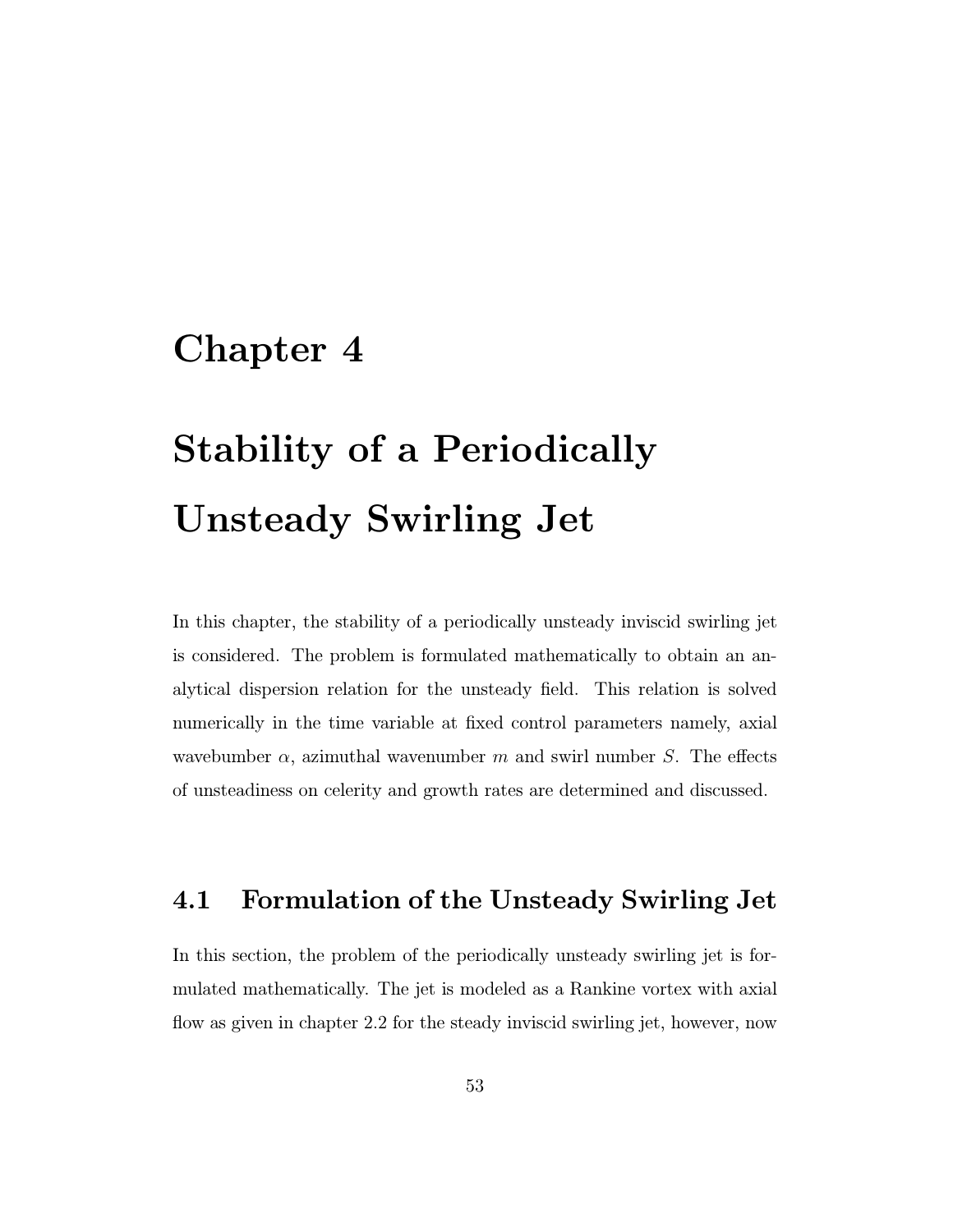## Chapter 4

# Stability of a Periodically Unsteady Swirling Jet

In this chapter, the stability of a periodically unsteady inviscid swirling jet is considered. The problem is formulated mathematically to obtain an analytical dispersion relation for the unsteady field. This relation is solved numerically in the time variable at fixed control parameters namely, axial wavebumber  $\alpha$ , azimuthal wavenumber m and swirl number S. The effects of unsteadiness on celerity and growth rates are determined and discussed.

#### 4.1 Formulation of the Unsteady Swirling Jet

In this section, the problem of the periodically unsteady swirling jet is formulated mathematically. The jet is modeled as a Rankine vortex with axial flow as given in chapter 2.2 for the steady inviscid swirling jet, however, now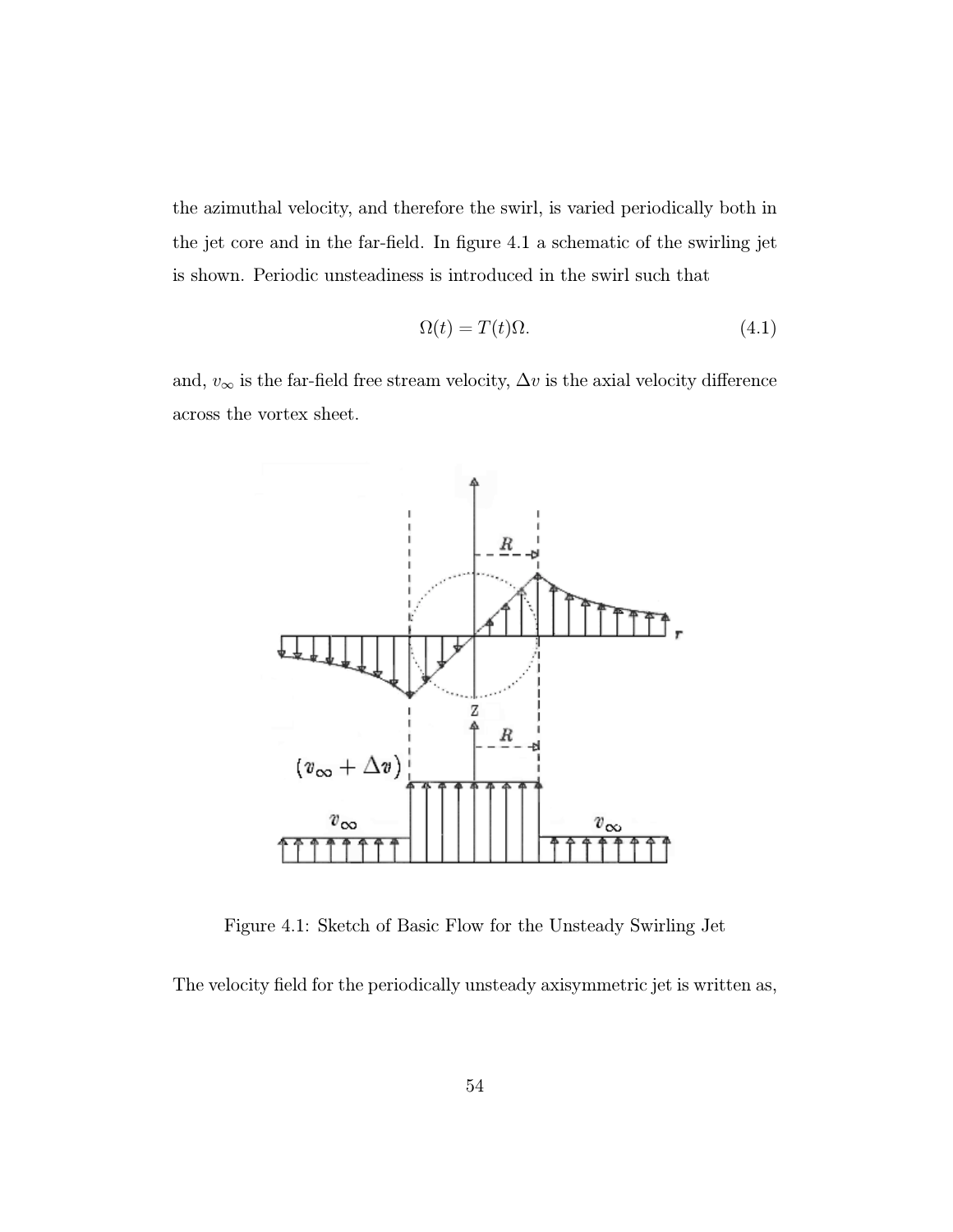the azimuthal velocity, and therefore the swirl, is varied periodically both in the jet core and in the far-field. In figure 4.1 a schematic of the swirling jet is shown. Periodic unsteadiness is introduced in the swirl such that

$$
\Omega(t) = T(t)\Omega.
$$
\n(4.1)

and,  $v_{\infty}$  is the far-field free stream velocity,  $\Delta v$  is the axial velocity difference across the vortex sheet.



Figure 4.1: Sketch of Basic Flow for the Unsteady Swirling Jet

The velocity field for the periodically unsteady axisymmetric jet is written as,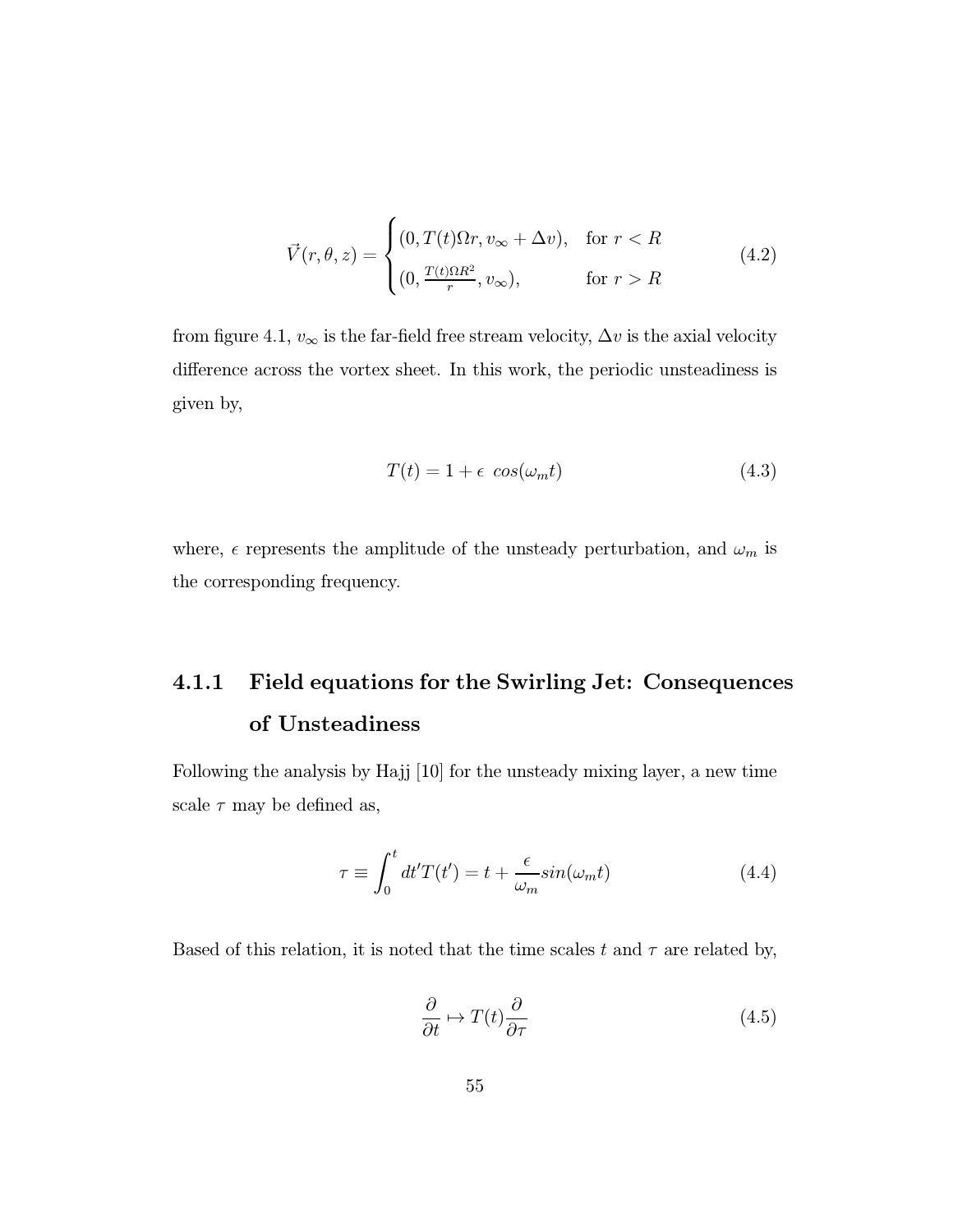$$
\vec{V}(r,\theta,z) = \begin{cases}\n(0,T(t)\Omega r, v_{\infty} + \Delta v), & \text{for } r < R \\
(0, \frac{T(t)\Omega R^2}{r}, v_{\infty}), & \text{for } r > R\n\end{cases}
$$
\n(4.2)

from figure 4.1,  $v_{\infty}$  is the far-field free stream velocity,  $\Delta v$  is the axial velocity difference across the vortex sheet. In this work, the periodic unsteadiness is given by,

$$
T(t) = 1 + \epsilon \cos(\omega_m t) \tag{4.3}
$$

where,  $\epsilon$  represents the amplitude of the unsteady perturbation, and  $\omega_m$  is the corresponding frequency.

## 4.1.1 Field equations for the Swirling Jet: Consequences of Unsteadiness

Following the analysis by Hajj [10] for the unsteady mixing layer, a new time scale  $\tau$  may be defined as,

$$
\tau \equiv \int_0^t dt' T(t') = t + \frac{\epsilon}{\omega_m} \sin(\omega_m t) \tag{4.4}
$$

Based of this relation, it is noted that the time scales t and  $\tau$  are related by,

$$
\frac{\partial}{\partial t} \mapsto T(t) \frac{\partial}{\partial \tau} \tag{4.5}
$$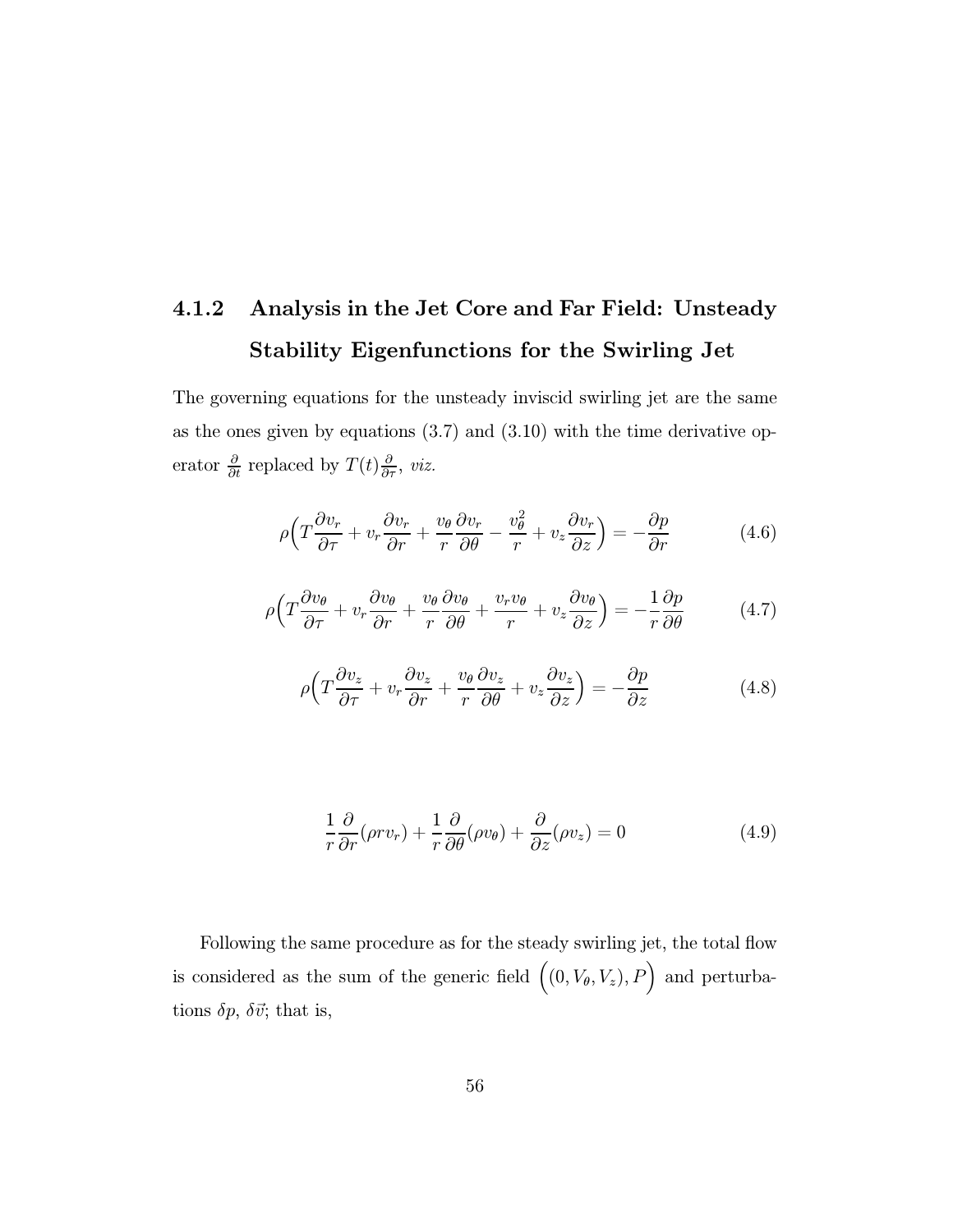## 4.1.2 Analysis in the Jet Core and Far Field: Unsteady Stability Eigenfunctions for the Swirling Jet

The governing equations for the unsteady inviscid swirling jet are the same as the ones given by equations (3.7) and (3.10) with the time derivative operator  $\frac{\partial}{\partial t}$  replaced by  $T(t)\frac{\partial}{\partial \tau}$ , *viz.* 

$$
\rho \left( T \frac{\partial v_r}{\partial \tau} + v_r \frac{\partial v_r}{\partial r} + \frac{v_\theta}{r} \frac{\partial v_r}{\partial \theta} - \frac{v_\theta^2}{r} + v_z \frac{\partial v_r}{\partial z} \right) = -\frac{\partial p}{\partial r} \tag{4.6}
$$

$$
\rho \left( T \frac{\partial v_{\theta}}{\partial \tau} + v_{r} \frac{\partial v_{\theta}}{\partial r} + \frac{v_{\theta}}{r} \frac{\partial v_{\theta}}{\partial \theta} + \frac{v_{r} v_{\theta}}{r} + v_{z} \frac{\partial v_{\theta}}{\partial z} \right) = -\frac{1}{r} \frac{\partial p}{\partial \theta}
$$
(4.7)

$$
\rho \left( T \frac{\partial v_z}{\partial \tau} + v_r \frac{\partial v_z}{\partial r} + \frac{v_\theta}{r} \frac{\partial v_z}{\partial \theta} + v_z \frac{\partial v_z}{\partial z} \right) = -\frac{\partial p}{\partial z} \tag{4.8}
$$

$$
\frac{1}{r}\frac{\partial}{\partial r}(\rho r v_r) + \frac{1}{r}\frac{\partial}{\partial \theta}(\rho v_{\theta}) + \frac{\partial}{\partial z}(\rho v_z) = 0
$$
\n(4.9)

Following the same procedure as for the steady swirling jet, the total flow is considered as the sum of the generic field  $((0, V_{\theta}, V_z), P)$  and perturbations  $\delta p$ ,  $\delta \vec{v}$ ; that is,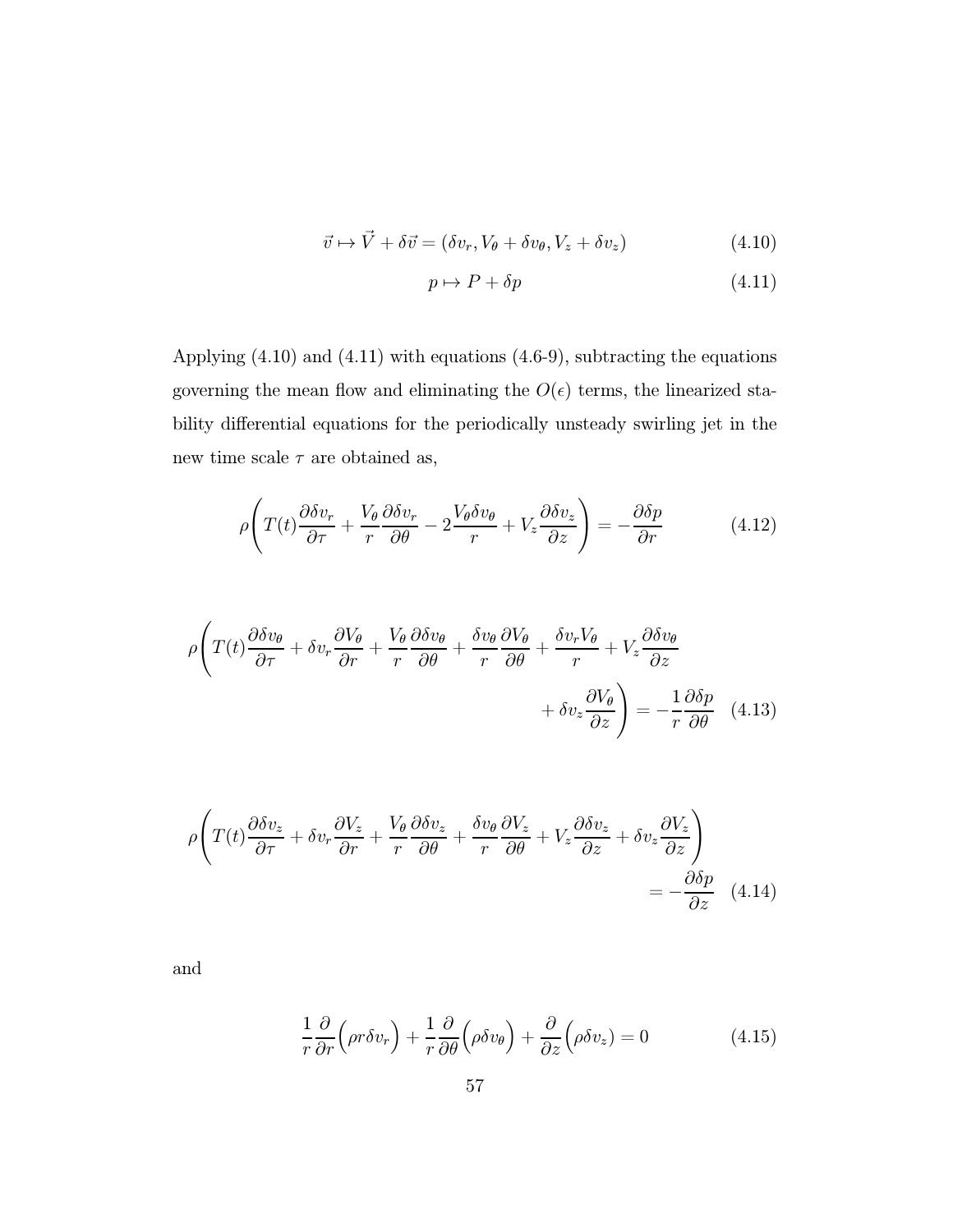$$
\vec{v} \mapsto \vec{V} + \delta \vec{v} = (\delta v_r, V_\theta + \delta v_\theta, V_z + \delta v_z)
$$
\n(4.10)

$$
p \mapsto P + \delta p \tag{4.11}
$$

Applying (4.10) and (4.11) with equations (4.6-9), subtracting the equations governing the mean flow and eliminating the  $O(\epsilon)$  terms, the linearized stability differential equations for the periodically unsteady swirling jet in the new time scale  $\tau$  are obtained as,

$$
\rho \left( T(t) \frac{\partial \delta v_r}{\partial \tau} + \frac{V_\theta}{r} \frac{\partial \delta v_r}{\partial \theta} - 2 \frac{V_\theta \delta v_\theta}{r} + V_z \frac{\partial \delta v_z}{\partial z} \right) = -\frac{\partial \delta p}{\partial r} \tag{4.12}
$$

$$
\rho \left( T(t) \frac{\partial \delta v_{\theta}}{\partial \tau} + \delta v_{r} \frac{\partial V_{\theta}}{\partial r} + \frac{V_{\theta}}{r} \frac{\partial \delta v_{\theta}}{\partial \theta} + \frac{\delta v_{\theta}}{r} \frac{\partial V_{\theta}}{\partial \theta} + \frac{\delta v_{r} V_{\theta}}{r} + V_{z} \frac{\partial \delta v_{\theta}}{\partial z} + \delta v_{z} \frac{\partial V_{\theta}}{\partial z} \right) = -\frac{1}{r} \frac{\partial \delta p}{\partial \theta} \quad (4.13)
$$

$$
\rho \left( T(t) \frac{\partial \delta v_z}{\partial \tau} + \delta v_r \frac{\partial V_z}{\partial r} + \frac{V_\theta}{r} \frac{\partial \delta v_z}{\partial \theta} + \frac{\delta v_\theta}{r} \frac{\partial V_z}{\partial \theta} + V_z \frac{\partial \delta v_z}{\partial z} + \delta v_z \frac{\partial V_z}{\partial z} \right) = -\frac{\partial \delta p}{\partial z} \quad (4.14)
$$

and

$$
\frac{1}{r}\frac{\partial}{\partial r}\Big(\rho r \delta v_r\Big) + \frac{1}{r}\frac{\partial}{\partial \theta}\Big(\rho \delta v_{\theta}\Big) + \frac{\partial}{\partial z}\Big(\rho \delta v_z\Big) = 0 \tag{4.15}
$$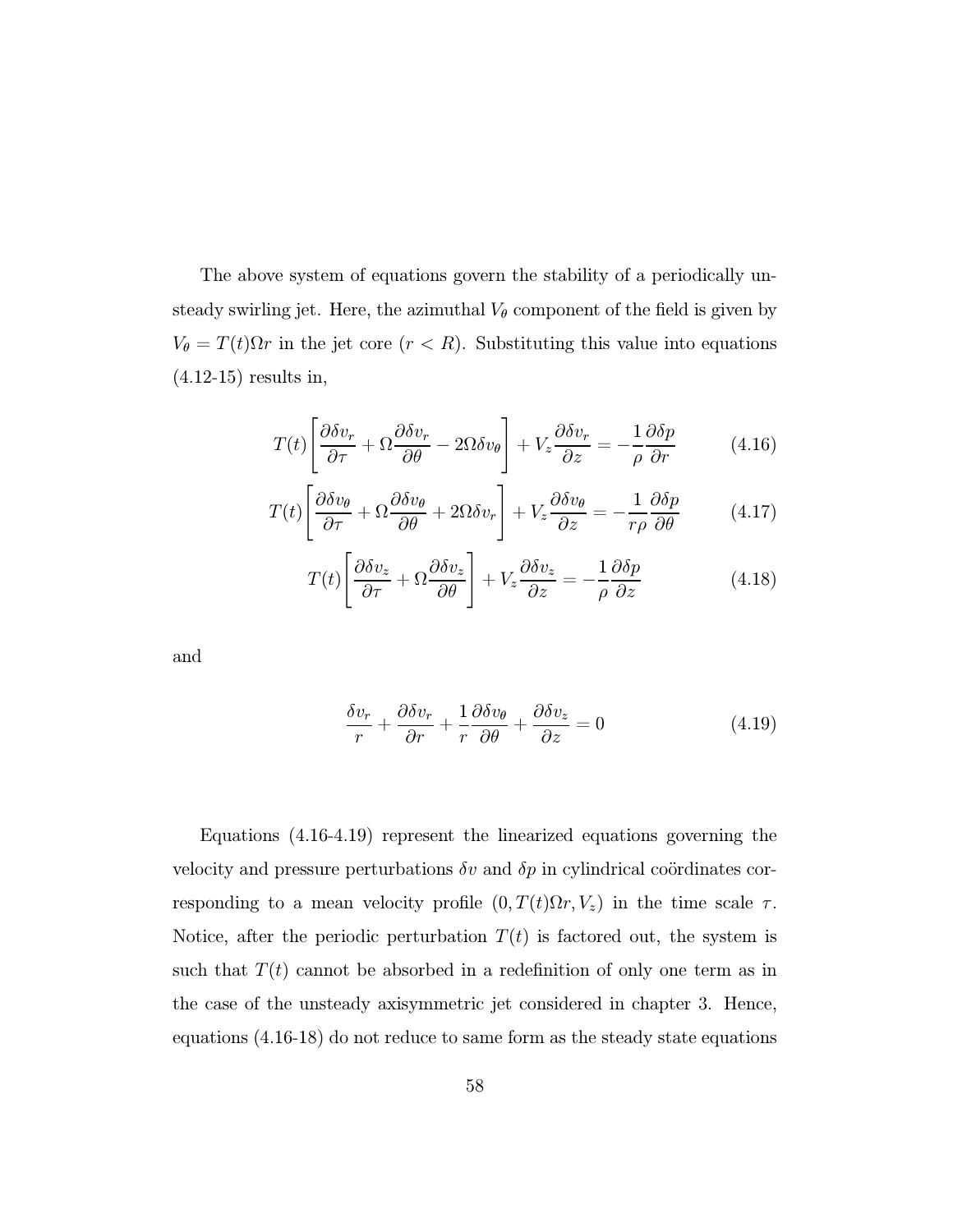The above system of equations govern the stability of a periodically unsteady swirling jet. Here, the azimuthal  $V_{\theta}$  component of the field is given by  $V_{\theta} = T(t)\Omega r$  in the jet core  $(r < R)$ . Substituting this value into equations (4.12-15) results in,

$$
T(t)\left[\frac{\partial \delta v_r}{\partial \tau} + \Omega \frac{\partial \delta v_r}{\partial \theta} - 2\Omega \delta v_\theta\right] + V_z \frac{\partial \delta v_r}{\partial z} = -\frac{1}{\rho} \frac{\partial \delta p}{\partial r}
$$
(4.16)

$$
T(t)\left[\frac{\partial \delta v_{\theta}}{\partial \tau} + \Omega \frac{\partial \delta v_{\theta}}{\partial \theta} + 2\Omega \delta v_{r}\right] + V_{z}\frac{\partial \delta v_{\theta}}{\partial z} = -\frac{1}{r\rho} \frac{\partial \delta p}{\partial \theta} \tag{4.17}
$$

$$
T(t)\left[\frac{\partial \delta v_z}{\partial \tau} + \Omega \frac{\partial \delta v_z}{\partial \theta}\right] + V_z \frac{\partial \delta v_z}{\partial z} = -\frac{1}{\rho} \frac{\partial \delta p}{\partial z}
$$
(4.18)

and

$$
\frac{\delta v_r}{r} + \frac{\partial \delta v_r}{\partial r} + \frac{1}{r} \frac{\partial \delta v_\theta}{\partial \theta} + \frac{\partial \delta v_z}{\partial z} = 0
$$
\n(4.19)

Equations (4.16-4.19) represent the linearized equations governing the velocity and pressure perturbations  $\delta v$  and  $\delta p$  in cylindrical coördinates corresponding to a mean velocity profile  $(0, T(t)\Omega r, V_z)$  in the time scale  $\tau$ . Notice, after the periodic perturbation  $T(t)$  is factored out, the system is such that  $T(t)$  cannot be absorbed in a redefinition of only one term as in the case of the unsteady axisymmetric jet considered in chapter 3. Hence, equations (4.16-18) do not reduce to same form as the steady state equations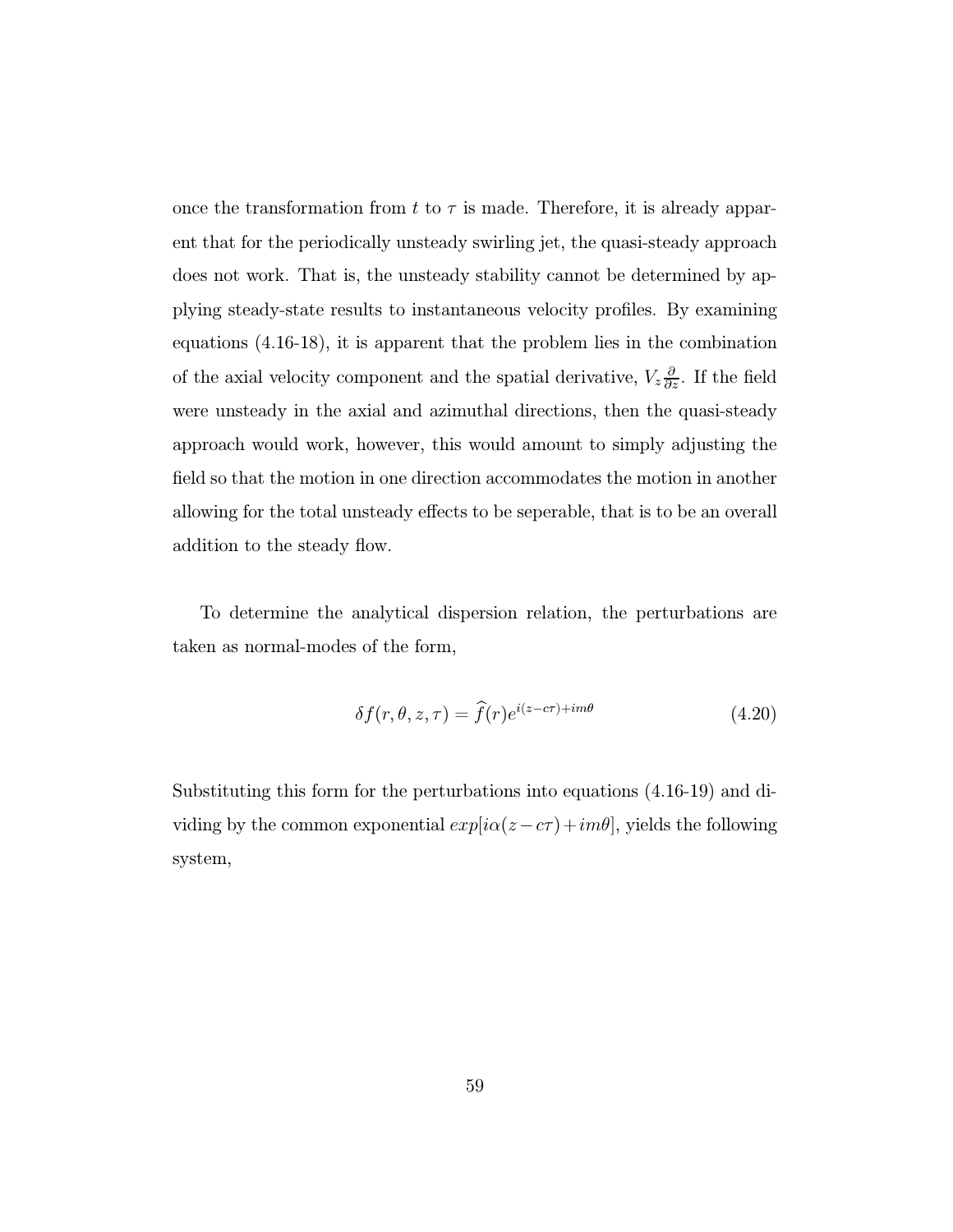once the transformation from t to  $\tau$  is made. Therefore, it is already apparent that for the periodically unsteady swirling jet, the quasi-steady approach does not work. That is, the unsteady stability cannot be determined by applying steady-state results to instantaneous velocity profiles. By examining equations (4.16-18), it is apparent that the problem lies in the combination of the axial velocity component and the spatial derivative,  $V_z \frac{\partial}{\partial z}$ . If the field were unsteady in the axial and azimuthal directions, then the quasi-steady approach would work, however, this would amount to simply adjusting the field so that the motion in one direction accommodates the motion in another allowing for the total unsteady effects to be seperable, that is to be an overall addition to the steady flow.

To determine the analytical dispersion relation, the perturbations are taken as normal-modes of the form,

$$
\delta f(r,\theta,z,\tau) = \hat{f}(r)e^{i(z-c\tau) + im\theta} \tag{4.20}
$$

Substituting this form for the perturbations into equations (4.16-19) and dividing by the common exponential  $exp[i\alpha(z-c\tau)+im\theta],$  yields the following system,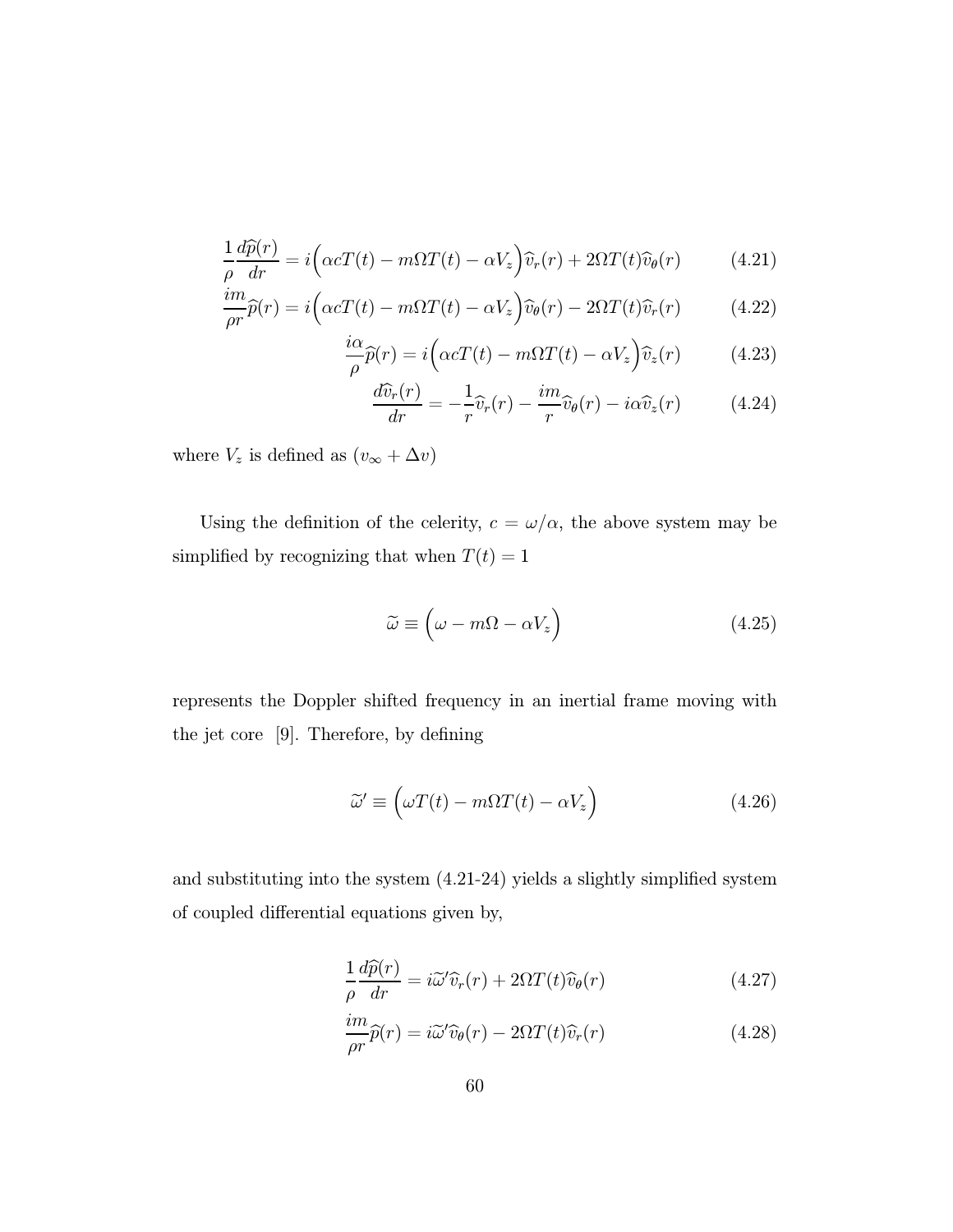$$
\frac{1}{\rho} \frac{d\widehat{p}(r)}{dr} = i \Big( \alpha c T(t) - m \Omega T(t) - \alpha V_z \Big) \widehat{v}_r(r) + 2\Omega T(t) \widehat{v}_\theta(r) \tag{4.21}
$$

$$
\frac{im}{\rho r}\widehat{p}(r) = i\left(\alpha cT(t) - m\Omega T(t) - \alpha V_z\right)\widehat{v}_{\theta}(r) - 2\Omega T(t)\widehat{v}_r(r) \tag{4.22}
$$

$$
\frac{i\alpha}{\rho}\widehat{p}(r) = i\left(\alpha cT(t) - m\Omega T(t) - \alpha V_z\right)\widehat{v}_z(r) \tag{4.23}
$$

$$
\frac{d\widehat{v}_r(r)}{dr} = -\frac{1}{r}\widehat{v}_r(r) - \frac{im}{r}\widehat{v}_\theta(r) - i\alpha \widehat{v}_z(r) \tag{4.24}
$$

where  $V_z$  is defined as  $(v_\infty + \Delta v)$ 

Using the definition of the celerity,  $c = \omega/\alpha$ , the above system may be simplified by recognizing that when  $\mathcal{T}(t)=1$ 

$$
\widetilde{\omega} \equiv \left(\omega - m\Omega - \alpha V_z\right) \tag{4.25}
$$

represents the Doppler shifted frequency in an inertial frame moving with the jet core [9]. Therefore, by defining

$$
\widetilde{\omega}' \equiv \left(\omega T(t) - m\Omega T(t) - \alpha V_z\right) \tag{4.26}
$$

and substituting into the system (4.21-24) yields a slightly simplified system of coupled differential equations given by,

$$
\frac{1}{\rho} \frac{d\widehat{p}(r)}{dr} = i\widetilde{\omega}' \widehat{v}_r(r) + 2\Omega T(t)\widehat{v}_\theta(r) \tag{4.27}
$$

$$
\frac{im}{\rho r}\widehat{p}(r) = i\widetilde{\omega}'\widehat{v}_{\theta}(r) - 2\Omega T(t)\widehat{v}_{r}(r)
$$
\n(4.28)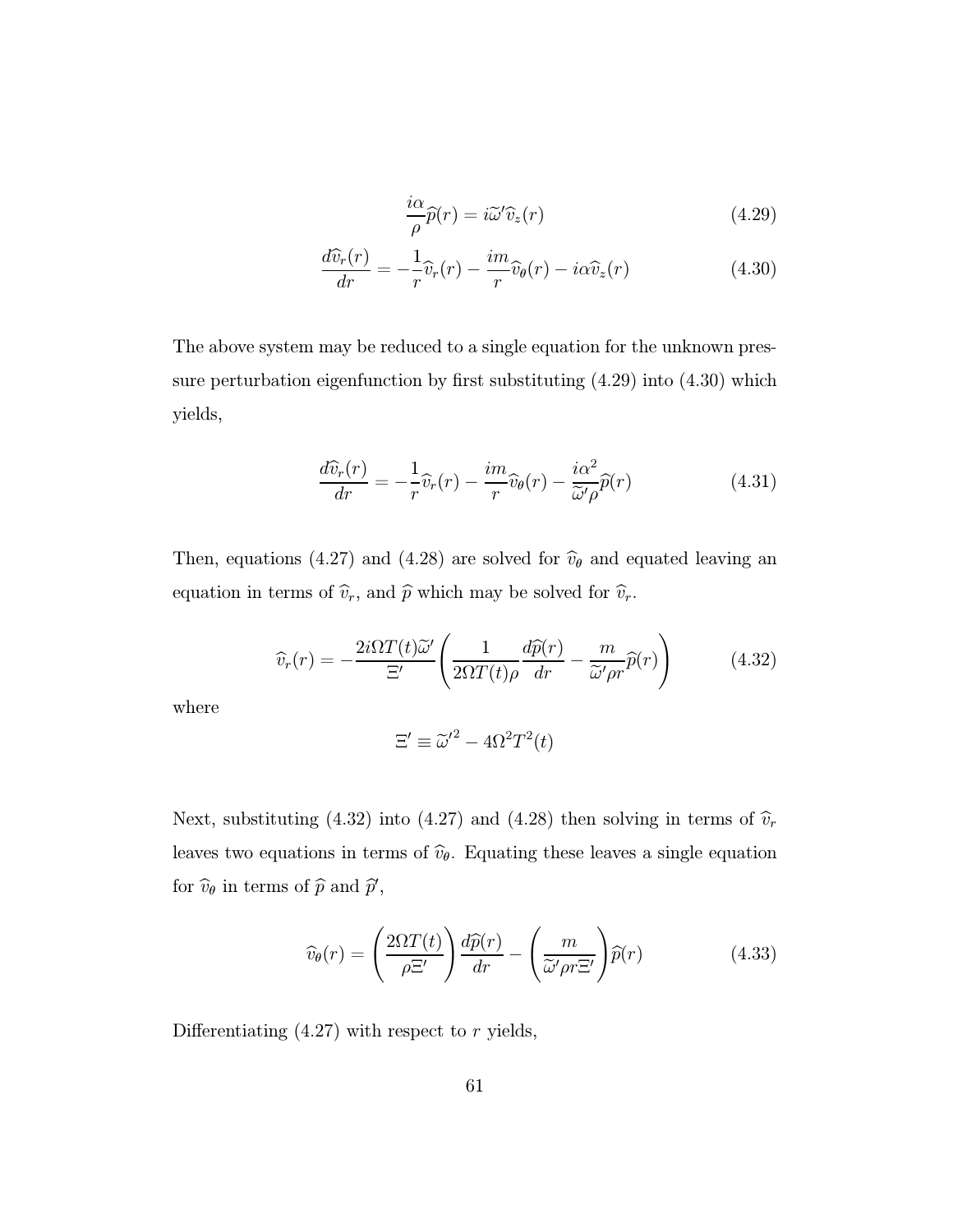$$
\frac{i\alpha}{\rho}\widehat{p}(r) = i\widetilde{\omega}'\widehat{v}_z(r) \tag{4.29}
$$

$$
\frac{d\widehat{v}_r(r)}{dr} = -\frac{1}{r}\widehat{v}_r(r) - \frac{im}{r}\widehat{v}_\theta(r) - i\alpha \widehat{v}_z(r) \tag{4.30}
$$

The above system may be reduced to a single equation for the unknown pressure perturbation eigenfunction by first substituting (4.29) into (4.30) which yields,

$$
\frac{d\widehat{v}_r(r)}{dr} = -\frac{1}{r}\widehat{v}_r(r) - \frac{im}{r}\widehat{v}_\theta(r) - \frac{i\alpha^2}{\widetilde{\omega}'\rho}\widehat{p}(r) \tag{4.31}
$$

Then, equations (4.27) and (4.28) are solved for  $\hat{v}_{\theta}$  and equated leaving an equation in terms of  $\widehat{v}_r$ , and  $\widehat{p}$  which may be solved for  $\widehat{v}_r$ .

$$
\widehat{v}_r(r) = -\frac{2i\Omega T(t)\widetilde{\omega}'}{\Xi'} \left(\frac{1}{2\Omega T(t)\rho} \frac{d\widehat{p}(r)}{dr} - \frac{m}{\widetilde{\omega}'\rho r} \widehat{p}(r)\right) \tag{4.32}
$$

where

$$
\Xi' \equiv \tilde{\omega}'^2 - 4\Omega^2 T^2(t)
$$

Next, substituting (4.32) into (4.27) and (4.28) then solving in terms of  $\hat{v}_r$ leaves two equations in terms of  $\hat{v}_{\theta}$ . Equating these leaves a single equation for  $\widehat{v}_{\theta}$  in terms of  $\widehat{p}$  and  $\widehat{p}'$ ,

$$
\widehat{v}_{\theta}(r) = \left(\frac{2\Omega T(t)}{\rho \Xi'}\right) \frac{d\widehat{p}(r)}{dr} - \left(\frac{m}{\widetilde{\omega}'\rho r \Xi'}\right) \widehat{p}(r) \tag{4.33}
$$

Differentiating  $(4.27)$  with respect to r yields,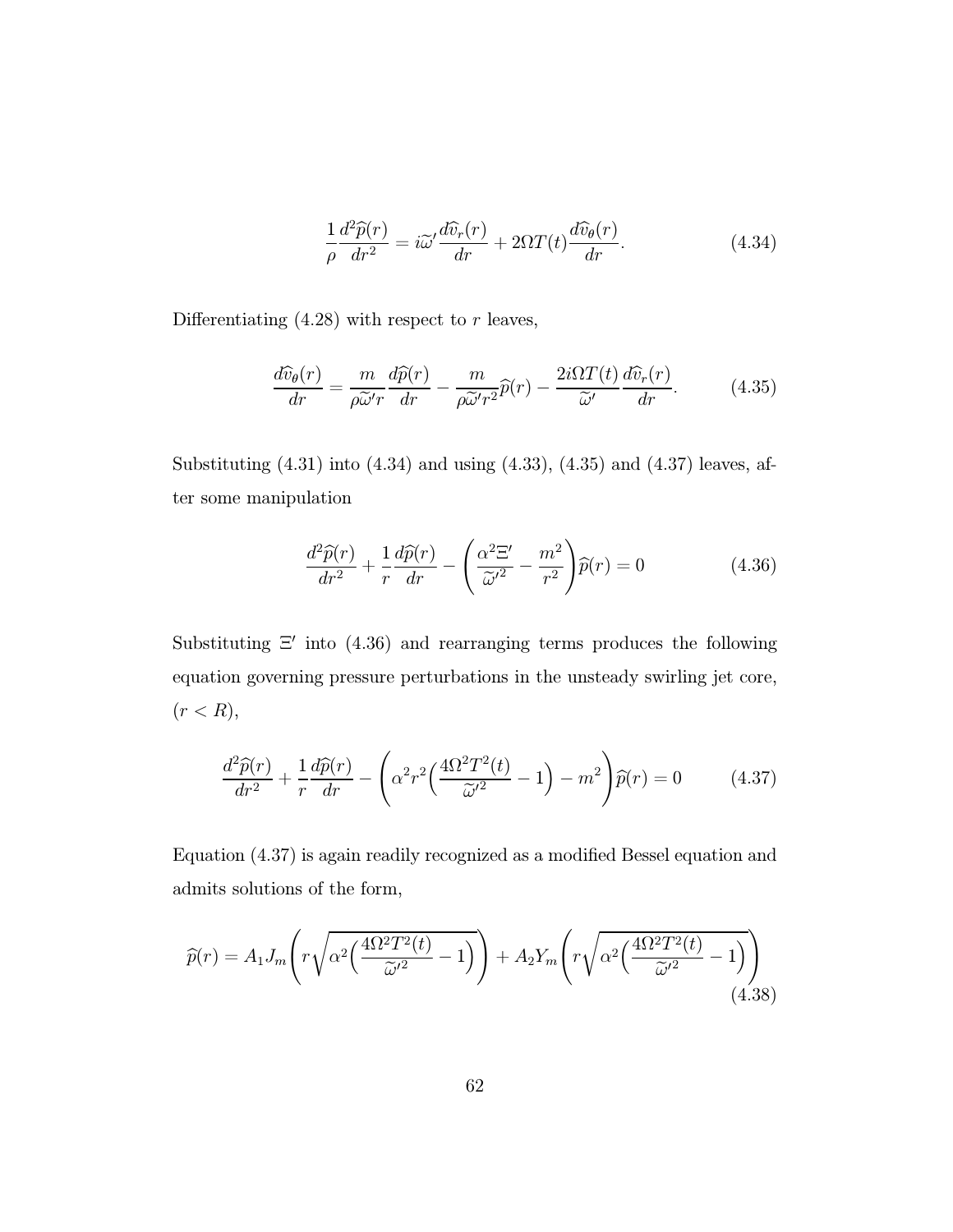$$
\frac{1}{\rho} \frac{d^2 \widehat{p}(r)}{dr^2} = i \widetilde{\omega}' \frac{d \widehat{v}_r(r)}{dr} + 2\Omega T(t) \frac{d \widehat{v}_\theta(r)}{dr}.
$$
\n(4.34)

Differentiating  $(4.28)$  with respect to r leaves,

$$
\frac{d\widehat{v}_{\theta}(r)}{dr} = \frac{m}{\rho \widetilde{\omega}'r} \frac{d\widehat{p}(r)}{dr} - \frac{m}{\rho \widetilde{\omega}'r^2} \widehat{p}(r) - \frac{2i\Omega T(t)}{\widetilde{\omega}'} \frac{d\widehat{v}_r(r)}{dr}.
$$
(4.35)

Substituting  $(4.31)$  into  $(4.34)$  and using  $(4.33)$ ,  $(4.35)$  and  $(4.37)$  leaves, after some manipulation

$$
\frac{d^2\widehat{p}(r)}{dr^2} + \frac{1}{r}\frac{d\widehat{p}(r)}{dr} - \left(\frac{\alpha^2 \Xi'}{\widetilde{\omega'}^2} - \frac{m^2}{r^2}\right)\widehat{p}(r) = 0\tag{4.36}
$$

Substituting  $\Xi'$  into (4.36) and rearranging terms produces the following equation governing pressure perturbations in the unsteady swirling jet core,  $(r < R),$ 

$$
\frac{d^2\widehat{p}(r)}{dr^2} + \frac{1}{r}\frac{d\widehat{p}(r)}{dr} - \left(\alpha^2 r^2 \left(\frac{4\Omega^2 T^2(t)}{\widetilde{\omega}'^2} - 1\right) - m^2\right)\widehat{p}(r) = 0 \tag{4.37}
$$

Equation (4.37) is again readily recognized as a modified Bessel equation and admits solutions of the form,

$$
\widehat{p}(r) = A_1 J_m \left( r \sqrt{\alpha^2 \left( \frac{4\Omega^2 T^2(t)}{\widetilde{\omega}'^2} - 1 \right)} \right) + A_2 Y_m \left( r \sqrt{\alpha^2 \left( \frac{4\Omega^2 T^2(t)}{\widetilde{\omega}'^2} - 1 \right)} \right)
$$
\n(4.38)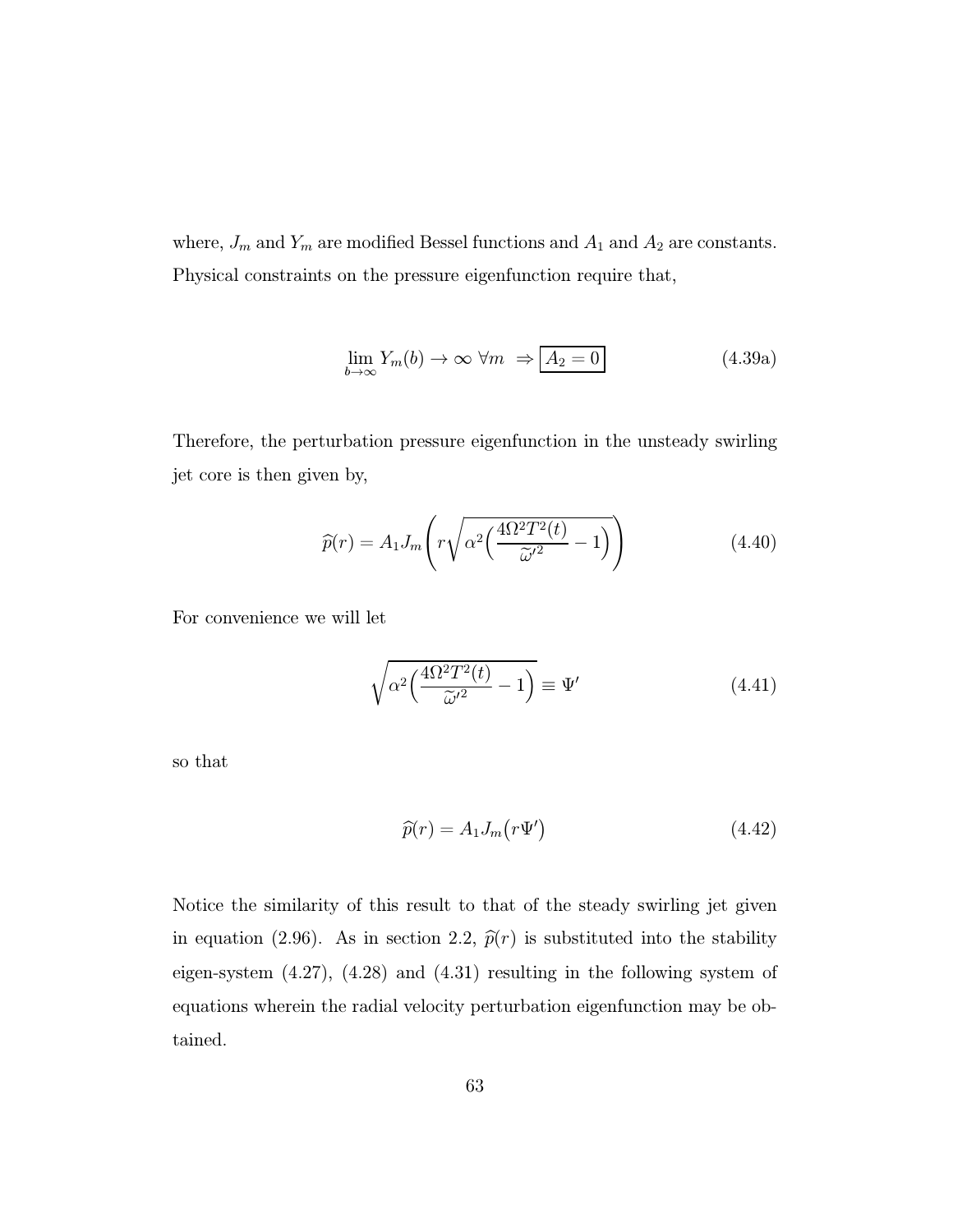where,  $J_m$  and  $Y_m$  are modified Bessel functions and  $A_1$  and  $A_2$  are constants. Physical constraints on the pressure eigenfunction require that,

$$
\lim_{b \to \infty} Y_m(b) \to \infty \ \forall m \ \Rightarrow \boxed{A_2 = 0} \tag{4.39a}
$$

Therefore, the perturbation pressure eigenfunction in the unsteady swirling jet core is then given by,

$$
\widehat{p}(r) = A_1 J_m \left( r \sqrt{\alpha^2 \left( \frac{4\Omega^2 T^2(t)}{\widetilde{\omega}'^2} - 1 \right)} \right) \tag{4.40}
$$

For convenience we will let

$$
\sqrt{\alpha^2 \left(\frac{4\Omega^2 T^2(t)}{\widetilde{\omega}'^2} - 1\right)} \equiv \Psi'
$$
\n(4.41)

so that

$$
\widehat{p}(r) = A_1 J_m(r\Psi')
$$
\n(4.42)

Notice the similarity of this result to that of the steady swirling jet given in equation (2.96). As in section 2.2,  $\hat{p}(r)$  is substituted into the stability eigen-system (4.27), (4.28) and (4.31) resulting in the following system of equations wherein the radial velocity perturbation eigenfunction may be obtained.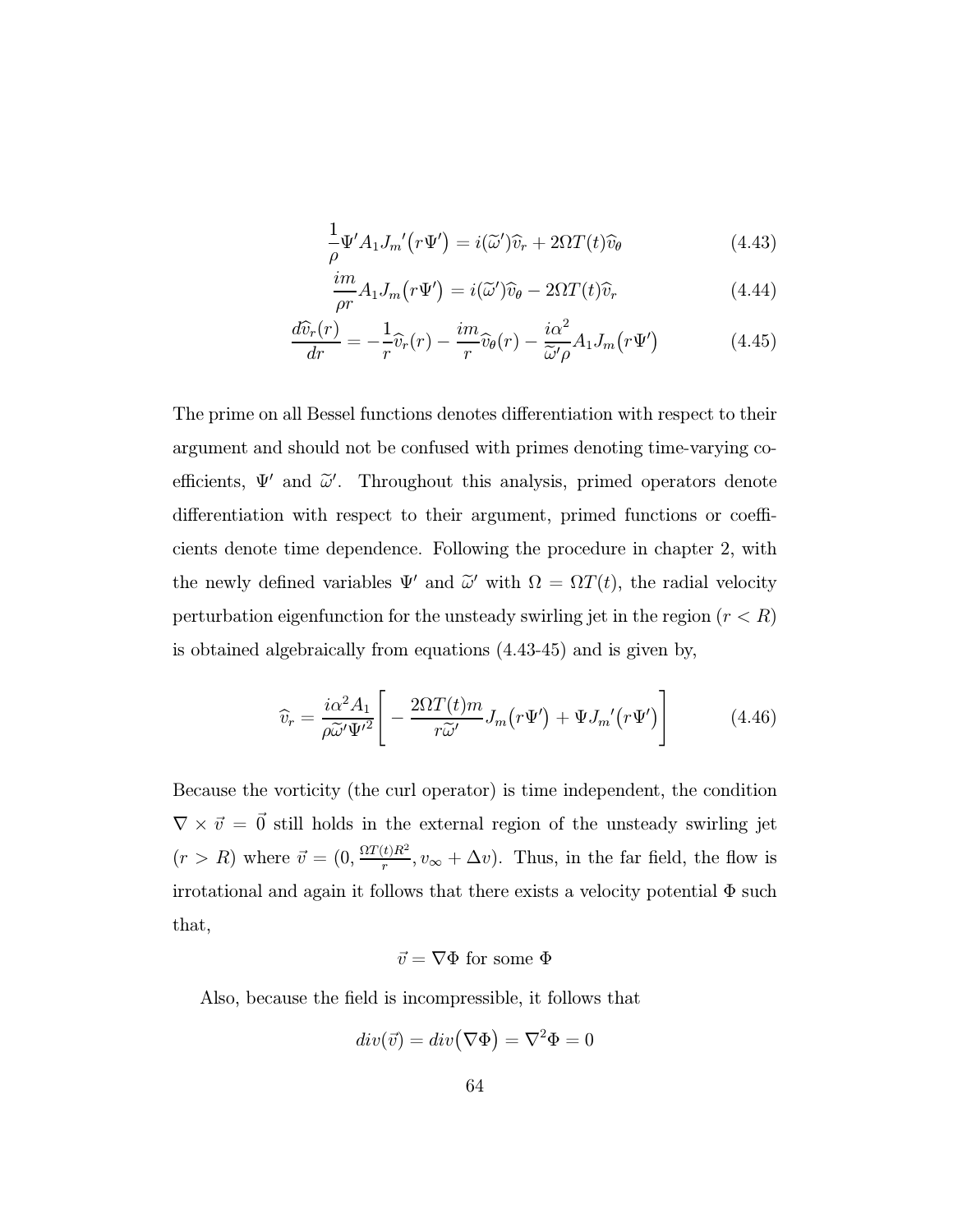$$
\frac{1}{\rho} \Psi' A_1 J_m' (r \Psi') = i(\tilde{\omega}') \hat{v}_r + 2\Omega T(t) \hat{v}_\theta \tag{4.43}
$$

$$
\frac{im}{\rho r}A_1 J_m(r\Psi') = i(\tilde{\omega}')\hat{v}_\theta - 2\Omega T(t)\hat{v}_r
$$
\n(4.44)

$$
\frac{d\widehat{v}_r(r)}{dr} = -\frac{1}{r}\widehat{v}_r(r) - \frac{im}{r}\widehat{v}_\theta(r) - \frac{i\alpha^2}{\widetilde{\omega}'\rho}A_1J_m(r\Psi')
$$
(4.45)

The prime on all Bessel functions denotes differentiation with respect to their argument and should not be confused with primes denoting time-varying coefficients,  $\Psi'$  and  $\tilde{\omega}'$ . Throughout this analysis, primed operators denote differentiation with respect to their argument, primed functions or coefficients denote time dependence. Following the procedure in chapter 2, with the newly defined variables  $\Psi'$  and  $\tilde{\omega}'$  with  $\Omega = \Omega T(t)$ , the radial velocity perturbation eigenfunction for the unsteady swirling jet in the region  $(r < R)$ is obtained algebraically from equations (4.43-45) and is given by,

$$
\widehat{v}_r = \frac{i\alpha^2 A_1}{\rho \widetilde{\omega}' \Psi'^2} \Bigg[ -\frac{2\Omega T(t)m}{r \widetilde{\omega}'} J_m(r\Psi') + \Psi J_m'(r\Psi') \Bigg]
$$
(4.46)

Because the vorticity (the curl operator) is time independent, the condition  $\nabla \times \vec{v} = \vec{0}$  still holds in the external region of the unsteady swirling jet  $(r > R)$  where  $\vec{v} = (0, \frac{\Omega T(t)R^2}{r}, v_{\infty} + \Delta v)$ . Thus, in the far field, the flow is irrotational and again it follows that there exists a velocity potential  $\Phi$  such that,

#### $\vec{v} = \nabla \Phi$  for some  $\Phi$

Also, because the field is incompressible, it follows that

$$
div(\vec{v})=div\big(\nabla\Phi\big)=\nabla^2\Phi=0
$$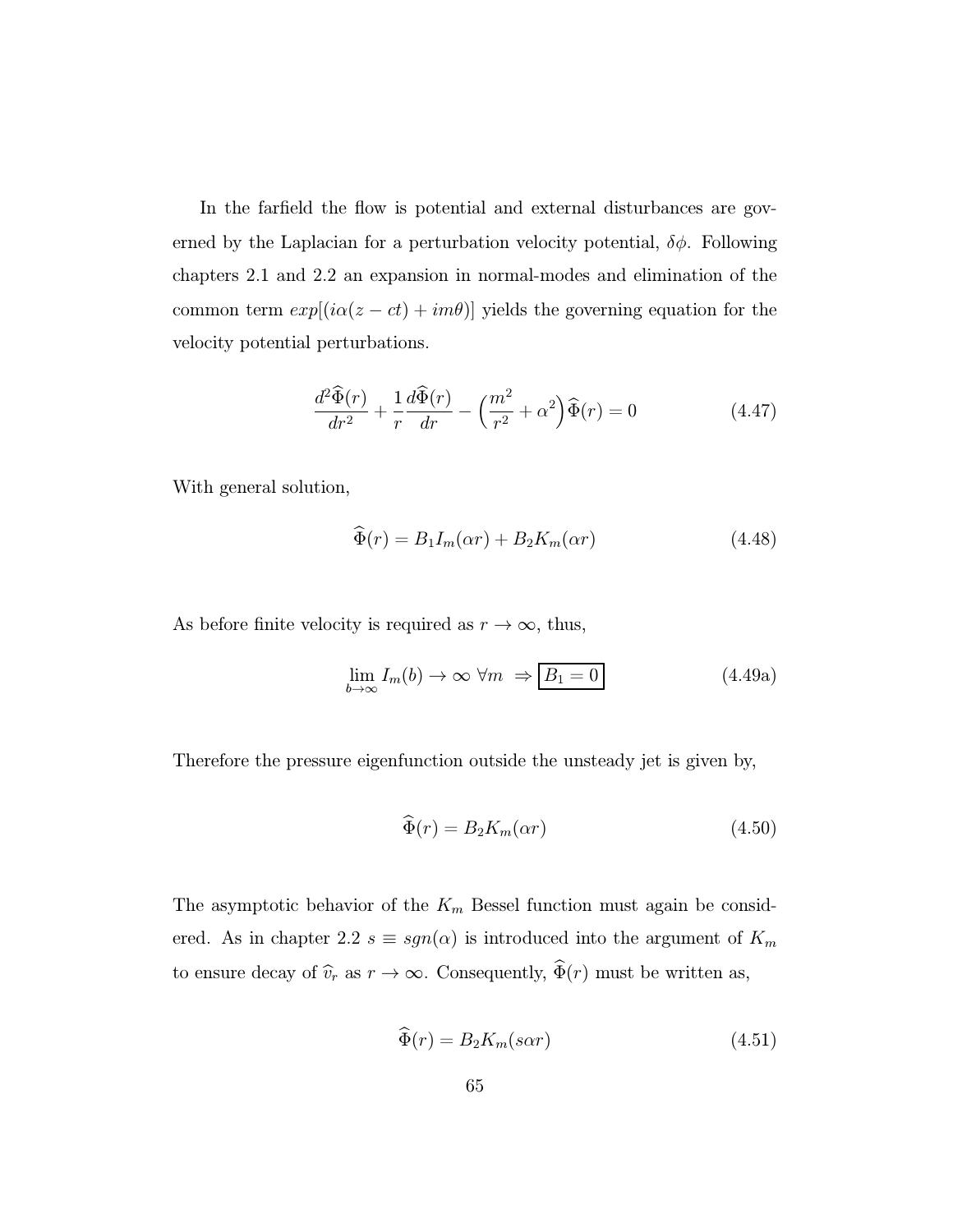In the farfield the flow is potential and external disturbances are governed by the Laplacian for a perturbation velocity potential,  $\delta \phi$ . Following chapters 2.1 and 2.2 an expansion in normal-modes and elimination of the common term  $exp[(i\alpha(z - ct) + im\theta)]$  yields the governing equation for the velocity potential perturbations.

$$
\frac{d^2\widehat{\Phi}(r)}{dr^2} + \frac{1}{r}\frac{d\widehat{\Phi}(r)}{dr} - \left(\frac{m^2}{r^2} + \alpha^2\right)\widehat{\Phi}(r) = 0\tag{4.47}
$$

With general solution,

$$
\widehat{\Phi}(r) = B_1 I_m(\alpha r) + B_2 K_m(\alpha r) \tag{4.48}
$$

As before finite velocity is required as  $r \to \infty$ , thus,

$$
\lim_{b \to \infty} I_m(b) \to \infty \ \forall m \ \Rightarrow \boxed{B_1 = 0} \tag{4.49a}
$$

Therefore the pressure eigenfunction outside the unsteady jet is given by,

$$
\widehat{\Phi}(r) = B_2 K_m(\alpha r) \tag{4.50}
$$

The asymptotic behavior of the  $K_m$  Bessel function must again be considered. As in chapter 2.2  $s \equiv sgn(\alpha)$  is introduced into the argument of  $K_m$ to ensure decay of  $\widehat{v}_r$  as  $r \to \infty$ . Consequently,  $\widehat{\Phi}(r)$  must be written as,

$$
\widehat{\Phi}(r) = B_2 K_m(s \alpha r) \tag{4.51}
$$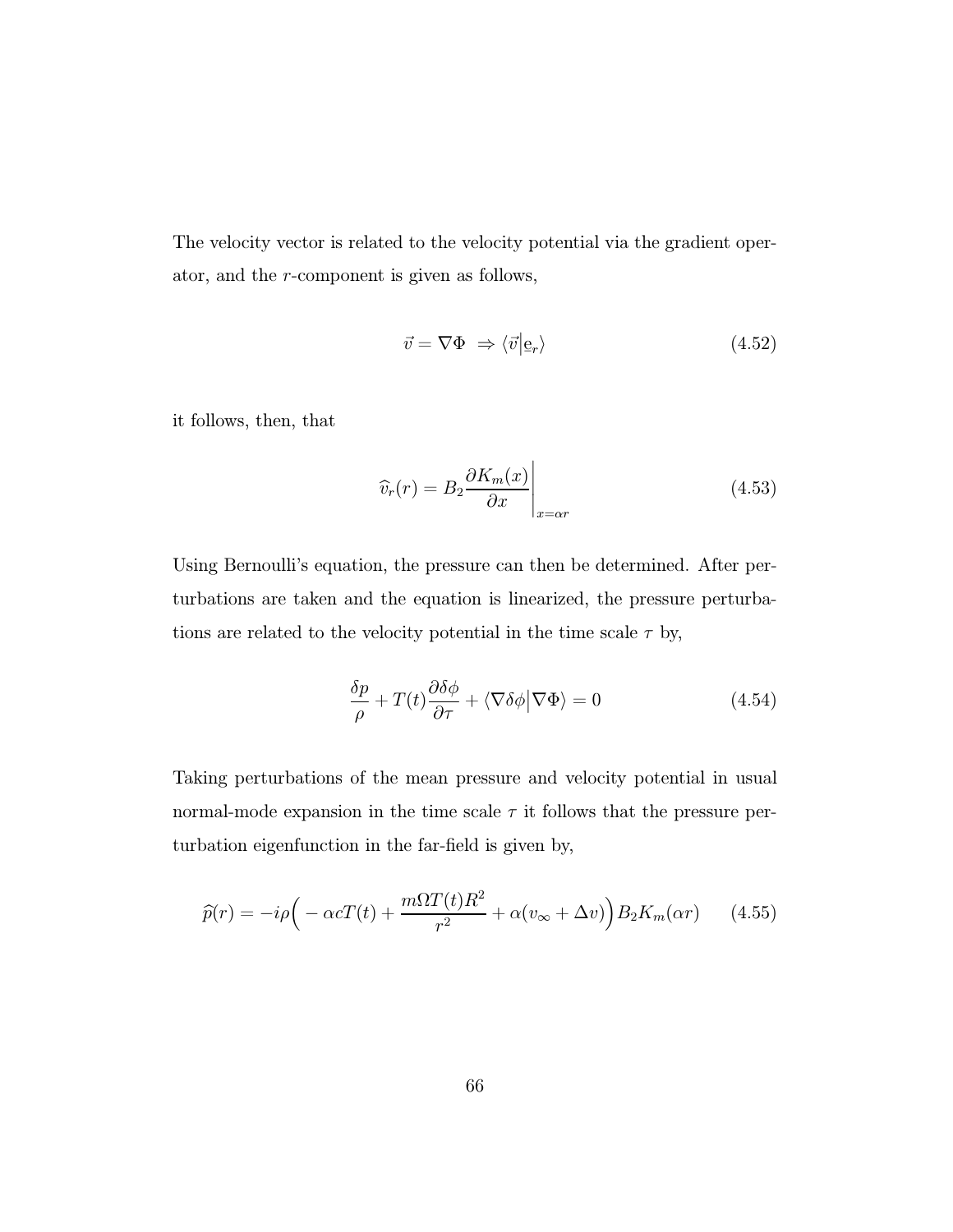The velocity vector is related to the velocity potential via the gradient operator, and the r-component is given as follows,

$$
\vec{v} = \nabla \Phi \Rightarrow \langle \vec{v} | \mathbf{e}_r \rangle \tag{4.52}
$$

it follows, then, that

$$
\widehat{v}_r(r) = B_2 \frac{\partial K_m(x)}{\partial x} \bigg|_{x = \alpha r} \tag{4.53}
$$

Using Bernoulli's equation, the pressure can then be determined. After perturbations are taken and the equation is linearized, the pressure perturbations are related to the velocity potential in the time scale  $\tau$  by,

$$
\frac{\delta p}{\rho} + T(t) \frac{\partial \delta \phi}{\partial \tau} + \langle \nabla \delta \phi | \nabla \Phi \rangle = 0 \tag{4.54}
$$

Taking perturbations of the mean pressure and velocity potential in usual normal-mode expansion in the time scale  $\tau$  it follows that the pressure perturbation eigenfunction in the far-field is given by,

$$
\widehat{p}(r) = -i\rho \Big( -\alpha cT(t) + \frac{m\Omega T(t)R^2}{r^2} + \alpha(v_{\infty} + \Delta v) \Big) B_2 K_m(\alpha r) \qquad (4.55)
$$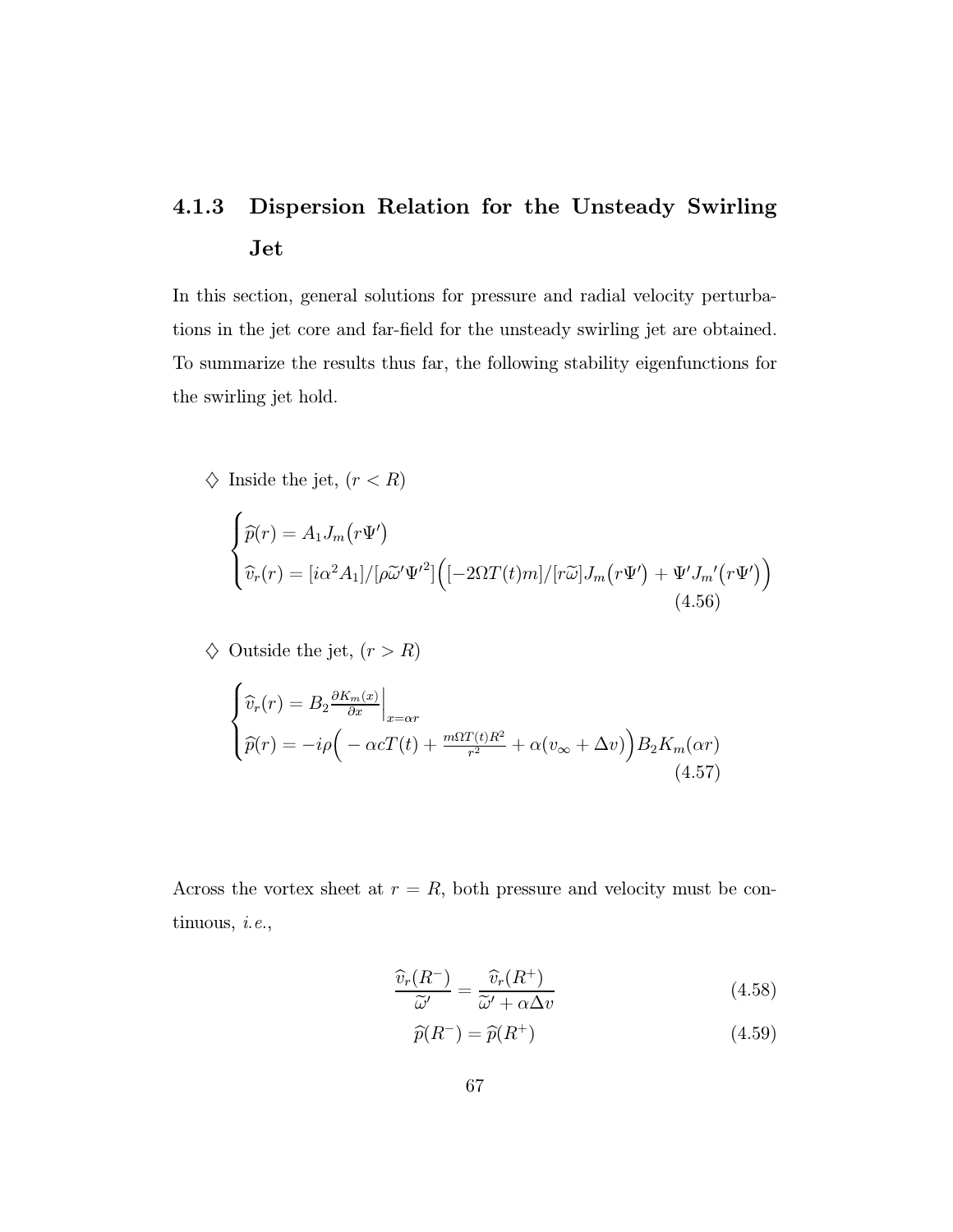## 4.1.3 Dispersion Relation for the Unsteady Swirling Jet

In this section, general solutions for pressure and radial velocity perturbations in the jet core and far-field for the unsteady swirling jet are obtained. To summarize the results thus far, the following stability eigenfunctions for the swirling jet hold.

$$
\diamondsuit \text{ Inside the jet, } (r < R)
$$

$$
\begin{cases}\n\widehat{p}(r) = A_1 J_m(r\Psi') \\
\widehat{v}_r(r) = [i\alpha^2 A_1]/[\rho \widetilde{\omega}' \Psi'^2] \Big( [-2\Omega T(t)m]/[r\widetilde{\omega}] J_m(r\Psi') + \Psi' J_m'(r\Psi') \Big) \\
(4.56)\n\end{cases}
$$

 $\diamondsuit$  Outside the jet,  $(r>R)$ 

$$
\begin{cases}\n\widehat{v}_r(r) = B_2 \frac{\partial K_m(x)}{\partial x}\Big|_{x=\alpha r} \\
\widehat{p}(r) = -i\rho \Big( -\alpha cT(t) + \frac{m\Omega T(t)R^2}{r^2} + \alpha(v_\infty + \Delta v) \Big) B_2 K_m(\alpha r)\n\end{cases}
$$
\n(4.57)

Across the vortex sheet at  $r = R$ , both pressure and velocity must be continuous, i.e.,

$$
\frac{\widehat{v}_r(R^-)}{\widetilde{\omega}'} = \frac{\widehat{v}_r(R^+)}{\widetilde{\omega}' + \alpha \Delta v}
$$
\n(4.58)

$$
\widehat{p}(R^{-}) = \widehat{p}(R^{+})
$$
\n(4.59)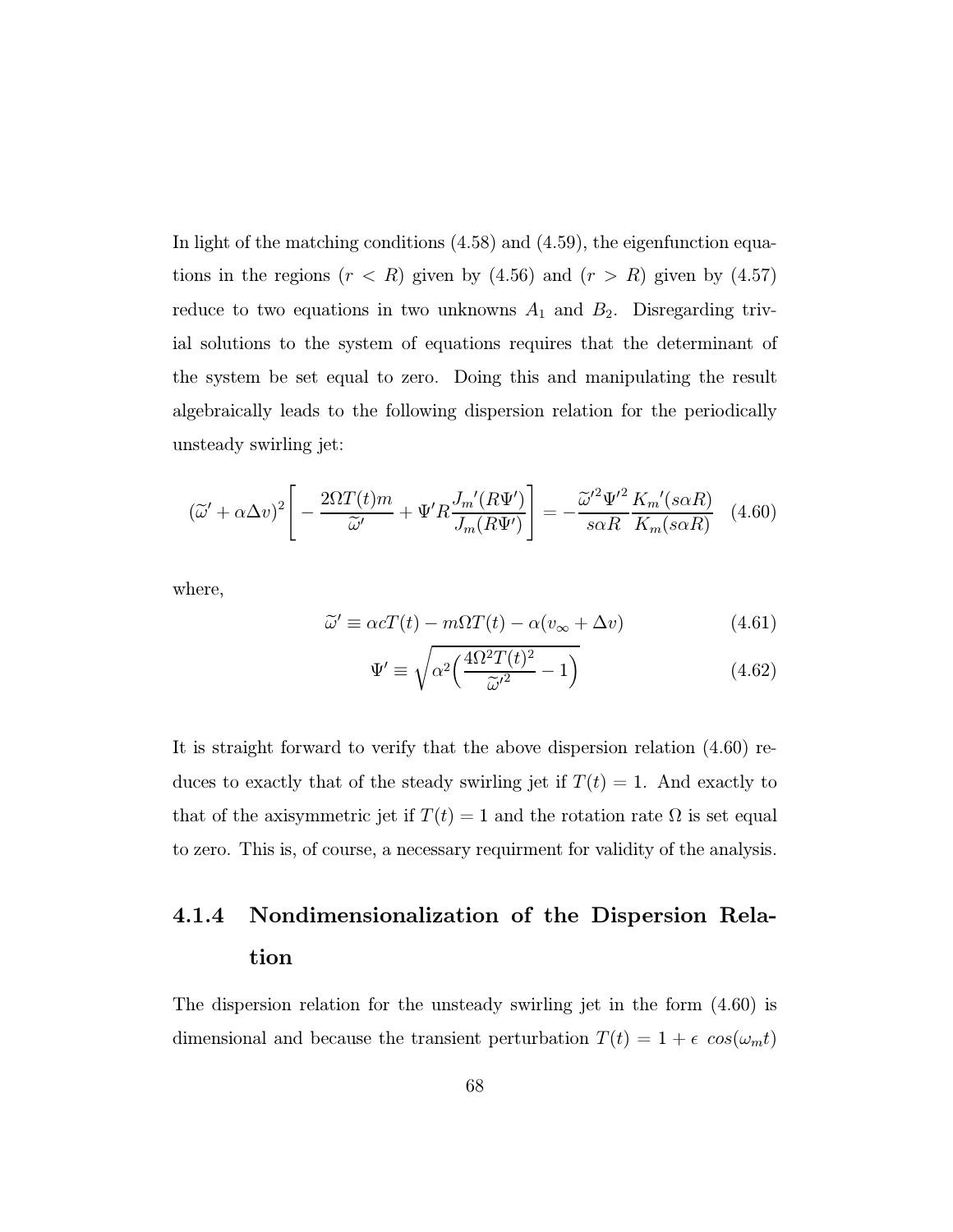In light of the matching conditions (4.58) and (4.59), the eigenfunction equations in the regions  $(r < R)$  given by  $(4.56)$  and  $(r > R)$  given by  $(4.57)$ reduce to two equations in two unknowns  $A_1$  and  $B_2$ . Disregarding trivial solutions to the system of equations requires that the determinant of the system be set equal to zero. Doing this and manipulating the result algebraically leads to the following dispersion relation for the periodically unsteady swirling jet:

$$
\left(\widetilde{\omega}' + \alpha \Delta v\right)^2 \left[ -\frac{2\Omega T(t)m}{\widetilde{\omega}'} + \Psi'R \frac{J_m'(R\Psi')}{J_m(R\Psi')} \right] = -\frac{\widetilde{\omega}'^2 \Psi'^2}{s\alpha R} \frac{K_m'(s\alpha R)}{K_m(s\alpha R)} \tag{4.60}
$$

where,

$$
\widetilde{\omega}' \equiv \alpha c T(t) - m\Omega T(t) - \alpha (v_{\infty} + \Delta v) \tag{4.61}
$$

$$
\Psi' \equiv \sqrt{\alpha^2 \left(\frac{4\Omega^2 T(t)^2}{\tilde{\omega}'^2} - 1\right)}\tag{4.62}
$$

It is straight forward to verify that the above dispersion relation (4.60) reduces to exactly that of the steady swirling jet if  $T(t) = 1$ . And exactly to that of the axisymmetric jet if  $T(t) = 1$  and the rotation rate  $\Omega$  is set equal to zero. This is, of course, a necessary requirment for validity of the analysis.

## 4.1.4 Nondimensionalization of the Dispersion Relation

The dispersion relation for the unsteady swirling jet in the form (4.60) is dimensional and because the transient perturbation  $T(t) = 1 + \epsilon \cos(\omega_m t)$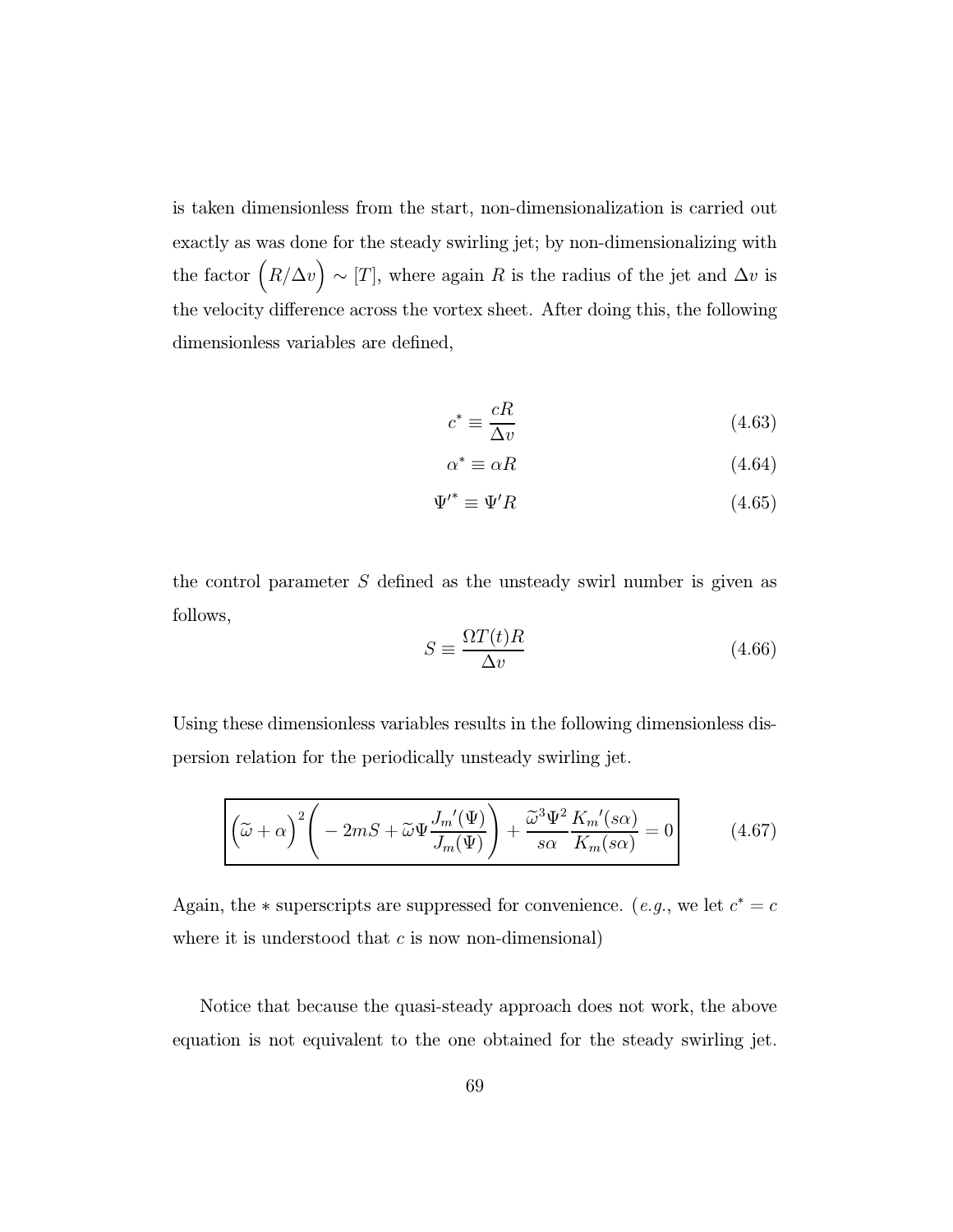is taken dimensionless from the start, non-dimensionalization is carried out exactly as was done for the steady swirling jet; by non-dimensionalizing with the factor  $(R/\Delta v) \sim [T]$ , where again R is the radius of the jet and  $\Delta v$  is the velocity difference across the vortex sheet. After doing this, the following dimensionless variables are defined,

$$
c^* \equiv \frac{cR}{\Delta v} \tag{4.63}
$$

$$
\alpha^* \equiv \alpha R \tag{4.64}
$$

$$
\Psi^{\prime *} \equiv \Psi^{\prime} R \tag{4.65}
$$

the control parameter  $S$  defined as the unsteady swirl number is given as follows,

$$
S \equiv \frac{\Omega T(t)R}{\Delta v} \tag{4.66}
$$

Using these dimensionless variables results in the following dimensionless dispersion relation for the periodically unsteady swirling jet.

$$
\left(\tilde{\omega} + \alpha\right)^2 \left(-2mS + \tilde{\omega}\Psi \frac{J_m'(\Psi)}{J_m(\Psi)}\right) + \frac{\tilde{\omega}^3 \Psi^2}{s\alpha} \frac{K_m'(s\alpha)}{K_m(s\alpha)} = 0\right) \tag{4.67}
$$

Again, the  $*$  superscripts are suppressed for convenience. (*e.g.*, we let  $c^* = c$ where it is understood that  $c$  is now non-dimensional)

Notice that because the quasi-steady approach does not work, the above equation is not equivalent to the one obtained for the steady swirling jet.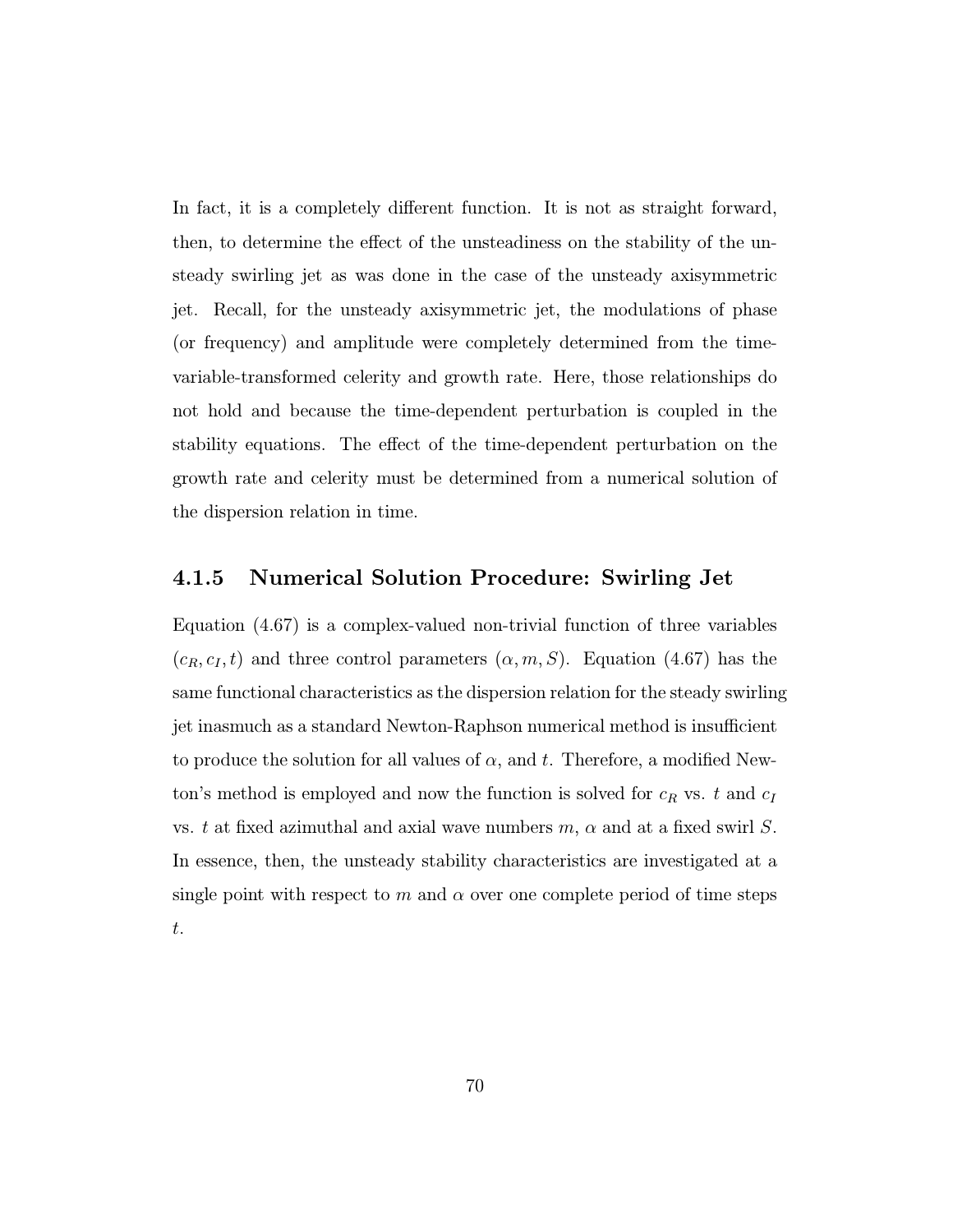In fact, it is a completely different function. It is not as straight forward, then, to determine the effect of the unsteadiness on the stability of the unsteady swirling jet as was done in the case of the unsteady axisymmetric jet. Recall, for the unsteady axisymmetric jet, the modulations of phase (or frequency) and amplitude were completely determined from the timevariable-transformed celerity and growth rate. Here, those relationships do not hold and because the time-dependent perturbation is coupled in the stability equations. The effect of the time-dependent perturbation on the growth rate and celerity must be determined from a numerical solution of the dispersion relation in time.

### 4.1.5 Numerical Solution Procedure: Swirling Jet

Equation (4.67) is a complex-valued non-trivial function of three variables  $(c_R, c_I, t)$  and three control parameters  $(\alpha, m, S)$ . Equation (4.67) has the same functional characteristics as the dispersion relation for the steady swirling jet inasmuch as a standard Newton-Raphson numerical method is insufficient to produce the solution for all values of  $\alpha$ , and t. Therefore, a modified Newton's method is employed and now the function is solved for  $c_R$  vs. t and  $c_I$ vs. t at fixed azimuthal and axial wave numbers  $m, \alpha$  and at a fixed swirl S. In essence, then, the unsteady stability characteristics are investigated at a single point with respect to m and  $\alpha$  over one complete period of time steps t.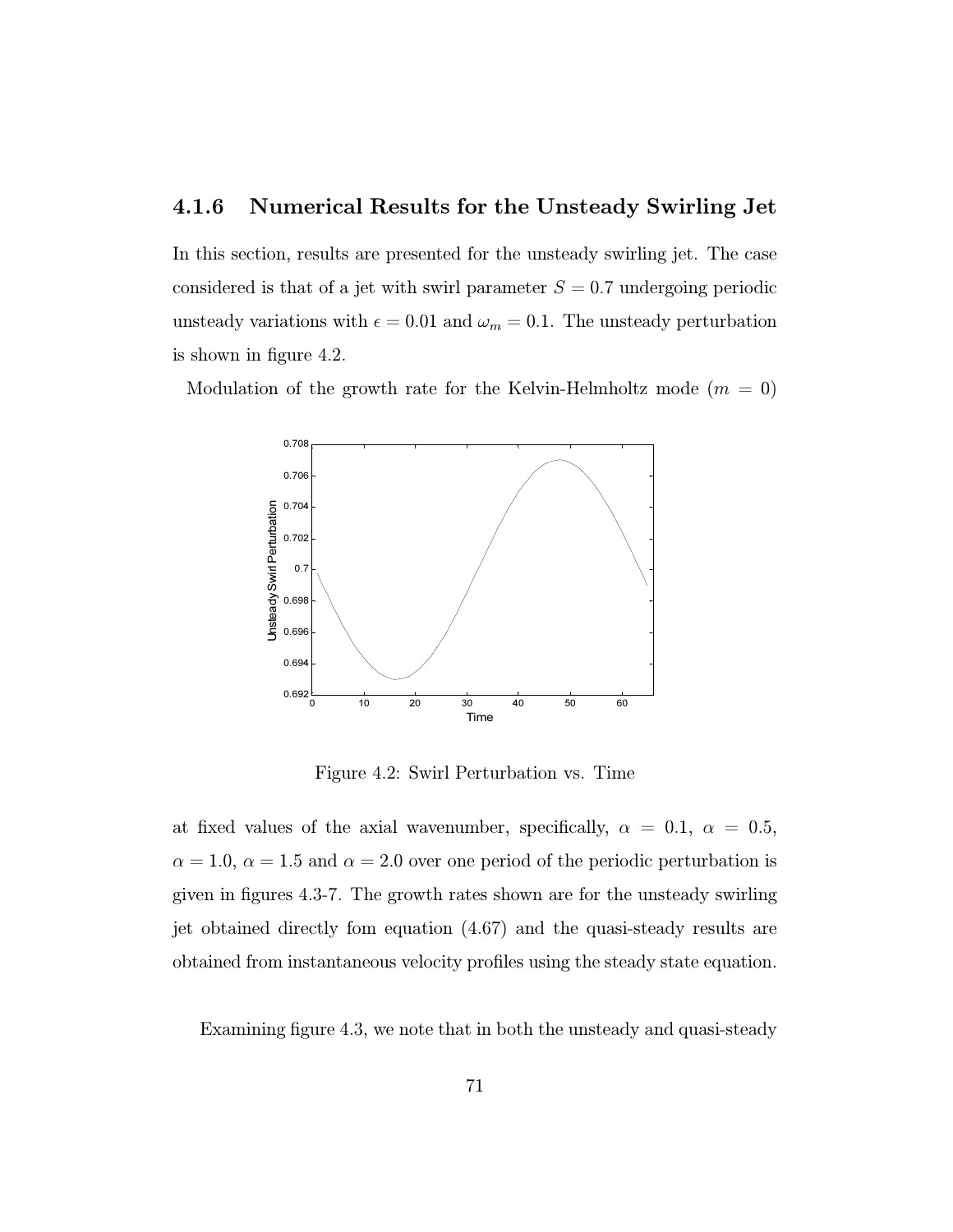### 4.1.6 Numerical Results for the Unsteady Swirling Jet

In this section, results are presented for the unsteady swirling jet. The case considered is that of a jet with swirl parameter  $S = 0.7$  undergoing periodic unsteady variations with  $\epsilon = 0.01$  and  $\omega_m = 0.1$ . The unsteady perturbation is shown in figure 4.2.

Modulation of the growth rate for the Kelvin-Helmholtz mode  $(m = 0)$ 



Figure 4.2: Swirl Perturbation vs. Time

at fixed values of the axial wavenumber, specifically,  $\alpha = 0.1, \alpha = 0.5$ ,  $\alpha = 1.0, \alpha = 1.5$  and  $\alpha = 2.0$  over one period of the periodic perturbation is given in figures 4.3-7. The growth rates shown are for the unsteady swirling jet obtained directly fom equation (4.67) and the quasi-steady results are obtained from instantaneous velocity profiles using the steady state equation.

Examining figure 4.3, we note that in both the unsteady and quasi-steady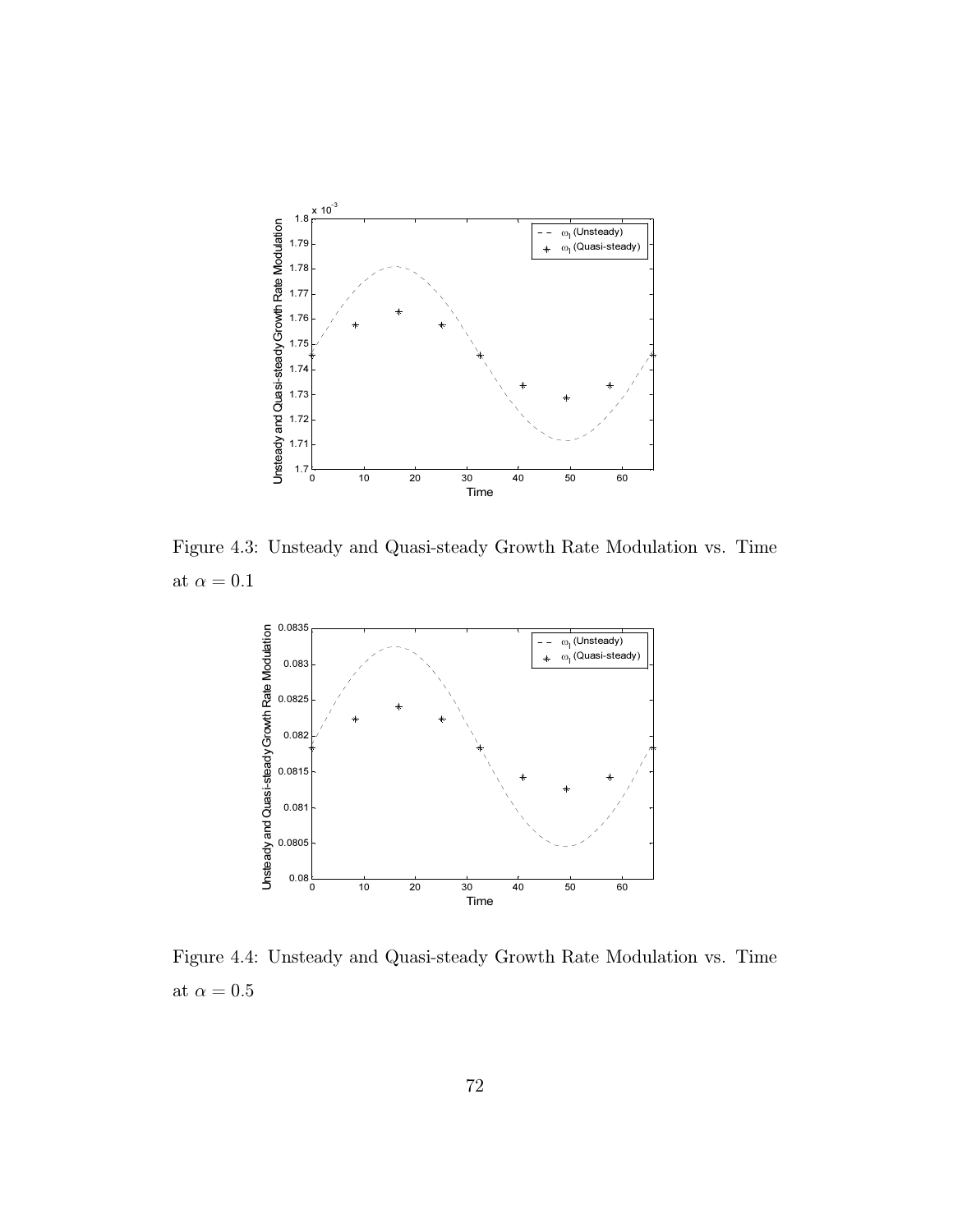

Figure 4.3: Unsteady and Quasi-steady Growth Rate Modulation vs. Time at  $\alpha = 0.1$ 



Figure 4.4: Unsteady and Quasi-steady Growth Rate Modulation vs. Time at  $\alpha=0.5$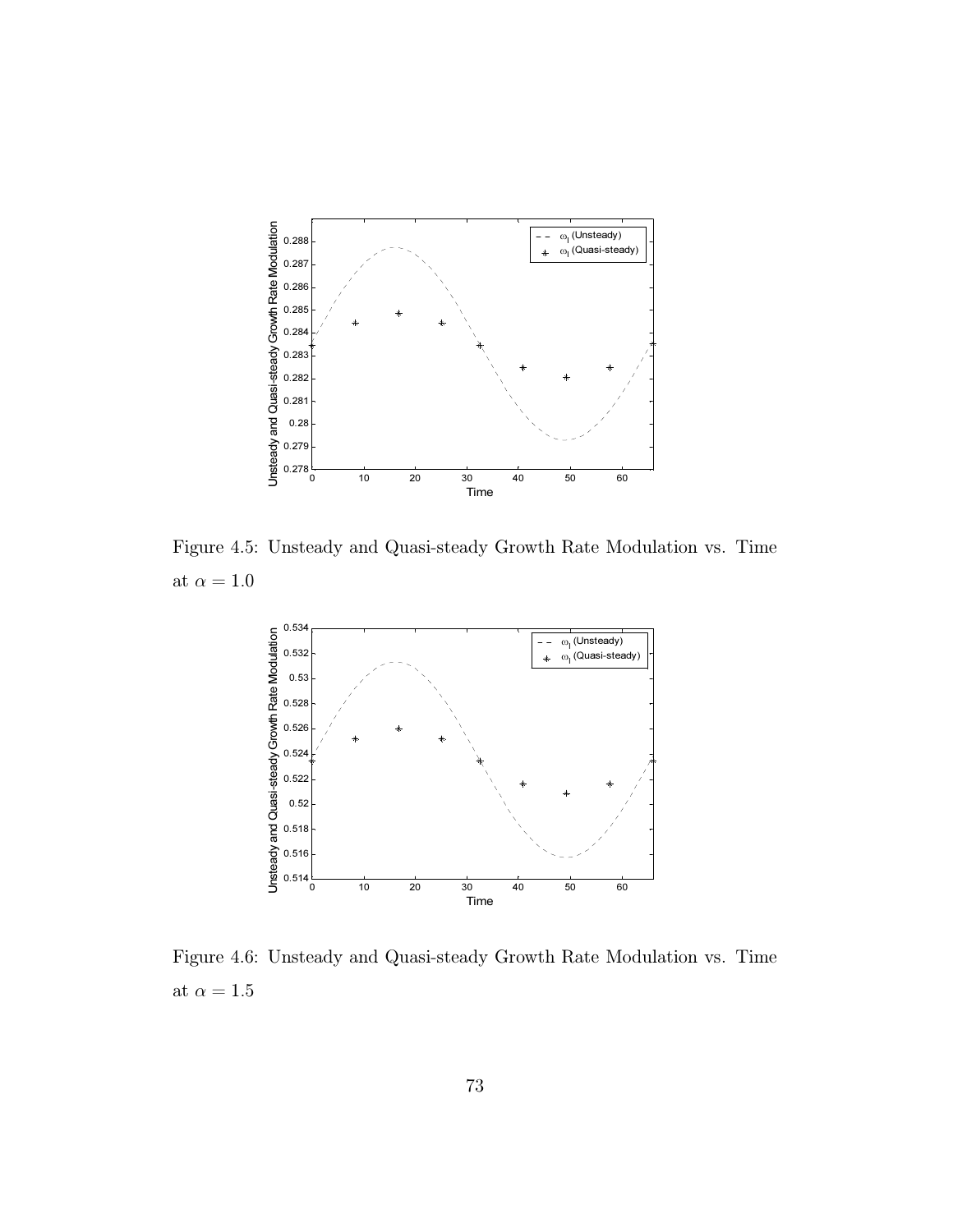

Figure 4.5: Unsteady and Quasi-steady Growth Rate Modulation vs. Time at  $\alpha=1.0$ 



Figure 4.6: Unsteady and Quasi-steady Growth Rate Modulation vs. Time at  $\alpha=1.5$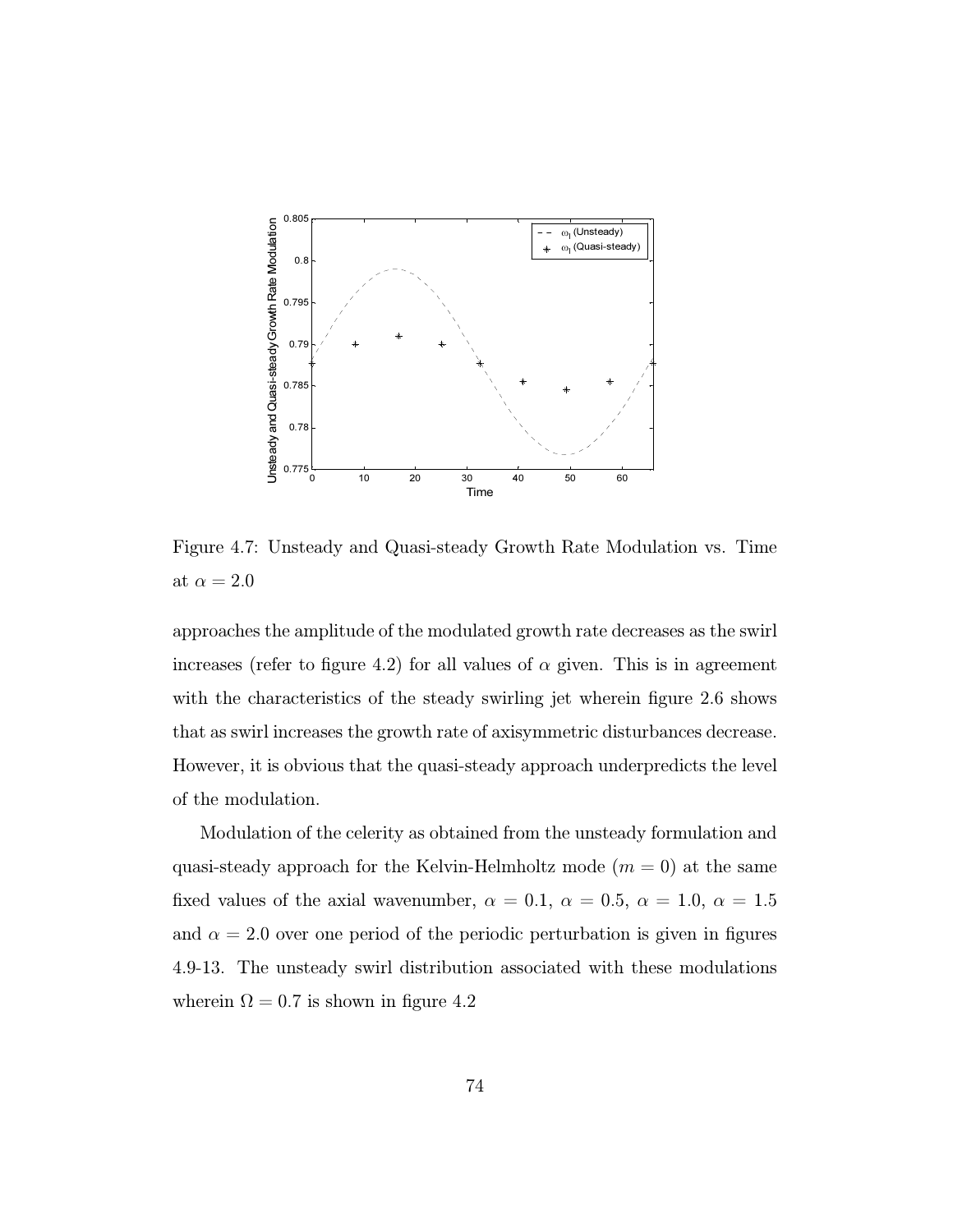

Figure 4.7: Unsteady and Quasi-steady Growth Rate Modulation vs. Time at  $\alpha=2.0$ 

approaches the amplitude of the modulated growth rate decreases as the swirl increases (refer to figure 4.2) for all values of  $\alpha$  given. This is in agreement with the characteristics of the steady swirling jet wherein figure 2.6 shows that as swirl increases the growth rate of axisymmetric disturbances decrease. However, it is obvious that the quasi-steady approach underpredicts the level of the modulation.

Modulation of the celerity as obtained from the unsteady formulation and quasi-steady approach for the Kelvin-Helmholtz mode  $(m = 0)$  at the same fixed values of the axial wavenumber,  $\alpha = 0.1, \alpha = 0.5, \alpha = 1.0, \alpha = 1.5$ and  $\alpha = 2.0$  over one period of the periodic perturbation is given in figures 4.9-13. The unsteady swirl distribution associated with these modulations wherein  $\Omega = 0.7$  is shown in figure 4.2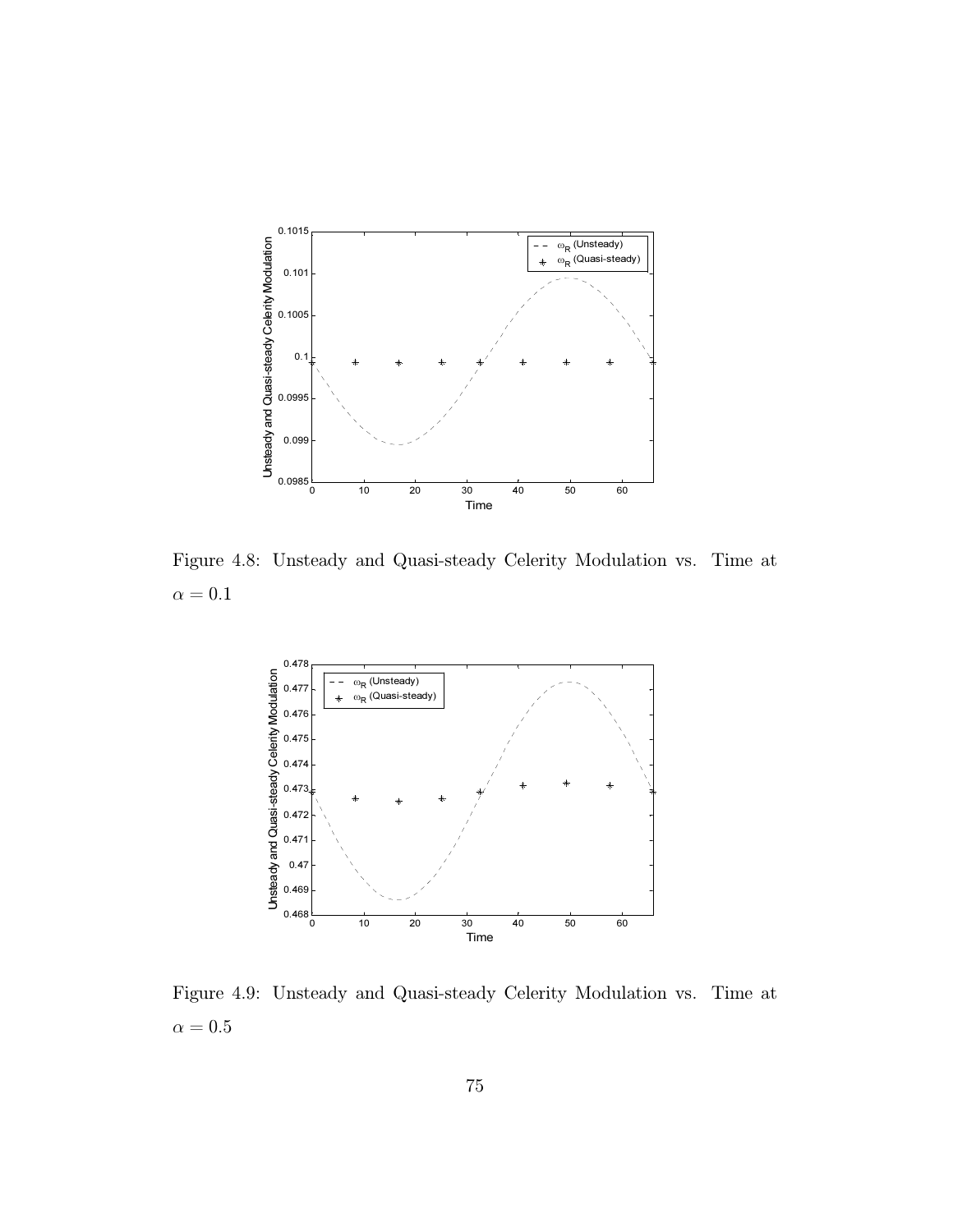

Figure 4.8: Unsteady and Quasi-steady Celerity Modulation vs. Time at  $\alpha = 0.1$ 



Figure 4.9: Unsteady and Quasi-steady Celerity Modulation vs. Time at  $\alpha = 0.5$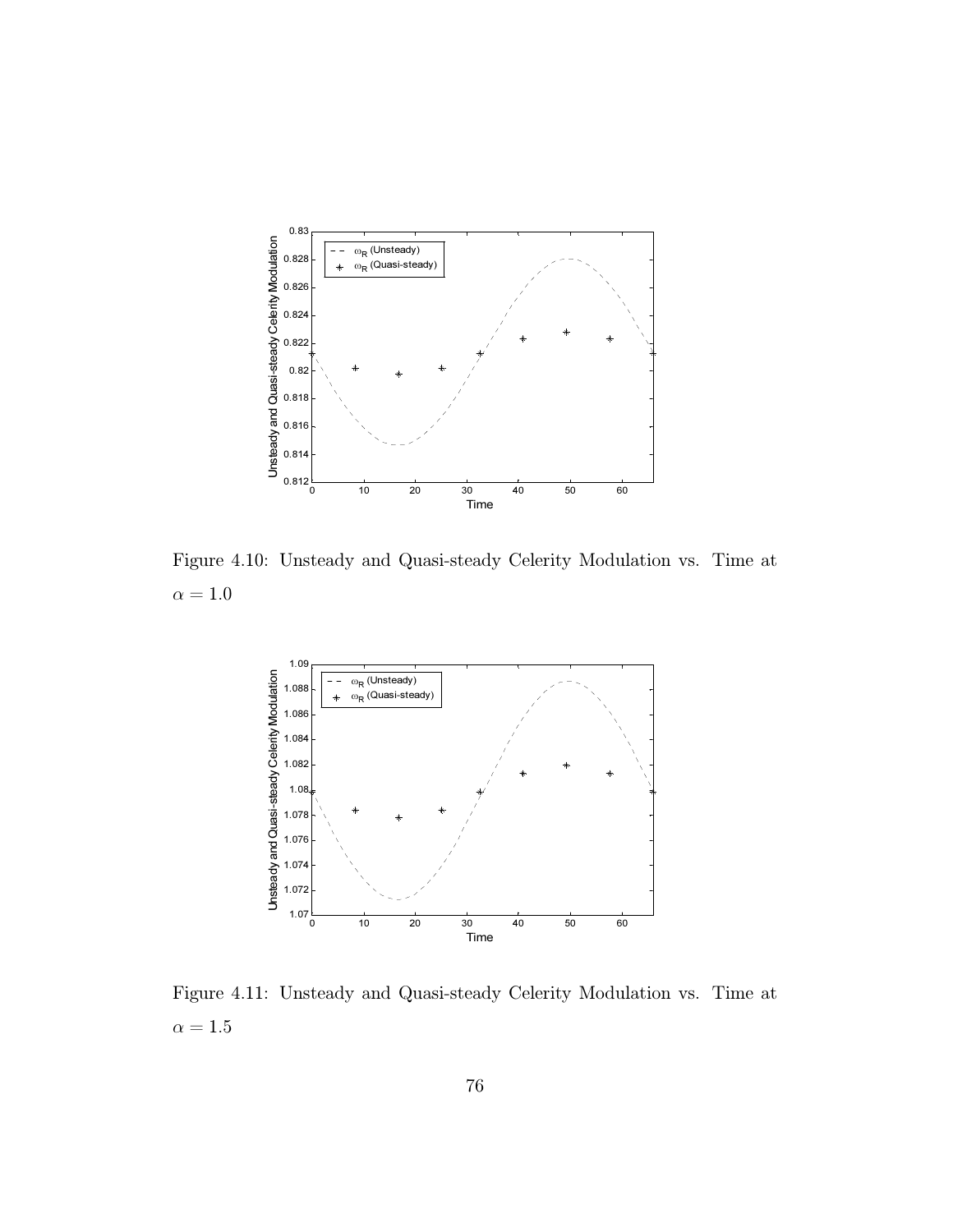

Figure 4.10: Unsteady and Quasi-steady Celerity Modulation vs. Time at  $\alpha=1.0$ 



Figure 4.11: Unsteady and Quasi-steady Celerity Modulation vs. Time at  $\alpha=1.5$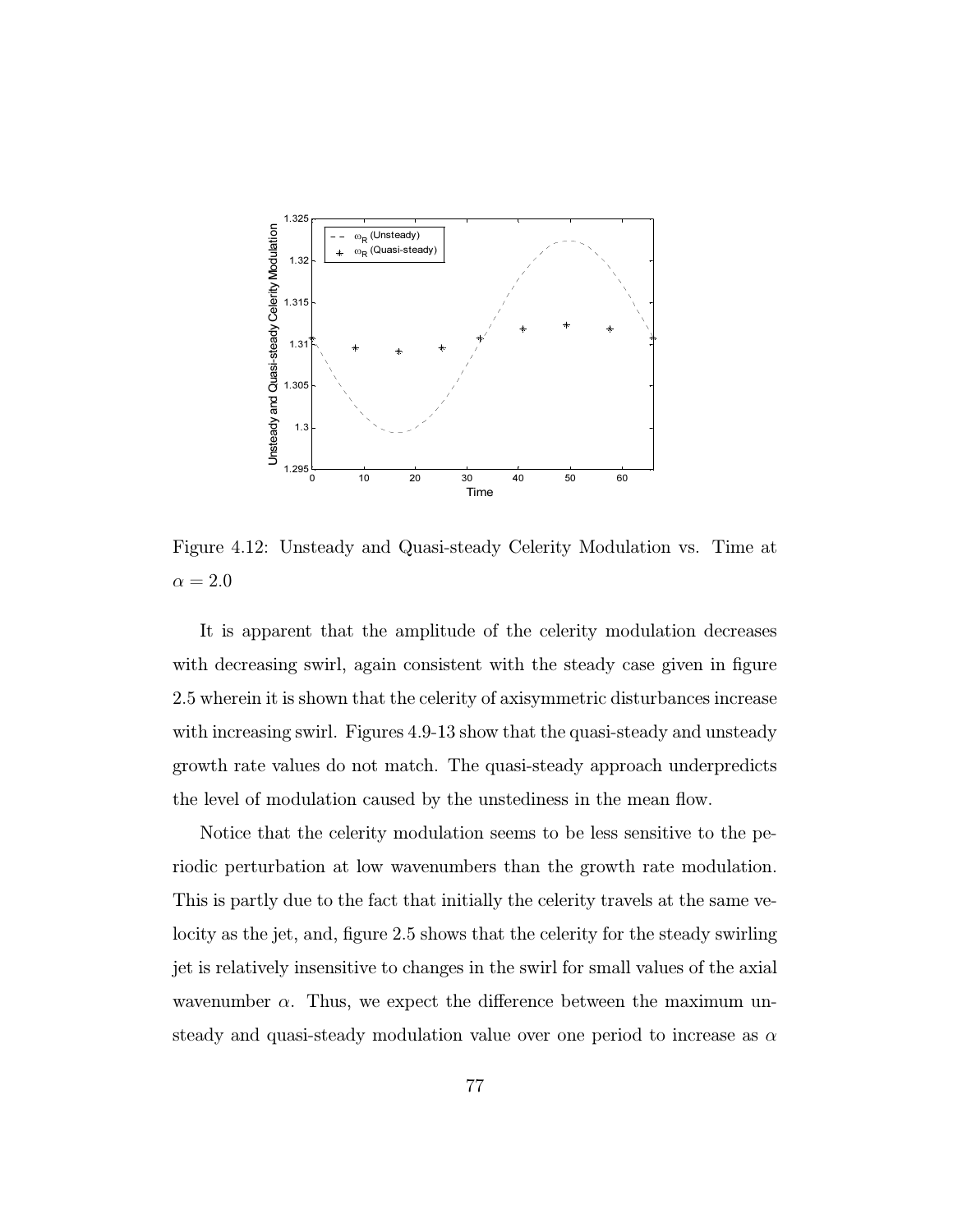

Figure 4.12: Unsteady and Quasi-steady Celerity Modulation vs. Time at  $\alpha = 2.0$ 

It is apparent that the amplitude of the celerity modulation decreases with decreasing swirl, again consistent with the steady case given in figure 2.5 wherein it is shown that the celerity of axisymmetric disturbances increase with increasing swirl. Figures 4.9-13 show that the quasi-steady and unsteady growth rate values do not match. The quasi-steady approach underpredicts the level of modulation caused by the unstediness in the mean flow.

Notice that the celerity modulation seems to be less sensitive to the periodic perturbation at low wavenumbers than the growth rate modulation. This is partly due to the fact that initially the celerity travels at the same velocity as the jet, and, figure 2.5 shows that the celerity for the steady swirling jet is relatively insensitive to changes in the swirl for small values of the axial wavenumber  $\alpha$ . Thus, we expect the difference between the maximum unsteady and quasi-steady modulation value over one period to increase as  $\alpha$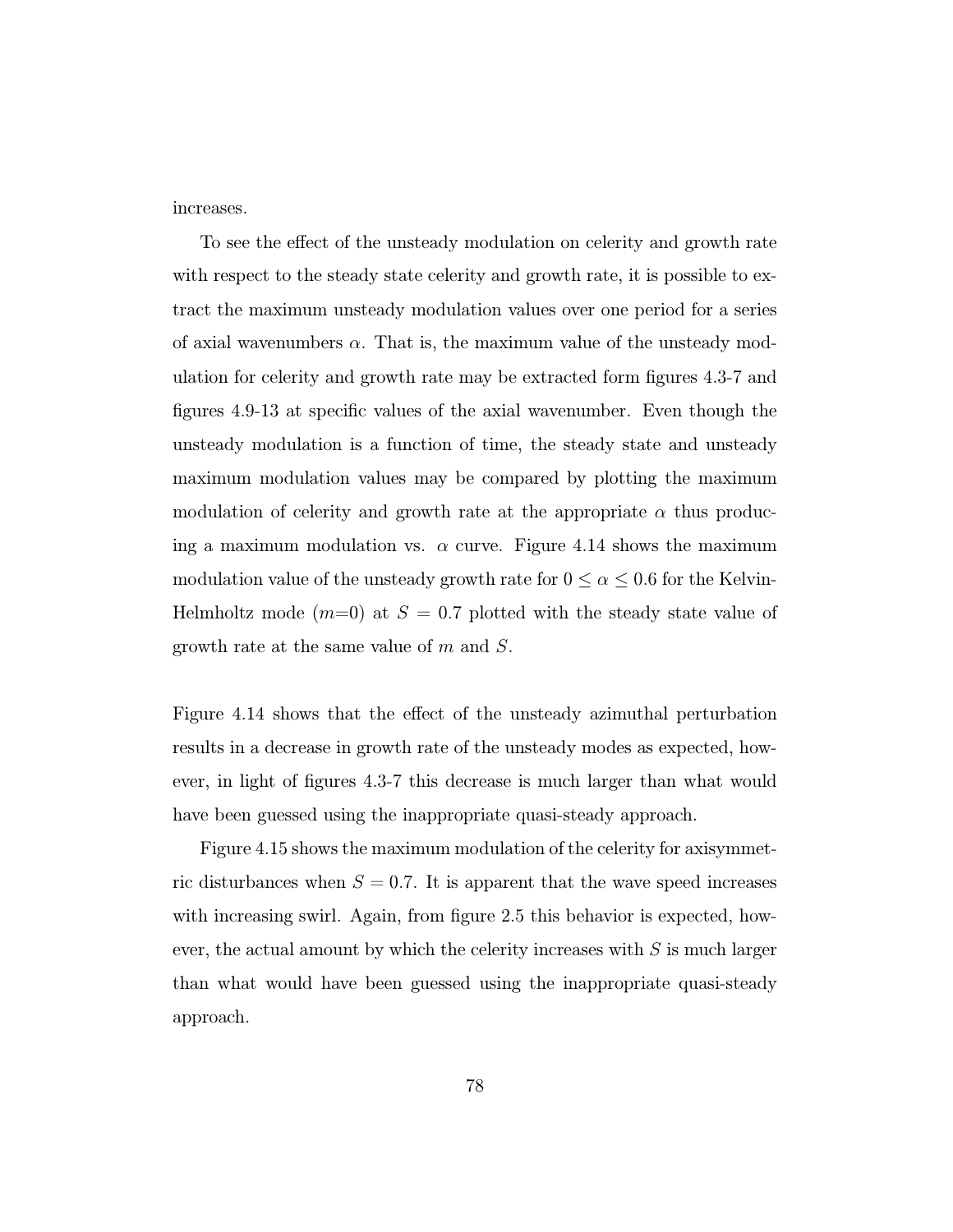increases.

To see the effect of the unsteady modulation on celerity and growth rate with respect to the steady state celerity and growth rate, it is possible to extract the maximum unsteady modulation values over one period for a series of axial wavenumbers  $\alpha$ . That is, the maximum value of the unsteady modulation for celerity and growth rate may be extracted form figures 4.3-7 and figures 4.9-13 at specific values of the axial wavenumber. Even though the unsteady modulation is a function of time, the steady state and unsteady maximum modulation values may be compared by plotting the maximum modulation of celerity and growth rate at the appropriate  $\alpha$  thus producing a maximum modulation vs.  $\alpha$  curve. Figure 4.14 shows the maximum modulation value of the unsteady growth rate for  $0 \le \alpha \le 0.6$  for the Kelvin-Helmholtz mode  $(m=0)$  at  $S = 0.7$  plotted with the steady state value of growth rate at the same value of m and S.

Figure 4.14 shows that the effect of the unsteady azimuthal perturbation results in a decrease in growth rate of the unsteady modes as expected, however, in light of figures 4.3-7 this decrease is much larger than what would have been guessed using the inappropriate quasi-steady approach.

Figure 4.15 shows the maximum modulation of the celerity for axisymmetric disturbances when  $S = 0.7$ . It is apparent that the wave speed increases with increasing swirl. Again, from figure 2.5 this behavior is expected, however, the actual amount by which the celerity increases with  $S$  is much larger than what would have been guessed using the inappropriate quasi-steady approach.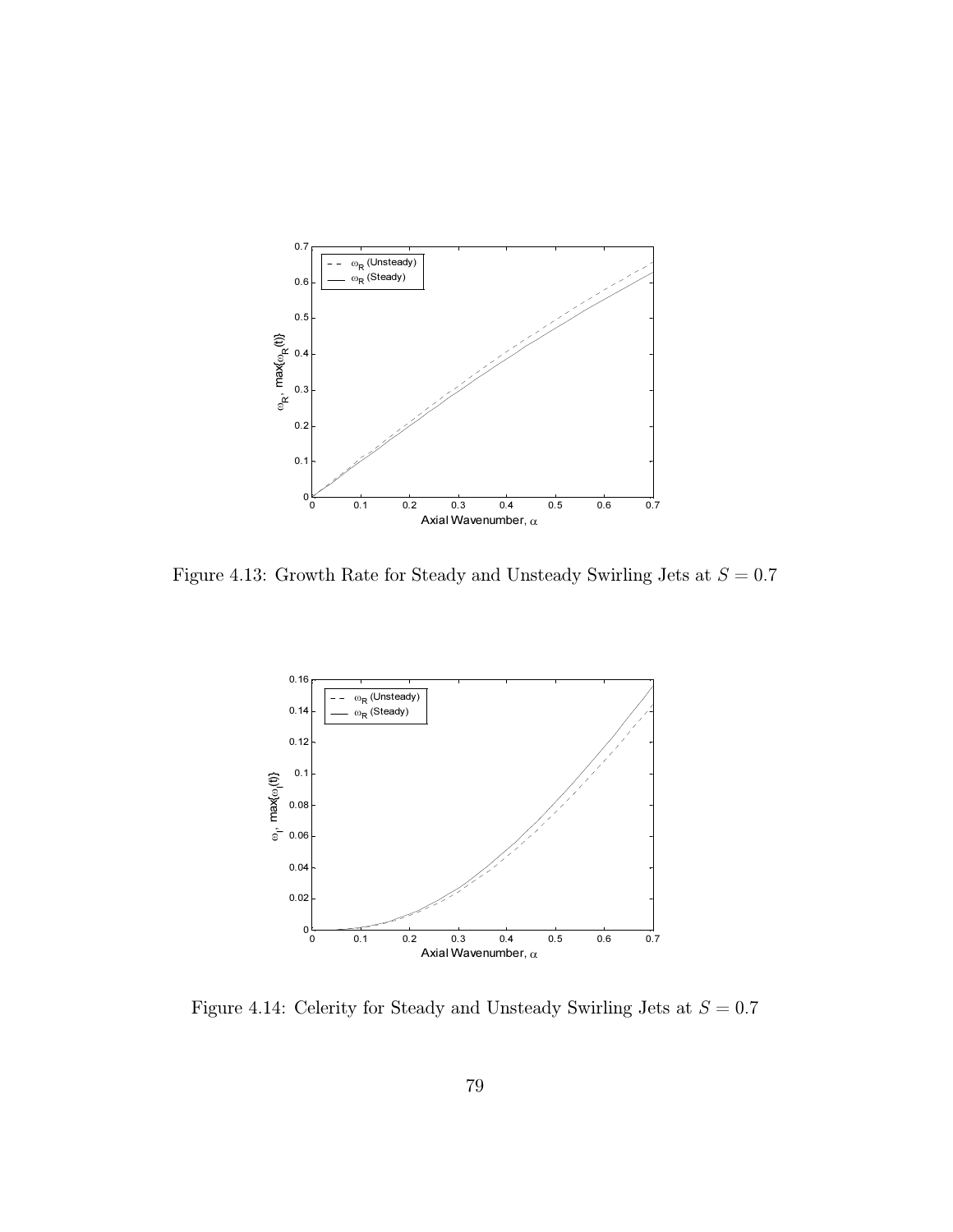

Figure 4.13: Growth Rate for Steady and Unsteady Swirling Jets at  $S = 0.7$ 



Figure 4.14: Celerity for Steady and Unsteady Swirling Jets at  $S=0.7$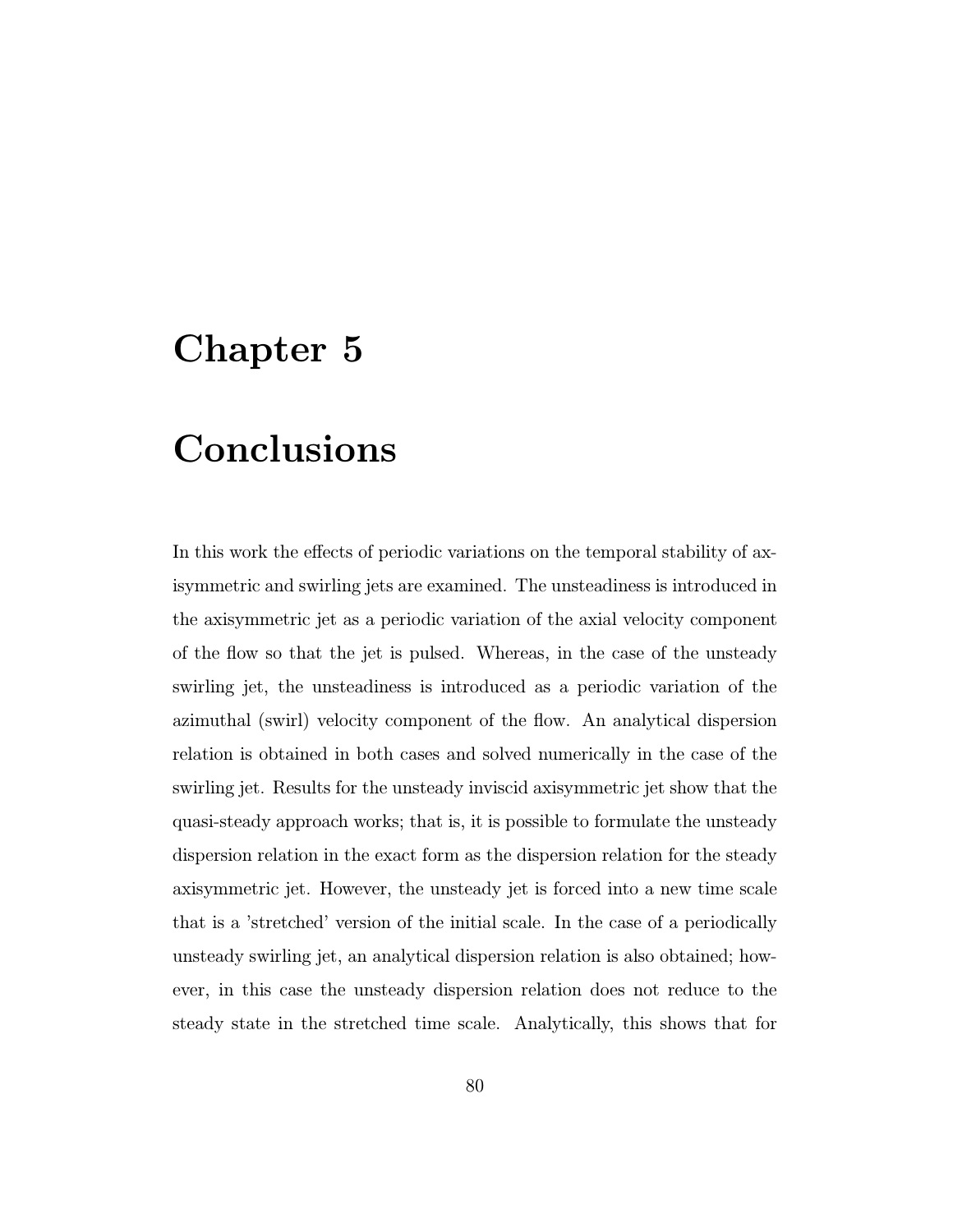## Chapter 5

# conclusions and conclusions and

In this work the effects of periodic variations on the temporal stability of axisymmetric and swirling jets are examined. The unsteadiness is introduced in the axisymmetric jet as a periodic variation of the axial velocity component of the flow so that the jet is pulsed. Whereas, in the case of the unsteady swirling jet, the unsteadiness is introduced as a periodic variation of the azimuthal (swirl) velocity component of the flow. An analytical dispersion relation is obtained in both cases and solved numerically in the case of the swirling jet. Results for the unsteady inviscid axisymmetric jet show that the quasi-steady approach works; that is, it is possible to formulate the unsteady dispersion relation in the exact form as the dispersion relation for the steady axisymmetric jet. However, the unsteady jet is forced into a new time scale that is a 'stretched' version of the initial scale. In the case of a periodically unsteady swirling jet, an analytical dispersion relation is also obtained; however, in this case the unsteady dispersion relation does not reduce to the steady state in the stretched time scale. Analytically, this shows that for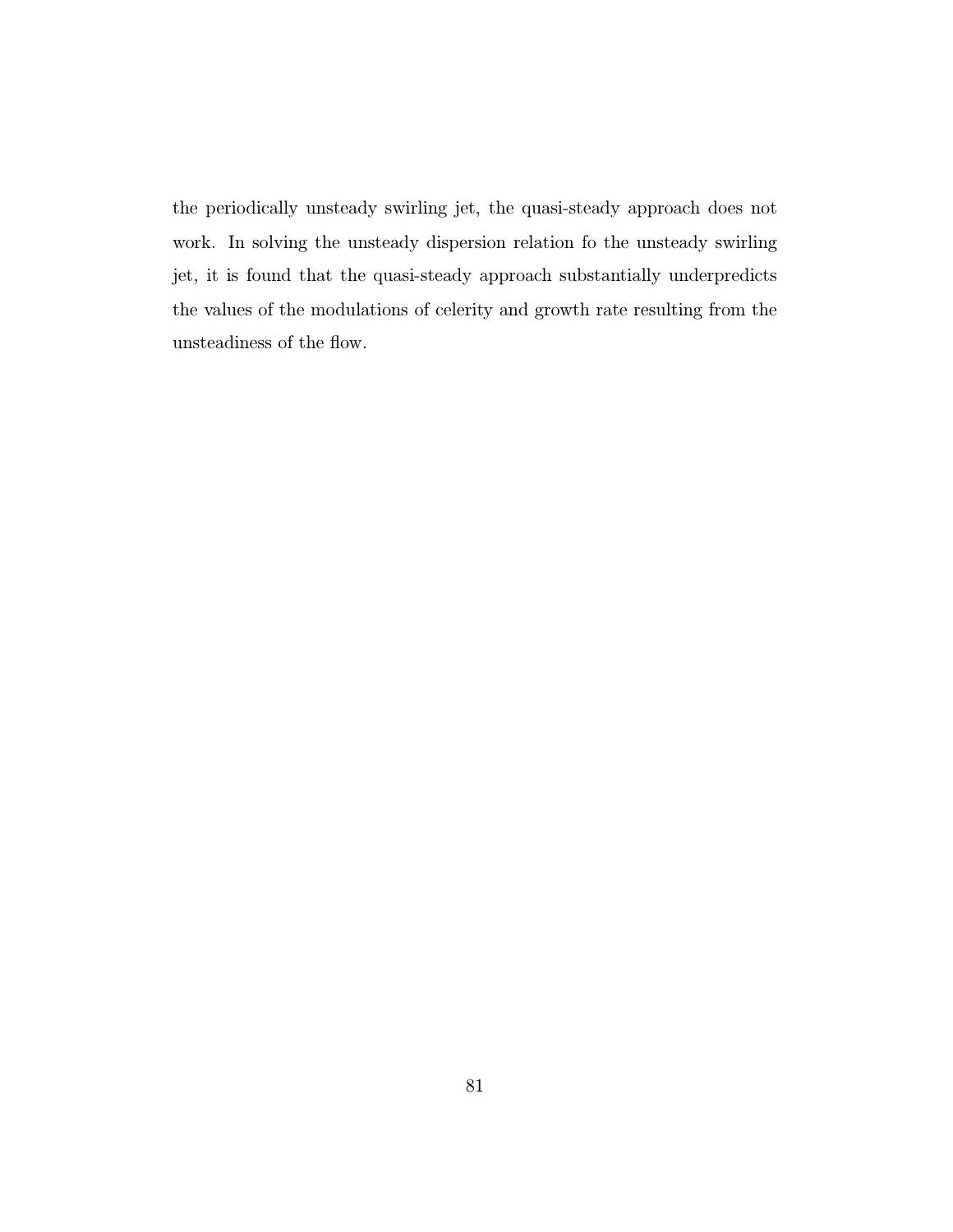the periodically unsteady swirling jet, the quasi-steady approach does not work. In solving the unsteady dispersion relation fo the unsteady swirling jet, it is found that the quasi-steady approach substantially underpredicts the values of the modulations of celerity and growth rate resulting from the unsteadiness of the flow.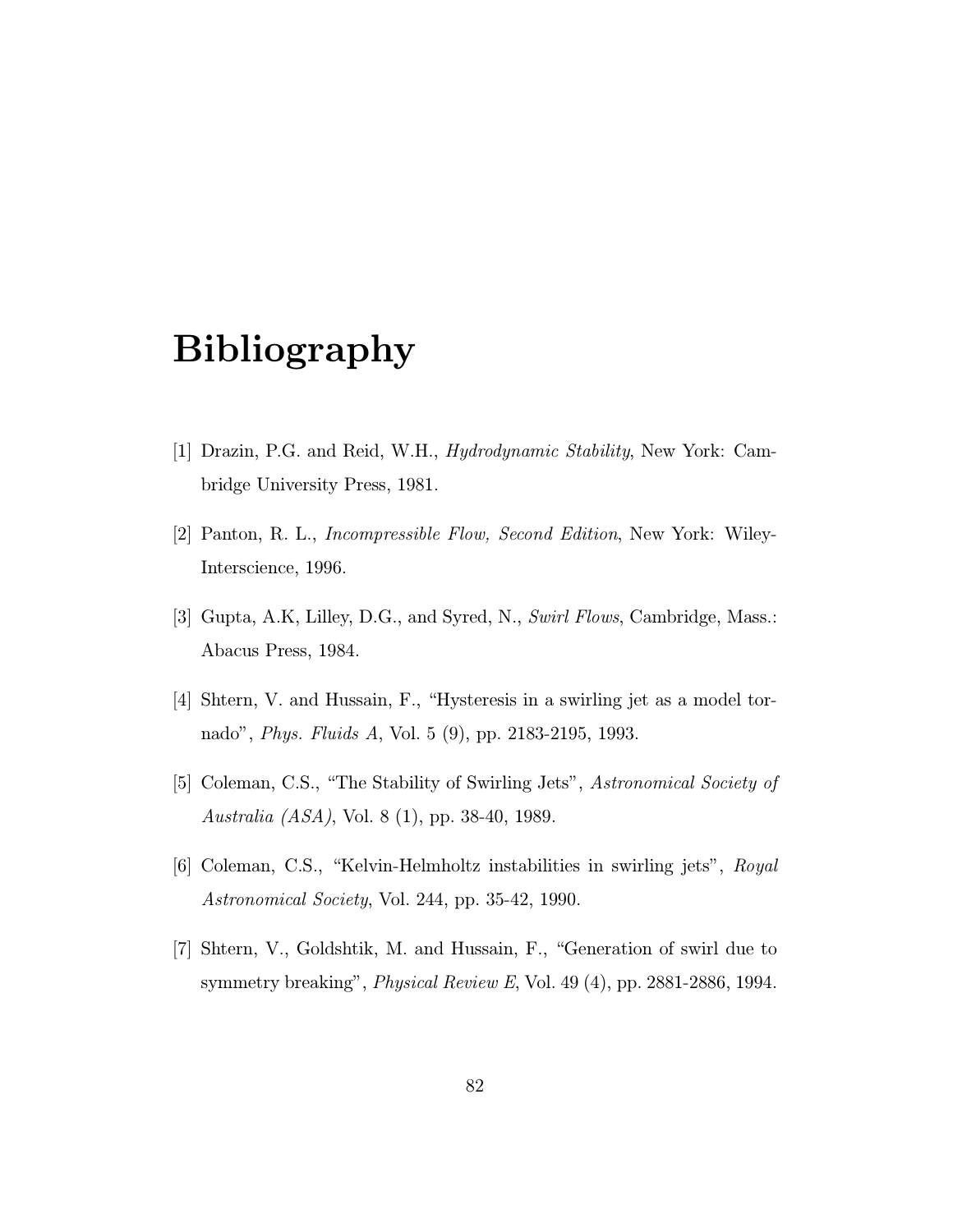## Bibliography

- [1] Drazin, P.G. and Reid, W.H., Hydrodynamic Stability, New York: Cambridge University Press, 1981.
- [2] Panton, R. L., Incompressible Flow, Second Edition, New York: Wiley-Interscience, 1996.
- [3] Gupta, A.K, Lilley, D.G., and Syred, N., Swirl Flows, Cambridge, Mass.: Abacus Press, 1984.
- [4] Shtern, V. and Hussain, F., "Hysteresis in a swirling jet as a model tornado", Phys. Fluids A, Vol. 5 (9), pp. 2183-2195, 1993.
- [5] Coleman, C.S., "The Stability of Swirling Jets", Astronomical Society of Australia (ASA), Vol. 8 (1), pp. 38-40, 1989.
- [6] Coleman, C.S., "Kelvin-Helmholtz instabilities in swirling jets", Royal Astronomical Society, Vol. 244, pp. 35-42, 1990.
- [7] Shtern, V., Goldshtik, M. and Hussain, F., "Generation of swirl due to symmetry breaking", Physical Review E, Vol. 49 (4), pp. 2881-2886, 1994.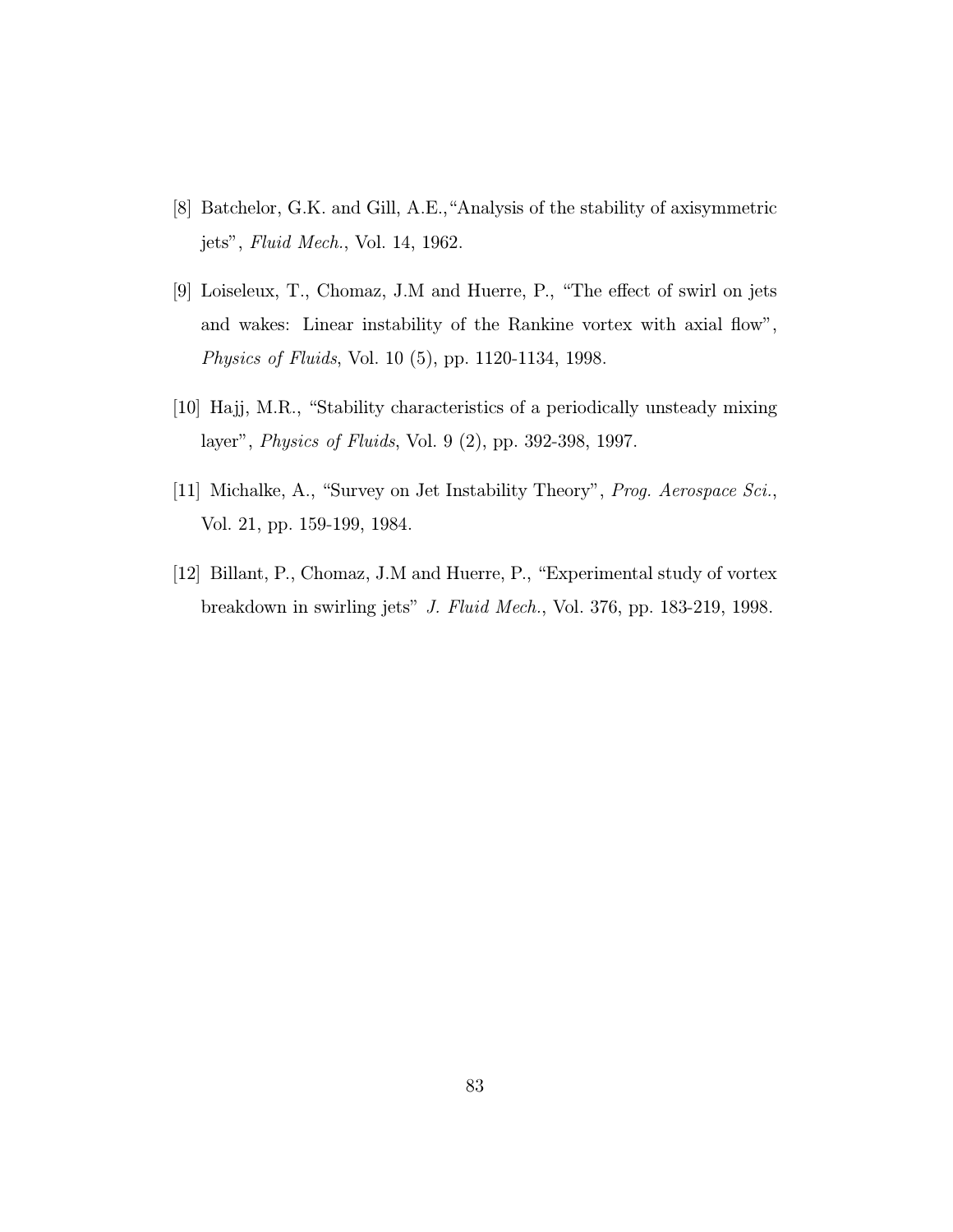- [8] Batchelor, G.K. and Gill, A.E.,"Analysis of the stability of axisymmetric jets", Fluid Mech., Vol. 14, 1962.
- [9] Loiseleux, T., Chomaz, J.M and Huerre, P., "The effect of swirl on jets and wakes: Linear instability of the Rankine vortex with axial flow", Physics of Fluids, Vol. 10 (5), pp. 1120-1134, 1998.
- [10] Hajj, M.R., "Stability characteristics of a periodically unsteady mixing layer", Physics of Fluids, Vol. 9 (2), pp. 392-398, 1997.
- [11] Michalke, A., "Survey on Jet Instability Theory", Prog. Aerospace Sci., Vol. 21, pp. 159-199, 1984.
- [12] Billant, P., Chomaz, J.M and Huerre, P., "Experimental study of vortex breakdown in swirling jets" J. Fluid Mech., Vol. 376, pp. 183-219, 1998.